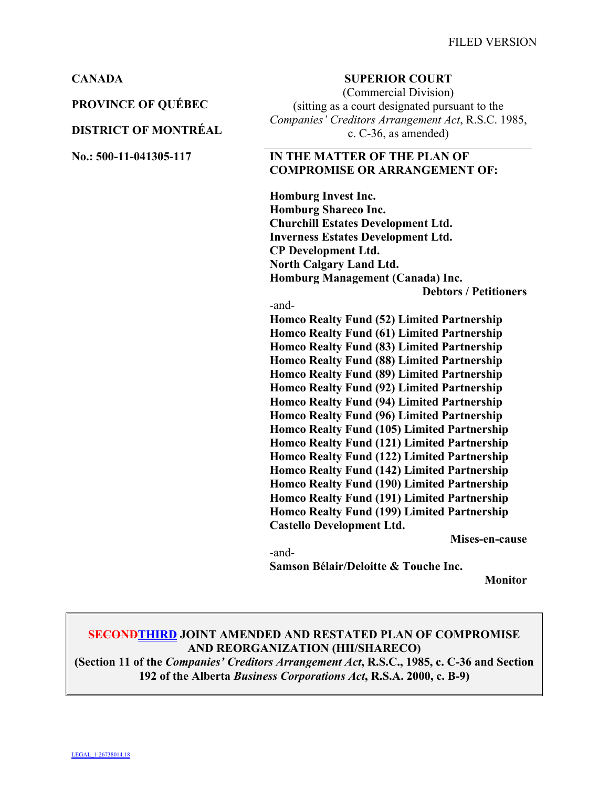**PROVINCE OF QUÉBEC**

### **DISTRICT OF MONTRÉAL**

### **CANADA SUPERIOR COURT**

(Commercial Division) (sitting as a court designated pursuant to the *Companies' Creditors Arrangement Act*, R.S.C. 1985, c. C-36, as amended)

### **No.: 500-11-041305-117 IN THE MATTER OF THE PLAN OF COMPROMISE OR ARRANGEMENT OF:**

**Homburg Invest Inc. Homburg Shareco Inc. Churchill Estates Development Ltd. Inverness Estates Development Ltd. CP Development Ltd. North Calgary Land Ltd. Homburg Management (Canada) Inc. Debtors / Petitioners**

#### -and-

**Homco Realty Fund (52) Limited Partnership Homco Realty Fund (61) Limited Partnership Homco Realty Fund (83) Limited Partnership Homco Realty Fund (88) Limited Partnership Homco Realty Fund (89) Limited Partnership Homco Realty Fund (92) Limited Partnership Homco Realty Fund (94) Limited Partnership Homco Realty Fund (96) Limited Partnership Homco Realty Fund (105) Limited Partnership Homco Realty Fund (121) Limited Partnership Homco Realty Fund (122) Limited Partnership Homco Realty Fund (142) Limited Partnership Homco Realty Fund (190) Limited Partnership Homco Realty Fund (191) Limited Partnership Homco Realty Fund (199) Limited Partnership Castello Development Ltd.**

**Mises-en-cause**

-and-**Samson Bélair/Deloitte & Touche Inc.** 

**Monitor**

## **SECONDTHIRD JOINT AMENDED AND RESTATED PLAN OF COMPROMISE AND REORGANIZATION (HII/SHARECO)**

**(Section 11 of the** *Companies' Creditors Arrangement Act***, R.S.C., 1985, c. C-36 and Section 192 of the Alberta** *Business Corporations Act***, R.S.A. 2000, c. B-9)**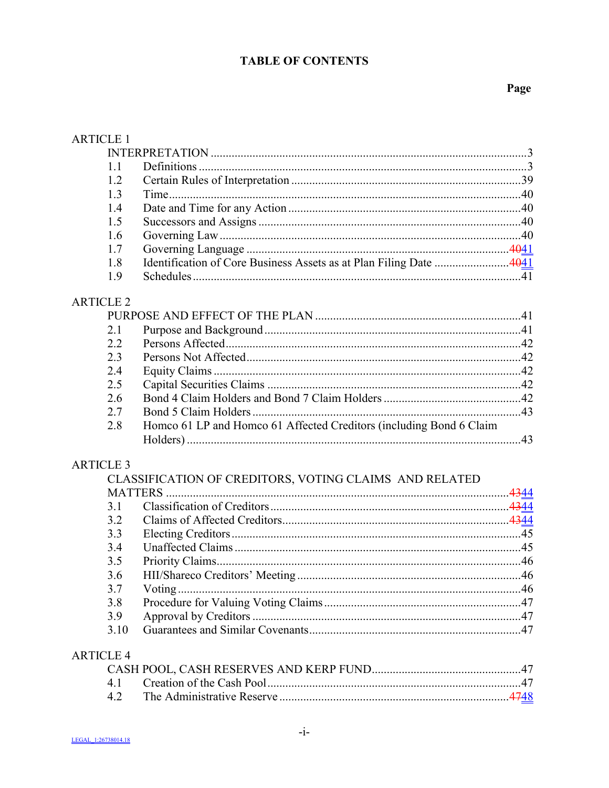# **TABLE OF CONTENTS**

| <b>ARTICLE 1</b> |                                                                     |  |
|------------------|---------------------------------------------------------------------|--|
|                  |                                                                     |  |
| 1.1              |                                                                     |  |
| 1.2              |                                                                     |  |
| 1.3              |                                                                     |  |
| 1.4              |                                                                     |  |
| 1.5              |                                                                     |  |
| 1.6              |                                                                     |  |
| 1.7              |                                                                     |  |
| 1.8              | Identification of Core Business Assets as at Plan Filing Date  4041 |  |
| 1.9              |                                                                     |  |
| <b>ARTICLE 2</b> |                                                                     |  |
|                  |                                                                     |  |
| 2.1              |                                                                     |  |
| 2.2              |                                                                     |  |
| 2.3              |                                                                     |  |
| 2.4              |                                                                     |  |
| 2.5              |                                                                     |  |
| 2.6              |                                                                     |  |
| 2.7              |                                                                     |  |
| 2.8              | Homco 61 LP and Homco 61 Affected Creditors (including Bond 6 Claim |  |
|                  |                                                                     |  |
| <b>ARTICLE 3</b> |                                                                     |  |
|                  | CLASSIFICATION OF CREDITORS, VOTING CLAIMS AND RELATED              |  |
| <b>MATTERS</b>   |                                                                     |  |
| 3.1              |                                                                     |  |
| 3.2              |                                                                     |  |
| 3.3              |                                                                     |  |
| 3.4              |                                                                     |  |
| 3.5              |                                                                     |  |
| 3.6              |                                                                     |  |
| 3.7              |                                                                     |  |
| 3.8              |                                                                     |  |
| 3.9              |                                                                     |  |
| 3.10             |                                                                     |  |
| <b>ARTICLE 4</b> |                                                                     |  |
|                  |                                                                     |  |
| 4.1              |                                                                     |  |
| 4.2              |                                                                     |  |
|                  |                                                                     |  |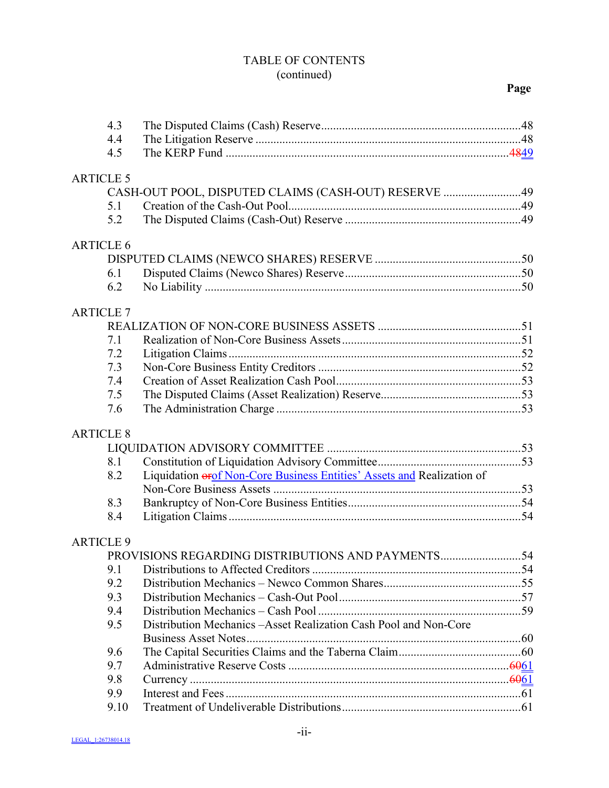## TABLE OF CONTENTS (continued)

|                  | 4.3              |                                                                        |  |
|------------------|------------------|------------------------------------------------------------------------|--|
|                  | 4.4              |                                                                        |  |
|                  | 4.5              |                                                                        |  |
|                  |                  |                                                                        |  |
| <b>ARTICLE 5</b> |                  |                                                                        |  |
|                  |                  | CASH-OUT POOL, DISPUTED CLAIMS (CASH-OUT) RESERVE 49                   |  |
|                  | 5.1              |                                                                        |  |
|                  | 5.2              |                                                                        |  |
|                  | <b>ARTICLE 6</b> |                                                                        |  |
|                  |                  |                                                                        |  |
|                  | 6.1              |                                                                        |  |
|                  | 6.2              |                                                                        |  |
|                  | <b>ARTICLE 7</b> |                                                                        |  |
|                  |                  |                                                                        |  |
|                  | 7.1              |                                                                        |  |
|                  | 7.2              |                                                                        |  |
|                  | 7.3              |                                                                        |  |
|                  | 7.4              |                                                                        |  |
|                  | 7.5              |                                                                        |  |
|                  | 7.6              |                                                                        |  |
|                  |                  |                                                                        |  |
|                  | <b>ARTICLE 8</b> |                                                                        |  |
|                  |                  |                                                                        |  |
|                  | 8.1              |                                                                        |  |
|                  | 8.2              | Liquidation erof Non-Core Business Entities' Assets and Realization of |  |
|                  |                  |                                                                        |  |
|                  | 8.3              |                                                                        |  |
|                  | 8.4              |                                                                        |  |
|                  | <b>ARTICLE 9</b> |                                                                        |  |
|                  |                  |                                                                        |  |
|                  | 9.1              |                                                                        |  |
|                  | 9.2              |                                                                        |  |
|                  | 9.3              |                                                                        |  |
|                  | 9.4              |                                                                        |  |
|                  | 9.5              | Distribution Mechanics - Asset Realization Cash Pool and Non-Core      |  |
|                  |                  |                                                                        |  |
|                  | 9.6              |                                                                        |  |
|                  | 9.7              |                                                                        |  |
|                  | 9.8              |                                                                        |  |
|                  | 9.9              |                                                                        |  |
|                  | 9.10             |                                                                        |  |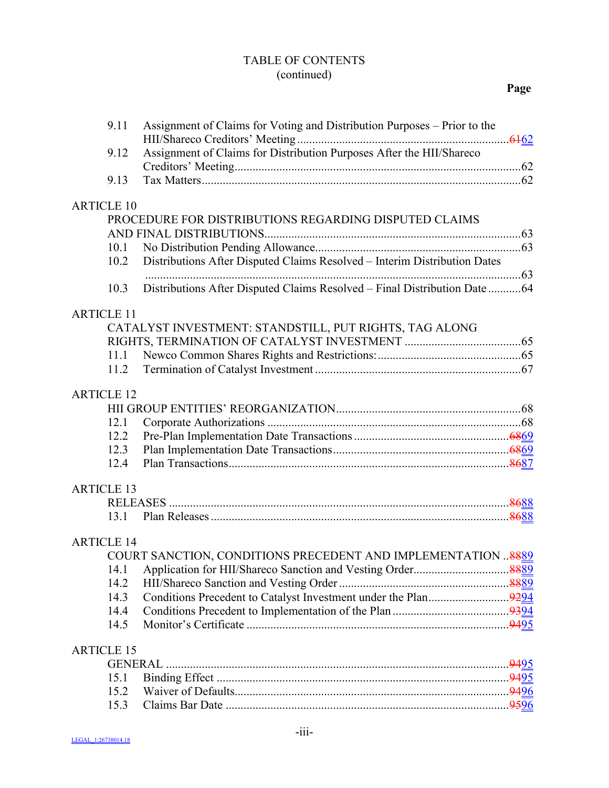## TABLE OF CONTENTS (continued)

|                   | 9.11              | Assignment of Claims for Voting and Distribution Purposes - Prior to the  |  |
|-------------------|-------------------|---------------------------------------------------------------------------|--|
|                   | 9.12              | Assignment of Claims for Distribution Purposes After the HII/Shareco      |  |
|                   |                   |                                                                           |  |
|                   | 9.13              |                                                                           |  |
|                   | <b>ARTICLE 10</b> |                                                                           |  |
|                   |                   | PROCEDURE FOR DISTRIBUTIONS REGARDING DISPUTED CLAIMS                     |  |
|                   |                   |                                                                           |  |
|                   | 10.1              |                                                                           |  |
|                   | 10.2              | Distributions After Disputed Claims Resolved - Interim Distribution Dates |  |
|                   |                   |                                                                           |  |
|                   | 10.3              | Distributions After Disputed Claims Resolved - Final Distribution Date 64 |  |
| <b>ARTICLE 11</b> |                   |                                                                           |  |
|                   |                   | CATALYST INVESTMENT: STANDSTILL, PUT RIGHTS, TAG ALONG                    |  |
|                   |                   |                                                                           |  |
|                   | 11.1              |                                                                           |  |
|                   | 11.2              |                                                                           |  |
| <b>ARTICLE 12</b> |                   |                                                                           |  |
|                   |                   |                                                                           |  |
|                   | 12.1              |                                                                           |  |
|                   | 12.2              |                                                                           |  |
|                   | 12.3              |                                                                           |  |
|                   | 12.4              |                                                                           |  |
| <b>ARTICLE 13</b> |                   |                                                                           |  |
|                   |                   |                                                                           |  |
|                   | 13.1              |                                                                           |  |
|                   | <b>ARTICLE 14</b> |                                                                           |  |
|                   |                   | COURT SANCTION, CONDITIONS PRECEDENT AND IMPLEMENTATION  8889             |  |
|                   | 14.1              |                                                                           |  |
|                   | 14.2              |                                                                           |  |
|                   | 14.3              |                                                                           |  |
|                   | 14.4              |                                                                           |  |
|                   | 14.5              |                                                                           |  |
| <b>ARTICLE 15</b> |                   |                                                                           |  |
|                   | <b>GENERAL</b>    |                                                                           |  |
|                   | 15.1              |                                                                           |  |
|                   | 15.2              |                                                                           |  |
|                   | 15.3              |                                                                           |  |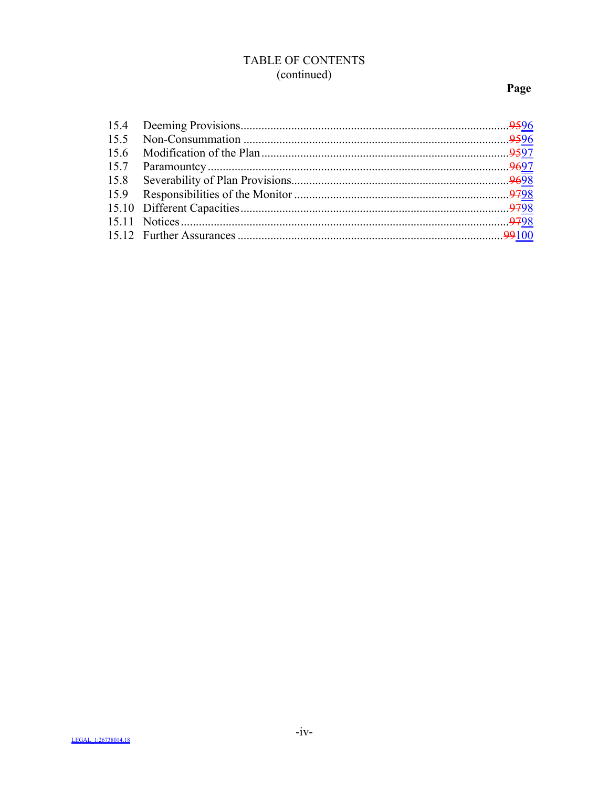# TABLE OF CONTENTS (continued)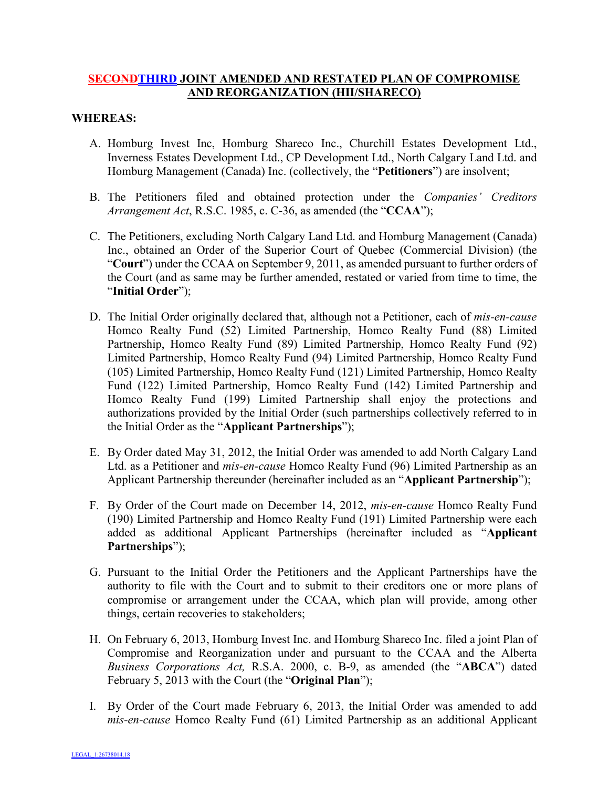## **SECONDTHIRD JOINT AMENDED AND RESTATED PLAN OF COMPROMISE AND REORGANIZATION (HII/SHARECO)**

### **WHEREAS:**

- A. Homburg Invest Inc, Homburg Shareco Inc., Churchill Estates Development Ltd., Inverness Estates Development Ltd., CP Development Ltd., North Calgary Land Ltd. and Homburg Management (Canada) Inc. (collectively, the "**Petitioners**") are insolvent;
- B. The Petitioners filed and obtained protection under the *Companies' Creditors Arrangement Act*, R.S.C. 1985, c. C-36, as amended (the "**CCAA**");
- C. The Petitioners, excluding North Calgary Land Ltd. and Homburg Management (Canada) Inc., obtained an Order of the Superior Court of Quebec (Commercial Division) (the "**Court**") under the CCAA on September 9, 2011, as amended pursuant to further orders of the Court (and as same may be further amended, restated or varied from time to time, the "**Initial Order**");
- D. The Initial Order originally declared that, although not a Petitioner, each of *mis-en-cause* Homco Realty Fund (52) Limited Partnership, Homco Realty Fund (88) Limited Partnership, Homco Realty Fund (89) Limited Partnership, Homco Realty Fund (92) Limited Partnership, Homco Realty Fund (94) Limited Partnership, Homco Realty Fund (105) Limited Partnership, Homco Realty Fund (121) Limited Partnership, Homco Realty Fund (122) Limited Partnership, Homco Realty Fund (142) Limited Partnership and Homco Realty Fund (199) Limited Partnership shall enjoy the protections and authorizations provided by the Initial Order (such partnerships collectively referred to in the Initial Order as the "**Applicant Partnerships**");
- E. By Order dated May 31, 2012, the Initial Order was amended to add North Calgary Land Ltd. as a Petitioner and *mis-en-cause* Homco Realty Fund (96) Limited Partnership as an Applicant Partnership thereunder (hereinafter included as an "**Applicant Partnership**");
- F. By Order of the Court made on December 14, 2012, *mis-en-cause* Homco Realty Fund (190) Limited Partnership and Homco Realty Fund (191) Limited Partnership were each added as additional Applicant Partnerships (hereinafter included as "**Applicant Partnerships**");
- G. Pursuant to the Initial Order the Petitioners and the Applicant Partnerships have the authority to file with the Court and to submit to their creditors one or more plans of compromise or arrangement under the CCAA, which plan will provide, among other things, certain recoveries to stakeholders;
- H. On February 6, 2013, Homburg Invest Inc. and Homburg Shareco Inc. filed a joint Plan of Compromise and Reorganization under and pursuant to the CCAA and the Alberta *Business Corporations Act,* R.S.A. 2000, c. B-9, as amended (the "**ABCA**") dated February 5, 2013 with the Court (the "**Original Plan**");
- I. By Order of the Court made February 6, 2013, the Initial Order was amended to add *mis-en-cause* Homco Realty Fund (61) Limited Partnership as an additional Applicant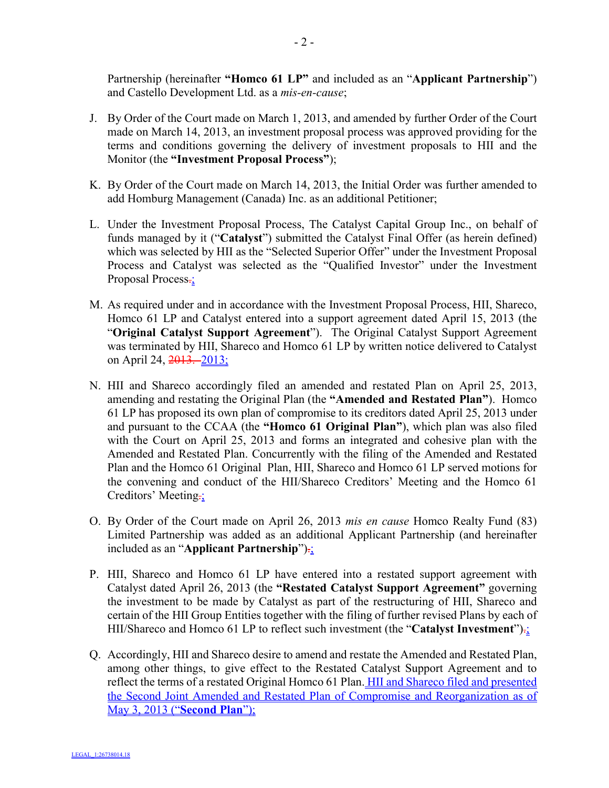Partnership (hereinafter **"Homco 61 LP"** and included as an "**Applicant Partnership**") and Castello Development Ltd. as a *mis-en-cause*;

- J. By Order of the Court made on March 1, 2013, and amended by further Order of the Court made on March 14, 2013, an investment proposal process was approved providing for the terms and conditions governing the delivery of investment proposals to HII and the Monitor (the **"Investment Proposal Process"**);
- K. By Order of the Court made on March 14, 2013, the Initial Order was further amended to add Homburg Management (Canada) Inc. as an additional Petitioner;
- L. Under the Investment Proposal Process, The Catalyst Capital Group Inc., on behalf of funds managed by it ("**Catalyst**") submitted the Catalyst Final Offer (as herein defined) which was selected by HII as the "Selected Superior Offer" under the Investment Proposal Process and Catalyst was selected as the "Qualified Investor" under the Investment Proposal Process.
- M. As required under and in accordance with the Investment Proposal Process, HII, Shareco, Homco 61 LP and Catalyst entered into a support agreement dated April 15, 2013 (the "**Original Catalyst Support Agreement**"). The Original Catalyst Support Agreement was terminated by HII, Shareco and Homco 61 LP by written notice delivered to Catalyst on April 24, 2013. 2013;
- N. HII and Shareco accordingly filed an amended and restated Plan on April 25, 2013, amending and restating the Original Plan (the **"Amended and Restated Plan"**). Homco 61 LP has proposed its own plan of compromise to its creditors dated April 25, 2013 under and pursuant to the CCAA (the **"Homco 61 Original Plan"**), which plan was also filed with the Court on April 25, 2013 and forms an integrated and cohesive plan with the Amended and Restated Plan. Concurrently with the filing of the Amended and Restated Plan and the Homco 61 Original Plan, HII, Shareco and Homco 61 LP served motions for the convening and conduct of the HII/Shareco Creditors' Meeting and the Homco 61 Creditors' Meeting.:
- O. By Order of the Court made on April 26, 2013 *mis en cause* Homco Realty Fund (83) Limited Partnership was added as an additional Applicant Partnership (and hereinafter included as an "**Applicant Partnership**").;
- P. HII, Shareco and Homco 61 LP have entered into a restated support agreement with Catalyst dated April 26, 2013 (the **"Restated Catalyst Support Agreement"** governing the investment to be made by Catalyst as part of the restructuring of HII, Shareco and certain of the HII Group Entities together with the filing of further revised Plans by each of HII/Shareco and Homco 61 LP to reflect such investment (the "**Catalyst Investment**").;
- Q. Accordingly, HII and Shareco desire to amend and restate the Amended and Restated Plan, among other things, to give effect to the Restated Catalyst Support Agreement and to reflect the terms of a restated Original Homco 61 Plan. HII and Shareco filed and presented the Second Joint Amended and Restated Plan of Compromise and Reorganization as of May 3, 2013 ("**Second Plan**");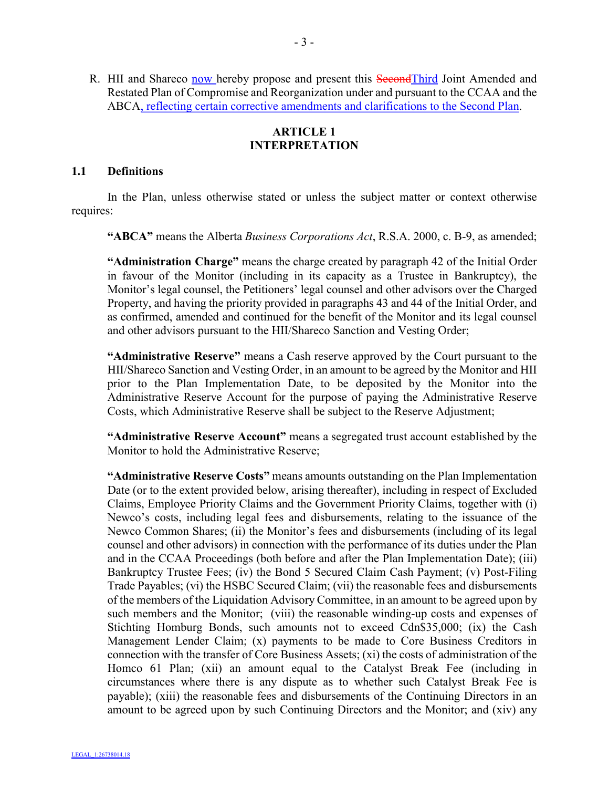R. HII and Shareco now hereby propose and present this Second Third Joint Amended and Restated Plan of Compromise and Reorganization under and pursuant to the CCAA and the ABCA, reflecting certain corrective amendments and clarifications to the Second Plan.

### **ARTICLE 1 INTERPRETATION**

### **1.1 Definitions**

In the Plan, unless otherwise stated or unless the subject matter or context otherwise requires:

**"ABCA"** means the Alberta *Business Corporations Act*, R.S.A. 2000, c. B-9, as amended;

**"Administration Charge"** means the charge created by paragraph 42 of the Initial Order in favour of the Monitor (including in its capacity as a Trustee in Bankruptcy), the Monitor's legal counsel, the Petitioners' legal counsel and other advisors over the Charged Property, and having the priority provided in paragraphs 43 and 44 of the Initial Order, and as confirmed, amended and continued for the benefit of the Monitor and its legal counsel and other advisors pursuant to the HII/Shareco Sanction and Vesting Order;

**"Administrative Reserve"** means a Cash reserve approved by the Court pursuant to the HII/Shareco Sanction and Vesting Order, in an amount to be agreed by the Monitor and HII prior to the Plan Implementation Date, to be deposited by the Monitor into the Administrative Reserve Account for the purpose of paying the Administrative Reserve Costs, which Administrative Reserve shall be subject to the Reserve Adjustment;

**"Administrative Reserve Account"** means a segregated trust account established by the Monitor to hold the Administrative Reserve;

**"Administrative Reserve Costs"** means amounts outstanding on the Plan Implementation Date (or to the extent provided below, arising thereafter), including in respect of Excluded Claims, Employee Priority Claims and the Government Priority Claims, together with (i) Newco's costs, including legal fees and disbursements, relating to the issuance of the Newco Common Shares; (ii) the Monitor's fees and disbursements (including of its legal counsel and other advisors) in connection with the performance of its duties under the Plan and in the CCAA Proceedings (both before and after the Plan Implementation Date); (iii) Bankruptcy Trustee Fees; (iv) the Bond 5 Secured Claim Cash Payment; (v) Post-Filing Trade Payables; (vi) the HSBC Secured Claim; (vii) the reasonable fees and disbursements of the members of the Liquidation Advisory Committee, in an amount to be agreed upon by such members and the Monitor; (viii) the reasonable winding-up costs and expenses of Stichting Homburg Bonds, such amounts not to exceed Cdn\$35,000; (ix) the Cash Management Lender Claim; (x) payments to be made to Core Business Creditors in connection with the transfer of Core Business Assets; (xi) the costs of administration of the Homco 61 Plan; (xii) an amount equal to the Catalyst Break Fee (including in circumstances where there is any dispute as to whether such Catalyst Break Fee is payable); (xiii) the reasonable fees and disbursements of the Continuing Directors in an amount to be agreed upon by such Continuing Directors and the Monitor; and (xiv) any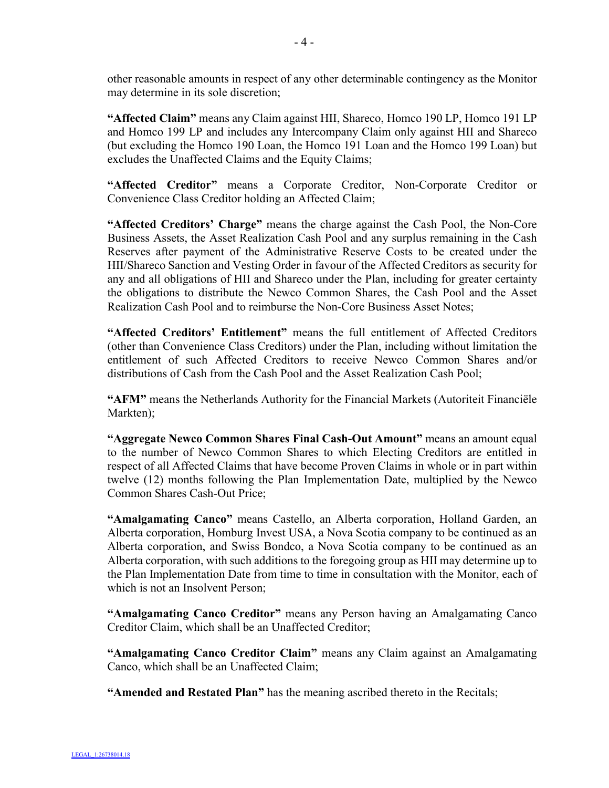other reasonable amounts in respect of any other determinable contingency as the Monitor may determine in its sole discretion;

**"Affected Claim"** means any Claim against HII, Shareco, Homco 190 LP, Homco 191 LP and Homco 199 LP and includes any Intercompany Claim only against HII and Shareco (but excluding the Homco 190 Loan, the Homco 191 Loan and the Homco 199 Loan) but excludes the Unaffected Claims and the Equity Claims;

**"Affected Creditor"** means a Corporate Creditor, Non-Corporate Creditor or Convenience Class Creditor holding an Affected Claim;

**"Affected Creditors' Charge"** means the charge against the Cash Pool, the Non-Core Business Assets, the Asset Realization Cash Pool and any surplus remaining in the Cash Reserves after payment of the Administrative Reserve Costs to be created under the HII/Shareco Sanction and Vesting Order in favour of the Affected Creditors as security for any and all obligations of HII and Shareco under the Plan, including for greater certainty the obligations to distribute the Newco Common Shares, the Cash Pool and the Asset Realization Cash Pool and to reimburse the Non-Core Business Asset Notes;

**"Affected Creditors' Entitlement"** means the full entitlement of Affected Creditors (other than Convenience Class Creditors) under the Plan, including without limitation the entitlement of such Affected Creditors to receive Newco Common Shares and/or distributions of Cash from the Cash Pool and the Asset Realization Cash Pool;

**"AFM"** means the Netherlands Authority for the Financial Markets (Autoriteit Financiële Markten);

**"Aggregate Newco Common Shares Final Cash-Out Amount"** means an amount equal to the number of Newco Common Shares to which Electing Creditors are entitled in respect of all Affected Claims that have become Proven Claims in whole or in part within twelve (12) months following the Plan Implementation Date, multiplied by the Newco Common Shares Cash-Out Price;

**"Amalgamating Canco"** means Castello, an Alberta corporation, Holland Garden, an Alberta corporation, Homburg Invest USA, a Nova Scotia company to be continued as an Alberta corporation, and Swiss Bondco, a Nova Scotia company to be continued as an Alberta corporation, with such additions to the foregoing group as HII may determine up to the Plan Implementation Date from time to time in consultation with the Monitor, each of which is not an Insolvent Person;

**"Amalgamating Canco Creditor"** means any Person having an Amalgamating Canco Creditor Claim, which shall be an Unaffected Creditor;

**"Amalgamating Canco Creditor Claim"** means any Claim against an Amalgamating Canco, which shall be an Unaffected Claim;

**"Amended and Restated Plan"** has the meaning ascribed thereto in the Recitals;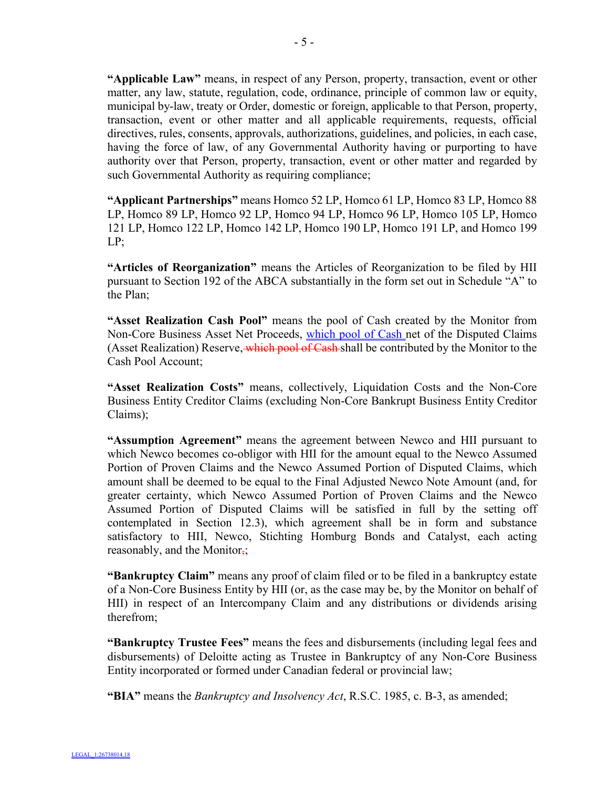**"Applicable Law"** means, in respect of any Person, property, transaction, event or other matter, any law, statute, regulation, code, ordinance, principle of common law or equity, municipal by-law, treaty or Order, domestic or foreign, applicable to that Person, property, transaction, event or other matter and all applicable requirements, requests, official directives, rules, consents, approvals, authorizations, guidelines, and policies, in each case, having the force of law, of any Governmental Authority having or purporting to have authority over that Person, property, transaction, event or other matter and regarded by such Governmental Authority as requiring compliance;

**"Applicant Partnerships"** means Homco 52 LP, Homco 61 LP, Homco 83 LP, Homco 88 LP, Homco 89 LP, Homco 92 LP, Homco 94 LP, Homco 96 LP, Homco 105 LP, Homco 121 LP, Homco 122 LP, Homco 142 LP, Homco 190 LP, Homco 191 LP, and Homco 199 LP;

**"Articles of Reorganization"** means the Articles of Reorganization to be filed by HII pursuant to Section 192 of the ABCA substantially in the form set out in Schedule "A" to the Plan;

**"Asset Realization Cash Pool"** means the pool of Cash created by the Monitor from Non-Core Business Asset Net Proceeds, which pool of Cash net of the Disputed Claims (Asset Realization) Reserve, which pool of Cash shall be contributed by the Monitor to the Cash Pool Account;

**"Asset Realization Costs"** means, collectively, Liquidation Costs and the Non-Core Business Entity Creditor Claims (excluding Non-Core Bankrupt Business Entity Creditor Claims);

**"Assumption Agreement"** means the agreement between Newco and HII pursuant to which Newco becomes co-obligor with HII for the amount equal to the Newco Assumed Portion of Proven Claims and the Newco Assumed Portion of Disputed Claims, which amount shall be deemed to be equal to the Final Adjusted Newco Note Amount (and, for greater certainty, which Newco Assumed Portion of Proven Claims and the Newco Assumed Portion of Disputed Claims will be satisfied in full by the setting off contemplated in Section 12.3), which agreement shall be in form and substance satisfactory to HII, Newco, Stichting Homburg Bonds and Catalyst, each acting reasonably, and the Monitor $\frac{1}{2}$ ;

**"Bankruptcy Claim"** means any proof of claim filed or to be filed in a bankruptcy estate of a Non-Core Business Entity by HII (or, as the case may be, by the Monitor on behalf of HII) in respect of an Intercompany Claim and any distributions or dividends arising therefrom;

**"Bankruptcy Trustee Fees"** means the fees and disbursements (including legal fees and disbursements) of Deloitte acting as Trustee in Bankruptcy of any Non-Core Business Entity incorporated or formed under Canadian federal or provincial law;

**"BIA"** means the *Bankruptcy and Insolvency Act*, R.S.C. 1985, c. B-3, as amended;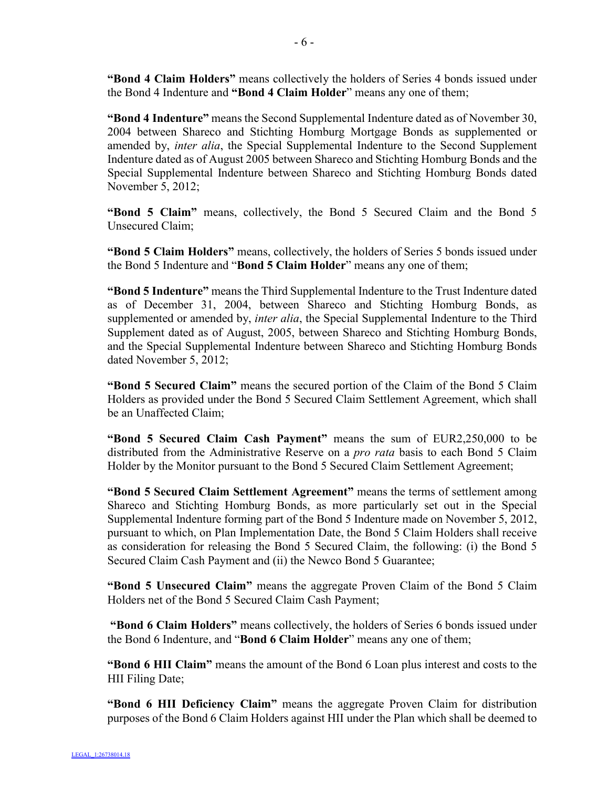**"Bond 4 Claim Holders"** means collectively the holders of Series 4 bonds issued under the Bond 4 Indenture and **"Bond 4 Claim Holder**" means any one of them;

**"Bond 4 Indenture"** means the Second Supplemental Indenture dated as of November 30, 2004 between Shareco and Stichting Homburg Mortgage Bonds as supplemented or amended by, *inter alia*, the Special Supplemental Indenture to the Second Supplement Indenture dated as of August 2005 between Shareco and Stichting Homburg Bonds and the Special Supplemental Indenture between Shareco and Stichting Homburg Bonds dated November 5, 2012;

**"Bond 5 Claim"** means, collectively, the Bond 5 Secured Claim and the Bond 5 Unsecured Claim;

**"Bond 5 Claim Holders"** means, collectively, the holders of Series 5 bonds issued under the Bond 5 Indenture and "**Bond 5 Claim Holder**" means any one of them;

**"Bond 5 Indenture"** means the Third Supplemental Indenture to the Trust Indenture dated as of December 31, 2004, between Shareco and Stichting Homburg Bonds, as supplemented or amended by, *inter alia*, the Special Supplemental Indenture to the Third Supplement dated as of August, 2005, between Shareco and Stichting Homburg Bonds, and the Special Supplemental Indenture between Shareco and Stichting Homburg Bonds dated November 5, 2012;

**"Bond 5 Secured Claim"** means the secured portion of the Claim of the Bond 5 Claim Holders as provided under the Bond 5 Secured Claim Settlement Agreement, which shall be an Unaffected Claim;

**"Bond 5 Secured Claim Cash Payment"** means the sum of EUR2,250,000 to be distributed from the Administrative Reserve on a *pro rata* basis to each Bond 5 Claim Holder by the Monitor pursuant to the Bond 5 Secured Claim Settlement Agreement;

**"Bond 5 Secured Claim Settlement Agreement"** means the terms of settlement among Shareco and Stichting Homburg Bonds, as more particularly set out in the Special Supplemental Indenture forming part of the Bond 5 Indenture made on November 5, 2012, pursuant to which, on Plan Implementation Date, the Bond 5 Claim Holders shall receive as consideration for releasing the Bond 5 Secured Claim, the following: (i) the Bond 5 Secured Claim Cash Payment and (ii) the Newco Bond 5 Guarantee;

**"Bond 5 Unsecured Claim"** means the aggregate Proven Claim of the Bond 5 Claim Holders net of the Bond 5 Secured Claim Cash Payment;

**"Bond 6 Claim Holders"** means collectively, the holders of Series 6 bonds issued under the Bond 6 Indenture, and "**Bond 6 Claim Holder**" means any one of them;

**"Bond 6 HII Claim"** means the amount of the Bond 6 Loan plus interest and costs to the HII Filing Date;

**"Bond 6 HII Deficiency Claim"** means the aggregate Proven Claim for distribution purposes of the Bond 6 Claim Holders against HII under the Plan which shall be deemed to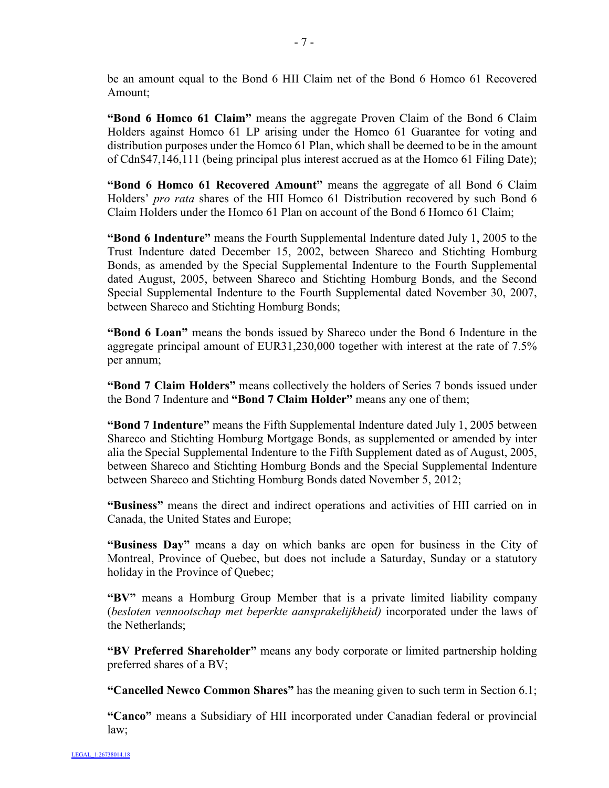be an amount equal to the Bond 6 HII Claim net of the Bond 6 Homco 61 Recovered Amount;

**"Bond 6 Homco 61 Claim"** means the aggregate Proven Claim of the Bond 6 Claim Holders against Homco 61 LP arising under the Homco 61 Guarantee for voting and distribution purposes under the Homco 61 Plan, which shall be deemed to be in the amount of Cdn\$47,146,111 (being principal plus interest accrued as at the Homco 61 Filing Date);

**"Bond 6 Homco 61 Recovered Amount"** means the aggregate of all Bond 6 Claim Holders' *pro rata* shares of the HII Homco 61 Distribution recovered by such Bond 6 Claim Holders under the Homco 61 Plan on account of the Bond 6 Homco 61 Claim;

**"Bond 6 Indenture"** means the Fourth Supplemental Indenture dated July 1, 2005 to the Trust Indenture dated December 15, 2002, between Shareco and Stichting Homburg Bonds, as amended by the Special Supplemental Indenture to the Fourth Supplemental dated August, 2005, between Shareco and Stichting Homburg Bonds, and the Second Special Supplemental Indenture to the Fourth Supplemental dated November 30, 2007, between Shareco and Stichting Homburg Bonds;

**"Bond 6 Loan"** means the bonds issued by Shareco under the Bond 6 Indenture in the aggregate principal amount of EUR31,230,000 together with interest at the rate of 7.5% per annum;

**"Bond 7 Claim Holders"** means collectively the holders of Series 7 bonds issued under the Bond 7 Indenture and **"Bond 7 Claim Holder"** means any one of them;

**"Bond 7 Indenture"** means the Fifth Supplemental Indenture dated July 1, 2005 between Shareco and Stichting Homburg Mortgage Bonds, as supplemented or amended by inter alia the Special Supplemental Indenture to the Fifth Supplement dated as of August, 2005, between Shareco and Stichting Homburg Bonds and the Special Supplemental Indenture between Shareco and Stichting Homburg Bonds dated November 5, 2012;

**"Business"** means the direct and indirect operations and activities of HII carried on in Canada, the United States and Europe;

**"Business Day"** means a day on which banks are open for business in the City of Montreal, Province of Quebec, but does not include a Saturday, Sunday or a statutory holiday in the Province of Quebec;

**"BV"** means a Homburg Group Member that is a private limited liability company (*besloten vennootschap met beperkte aansprakelijkheid)* incorporated under the laws of the Netherlands;

**"BV Preferred Shareholder"** means any body corporate or limited partnership holding preferred shares of a BV;

**"Cancelled Newco Common Shares"** has the meaning given to such term in Section 6.1;

**"Canco"** means a Subsidiary of HII incorporated under Canadian federal or provincial law;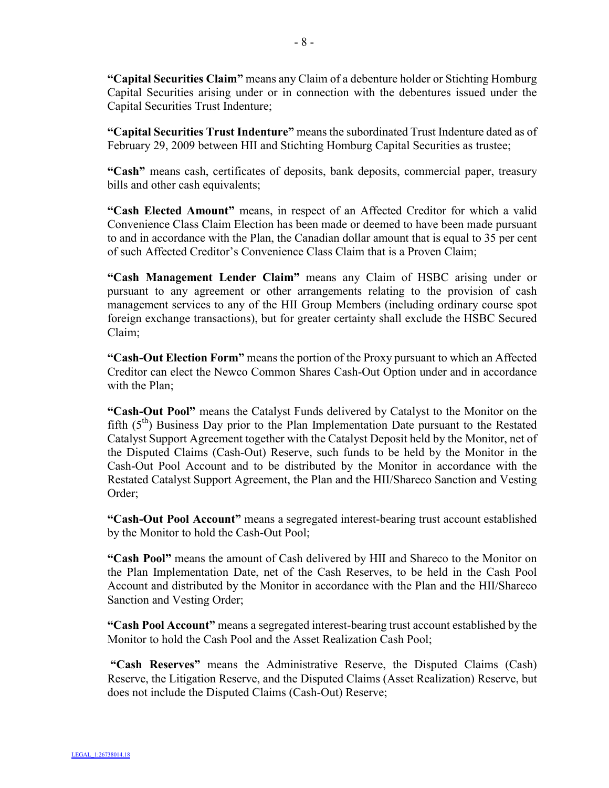**"Capital Securities Claim"** means any Claim of a debenture holder or Stichting Homburg Capital Securities arising under or in connection with the debentures issued under the Capital Securities Trust Indenture;

**"Capital Securities Trust Indenture"** means the subordinated Trust Indenture dated as of February 29, 2009 between HII and Stichting Homburg Capital Securities as trustee;

**"Cash"** means cash, certificates of deposits, bank deposits, commercial paper, treasury bills and other cash equivalents;

**"Cash Elected Amount"** means, in respect of an Affected Creditor for which a valid Convenience Class Claim Election has been made or deemed to have been made pursuant to and in accordance with the Plan, the Canadian dollar amount that is equal to 35 per cent of such Affected Creditor's Convenience Class Claim that is a Proven Claim;

**"Cash Management Lender Claim"** means any Claim of HSBC arising under or pursuant to any agreement or other arrangements relating to the provision of cash management services to any of the HII Group Members (including ordinary course spot foreign exchange transactions), but for greater certainty shall exclude the HSBC Secured Claim;

**"Cash-Out Election Form"** means the portion of the Proxy pursuant to which an Affected Creditor can elect the Newco Common Shares Cash-Out Option under and in accordance with the Plan;

**"Cash-Out Pool"** means the Catalyst Funds delivered by Catalyst to the Monitor on the fifth  $(5<sup>th</sup>)$  Business Day prior to the Plan Implementation Date pursuant to the Restated Catalyst Support Agreement together with the Catalyst Deposit held by the Monitor, net of the Disputed Claims (Cash-Out) Reserve, such funds to be held by the Monitor in the Cash-Out Pool Account and to be distributed by the Monitor in accordance with the Restated Catalyst Support Agreement, the Plan and the HII/Shareco Sanction and Vesting Order;

**"Cash-Out Pool Account"** means a segregated interest-bearing trust account established by the Monitor to hold the Cash-Out Pool;

**"Cash Pool"** means the amount of Cash delivered by HII and Shareco to the Monitor on the Plan Implementation Date, net of the Cash Reserves, to be held in the Cash Pool Account and distributed by the Monitor in accordance with the Plan and the HII/Shareco Sanction and Vesting Order;

**"Cash Pool Account"** means a segregated interest-bearing trust account established by the Monitor to hold the Cash Pool and the Asset Realization Cash Pool;

**"Cash Reserves"** means the Administrative Reserve, the Disputed Claims (Cash) Reserve, the Litigation Reserve, and the Disputed Claims (Asset Realization) Reserve, but does not include the Disputed Claims (Cash-Out) Reserve;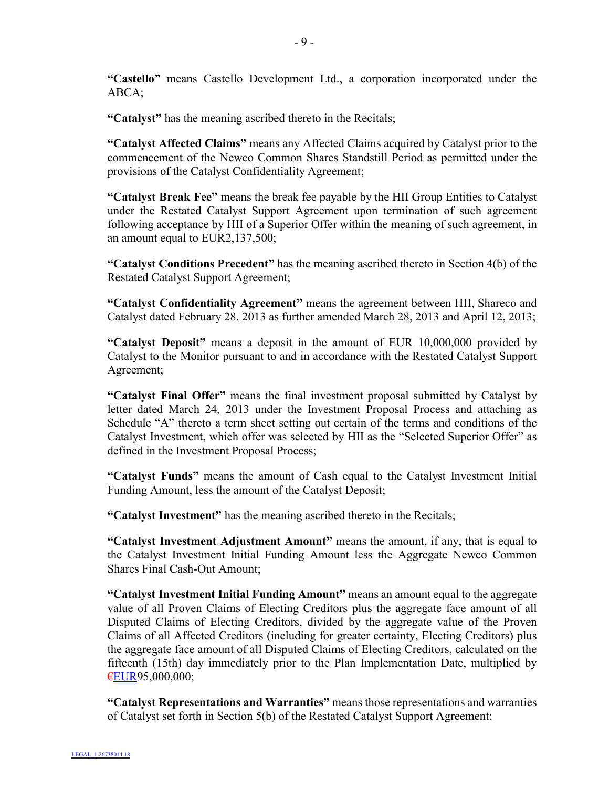**"Castello"** means Castello Development Ltd., a corporation incorporated under the ABCA;

**"Catalyst"** has the meaning ascribed thereto in the Recitals;

**"Catalyst Affected Claims"** means any Affected Claims acquired by Catalyst prior to the commencement of the Newco Common Shares Standstill Period as permitted under the provisions of the Catalyst Confidentiality Agreement;

**"Catalyst Break Fee"** means the break fee payable by the HII Group Entities to Catalyst under the Restated Catalyst Support Agreement upon termination of such agreement following acceptance by HII of a Superior Offer within the meaning of such agreement, in an amount equal to EUR2,137,500;

**"Catalyst Conditions Precedent"** has the meaning ascribed thereto in Section 4(b) of the Restated Catalyst Support Agreement;

**"Catalyst Confidentiality Agreement"** means the agreement between HII, Shareco and Catalyst dated February 28, 2013 as further amended March 28, 2013 and April 12, 2013;

**"Catalyst Deposit"** means a deposit in the amount of EUR 10,000,000 provided by Catalyst to the Monitor pursuant to and in accordance with the Restated Catalyst Support Agreement;

**"Catalyst Final Offer"** means the final investment proposal submitted by Catalyst by letter dated March 24, 2013 under the Investment Proposal Process and attaching as Schedule "A" thereto a term sheet setting out certain of the terms and conditions of the Catalyst Investment, which offer was selected by HII as the "Selected Superior Offer" as defined in the Investment Proposal Process;

**"Catalyst Funds"** means the amount of Cash equal to the Catalyst Investment Initial Funding Amount, less the amount of the Catalyst Deposit;

**"Catalyst Investment"** has the meaning ascribed thereto in the Recitals;

**"Catalyst Investment Adjustment Amount"** means the amount, if any, that is equal to the Catalyst Investment Initial Funding Amount less the Aggregate Newco Common Shares Final Cash-Out Amount;

**"Catalyst Investment Initial Funding Amount"** means an amount equal to the aggregate value of all Proven Claims of Electing Creditors plus the aggregate face amount of all Disputed Claims of Electing Creditors, divided by the aggregate value of the Proven Claims of all Affected Creditors (including for greater certainty, Electing Creditors) plus the aggregate face amount of all Disputed Claims of Electing Creditors, calculated on the fifteenth (15th) day immediately prior to the Plan Implementation Date, multiplied by €EUR95,000,000;

**"Catalyst Representations and Warranties"** means those representations and warranties of Catalyst set forth in Section 5(b) of the Restated Catalyst Support Agreement;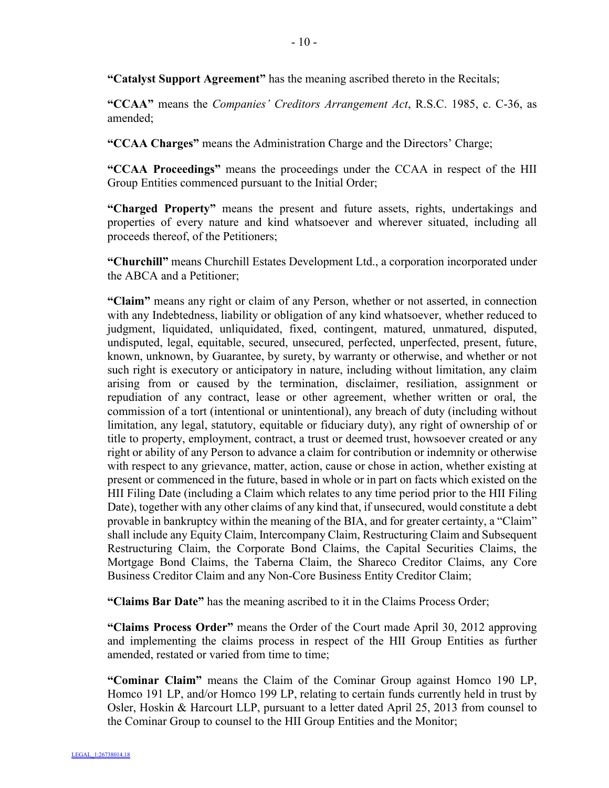**"Catalyst Support Agreement"** has the meaning ascribed thereto in the Recitals;

**"CCAA"** means the *Companies' Creditors Arrangement Act*, R.S.C. 1985, c. C-36, as amended;

**"CCAA Charges"** means the Administration Charge and the Directors' Charge;

**"CCAA Proceedings"** means the proceedings under the CCAA in respect of the HII Group Entities commenced pursuant to the Initial Order;

**"Charged Property"** means the present and future assets, rights, undertakings and properties of every nature and kind whatsoever and wherever situated, including all proceeds thereof, of the Petitioners;

**"Churchill"** means Churchill Estates Development Ltd., a corporation incorporated under the ABCA and a Petitioner;

**"Claim"** means any right or claim of any Person, whether or not asserted, in connection with any Indebtedness, liability or obligation of any kind whatsoever, whether reduced to judgment, liquidated, unliquidated, fixed, contingent, matured, unmatured, disputed, undisputed, legal, equitable, secured, unsecured, perfected, unperfected, present, future, known, unknown, by Guarantee, by surety, by warranty or otherwise, and whether or not such right is executory or anticipatory in nature, including without limitation, any claim arising from or caused by the termination, disclaimer, resiliation, assignment or repudiation of any contract, lease or other agreement, whether written or oral, the commission of a tort (intentional or unintentional), any breach of duty (including without limitation, any legal, statutory, equitable or fiduciary duty), any right of ownership of or title to property, employment, contract, a trust or deemed trust, howsoever created or any right or ability of any Person to advance a claim for contribution or indemnity or otherwise with respect to any grievance, matter, action, cause or chose in action, whether existing at present or commenced in the future, based in whole or in part on facts which existed on the HII Filing Date (including a Claim which relates to any time period prior to the HII Filing Date), together with any other claims of any kind that, if unsecured, would constitute a debt provable in bankruptcy within the meaning of the BIA, and for greater certainty, a "Claim" shall include any Equity Claim, Intercompany Claim, Restructuring Claim and Subsequent Restructuring Claim, the Corporate Bond Claims, the Capital Securities Claims, the Mortgage Bond Claims, the Taberna Claim, the Shareco Creditor Claims, any Core Business Creditor Claim and any Non-Core Business Entity Creditor Claim;

**"Claims Bar Date"** has the meaning ascribed to it in the Claims Process Order;

**"Claims Process Order"** means the Order of the Court made April 30, 2012 approving and implementing the claims process in respect of the HII Group Entities as further amended, restated or varied from time to time;

**"Cominar Claim"** means the Claim of the Cominar Group against Homco 190 LP, Homco 191 LP, and/or Homco 199 LP, relating to certain funds currently held in trust by Osler, Hoskin & Harcourt LLP, pursuant to a letter dated April 25, 2013 from counsel to the Cominar Group to counsel to the HII Group Entities and the Monitor;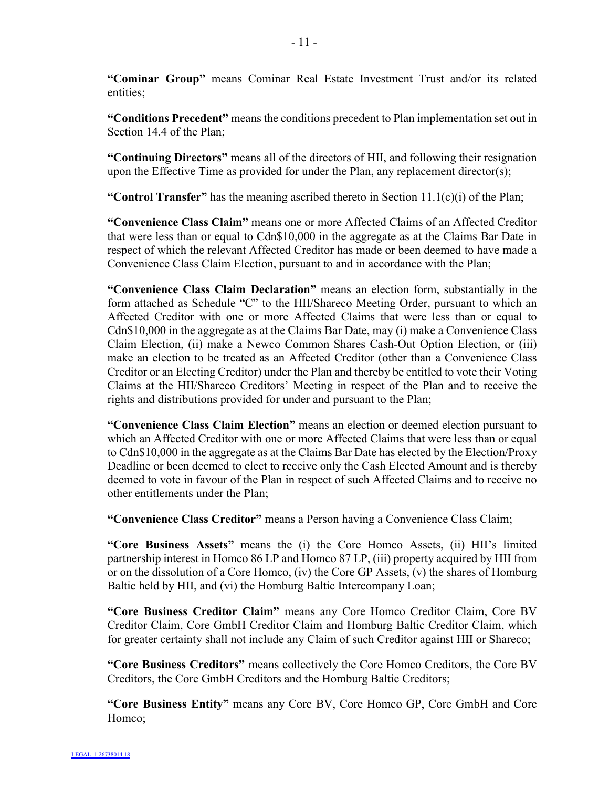**"Cominar Group"** means Cominar Real Estate Investment Trust and/or its related entities;

**"Conditions Precedent"** means the conditions precedent to Plan implementation set out in Section 14.4 of the Plan;

**"Continuing Directors"** means all of the directors of HII, and following their resignation upon the Effective Time as provided for under the Plan, any replacement director(s);

**"Control Transfer"** has the meaning ascribed thereto in Section 11.1(c)(i) of the Plan;

**"Convenience Class Claim"** means one or more Affected Claims of an Affected Creditor that were less than or equal to Cdn\$10,000 in the aggregate as at the Claims Bar Date in respect of which the relevant Affected Creditor has made or been deemed to have made a Convenience Class Claim Election, pursuant to and in accordance with the Plan;

**"Convenience Class Claim Declaration"** means an election form, substantially in the form attached as Schedule "C" to the HII/Shareco Meeting Order, pursuant to which an Affected Creditor with one or more Affected Claims that were less than or equal to Cdn\$10,000 in the aggregate as at the Claims Bar Date, may (i) make a Convenience Class Claim Election, (ii) make a Newco Common Shares Cash-Out Option Election, or (iii) make an election to be treated as an Affected Creditor (other than a Convenience Class Creditor or an Electing Creditor) under the Plan and thereby be entitled to vote their Voting Claims at the HII/Shareco Creditors' Meeting in respect of the Plan and to receive the rights and distributions provided for under and pursuant to the Plan;

**"Convenience Class Claim Election"** means an election or deemed election pursuant to which an Affected Creditor with one or more Affected Claims that were less than or equal to Cdn\$10,000 in the aggregate as at the Claims Bar Date has elected by the Election/Proxy Deadline or been deemed to elect to receive only the Cash Elected Amount and is thereby deemed to vote in favour of the Plan in respect of such Affected Claims and to receive no other entitlements under the Plan;

**"Convenience Class Creditor"** means a Person having a Convenience Class Claim;

**"Core Business Assets"** means the (i) the Core Homco Assets, (ii) HII's limited partnership interest in Homco 86 LP and Homco 87 LP, (iii) property acquired by HII from or on the dissolution of a Core Homco, (iv) the Core GP Assets, (v) the shares of Homburg Baltic held by HII, and (vi) the Homburg Baltic Intercompany Loan;

**"Core Business Creditor Claim"** means any Core Homco Creditor Claim, Core BV Creditor Claim, Core GmbH Creditor Claim and Homburg Baltic Creditor Claim, which for greater certainty shall not include any Claim of such Creditor against HII or Shareco;

**"Core Business Creditors"** means collectively the Core Homco Creditors, the Core BV Creditors, the Core GmbH Creditors and the Homburg Baltic Creditors;

**"Core Business Entity"** means any Core BV, Core Homco GP, Core GmbH and Core Homco;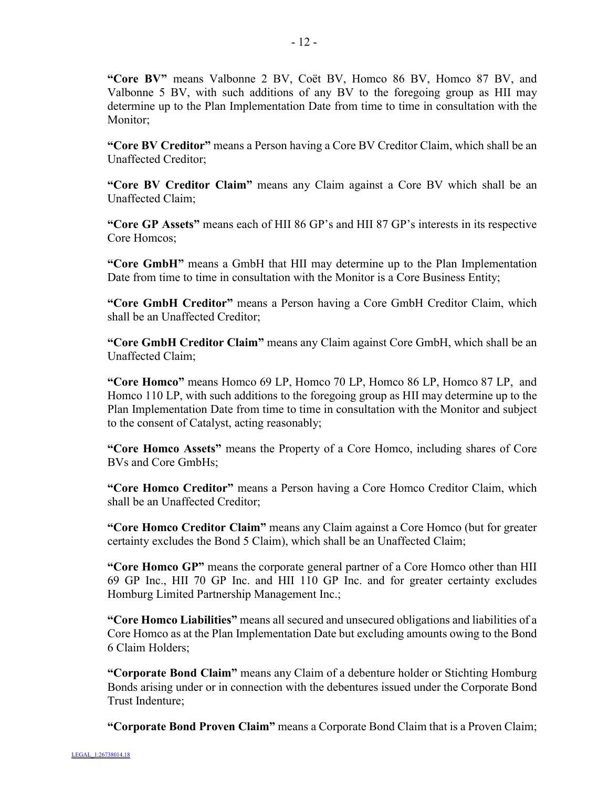**"Core BV"** means Valbonne 2 BV, Coët BV, Homco 86 BV, Homco 87 BV, and Valbonne 5 BV, with such additions of any BV to the foregoing group as HII may determine up to the Plan Implementation Date from time to time in consultation with the Monitor;

**"Core BV Creditor"** means a Person having a Core BV Creditor Claim, which shall be an Unaffected Creditor;

**"Core BV Creditor Claim"** means any Claim against a Core BV which shall be an Unaffected Claim;

**"Core GP Assets"** means each of HII 86 GP's and HII 87 GP's interests in its respective Core Homcos;

**"Core GmbH"** means a GmbH that HII may determine up to the Plan Implementation Date from time to time in consultation with the Monitor is a Core Business Entity;

**"Core GmbH Creditor"** means a Person having a Core GmbH Creditor Claim, which shall be an Unaffected Creditor;

**"Core GmbH Creditor Claim"** means any Claim against Core GmbH, which shall be an Unaffected Claim;

**"Core Homco"** means Homco 69 LP, Homco 70 LP, Homco 86 LP, Homco 87 LP, and Homco 110 LP, with such additions to the foregoing group as HII may determine up to the Plan Implementation Date from time to time in consultation with the Monitor and subject to the consent of Catalyst, acting reasonably;

**"Core Homco Assets"** means the Property of a Core Homco, including shares of Core BVs and Core GmbHs;

**"Core Homco Creditor"** means a Person having a Core Homco Creditor Claim, which shall be an Unaffected Creditor;

**"Core Homco Creditor Claim"** means any Claim against a Core Homco (but for greater certainty excludes the Bond 5 Claim), which shall be an Unaffected Claim;

**"Core Homco GP"** means the corporate general partner of a Core Homco other than HII 69 GP Inc., HII 70 GP Inc. and HII 110 GP Inc. and for greater certainty excludes Homburg Limited Partnership Management Inc.;

**"Core Homco Liabilities"** means all secured and unsecured obligations and liabilities of a Core Homco as at the Plan Implementation Date but excluding amounts owing to the Bond 6 Claim Holders;

**"Corporate Bond Claim"** means any Claim of a debenture holder or Stichting Homburg Bonds arising under or in connection with the debentures issued under the Corporate Bond Trust Indenture;

**"Corporate Bond Proven Claim"** means a Corporate Bond Claim that is a Proven Claim;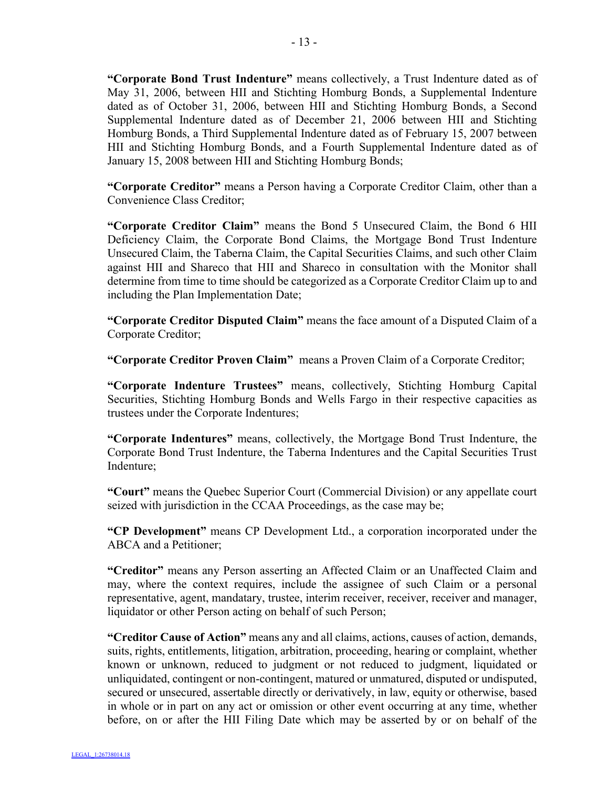**"Corporate Bond Trust Indenture"** means collectively, a Trust Indenture dated as of May 31, 2006, between HII and Stichting Homburg Bonds, a Supplemental Indenture dated as of October 31, 2006, between HII and Stichting Homburg Bonds, a Second Supplemental Indenture dated as of December 21, 2006 between HII and Stichting Homburg Bonds, a Third Supplemental Indenture dated as of February 15, 2007 between HII and Stichting Homburg Bonds, and a Fourth Supplemental Indenture dated as of January 15, 2008 between HII and Stichting Homburg Bonds;

**"Corporate Creditor"** means a Person having a Corporate Creditor Claim, other than a Convenience Class Creditor;

**"Corporate Creditor Claim"** means the Bond 5 Unsecured Claim, the Bond 6 HII Deficiency Claim, the Corporate Bond Claims, the Mortgage Bond Trust Indenture Unsecured Claim, the Taberna Claim, the Capital Securities Claims, and such other Claim against HII and Shareco that HII and Shareco in consultation with the Monitor shall determine from time to time should be categorized as a Corporate Creditor Claim up to and including the Plan Implementation Date;

**"Corporate Creditor Disputed Claim"** means the face amount of a Disputed Claim of a Corporate Creditor;

**"Corporate Creditor Proven Claim"** means a Proven Claim of a Corporate Creditor;

**"Corporate Indenture Trustees"** means, collectively, Stichting Homburg Capital Securities, Stichting Homburg Bonds and Wells Fargo in their respective capacities as trustees under the Corporate Indentures;

**"Corporate Indentures"** means, collectively, the Mortgage Bond Trust Indenture, the Corporate Bond Trust Indenture, the Taberna Indentures and the Capital Securities Trust Indenture;

**"Court"** means the Quebec Superior Court (Commercial Division) or any appellate court seized with jurisdiction in the CCAA Proceedings, as the case may be;

**"CP Development"** means CP Development Ltd., a corporation incorporated under the ABCA and a Petitioner;

**"Creditor"** means any Person asserting an Affected Claim or an Unaffected Claim and may, where the context requires, include the assignee of such Claim or a personal representative, agent, mandatary, trustee, interim receiver, receiver, receiver and manager, liquidator or other Person acting on behalf of such Person;

**"Creditor Cause of Action"** means any and all claims, actions, causes of action, demands, suits, rights, entitlements, litigation, arbitration, proceeding, hearing or complaint, whether known or unknown, reduced to judgment or not reduced to judgment, liquidated or unliquidated, contingent or non-contingent, matured or unmatured, disputed or undisputed, secured or unsecured, assertable directly or derivatively, in law, equity or otherwise, based in whole or in part on any act or omission or other event occurring at any time, whether before, on or after the HII Filing Date which may be asserted by or on behalf of the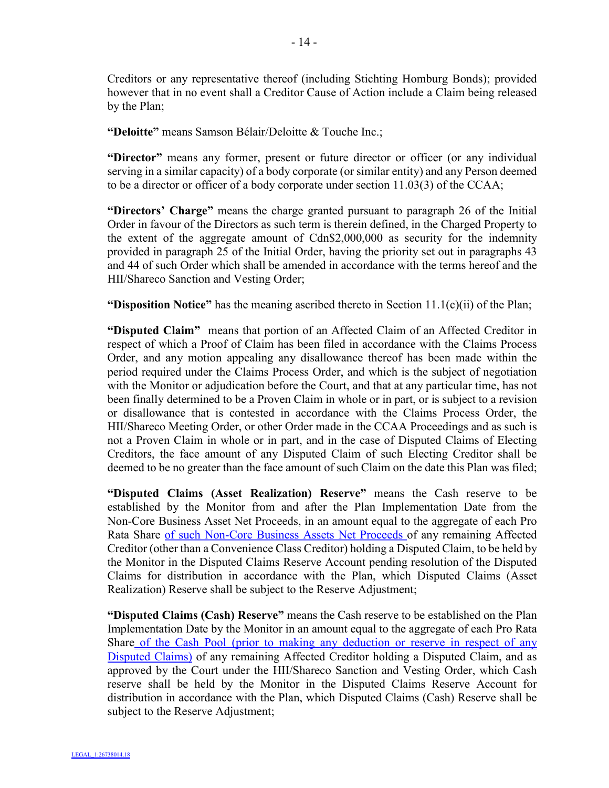Creditors or any representative thereof (including Stichting Homburg Bonds); provided however that in no event shall a Creditor Cause of Action include a Claim being released by the Plan;

**"Deloitte"** means Samson Bélair/Deloitte & Touche Inc.;

**"Director"** means any former, present or future director or officer (or any individual serving in a similar capacity) of a body corporate (or similar entity) and any Person deemed to be a director or officer of a body corporate under section 11.03(3) of the CCAA;

**"Directors' Charge"** means the charge granted pursuant to paragraph 26 of the Initial Order in favour of the Directors as such term is therein defined, in the Charged Property to the extent of the aggregate amount of Cdn\$2,000,000 as security for the indemnity provided in paragraph 25 of the Initial Order, having the priority set out in paragraphs 43 and 44 of such Order which shall be amended in accordance with the terms hereof and the HII/Shareco Sanction and Vesting Order;

**"Disposition Notice"** has the meaning ascribed thereto in Section 11.1(c)(ii) of the Plan;

**"Disputed Claim"** means that portion of an Affected Claim of an Affected Creditor in respect of which a Proof of Claim has been filed in accordance with the Claims Process Order, and any motion appealing any disallowance thereof has been made within the period required under the Claims Process Order, and which is the subject of negotiation with the Monitor or adjudication before the Court, and that at any particular time, has not been finally determined to be a Proven Claim in whole or in part, or is subject to a revision or disallowance that is contested in accordance with the Claims Process Order, the HII/Shareco Meeting Order, or other Order made in the CCAA Proceedings and as such is not a Proven Claim in whole or in part, and in the case of Disputed Claims of Electing Creditors, the face amount of any Disputed Claim of such Electing Creditor shall be deemed to be no greater than the face amount of such Claim on the date this Plan was filed;

**"Disputed Claims (Asset Realization) Reserve"** means the Cash reserve to be established by the Monitor from and after the Plan Implementation Date from the Non-Core Business Asset Net Proceeds, in an amount equal to the aggregate of each Pro Rata Share of such Non-Core Business Assets Net Proceeds of any remaining Affected Creditor (other than a Convenience Class Creditor) holding a Disputed Claim, to be held by the Monitor in the Disputed Claims Reserve Account pending resolution of the Disputed Claims for distribution in accordance with the Plan, which Disputed Claims (Asset Realization) Reserve shall be subject to the Reserve Adjustment;

**"Disputed Claims (Cash) Reserve"** means the Cash reserve to be established on the Plan Implementation Date by the Monitor in an amount equal to the aggregate of each Pro Rata Share of the Cash Pool (prior to making any deduction or reserve in respect of any Disputed Claims) of any remaining Affected Creditor holding a Disputed Claim, and as approved by the Court under the HII/Shareco Sanction and Vesting Order, which Cash reserve shall be held by the Monitor in the Disputed Claims Reserve Account for distribution in accordance with the Plan, which Disputed Claims (Cash) Reserve shall be subject to the Reserve Adjustment;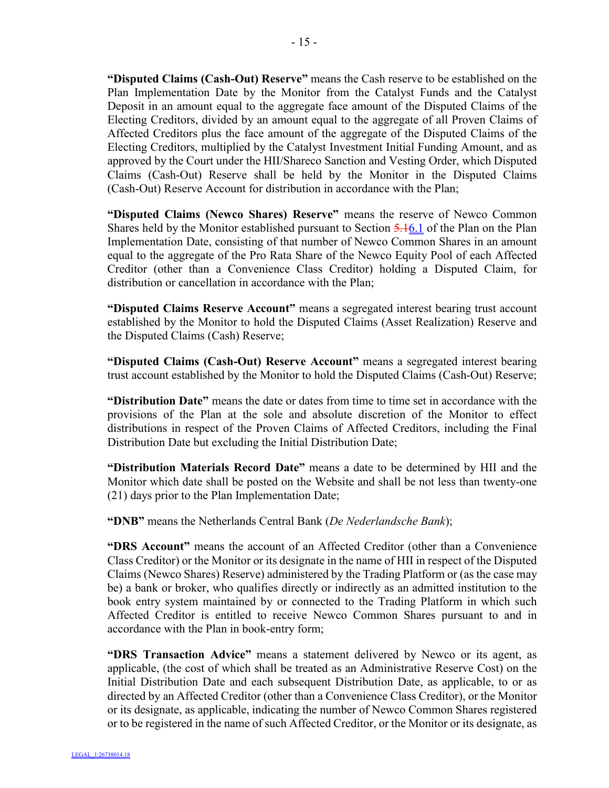**"Disputed Claims (Cash-Out) Reserve"** means the Cash reserve to be established on the Plan Implementation Date by the Monitor from the Catalyst Funds and the Catalyst Deposit in an amount equal to the aggregate face amount of the Disputed Claims of the Electing Creditors, divided by an amount equal to the aggregate of all Proven Claims of Affected Creditors plus the face amount of the aggregate of the Disputed Claims of the Electing Creditors, multiplied by the Catalyst Investment Initial Funding Amount, and as approved by the Court under the HII/Shareco Sanction and Vesting Order, which Disputed Claims (Cash-Out) Reserve shall be held by the Monitor in the Disputed Claims (Cash-Out) Reserve Account for distribution in accordance with the Plan;

**"Disputed Claims (Newco Shares) Reserve"** means the reserve of Newco Common Shares held by the Monitor established pursuant to Section 5.16.1 of the Plan on the Plan Implementation Date, consisting of that number of Newco Common Shares in an amount equal to the aggregate of the Pro Rata Share of the Newco Equity Pool of each Affected Creditor (other than a Convenience Class Creditor) holding a Disputed Claim, for distribution or cancellation in accordance with the Plan;

**"Disputed Claims Reserve Account"** means a segregated interest bearing trust account established by the Monitor to hold the Disputed Claims (Asset Realization) Reserve and the Disputed Claims (Cash) Reserve;

**"Disputed Claims (Cash-Out) Reserve Account"** means a segregated interest bearing trust account established by the Monitor to hold the Disputed Claims (Cash-Out) Reserve;

**"Distribution Date"** means the date or dates from time to time set in accordance with the provisions of the Plan at the sole and absolute discretion of the Monitor to effect distributions in respect of the Proven Claims of Affected Creditors, including the Final Distribution Date but excluding the Initial Distribution Date;

**"Distribution Materials Record Date"** means a date to be determined by HII and the Monitor which date shall be posted on the Website and shall be not less than twenty-one (21) days prior to the Plan Implementation Date;

**"DNB"** means the Netherlands Central Bank (*De Nederlandsche Bank*);

**"DRS Account"** means the account of an Affected Creditor (other than a Convenience Class Creditor) or the Monitor or its designate in the name of HII in respect of the Disputed Claims (Newco Shares) Reserve) administered by the Trading Platform or (as the case may be) a bank or broker, who qualifies directly or indirectly as an admitted institution to the book entry system maintained by or connected to the Trading Platform in which such Affected Creditor is entitled to receive Newco Common Shares pursuant to and in accordance with the Plan in book-entry form;

**"DRS Transaction Advice"** means a statement delivered by Newco or its agent, as applicable, (the cost of which shall be treated as an Administrative Reserve Cost) on the Initial Distribution Date and each subsequent Distribution Date, as applicable, to or as directed by an Affected Creditor (other than a Convenience Class Creditor), or the Monitor or its designate, as applicable, indicating the number of Newco Common Shares registered or to be registered in the name of such Affected Creditor, or the Monitor or its designate, as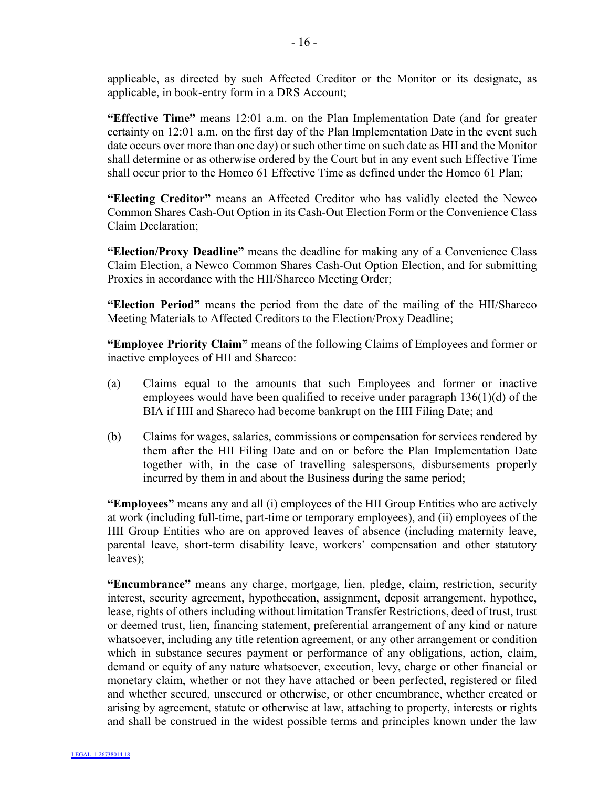applicable, as directed by such Affected Creditor or the Monitor or its designate, as applicable, in book-entry form in a DRS Account;

**"Effective Time"** means 12:01 a.m. on the Plan Implementation Date (and for greater certainty on 12:01 a.m. on the first day of the Plan Implementation Date in the event such date occurs over more than one day) or such other time on such date as HII and the Monitor shall determine or as otherwise ordered by the Court but in any event such Effective Time shall occur prior to the Homco 61 Effective Time as defined under the Homco 61 Plan;

**"Electing Creditor"** means an Affected Creditor who has validly elected the Newco Common Shares Cash-Out Option in its Cash-Out Election Form or the Convenience Class Claim Declaration;

**"Election/Proxy Deadline"** means the deadline for making any of a Convenience Class Claim Election, a Newco Common Shares Cash-Out Option Election, and for submitting Proxies in accordance with the HII/Shareco Meeting Order;

**"Election Period"** means the period from the date of the mailing of the HII/Shareco Meeting Materials to Affected Creditors to the Election/Proxy Deadline;

**"Employee Priority Claim"** means of the following Claims of Employees and former or inactive employees of HII and Shareco:

- (a) Claims equal to the amounts that such Employees and former or inactive employees would have been qualified to receive under paragraph 136(1)(d) of the BIA if HII and Shareco had become bankrupt on the HII Filing Date; and
- (b) Claims for wages, salaries, commissions or compensation for services rendered by them after the HII Filing Date and on or before the Plan Implementation Date together with, in the case of travelling salespersons, disbursements properly incurred by them in and about the Business during the same period;

**"Employees"** means any and all (i) employees of the HII Group Entities who are actively at work (including full-time, part-time or temporary employees), and (ii) employees of the HII Group Entities who are on approved leaves of absence (including maternity leave, parental leave, short-term disability leave, workers' compensation and other statutory leaves);

**"Encumbrance"** means any charge, mortgage, lien, pledge, claim, restriction, security interest, security agreement, hypothecation, assignment, deposit arrangement, hypothec, lease, rights of others including without limitation Transfer Restrictions, deed of trust, trust or deemed trust, lien, financing statement, preferential arrangement of any kind or nature whatsoever, including any title retention agreement, or any other arrangement or condition which in substance secures payment or performance of any obligations, action, claim, demand or equity of any nature whatsoever, execution, levy, charge or other financial or monetary claim, whether or not they have attached or been perfected, registered or filed and whether secured, unsecured or otherwise, or other encumbrance, whether created or arising by agreement, statute or otherwise at law, attaching to property, interests or rights and shall be construed in the widest possible terms and principles known under the law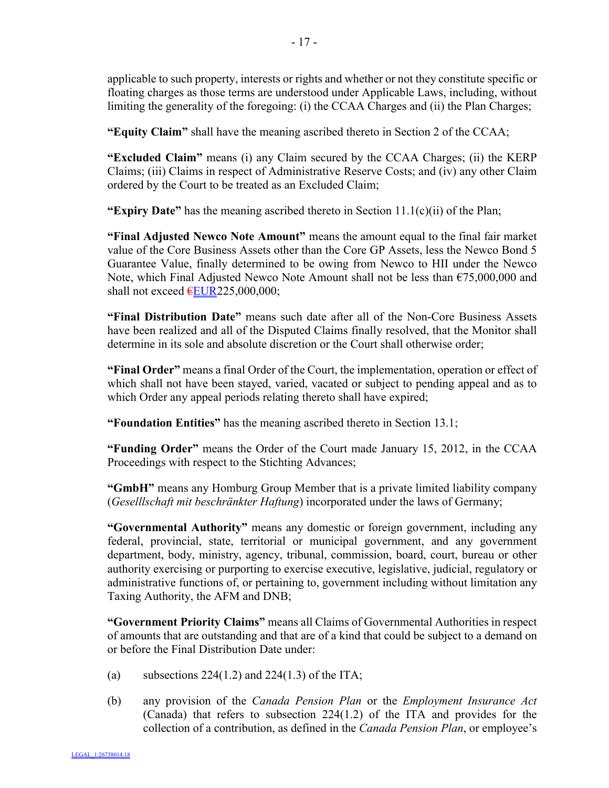applicable to such property, interests or rights and whether or not they constitute specific or floating charges as those terms are understood under Applicable Laws, including, without limiting the generality of the foregoing: (i) the CCAA Charges and (ii) the Plan Charges;

**"Equity Claim"** shall have the meaning ascribed thereto in Section 2 of the CCAA;

**"Excluded Claim"** means (i) any Claim secured by the CCAA Charges; (ii) the KERP Claims; (iii) Claims in respect of Administrative Reserve Costs; and (iv) any other Claim ordered by the Court to be treated as an Excluded Claim;

**"Expiry Date"** has the meaning ascribed thereto in Section 11.1(c)(ii) of the Plan;

**"Final Adjusted Newco Note Amount"** means the amount equal to the final fair market value of the Core Business Assets other than the Core GP Assets, less the Newco Bond 5 Guarantee Value, finally determined to be owing from Newco to HII under the Newco Note, which Final Adjusted Newco Note Amount shall not be less than €75,000,000 and shall not exceed  $EUR225,000,000$ ;

**"Final Distribution Date"** means such date after all of the Non-Core Business Assets have been realized and all of the Disputed Claims finally resolved, that the Monitor shall determine in its sole and absolute discretion or the Court shall otherwise order;

**"Final Order"** means a final Order of the Court, the implementation, operation or effect of which shall not have been stayed, varied, vacated or subject to pending appeal and as to which Order any appeal periods relating thereto shall have expired;

**"Foundation Entities"** has the meaning ascribed thereto in Section 13.1;

**"Funding Order"** means the Order of the Court made January 15, 2012, in the CCAA Proceedings with respect to the Stichting Advances;

**"GmbH"** means any Homburg Group Member that is a private limited liability company (*Geselllschaft mit beschränkter Haftung*) incorporated under the laws of Germany;

**"Governmental Authority"** means any domestic or foreign government, including any federal, provincial, state, territorial or municipal government, and any government department, body, ministry, agency, tribunal, commission, board, court, bureau or other authority exercising or purporting to exercise executive, legislative, judicial, regulatory or administrative functions of, or pertaining to, government including without limitation any Taxing Authority, the AFM and DNB;

**"Government Priority Claims"** means all Claims of Governmental Authorities in respect of amounts that are outstanding and that are of a kind that could be subject to a demand on or before the Final Distribution Date under:

- (a) subsections  $224(1.2)$  and  $224(1.3)$  of the ITA;
- (b) any provision of the *Canada Pension Plan* or the *Employment Insurance Act* (Canada) that refers to subsection 224(1.2) of the ITA and provides for the collection of a contribution, as defined in the *Canada Pension Plan*, or employee's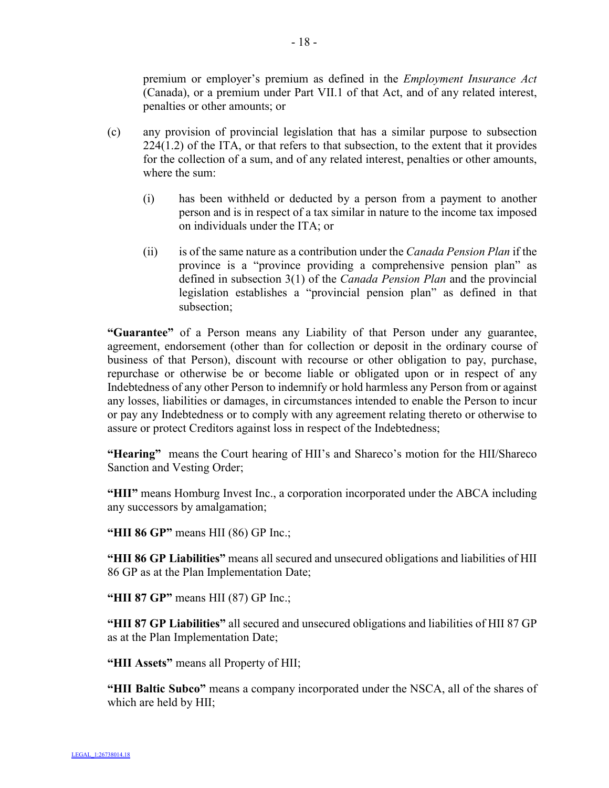premium or employer's premium as defined in the *Employment Insurance Act*  (Canada), or a premium under Part VII.1 of that Act, and of any related interest, penalties or other amounts; or

- (c) any provision of provincial legislation that has a similar purpose to subsection 224(1.2) of the ITA, or that refers to that subsection, to the extent that it provides for the collection of a sum, and of any related interest, penalties or other amounts, where the sum:
	- (i) has been withheld or deducted by a person from a payment to another person and is in respect of a tax similar in nature to the income tax imposed on individuals under the ITA; or
	- (ii) is of the same nature as a contribution under the *Canada Pension Plan* if the province is a "province providing a comprehensive pension plan" as defined in subsection 3(1) of the *Canada Pension Plan* and the provincial legislation establishes a "provincial pension plan" as defined in that subsection;

**"Guarantee"** of a Person means any Liability of that Person under any guarantee, agreement, endorsement (other than for collection or deposit in the ordinary course of business of that Person), discount with recourse or other obligation to pay, purchase, repurchase or otherwise be or become liable or obligated upon or in respect of any Indebtedness of any other Person to indemnify or hold harmless any Person from or against any losses, liabilities or damages, in circumstances intended to enable the Person to incur or pay any Indebtedness or to comply with any agreement relating thereto or otherwise to assure or protect Creditors against loss in respect of the Indebtedness;

**"Hearing"** means the Court hearing of HII's and Shareco's motion for the HII/Shareco Sanction and Vesting Order;

**"HII"** means Homburg Invest Inc., a corporation incorporated under the ABCA including any successors by amalgamation;

**"HII 86 GP"** means HII (86) GP Inc.;

**"HII 86 GP Liabilities"** means all secured and unsecured obligations and liabilities of HII 86 GP as at the Plan Implementation Date;

**"HII 87 GP"** means HII (87) GP Inc.;

**"HII 87 GP Liabilities"** all secured and unsecured obligations and liabilities of HII 87 GP as at the Plan Implementation Date;

**"HII Assets"** means all Property of HII;

**"HII Baltic Subco"** means a company incorporated under the NSCA, all of the shares of which are held by HII;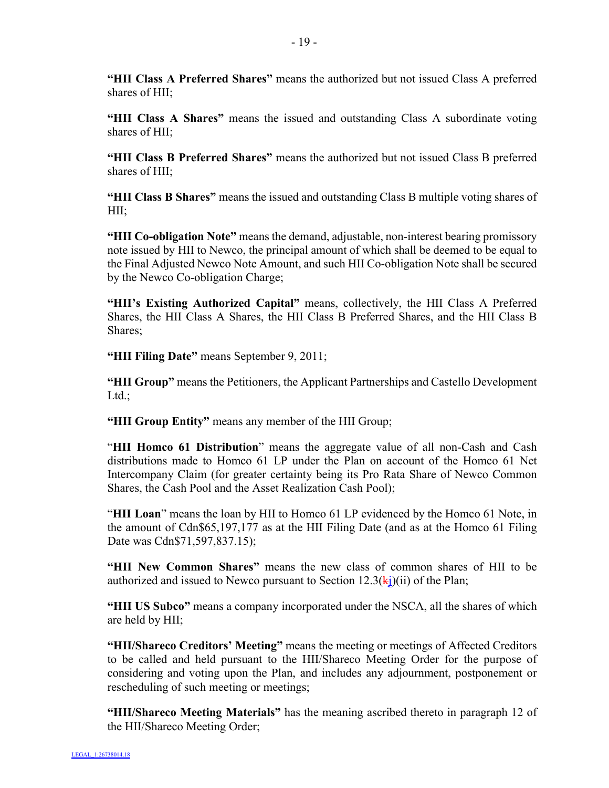**"HII Class A Preferred Shares"** means the authorized but not issued Class A preferred shares of HII<sup>-</sup>

**"HII Class A Shares"** means the issued and outstanding Class A subordinate voting shares of HII;

**"HII Class B Preferred Shares"** means the authorized but not issued Class B preferred shares of HII;

**"HII Class B Shares"** means the issued and outstanding Class B multiple voting shares of HII;

**"HII Co-obligation Note"** means the demand, adjustable, non-interest bearing promissory note issued by HII to Newco, the principal amount of which shall be deemed to be equal to the Final Adjusted Newco Note Amount, and such HII Co-obligation Note shall be secured by the Newco Co-obligation Charge;

**"HII's Existing Authorized Capital"** means, collectively, the HII Class A Preferred Shares, the HII Class A Shares, the HII Class B Preferred Shares, and the HII Class B Shares;

**"HII Filing Date"** means September 9, 2011;

**"HII Group"** means the Petitioners, the Applicant Partnerships and Castello Development Ltd.:

**"HII Group Entity"** means any member of the HII Group;

"**HII Homco 61 Distribution**" means the aggregate value of all non-Cash and Cash distributions made to Homco 61 LP under the Plan on account of the Homco 61 Net Intercompany Claim (for greater certainty being its Pro Rata Share of Newco Common Shares, the Cash Pool and the Asset Realization Cash Pool);

"**HII Loan**" means the loan by HII to Homco 61 LP evidenced by the Homco 61 Note, in the amount of Cdn\$65,197,177 as at the HII Filing Date (and as at the Homco 61 Filing Date was Cdn\$71,597,837.15);

**"HII New Common Shares"** means the new class of common shares of HII to be authorized and issued to Newco pursuant to Section  $12.3(ki)(ii)$  of the Plan;

**"HII US Subco"** means a company incorporated under the NSCA, all the shares of which are held by HII;

**"HII/Shareco Creditors' Meeting"** means the meeting or meetings of Affected Creditors to be called and held pursuant to the HII/Shareco Meeting Order for the purpose of considering and voting upon the Plan, and includes any adjournment, postponement or rescheduling of such meeting or meetings;

**"HII/Shareco Meeting Materials"** has the meaning ascribed thereto in paragraph 12 of the HII/Shareco Meeting Order;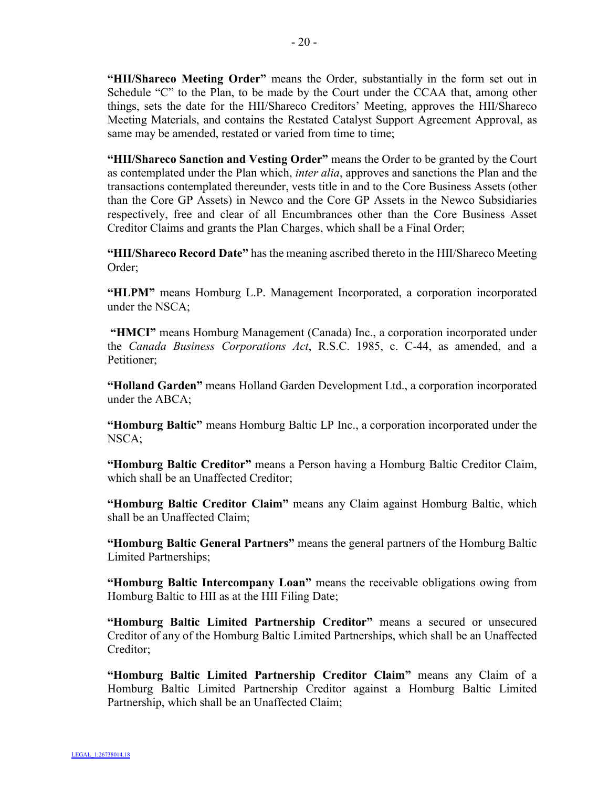**"HII/Shareco Meeting Order"** means the Order, substantially in the form set out in Schedule "C" to the Plan, to be made by the Court under the CCAA that, among other things, sets the date for the HII/Shareco Creditors' Meeting, approves the HII/Shareco Meeting Materials, and contains the Restated Catalyst Support Agreement Approval, as same may be amended, restated or varied from time to time;

**"HII/Shareco Sanction and Vesting Order"** means the Order to be granted by the Court as contemplated under the Plan which, *inter alia*, approves and sanctions the Plan and the transactions contemplated thereunder, vests title in and to the Core Business Assets (other than the Core GP Assets) in Newco and the Core GP Assets in the Newco Subsidiaries respectively, free and clear of all Encumbrances other than the Core Business Asset Creditor Claims and grants the Plan Charges, which shall be a Final Order;

**"HII/Shareco Record Date"** has the meaning ascribed thereto in the HII/Shareco Meeting Order;

**"HLPM"** means Homburg L.P. Management Incorporated, a corporation incorporated under the NSCA;

**"HMCI"** means Homburg Management (Canada) Inc., a corporation incorporated under the *Canada Business Corporations Act*, R.S.C. 1985, c. C-44, as amended, and a Petitioner;

**"Holland Garden"** means Holland Garden Development Ltd., a corporation incorporated under the ABCA;

**"Homburg Baltic"** means Homburg Baltic LP Inc., a corporation incorporated under the NSCA;

**"Homburg Baltic Creditor"** means a Person having a Homburg Baltic Creditor Claim, which shall be an Unaffected Creditor;

**"Homburg Baltic Creditor Claim"** means any Claim against Homburg Baltic, which shall be an Unaffected Claim;

**"Homburg Baltic General Partners"** means the general partners of the Homburg Baltic Limited Partnerships;

**"Homburg Baltic Intercompany Loan"** means the receivable obligations owing from Homburg Baltic to HII as at the HII Filing Date;

**"Homburg Baltic Limited Partnership Creditor"** means a secured or unsecured Creditor of any of the Homburg Baltic Limited Partnerships, which shall be an Unaffected Creditor;

**"Homburg Baltic Limited Partnership Creditor Claim"** means any Claim of a Homburg Baltic Limited Partnership Creditor against a Homburg Baltic Limited Partnership, which shall be an Unaffected Claim;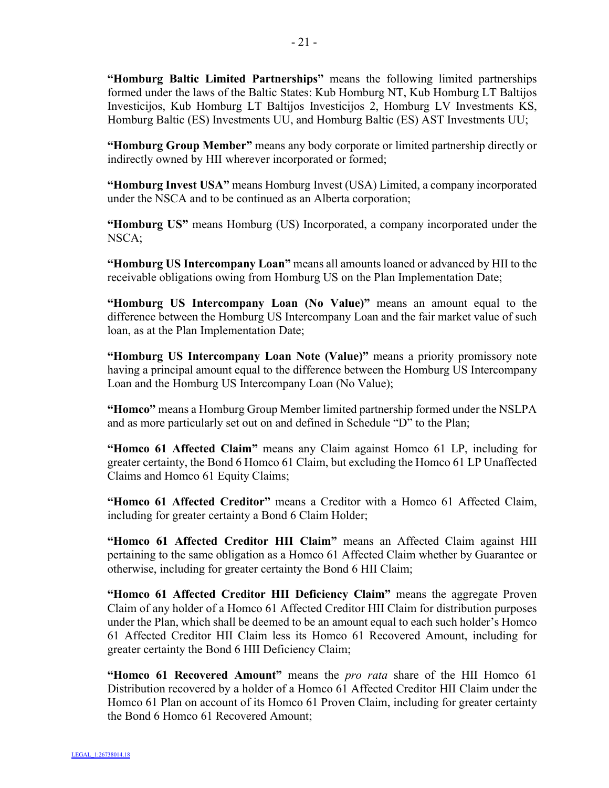**"Homburg Baltic Limited Partnerships"** means the following limited partnerships formed under the laws of the Baltic States: Kub Homburg NT, Kub Homburg LT Baltijos Investicijos, Kub Homburg LT Baltijos Investicijos 2, Homburg LV Investments KS, Homburg Baltic (ES) Investments UU, and Homburg Baltic (ES) AST Investments UU;

**"Homburg Group Member"** means any body corporate or limited partnership directly or indirectly owned by HII wherever incorporated or formed;

**"Homburg Invest USA"** means Homburg Invest (USA) Limited, a company incorporated under the NSCA and to be continued as an Alberta corporation;

**"Homburg US"** means Homburg (US) Incorporated, a company incorporated under the NSCA;

**"Homburg US Intercompany Loan"** means all amounts loaned or advanced by HII to the receivable obligations owing from Homburg US on the Plan Implementation Date;

**"Homburg US Intercompany Loan (No Value)"** means an amount equal to the difference between the Homburg US Intercompany Loan and the fair market value of such loan, as at the Plan Implementation Date;

**"Homburg US Intercompany Loan Note (Value)"** means a priority promissory note having a principal amount equal to the difference between the Homburg US Intercompany Loan and the Homburg US Intercompany Loan (No Value);

**"Homco"** means a Homburg Group Member limited partnership formed under the NSLPA and as more particularly set out on and defined in Schedule "D" to the Plan;

**"Homco 61 Affected Claim"** means any Claim against Homco 61 LP, including for greater certainty, the Bond 6 Homco 61 Claim, but excluding the Homco 61 LP Unaffected Claims and Homco 61 Equity Claims;

**"Homco 61 Affected Creditor"** means a Creditor with a Homco 61 Affected Claim, including for greater certainty a Bond 6 Claim Holder;

**"Homco 61 Affected Creditor HII Claim"** means an Affected Claim against HII pertaining to the same obligation as a Homco 61 Affected Claim whether by Guarantee or otherwise, including for greater certainty the Bond 6 HII Claim;

**"Homco 61 Affected Creditor HII Deficiency Claim"** means the aggregate Proven Claim of any holder of a Homco 61 Affected Creditor HII Claim for distribution purposes under the Plan, which shall be deemed to be an amount equal to each such holder's Homco 61 Affected Creditor HII Claim less its Homco 61 Recovered Amount, including for greater certainty the Bond 6 HII Deficiency Claim;

**"Homco 61 Recovered Amount"** means the *pro rata* share of the HII Homco 61 Distribution recovered by a holder of a Homco 61 Affected Creditor HII Claim under the Homco 61 Plan on account of its Homco 61 Proven Claim, including for greater certainty the Bond 6 Homco 61 Recovered Amount;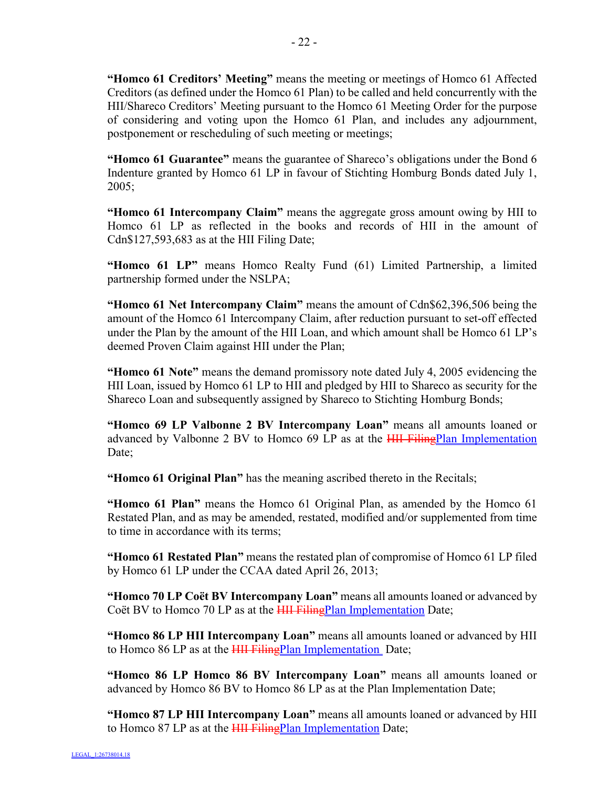- 22 -

Creditors (as defined under the Homco 61 Plan) to be called and held concurrently with the HII/Shareco Creditors' Meeting pursuant to the Homco 61 Meeting Order for the purpose of considering and voting upon the Homco 61 Plan, and includes any adjournment, postponement or rescheduling of such meeting or meetings;

**"Homco 61 Guarantee"** means the guarantee of Shareco's obligations under the Bond 6 Indenture granted by Homco 61 LP in favour of Stichting Homburg Bonds dated July 1, 2005;

**"Homco 61 Intercompany Claim"** means the aggregate gross amount owing by HII to Homco 61 LP as reflected in the books and records of HII in the amount of Cdn\$127,593,683 as at the HII Filing Date;

**"Homco 61 LP"** means Homco Realty Fund (61) Limited Partnership, a limited partnership formed under the NSLPA;

**"Homco 61 Net Intercompany Claim"** means the amount of Cdn\$62,396,506 being the amount of the Homco 61 Intercompany Claim, after reduction pursuant to set-off effected under the Plan by the amount of the HII Loan, and which amount shall be Homco 61 LP's deemed Proven Claim against HII under the Plan;

**"Homco 61 Note"** means the demand promissory note dated July 4, 2005 evidencing the HII Loan, issued by Homco 61 LP to HII and pledged by HII to Shareco as security for the Shareco Loan and subsequently assigned by Shareco to Stichting Homburg Bonds;

**"Homco 69 LP Valbonne 2 BV Intercompany Loan"** means all amounts loaned or advanced by Valbonne 2 BV to Homco 69 LP as at the **HII FilingPlan Implementation** Date:

**"Homco 61 Original Plan"** has the meaning ascribed thereto in the Recitals;

**"Homco 61 Plan"** means the Homco 61 Original Plan, as amended by the Homco 61 Restated Plan, and as may be amended, restated, modified and/or supplemented from time to time in accordance with its terms;

**"Homco 61 Restated Plan"** means the restated plan of compromise of Homco 61 LP filed by Homco 61 LP under the CCAA dated April 26, 2013;

**"Homco 70 LP Coët BV Intercompany Loan"** means all amounts loaned or advanced by Coët BV to Homco 70 LP as at the **HII FilingPlan Implementation** Date;

**"Homco 86 LP HII Intercompany Loan"** means all amounts loaned or advanced by HII to Homco 86 LP as at the **HII FilingPlan Implementation** Date;

**"Homco 86 LP Homco 86 BV Intercompany Loan"** means all amounts loaned or advanced by Homco 86 BV to Homco 86 LP as at the Plan Implementation Date;

**"Homco 87 LP HII Intercompany Loan"** means all amounts loaned or advanced by HII to Homco 87 LP as at the **HII FilingPlan Implementation Date**;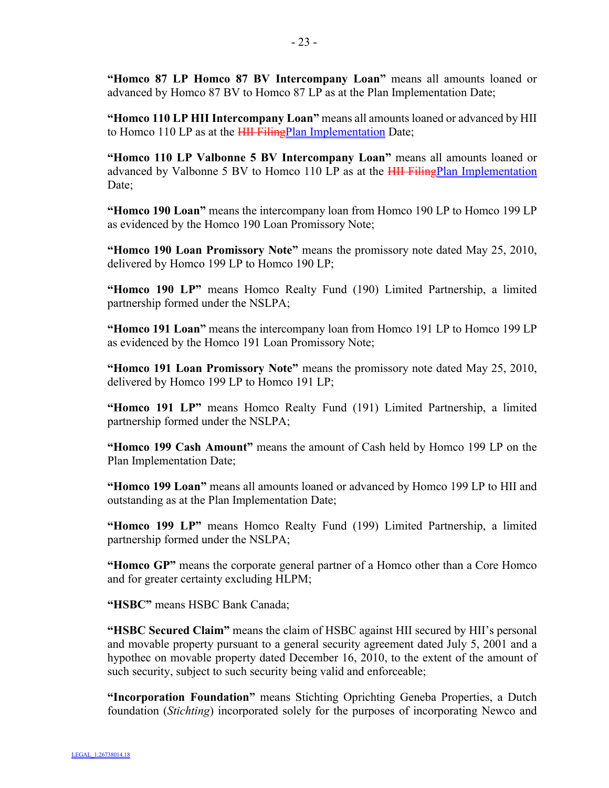**"Homco 87 LP Homco 87 BV Intercompany Loan"** means all amounts loaned or advanced by Homco 87 BV to Homco 87 LP as at the Plan Implementation Date;

**"Homco 110 LP HII Intercompany Loan"** means all amounts loaned or advanced by HII to Homco 110 LP as at the **HII FilingPlan Implementation** Date;

**"Homco 110 LP Valbonne 5 BV Intercompany Loan"** means all amounts loaned or advanced by Valbonne 5 BV to Homco 110 LP as at the **HII FilingPlan Implementation** Date;

**"Homco 190 Loan"** means the intercompany loan from Homco 190 LP to Homco 199 LP as evidenced by the Homco 190 Loan Promissory Note;

**"Homco 190 Loan Promissory Note"** means the promissory note dated May 25, 2010, delivered by Homco 199 LP to Homco 190 LP;

**"Homco 190 LP"** means Homco Realty Fund (190) Limited Partnership, a limited partnership formed under the NSLPA;

**"Homco 191 Loan"** means the intercompany loan from Homco 191 LP to Homco 199 LP as evidenced by the Homco 191 Loan Promissory Note;

**"Homco 191 Loan Promissory Note"** means the promissory note dated May 25, 2010, delivered by Homco 199 LP to Homco 191 LP;

**"Homco 191 LP"** means Homco Realty Fund (191) Limited Partnership, a limited partnership formed under the NSLPA;

**"Homco 199 Cash Amount"** means the amount of Cash held by Homco 199 LP on the Plan Implementation Date;

**"Homco 199 Loan"** means all amounts loaned or advanced by Homco 199 LP to HII and outstanding as at the Plan Implementation Date;

**"Homco 199 LP"** means Homco Realty Fund (199) Limited Partnership, a limited partnership formed under the NSLPA;

**"Homco GP"** means the corporate general partner of a Homco other than a Core Homco and for greater certainty excluding HLPM;

**"HSBC"** means HSBC Bank Canada;

**"HSBC Secured Claim"** means the claim of HSBC against HII secured by HII's personal and movable property pursuant to a general security agreement dated July 5, 2001 and a hypothec on movable property dated December 16, 2010, to the extent of the amount of such security, subject to such security being valid and enforceable;

**"Incorporation Foundation"** means Stichting Oprichting Geneba Properties, a Dutch foundation (*Stichting*) incorporated solely for the purposes of incorporating Newco and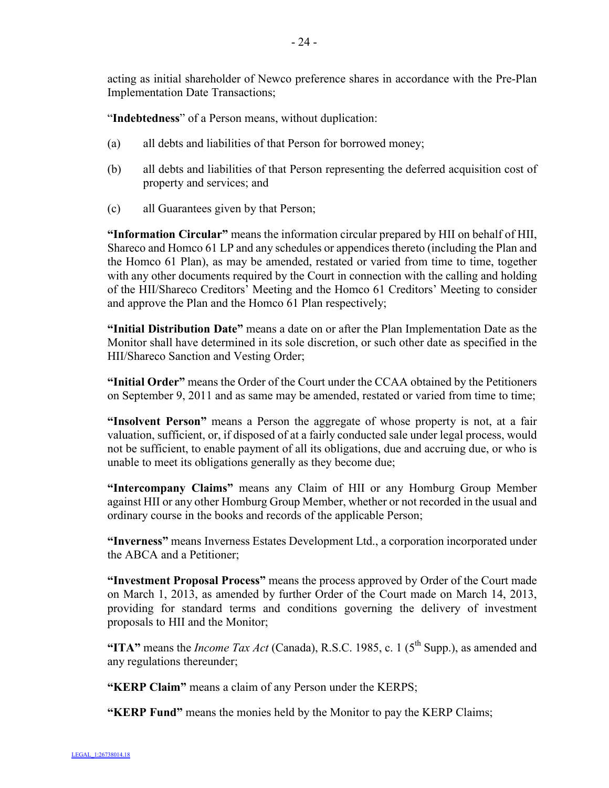acting as initial shareholder of Newco preference shares in accordance with the Pre-Plan Implementation Date Transactions;

"**Indebtedness**" of a Person means, without duplication:

- (a) all debts and liabilities of that Person for borrowed money;
- (b) all debts and liabilities of that Person representing the deferred acquisition cost of property and services; and
- (c) all Guarantees given by that Person;

**"Information Circular"** means the information circular prepared by HII on behalf of HII, Shareco and Homco 61 LP and any schedules or appendices thereto (including the Plan and the Homco 61 Plan), as may be amended, restated or varied from time to time, together with any other documents required by the Court in connection with the calling and holding of the HII/Shareco Creditors' Meeting and the Homco 61 Creditors' Meeting to consider and approve the Plan and the Homco 61 Plan respectively;

**"Initial Distribution Date"** means a date on or after the Plan Implementation Date as the Monitor shall have determined in its sole discretion, or such other date as specified in the HII/Shareco Sanction and Vesting Order;

**"Initial Order"** means the Order of the Court under the CCAA obtained by the Petitioners on September 9, 2011 and as same may be amended, restated or varied from time to time;

**"Insolvent Person"** means a Person the aggregate of whose property is not, at a fair valuation, sufficient, or, if disposed of at a fairly conducted sale under legal process, would not be sufficient, to enable payment of all its obligations, due and accruing due, or who is unable to meet its obligations generally as they become due;

**"Intercompany Claims"** means any Claim of HII or any Homburg Group Member against HII or any other Homburg Group Member, whether or not recorded in the usual and ordinary course in the books and records of the applicable Person;

**"Inverness"** means Inverness Estates Development Ltd., a corporation incorporated under the ABCA and a Petitioner;

**"Investment Proposal Process"** means the process approved by Order of the Court made on March 1, 2013, as amended by further Order of the Court made on March 14, 2013, providing for standard terms and conditions governing the delivery of investment proposals to HII and the Monitor;

"ITA" means the *Income Tax Act* (Canada), R.S.C. 1985, c. 1 ( $5<sup>th</sup>$  Supp.), as amended and any regulations thereunder;

**"KERP Claim"** means a claim of any Person under the KERPS;

**"KERP Fund"** means the monies held by the Monitor to pay the KERP Claims;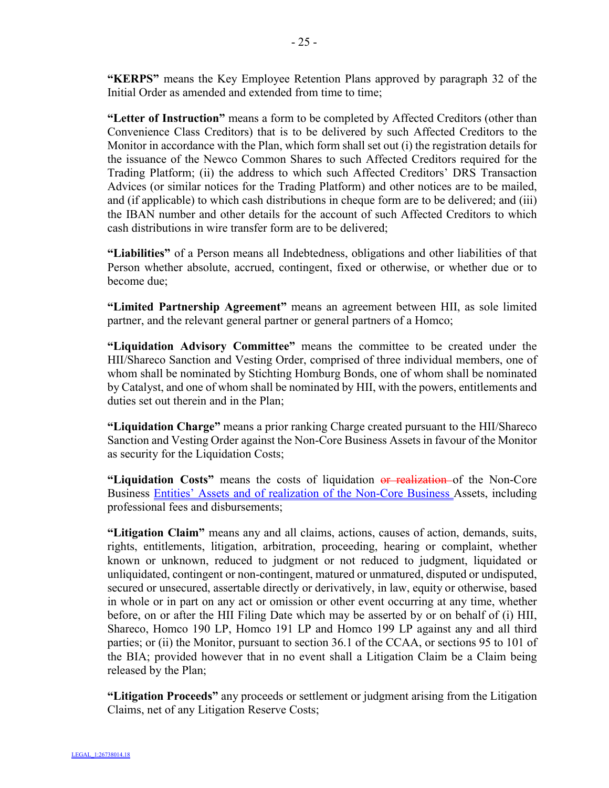**"KERPS"** means the Key Employee Retention Plans approved by paragraph 32 of the Initial Order as amended and extended from time to time;

**"Letter of Instruction"** means a form to be completed by Affected Creditors (other than Convenience Class Creditors) that is to be delivered by such Affected Creditors to the Monitor in accordance with the Plan, which form shall set out (i) the registration details for the issuance of the Newco Common Shares to such Affected Creditors required for the Trading Platform; (ii) the address to which such Affected Creditors' DRS Transaction Advices (or similar notices for the Trading Platform) and other notices are to be mailed, and (if applicable) to which cash distributions in cheque form are to be delivered; and (iii) the IBAN number and other details for the account of such Affected Creditors to which cash distributions in wire transfer form are to be delivered;

**"Liabilities"** of a Person means all Indebtedness, obligations and other liabilities of that Person whether absolute, accrued, contingent, fixed or otherwise, or whether due or to become due;

**"Limited Partnership Agreement"** means an agreement between HII, as sole limited partner, and the relevant general partner or general partners of a Homco;

**"Liquidation Advisory Committee"** means the committee to be created under the HII/Shareco Sanction and Vesting Order, comprised of three individual members, one of whom shall be nominated by Stichting Homburg Bonds, one of whom shall be nominated by Catalyst, and one of whom shall be nominated by HII, with the powers, entitlements and duties set out therein and in the Plan;

**"Liquidation Charge"** means a prior ranking Charge created pursuant to the HII/Shareco Sanction and Vesting Order against the Non-Core Business Assets in favour of the Monitor as security for the Liquidation Costs;

**"Liquidation Costs"** means the costs of liquidation or realization of the Non-Core Business Entities' Assets and of realization of the Non-Core Business Assets, including professional fees and disbursements;

**"Litigation Claim"** means any and all claims, actions, causes of action, demands, suits, rights, entitlements, litigation, arbitration, proceeding, hearing or complaint, whether known or unknown, reduced to judgment or not reduced to judgment, liquidated or unliquidated, contingent or non-contingent, matured or unmatured, disputed or undisputed, secured or unsecured, assertable directly or derivatively, in law, equity or otherwise, based in whole or in part on any act or omission or other event occurring at any time, whether before, on or after the HII Filing Date which may be asserted by or on behalf of (i) HII, Shareco, Homco 190 LP, Homco 191 LP and Homco 199 LP against any and all third parties; or (ii) the Monitor, pursuant to section 36.1 of the CCAA, or sections 95 to 101 of the BIA; provided however that in no event shall a Litigation Claim be a Claim being released by the Plan;

**"Litigation Proceeds"** any proceeds or settlement or judgment arising from the Litigation Claims, net of any Litigation Reserve Costs;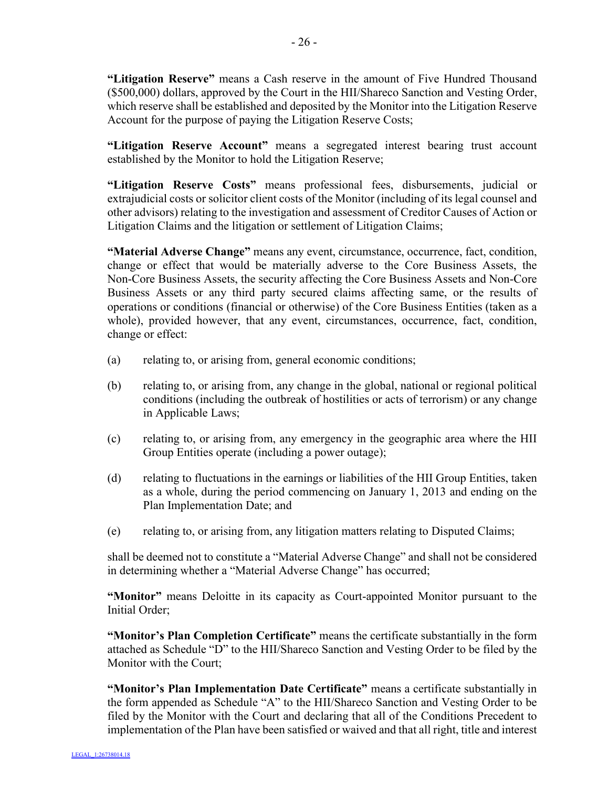**"Litigation Reserve"** means a Cash reserve in the amount of Five Hundred Thousand (\$500,000) dollars, approved by the Court in the HII/Shareco Sanction and Vesting Order, which reserve shall be established and deposited by the Monitor into the Litigation Reserve Account for the purpose of paying the Litigation Reserve Costs;

**"Litigation Reserve Account"** means a segregated interest bearing trust account established by the Monitor to hold the Litigation Reserve;

**"Litigation Reserve Costs"** means professional fees, disbursements, judicial or extrajudicial costs or solicitor client costs of the Monitor (including of its legal counsel and other advisors) relating to the investigation and assessment of Creditor Causes of Action or Litigation Claims and the litigation or settlement of Litigation Claims;

**"Material Adverse Change"** means any event, circumstance, occurrence, fact, condition, change or effect that would be materially adverse to the Core Business Assets, the Non-Core Business Assets, the security affecting the Core Business Assets and Non-Core Business Assets or any third party secured claims affecting same, or the results of operations or conditions (financial or otherwise) of the Core Business Entities (taken as a whole), provided however, that any event, circumstances, occurrence, fact, condition, change or effect:

- (a) relating to, or arising from, general economic conditions;
- (b) relating to, or arising from, any change in the global, national or regional political conditions (including the outbreak of hostilities or acts of terrorism) or any change in Applicable Laws;
- (c) relating to, or arising from, any emergency in the geographic area where the HII Group Entities operate (including a power outage);
- (d) relating to fluctuations in the earnings or liabilities of the HII Group Entities, taken as a whole, during the period commencing on January 1, 2013 and ending on the Plan Implementation Date; and
- (e) relating to, or arising from, any litigation matters relating to Disputed Claims;

shall be deemed not to constitute a "Material Adverse Change" and shall not be considered in determining whether a "Material Adverse Change" has occurred;

**"Monitor"** means Deloitte in its capacity as Court-appointed Monitor pursuant to the Initial Order;

**"Monitor's Plan Completion Certificate"** means the certificate substantially in the form attached as Schedule "D" to the HII/Shareco Sanction and Vesting Order to be filed by the Monitor with the Court;

**"Monitor's Plan Implementation Date Certificate"** means a certificate substantially in the form appended as Schedule "A" to the HII/Shareco Sanction and Vesting Order to be filed by the Monitor with the Court and declaring that all of the Conditions Precedent to implementation of the Plan have been satisfied or waived and that all right, title and interest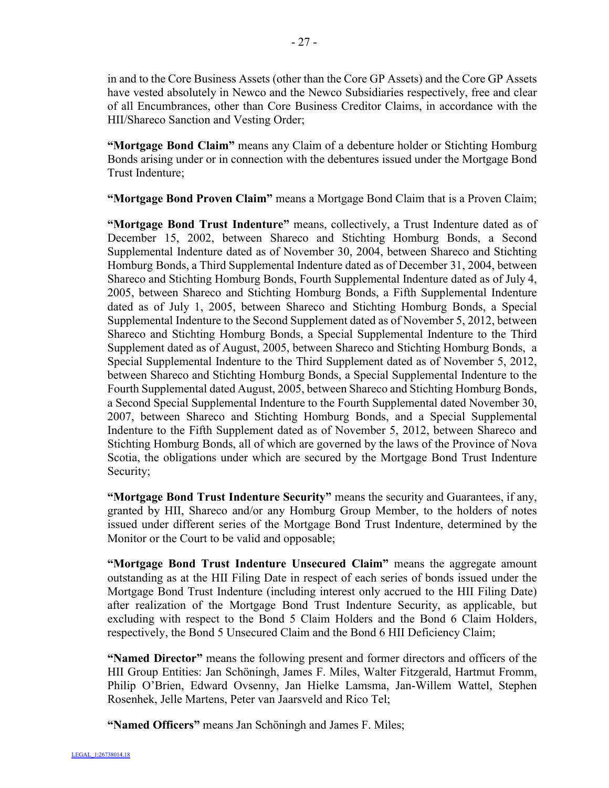in and to the Core Business Assets (other than the Core GP Assets) and the Core GP Assets have vested absolutely in Newco and the Newco Subsidiaries respectively, free and clear of all Encumbrances, other than Core Business Creditor Claims, in accordance with the HII/Shareco Sanction and Vesting Order;

**"Mortgage Bond Claim"** means any Claim of a debenture holder or Stichting Homburg Bonds arising under or in connection with the debentures issued under the Mortgage Bond Trust Indenture;

**"Mortgage Bond Proven Claim"** means a Mortgage Bond Claim that is a Proven Claim;

**"Mortgage Bond Trust Indenture"** means, collectively, a Trust Indenture dated as of December 15, 2002, between Shareco and Stichting Homburg Bonds, a Second Supplemental Indenture dated as of November 30, 2004, between Shareco and Stichting Homburg Bonds, a Third Supplemental Indenture dated as of December 31, 2004, between Shareco and Stichting Homburg Bonds, Fourth Supplemental Indenture dated as of July 4, 2005, between Shareco and Stichting Homburg Bonds, a Fifth Supplemental Indenture dated as of July 1, 2005, between Shareco and Stichting Homburg Bonds, a Special Supplemental Indenture to the Second Supplement dated as of November 5, 2012, between Shareco and Stichting Homburg Bonds, a Special Supplemental Indenture to the Third Supplement dated as of August, 2005, between Shareco and Stichting Homburg Bonds, a Special Supplemental Indenture to the Third Supplement dated as of November 5, 2012, between Shareco and Stichting Homburg Bonds, a Special Supplemental Indenture to the Fourth Supplemental dated August, 2005, between Shareco and Stichting Homburg Bonds, a Second Special Supplemental Indenture to the Fourth Supplemental dated November 30, 2007, between Shareco and Stichting Homburg Bonds, and a Special Supplemental Indenture to the Fifth Supplement dated as of November 5, 2012, between Shareco and Stichting Homburg Bonds, all of which are governed by the laws of the Province of Nova Scotia, the obligations under which are secured by the Mortgage Bond Trust Indenture Security;

**"Mortgage Bond Trust Indenture Security"** means the security and Guarantees, if any, granted by HII, Shareco and/or any Homburg Group Member, to the holders of notes issued under different series of the Mortgage Bond Trust Indenture, determined by the Monitor or the Court to be valid and opposable;

**"Mortgage Bond Trust Indenture Unsecured Claim"** means the aggregate amount outstanding as at the HII Filing Date in respect of each series of bonds issued under the Mortgage Bond Trust Indenture (including interest only accrued to the HII Filing Date) after realization of the Mortgage Bond Trust Indenture Security, as applicable, but excluding with respect to the Bond 5 Claim Holders and the Bond 6 Claim Holders, respectively, the Bond 5 Unsecured Claim and the Bond 6 HII Deficiency Claim;

**"Named Director"** means the following present and former directors and officers of the HII Group Entities: Jan Schöningh, James F. Miles, Walter Fitzgerald, Hartmut Fromm, Philip O'Brien, Edward Ovsenny, Jan Hielke Lamsma, Jan-Willem Wattel, Stephen Rosenhek, Jelle Martens, Peter van Jaarsveld and Rico Tel;

**"Named Officers"** means Jan Schöningh and James F. Miles;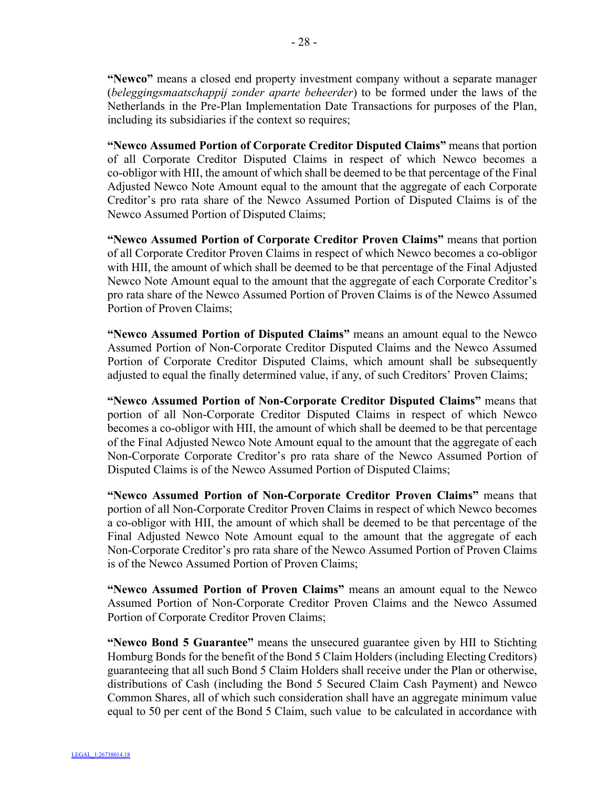**"Newco"** means a closed end property investment company without a separate manager (*beleggingsmaatschappij zonder aparte beheerder*) to be formed under the laws of the Netherlands in the Pre-Plan Implementation Date Transactions for purposes of the Plan, including its subsidiaries if the context so requires;

**"Newco Assumed Portion of Corporate Creditor Disputed Claims"** means that portion of all Corporate Creditor Disputed Claims in respect of which Newco becomes a co-obligor with HII, the amount of which shall be deemed to be that percentage of the Final Adjusted Newco Note Amount equal to the amount that the aggregate of each Corporate Creditor's pro rata share of the Newco Assumed Portion of Disputed Claims is of the Newco Assumed Portion of Disputed Claims;

**"Newco Assumed Portion of Corporate Creditor Proven Claims"** means that portion of all Corporate Creditor Proven Claims in respect of which Newco becomes a co-obligor with HII, the amount of which shall be deemed to be that percentage of the Final Adjusted Newco Note Amount equal to the amount that the aggregate of each Corporate Creditor's pro rata share of the Newco Assumed Portion of Proven Claims is of the Newco Assumed Portion of Proven Claims;

**"Newco Assumed Portion of Disputed Claims"** means an amount equal to the Newco Assumed Portion of Non-Corporate Creditor Disputed Claims and the Newco Assumed Portion of Corporate Creditor Disputed Claims, which amount shall be subsequently adjusted to equal the finally determined value, if any, of such Creditors' Proven Claims;

**"Newco Assumed Portion of Non-Corporate Creditor Disputed Claims"** means that portion of all Non-Corporate Creditor Disputed Claims in respect of which Newco becomes a co-obligor with HII, the amount of which shall be deemed to be that percentage of the Final Adjusted Newco Note Amount equal to the amount that the aggregate of each Non-Corporate Corporate Creditor's pro rata share of the Newco Assumed Portion of Disputed Claims is of the Newco Assumed Portion of Disputed Claims;

**"Newco Assumed Portion of Non-Corporate Creditor Proven Claims"** means that portion of all Non-Corporate Creditor Proven Claims in respect of which Newco becomes a co-obligor with HII, the amount of which shall be deemed to be that percentage of the Final Adjusted Newco Note Amount equal to the amount that the aggregate of each Non-Corporate Creditor's pro rata share of the Newco Assumed Portion of Proven Claims is of the Newco Assumed Portion of Proven Claims;

**"Newco Assumed Portion of Proven Claims"** means an amount equal to the Newco Assumed Portion of Non-Corporate Creditor Proven Claims and the Newco Assumed Portion of Corporate Creditor Proven Claims;

**"Newco Bond 5 Guarantee"** means the unsecured guarantee given by HII to Stichting Homburg Bonds for the benefit of the Bond 5 Claim Holders (including Electing Creditors) guaranteeing that all such Bond 5 Claim Holders shall receive under the Plan or otherwise, distributions of Cash (including the Bond 5 Secured Claim Cash Payment) and Newco Common Shares, all of which such consideration shall have an aggregate minimum value equal to 50 per cent of the Bond 5 Claim, such value to be calculated in accordance with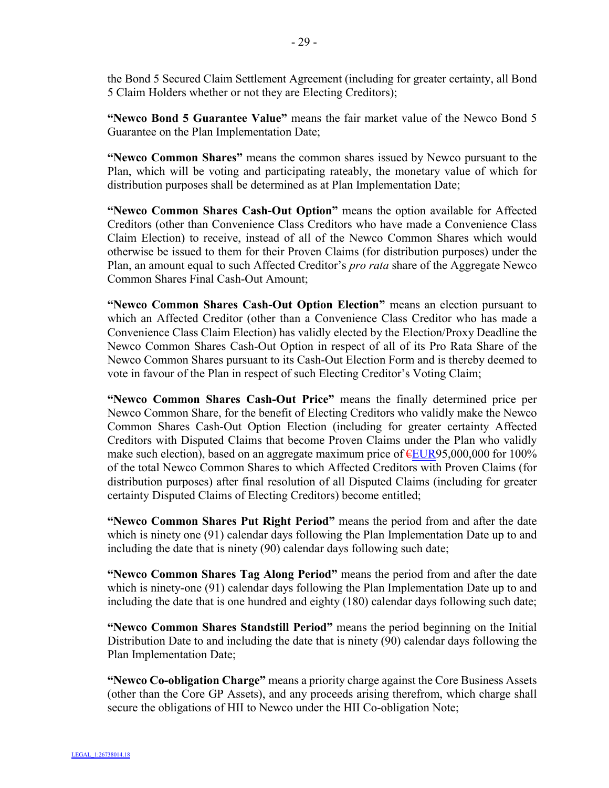the Bond 5 Secured Claim Settlement Agreement (including for greater certainty, all Bond 5 Claim Holders whether or not they are Electing Creditors);

**"Newco Bond 5 Guarantee Value"** means the fair market value of the Newco Bond 5 Guarantee on the Plan Implementation Date;

**"Newco Common Shares"** means the common shares issued by Newco pursuant to the Plan, which will be voting and participating rateably, the monetary value of which for distribution purposes shall be determined as at Plan Implementation Date;

**"Newco Common Shares Cash-Out Option"** means the option available for Affected Creditors (other than Convenience Class Creditors who have made a Convenience Class Claim Election) to receive, instead of all of the Newco Common Shares which would otherwise be issued to them for their Proven Claims (for distribution purposes) under the Plan, an amount equal to such Affected Creditor's *pro rata* share of the Aggregate Newco Common Shares Final Cash-Out Amount;

**"Newco Common Shares Cash-Out Option Election"** means an election pursuant to which an Affected Creditor (other than a Convenience Class Creditor who has made a Convenience Class Claim Election) has validly elected by the Election/Proxy Deadline the Newco Common Shares Cash-Out Option in respect of all of its Pro Rata Share of the Newco Common Shares pursuant to its Cash-Out Election Form and is thereby deemed to vote in favour of the Plan in respect of such Electing Creditor's Voting Claim;

**"Newco Common Shares Cash-Out Price"** means the finally determined price per Newco Common Share, for the benefit of Electing Creditors who validly make the Newco Common Shares Cash-Out Option Election (including for greater certainty Affected Creditors with Disputed Claims that become Proven Claims under the Plan who validly make such election), based on an aggregate maximum price of  $EUR95,000,000$  for 100% of the total Newco Common Shares to which Affected Creditors with Proven Claims (for distribution purposes) after final resolution of all Disputed Claims (including for greater certainty Disputed Claims of Electing Creditors) become entitled;

**"Newco Common Shares Put Right Period"** means the period from and after the date which is ninety one (91) calendar days following the Plan Implementation Date up to and including the date that is ninety (90) calendar days following such date;

**"Newco Common Shares Tag Along Period"** means the period from and after the date which is ninety-one (91) calendar days following the Plan Implementation Date up to and including the date that is one hundred and eighty (180) calendar days following such date;

**"Newco Common Shares Standstill Period"** means the period beginning on the Initial Distribution Date to and including the date that is ninety (90) calendar days following the Plan Implementation Date;

**"Newco Co-obligation Charge"** means a priority charge against the Core Business Assets (other than the Core GP Assets), and any proceeds arising therefrom, which charge shall secure the obligations of HII to Newco under the HII Co-obligation Note;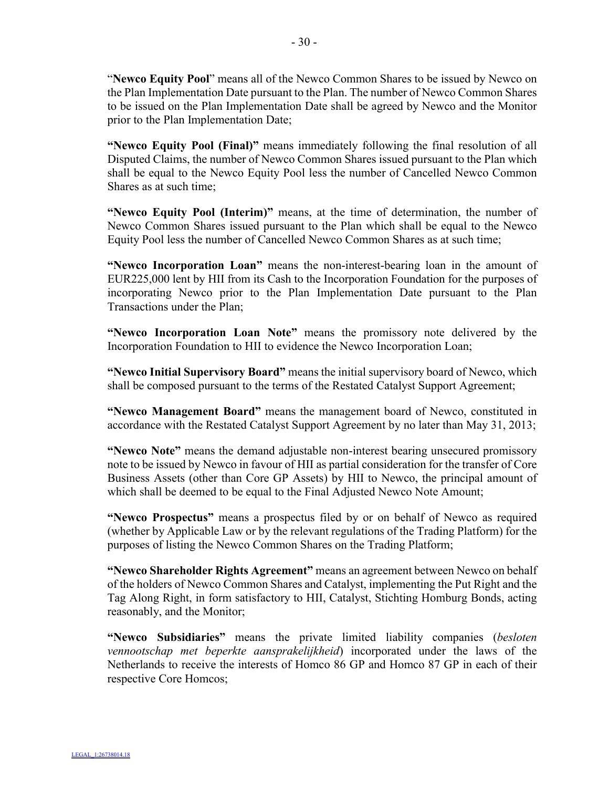"**Newco Equity Pool**" means all of the Newco Common Shares to be issued by Newco on the Plan Implementation Date pursuant to the Plan. The number of Newco Common Shares to be issued on the Plan Implementation Date shall be agreed by Newco and the Monitor prior to the Plan Implementation Date;

**"Newco Equity Pool (Final)"** means immediately following the final resolution of all Disputed Claims, the number of Newco Common Shares issued pursuant to the Plan which shall be equal to the Newco Equity Pool less the number of Cancelled Newco Common Shares as at such time;

**"Newco Equity Pool (Interim)"** means, at the time of determination, the number of Newco Common Shares issued pursuant to the Plan which shall be equal to the Newco Equity Pool less the number of Cancelled Newco Common Shares as at such time;

**"Newco Incorporation Loan"** means the non-interest-bearing loan in the amount of EUR225,000 lent by HII from its Cash to the Incorporation Foundation for the purposes of incorporating Newco prior to the Plan Implementation Date pursuant to the Plan Transactions under the Plan;

**"Newco Incorporation Loan Note"** means the promissory note delivered by the Incorporation Foundation to HII to evidence the Newco Incorporation Loan;

**"Newco Initial Supervisory Board"** means the initial supervisory board of Newco, which shall be composed pursuant to the terms of the Restated Catalyst Support Agreement;

**"Newco Management Board"** means the management board of Newco, constituted in accordance with the Restated Catalyst Support Agreement by no later than May 31, 2013;

**"Newco Note"** means the demand adjustable non-interest bearing unsecured promissory note to be issued by Newco in favour of HII as partial consideration for the transfer of Core Business Assets (other than Core GP Assets) by HII to Newco, the principal amount of which shall be deemed to be equal to the Final Adjusted Newco Note Amount;

**"Newco Prospectus"** means a prospectus filed by or on behalf of Newco as required (whether by Applicable Law or by the relevant regulations of the Trading Platform) for the purposes of listing the Newco Common Shares on the Trading Platform;

**"Newco Shareholder Rights Agreement"** means an agreement between Newco on behalf of the holders of Newco Common Shares and Catalyst, implementing the Put Right and the Tag Along Right, in form satisfactory to HII, Catalyst, Stichting Homburg Bonds, acting reasonably, and the Monitor;

**"Newco Subsidiaries"** means the private limited liability companies (*besloten vennootschap met beperkte aansprakelijkheid*) incorporated under the laws of the Netherlands to receive the interests of Homco 86 GP and Homco 87 GP in each of their respective Core Homcos;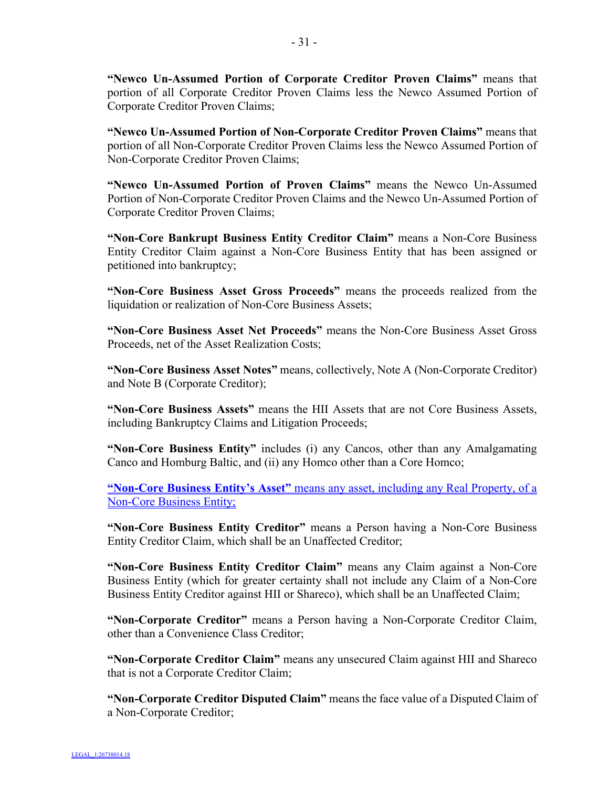**"Newco Un-Assumed Portion of Corporate Creditor Proven Claims"** means that portion of all Corporate Creditor Proven Claims less the Newco Assumed Portion of Corporate Creditor Proven Claims;

**"Newco Un-Assumed Portion of Non-Corporate Creditor Proven Claims"** means that portion of all Non-Corporate Creditor Proven Claims less the Newco Assumed Portion of Non-Corporate Creditor Proven Claims;

**"Newco Un-Assumed Portion of Proven Claims"** means the Newco Un-Assumed Portion of Non-Corporate Creditor Proven Claims and the Newco Un-Assumed Portion of Corporate Creditor Proven Claims;

**"Non-Core Bankrupt Business Entity Creditor Claim"** means a Non-Core Business Entity Creditor Claim against a Non-Core Business Entity that has been assigned or petitioned into bankruptcy;

**"Non-Core Business Asset Gross Proceeds"** means the proceeds realized from the liquidation or realization of Non-Core Business Assets;

**"Non-Core Business Asset Net Proceeds"** means the Non-Core Business Asset Gross Proceeds, net of the Asset Realization Costs;

**"Non-Core Business Asset Notes"** means, collectively, Note A (Non-Corporate Creditor) and Note B (Corporate Creditor);

**"Non-Core Business Assets"** means the HII Assets that are not Core Business Assets, including Bankruptcy Claims and Litigation Proceeds;

**"Non-Core Business Entity"** includes (i) any Cancos, other than any Amalgamating Canco and Homburg Baltic, and (ii) any Homco other than a Core Homco;

**"Non-Core Business Entity's Asset"** means any asset, including any Real Property, of a Non-Core Business Entity;

**"Non-Core Business Entity Creditor"** means a Person having a Non-Core Business Entity Creditor Claim, which shall be an Unaffected Creditor;

**"Non-Core Business Entity Creditor Claim"** means any Claim against a Non-Core Business Entity (which for greater certainty shall not include any Claim of a Non-Core Business Entity Creditor against HII or Shareco), which shall be an Unaffected Claim;

**"Non-Corporate Creditor"** means a Person having a Non-Corporate Creditor Claim, other than a Convenience Class Creditor;

**"Non-Corporate Creditor Claim"** means any unsecured Claim against HII and Shareco that is not a Corporate Creditor Claim;

**"Non-Corporate Creditor Disputed Claim"** means the face value of a Disputed Claim of a Non-Corporate Creditor;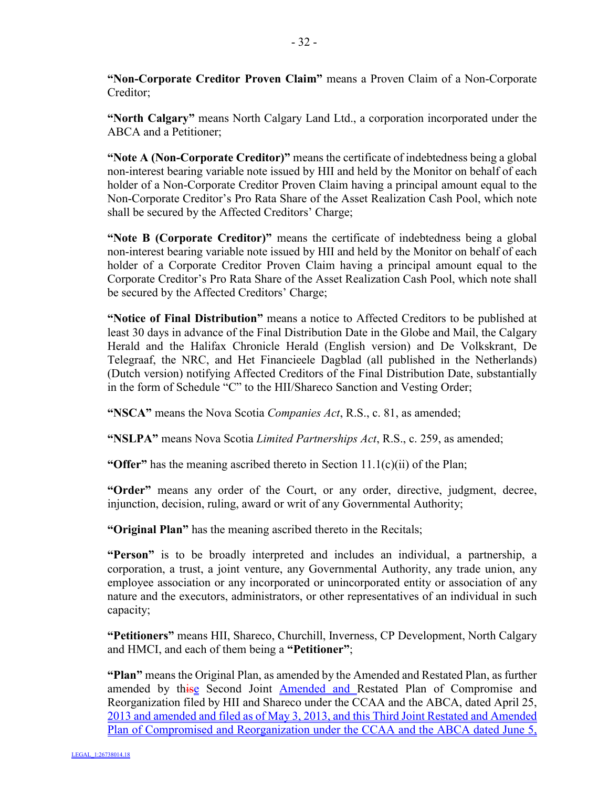**"Non-Corporate Creditor Proven Claim"** means a Proven Claim of a Non-Corporate Creditor;

**"North Calgary"** means North Calgary Land Ltd., a corporation incorporated under the ABCA and a Petitioner;

**"Note A (Non-Corporate Creditor)"** means the certificate of indebtedness being a global non-interest bearing variable note issued by HII and held by the Monitor on behalf of each holder of a Non-Corporate Creditor Proven Claim having a principal amount equal to the Non-Corporate Creditor's Pro Rata Share of the Asset Realization Cash Pool, which note shall be secured by the Affected Creditors' Charge;

**"Note B (Corporate Creditor)"** means the certificate of indebtedness being a global non-interest bearing variable note issued by HII and held by the Monitor on behalf of each holder of a Corporate Creditor Proven Claim having a principal amount equal to the Corporate Creditor's Pro Rata Share of the Asset Realization Cash Pool, which note shall be secured by the Affected Creditors' Charge;

**"Notice of Final Distribution"** means a notice to Affected Creditors to be published at least 30 days in advance of the Final Distribution Date in the Globe and Mail, the Calgary Herald and the Halifax Chronicle Herald (English version) and De Volkskrant, De Telegraaf, the NRC, and Het Financieele Dagblad (all published in the Netherlands) (Dutch version) notifying Affected Creditors of the Final Distribution Date, substantially in the form of Schedule "C" to the HII/Shareco Sanction and Vesting Order;

**"NSCA"** means the Nova Scotia *Companies Act*, R.S., c. 81, as amended;

**"NSLPA"** means Nova Scotia *Limited Partnerships Act*, R.S., c. 259, as amended;

**"Offer"** has the meaning ascribed thereto in Section 11.1(c)(ii) of the Plan;

**"Order"** means any order of the Court, or any order, directive, judgment, decree, injunction, decision, ruling, award or writ of any Governmental Authority;

**"Original Plan"** has the meaning ascribed thereto in the Recitals;

**"Person"** is to be broadly interpreted and includes an individual, a partnership, a corporation, a trust, a joint venture, any Governmental Authority, any trade union, any employee association or any incorporated or unincorporated entity or association of any nature and the executors, administrators, or other representatives of an individual in such capacity;

**"Petitioners"** means HII, Shareco, Churchill, Inverness, CP Development, North Calgary and HMCI, and each of them being a **"Petitioner"**;

**"Plan"** means the Original Plan, as amended by the Amended and Restated Plan, as further amended by thise Second Joint **Amended and Restated Plan of Compromise and** Reorganization filed by HII and Shareco under the CCAA and the ABCA, dated April 25, 2013 and amended and filed as of May 3, 2013, and this Third Joint Restated and Amended Plan of Compromised and Reorganization under the CCAA and the ABCA dated June 5,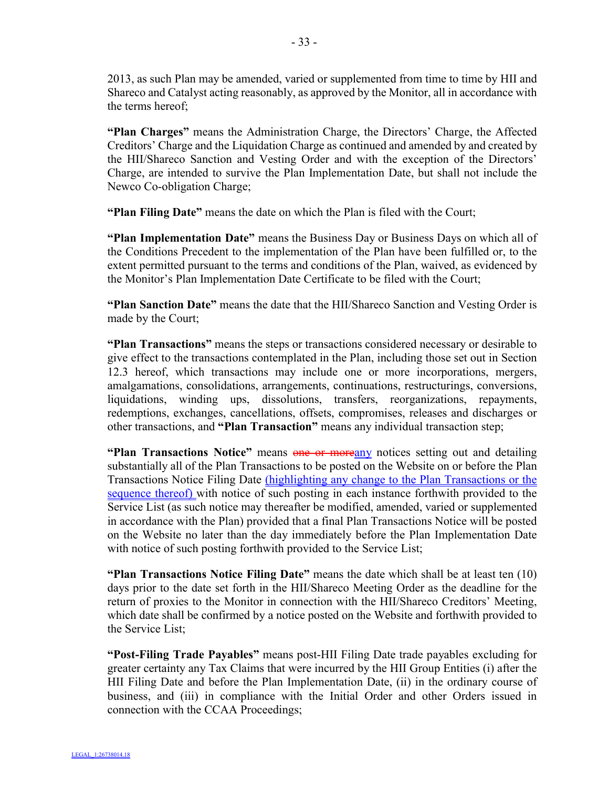2013, as such Plan may be amended, varied or supplemented from time to time by HII and Shareco and Catalyst acting reasonably, as approved by the Monitor, all in accordance with the terms hereof;

**"Plan Charges"** means the Administration Charge, the Directors' Charge, the Affected Creditors' Charge and the Liquidation Charge as continued and amended by and created by the HII/Shareco Sanction and Vesting Order and with the exception of the Directors' Charge, are intended to survive the Plan Implementation Date, but shall not include the Newco Co-obligation Charge;

**"Plan Filing Date"** means the date on which the Plan is filed with the Court;

**"Plan Implementation Date"** means the Business Day or Business Days on which all of the Conditions Precedent to the implementation of the Plan have been fulfilled or, to the extent permitted pursuant to the terms and conditions of the Plan, waived, as evidenced by the Monitor's Plan Implementation Date Certificate to be filed with the Court;

**"Plan Sanction Date"** means the date that the HII/Shareco Sanction and Vesting Order is made by the Court;

**"Plan Transactions"** means the steps or transactions considered necessary or desirable to give effect to the transactions contemplated in the Plan, including those set out in Section 12.3 hereof, which transactions may include one or more incorporations, mergers, amalgamations, consolidations, arrangements, continuations, restructurings, conversions, liquidations, winding ups, dissolutions, transfers, reorganizations, repayments, redemptions, exchanges, cancellations, offsets, compromises, releases and discharges or other transactions, and **"Plan Transaction"** means any individual transaction step;

**"Plan Transactions Notice"** means one or moreany notices setting out and detailing substantially all of the Plan Transactions to be posted on the Website on or before the Plan Transactions Notice Filing Date (highlighting any change to the Plan Transactions or the sequence thereof) with notice of such posting in each instance forthwith provided to the Service List (as such notice may thereafter be modified, amended, varied or supplemented in accordance with the Plan) provided that a final Plan Transactions Notice will be posted on the Website no later than the day immediately before the Plan Implementation Date with notice of such posting forthwith provided to the Service List;

**"Plan Transactions Notice Filing Date"** means the date which shall be at least ten (10) days prior to the date set forth in the HII/Shareco Meeting Order as the deadline for the return of proxies to the Monitor in connection with the HII/Shareco Creditors' Meeting, which date shall be confirmed by a notice posted on the Website and forthwith provided to the Service List;

**"Post-Filing Trade Payables"** means post-HII Filing Date trade payables excluding for greater certainty any Tax Claims that were incurred by the HII Group Entities (i) after the HII Filing Date and before the Plan Implementation Date, (ii) in the ordinary course of business, and (iii) in compliance with the Initial Order and other Orders issued in connection with the CCAA Proceedings;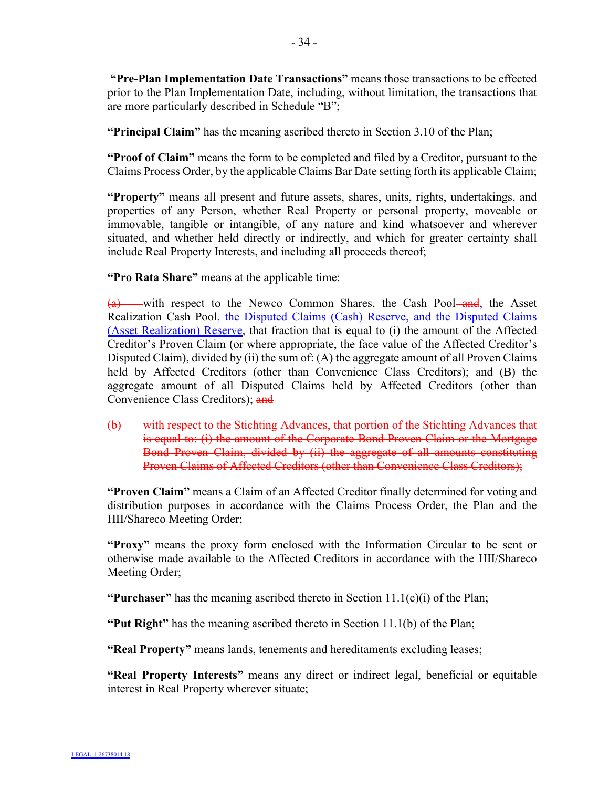**"Pre-Plan Implementation Date Transactions"** means those transactions to be effected prior to the Plan Implementation Date, including, without limitation, the transactions that are more particularly described in Schedule "B";

**"Principal Claim"** has the meaning ascribed thereto in Section 3.10 of the Plan;

**"Proof of Claim"** means the form to be completed and filed by a Creditor, pursuant to the Claims Process Order, by the applicable Claims Bar Date setting forth its applicable Claim;

**"Property"** means all present and future assets, shares, units, rights, undertakings, and properties of any Person, whether Real Property or personal property, moveable or immovable, tangible or intangible, of any nature and kind whatsoever and wherever situated, and whether held directly or indirectly, and which for greater certainty shall include Real Property Interests, and including all proceeds thereof;

**"Pro Rata Share"** means at the applicable time:

 $(a)$  with respect to the Newco Common Shares, the Cash Pool and, the Asset Realization Cash Pool, the Disputed Claims (Cash) Reserve, and the Disputed Claims (Asset Realization) Reserve, that fraction that is equal to (i) the amount of the Affected Creditor's Proven Claim (or where appropriate, the face value of the Affected Creditor's Disputed Claim), divided by (ii) the sum of: (A) the aggregate amount of all Proven Claims held by Affected Creditors (other than Convenience Class Creditors); and (B) the aggregate amount of all Disputed Claims held by Affected Creditors (other than Convenience Class Creditors); and

(b) with respect to the Stichting Advances, that portion of the Stichting Advances that is equal to: (i) the amount of the Corporate Bond Proven Claim or the Mortgage Bond Proven Claim, divided by (ii) the aggregate of all amounts constituting Proven Claims of Affected Creditors (other than Convenience Class Creditors);

**"Proven Claim"** means a Claim of an Affected Creditor finally determined for voting and distribution purposes in accordance with the Claims Process Order, the Plan and the HII/Shareco Meeting Order;

**"Proxy"** means the proxy form enclosed with the Information Circular to be sent or otherwise made available to the Affected Creditors in accordance with the HII/Shareco Meeting Order;

**"Purchaser"** has the meaning ascribed thereto in Section  $11.1(c)(i)$  of the Plan;

**"Put Right"** has the meaning ascribed thereto in Section 11.1(b) of the Plan;

**"Real Property"** means lands, tenements and hereditaments excluding leases;

**"Real Property Interests"** means any direct or indirect legal, beneficial or equitable interest in Real Property wherever situate;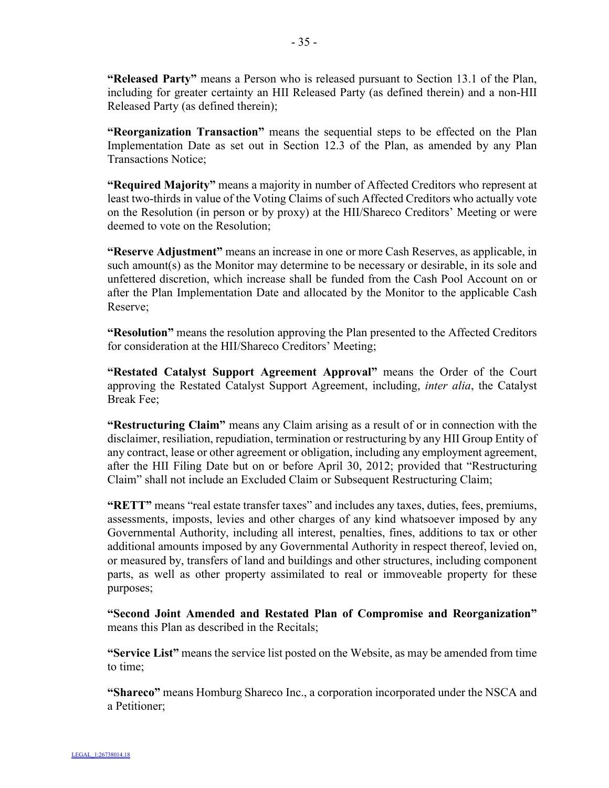**"Released Party"** means a Person who is released pursuant to Section 13.1 of the Plan, including for greater certainty an HII Released Party (as defined therein) and a non-HII Released Party (as defined therein);

**"Reorganization Transaction"** means the sequential steps to be effected on the Plan Implementation Date as set out in Section 12.3 of the Plan, as amended by any Plan Transactions Notice;

**"Required Majority"** means a majority in number of Affected Creditors who represent at least two-thirds in value of the Voting Claims of such Affected Creditors who actually vote on the Resolution (in person or by proxy) at the HII/Shareco Creditors' Meeting or were deemed to vote on the Resolution;

**"Reserve Adjustment"** means an increase in one or more Cash Reserves, as applicable, in such amount(s) as the Monitor may determine to be necessary or desirable, in its sole and unfettered discretion, which increase shall be funded from the Cash Pool Account on or after the Plan Implementation Date and allocated by the Monitor to the applicable Cash Reserve;

**"Resolution"** means the resolution approving the Plan presented to the Affected Creditors for consideration at the HII/Shareco Creditors' Meeting;

**"Restated Catalyst Support Agreement Approval"** means the Order of the Court approving the Restated Catalyst Support Agreement, including, *inter alia*, the Catalyst Break Fee;

**"Restructuring Claim"** means any Claim arising as a result of or in connection with the disclaimer, resiliation, repudiation, termination or restructuring by any HII Group Entity of any contract, lease or other agreement or obligation, including any employment agreement, after the HII Filing Date but on or before April 30, 2012; provided that "Restructuring Claim" shall not include an Excluded Claim or Subsequent Restructuring Claim;

**"RETT"** means "real estate transfer taxes" and includes any taxes, duties, fees, premiums, assessments, imposts, levies and other charges of any kind whatsoever imposed by any Governmental Authority, including all interest, penalties, fines, additions to tax or other additional amounts imposed by any Governmental Authority in respect thereof, levied on, or measured by, transfers of land and buildings and other structures, including component parts, as well as other property assimilated to real or immoveable property for these purposes;

**"Second Joint Amended and Restated Plan of Compromise and Reorganization"**  means this Plan as described in the Recitals;

**"Service List"** means the service list posted on the Website, as may be amended from time to time;

**"Shareco"** means Homburg Shareco Inc., a corporation incorporated under the NSCA and a Petitioner;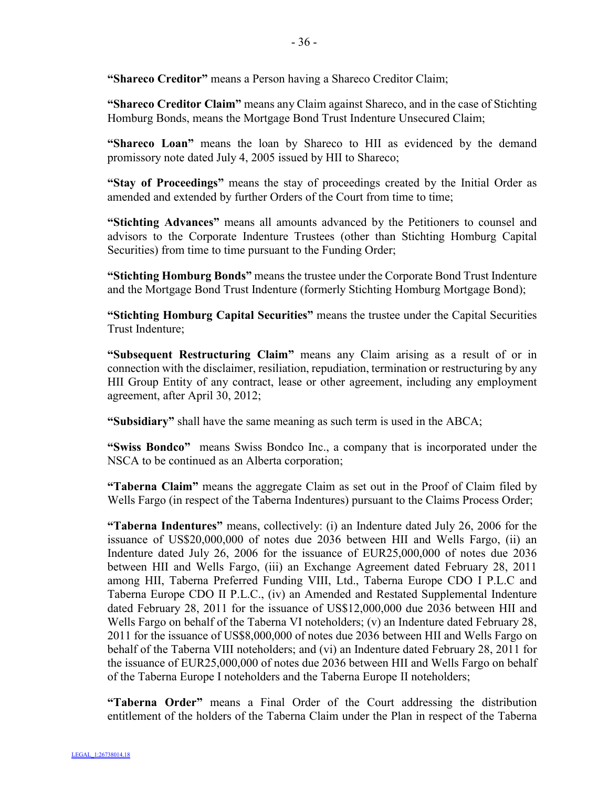**"Shareco Creditor"** means a Person having a Shareco Creditor Claim;

**"Shareco Creditor Claim"** means any Claim against Shareco, and in the case of Stichting Homburg Bonds, means the Mortgage Bond Trust Indenture Unsecured Claim;

**"Shareco Loan"** means the loan by Shareco to HII as evidenced by the demand promissory note dated July 4, 2005 issued by HII to Shareco;

**"Stay of Proceedings"** means the stay of proceedings created by the Initial Order as amended and extended by further Orders of the Court from time to time;

**"Stichting Advances"** means all amounts advanced by the Petitioners to counsel and advisors to the Corporate Indenture Trustees (other than Stichting Homburg Capital Securities) from time to time pursuant to the Funding Order;

**"Stichting Homburg Bonds"** means the trustee under the Corporate Bond Trust Indenture and the Mortgage Bond Trust Indenture (formerly Stichting Homburg Mortgage Bond);

**"Stichting Homburg Capital Securities"** means the trustee under the Capital Securities Trust Indenture;

**"Subsequent Restructuring Claim"** means any Claim arising as a result of or in connection with the disclaimer, resiliation, repudiation, termination or restructuring by any HII Group Entity of any contract, lease or other agreement, including any employment agreement, after April 30, 2012;

**"Subsidiary"** shall have the same meaning as such term is used in the ABCA;

**"Swiss Bondco"** means Swiss Bondco Inc., a company that is incorporated under the NSCA to be continued as an Alberta corporation;

**"Taberna Claim"** means the aggregate Claim as set out in the Proof of Claim filed by Wells Fargo (in respect of the Taberna Indentures) pursuant to the Claims Process Order;

**"Taberna Indentures"** means, collectively: (i) an Indenture dated July 26, 2006 for the issuance of US\$20,000,000 of notes due 2036 between HII and Wells Fargo, (ii) an Indenture dated July 26, 2006 for the issuance of EUR25,000,000 of notes due 2036 between HII and Wells Fargo, (iii) an Exchange Agreement dated February 28, 2011 among HII, Taberna Preferred Funding VIII, Ltd., Taberna Europe CDO I P.L.C and Taberna Europe CDO II P.L.C., (iv) an Amended and Restated Supplemental Indenture dated February 28, 2011 for the issuance of US\$12,000,000 due 2036 between HII and Wells Fargo on behalf of the Taberna VI noteholders; (v) an Indenture dated February 28, 2011 for the issuance of US\$8,000,000 of notes due 2036 between HII and Wells Fargo on behalf of the Taberna VIII noteholders; and (vi) an Indenture dated February 28, 2011 for the issuance of EUR25,000,000 of notes due 2036 between HII and Wells Fargo on behalf of the Taberna Europe I noteholders and the Taberna Europe II noteholders;

**"Taberna Order"** means a Final Order of the Court addressing the distribution entitlement of the holders of the Taberna Claim under the Plan in respect of the Taberna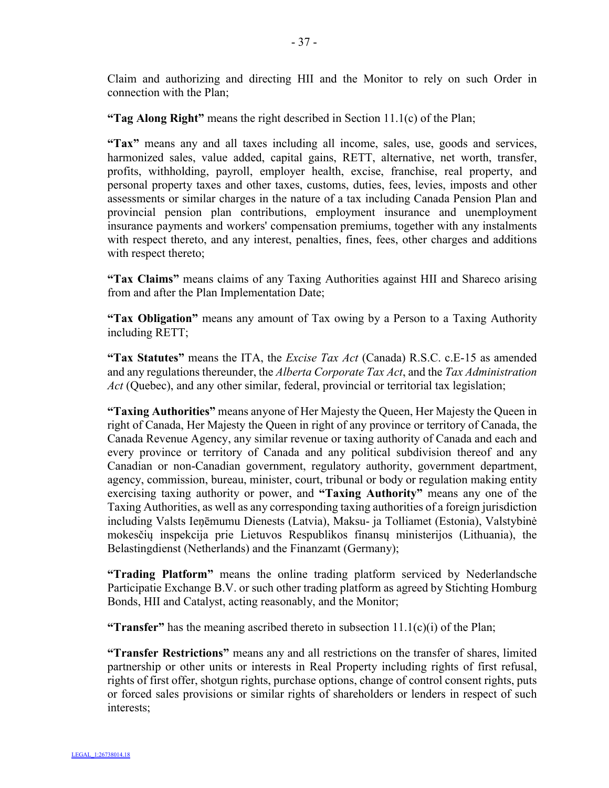Claim and authorizing and directing HII and the Monitor to rely on such Order in connection with the Plan;

**"Tag Along Right"** means the right described in Section 11.1(c) of the Plan;

**"Tax"** means any and all taxes including all income, sales, use, goods and services, harmonized sales, value added, capital gains, RETT, alternative, net worth, transfer, profits, withholding, payroll, employer health, excise, franchise, real property, and personal property taxes and other taxes, customs, duties, fees, levies, imposts and other assessments or similar charges in the nature of a tax including Canada Pension Plan and provincial pension plan contributions, employment insurance and unemployment insurance payments and workers' compensation premiums, together with any instalments with respect thereto, and any interest, penalties, fines, fees, other charges and additions with respect thereto;

**"Tax Claims"** means claims of any Taxing Authorities against HII and Shareco arising from and after the Plan Implementation Date;

**"Tax Obligation"** means any amount of Tax owing by a Person to a Taxing Authority including RETT;

**"Tax Statutes"** means the ITA, the *Excise Tax Act* (Canada) R.S.C. c.E-15 as amended and any regulations thereunder, the *Alberta Corporate Tax Act*, and the *Tax Administration Act* (Quebec), and any other similar, federal, provincial or territorial tax legislation;

**"Taxing Authorities"** means anyone of Her Majesty the Queen, Her Majesty the Queen in right of Canada, Her Majesty the Queen in right of any province or territory of Canada, the Canada Revenue Agency, any similar revenue or taxing authority of Canada and each and every province or territory of Canada and any political subdivision thereof and any Canadian or non-Canadian government, regulatory authority, government department, agency, commission, bureau, minister, court, tribunal or body or regulation making entity exercising taxing authority or power, and **"Taxing Authority"** means any one of the Taxing Authorities, as well as any corresponding taxing authorities of a foreign jurisdiction including Valsts Ieņēmumu Dienests (Latvia), Maksu- ja Tolliamet (Estonia), Valstybinė mokesčių inspekcija prie Lietuvos Respublikos finansų ministerijos (Lithuania), the Belastingdienst (Netherlands) and the Finanzamt (Germany);

**"Trading Platform"** means the online trading platform serviced by Nederlandsche Participatie Exchange B.V. or such other trading platform as agreed by Stichting Homburg Bonds, HII and Catalyst, acting reasonably, and the Monitor;

**"Transfer"** has the meaning ascribed thereto in subsection  $11.1(c)(i)$  of the Plan;

**"Transfer Restrictions"** means any and all restrictions on the transfer of shares, limited partnership or other units or interests in Real Property including rights of first refusal, rights of first offer, shotgun rights, purchase options, change of control consent rights, puts or forced sales provisions or similar rights of shareholders or lenders in respect of such interests;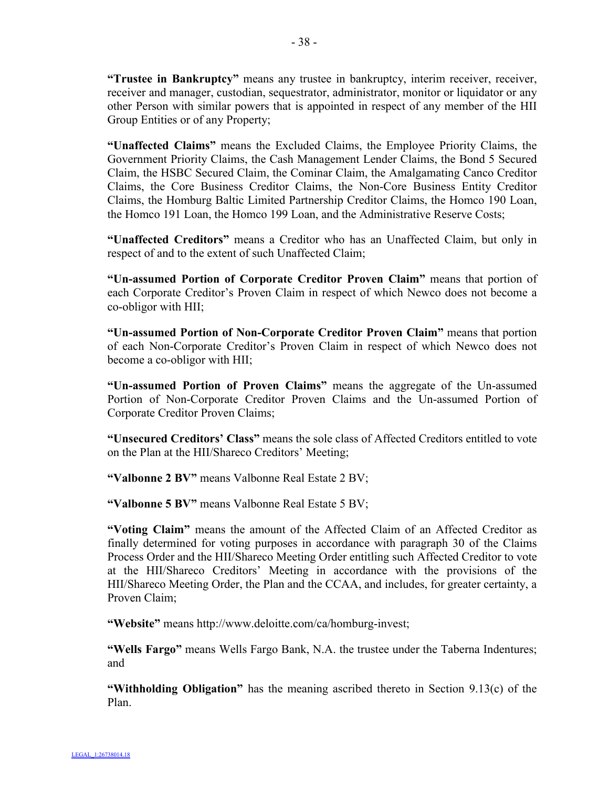**"Trustee in Bankruptcy"** means any trustee in bankruptcy, interim receiver, receiver, receiver and manager, custodian, sequestrator, administrator, monitor or liquidator or any other Person with similar powers that is appointed in respect of any member of the HII Group Entities or of any Property;

**"Unaffected Claims"** means the Excluded Claims, the Employee Priority Claims, the Government Priority Claims, the Cash Management Lender Claims, the Bond 5 Secured Claim, the HSBC Secured Claim, the Cominar Claim, the Amalgamating Canco Creditor Claims, the Core Business Creditor Claims, the Non-Core Business Entity Creditor Claims, the Homburg Baltic Limited Partnership Creditor Claims, the Homco 190 Loan, the Homco 191 Loan, the Homco 199 Loan, and the Administrative Reserve Costs;

**"Unaffected Creditors"** means a Creditor who has an Unaffected Claim, but only in respect of and to the extent of such Unaffected Claim;

**"Un-assumed Portion of Corporate Creditor Proven Claim"** means that portion of each Corporate Creditor's Proven Claim in respect of which Newco does not become a co-obligor with HII;

**"Un-assumed Portion of Non-Corporate Creditor Proven Claim"** means that portion of each Non-Corporate Creditor's Proven Claim in respect of which Newco does not become a co-obligor with HII;

**"Un-assumed Portion of Proven Claims"** means the aggregate of the Un-assumed Portion of Non-Corporate Creditor Proven Claims and the Un-assumed Portion of Corporate Creditor Proven Claims;

**"Unsecured Creditors' Class"** means the sole class of Affected Creditors entitled to vote on the Plan at the HII/Shareco Creditors' Meeting;

**"Valbonne 2 BV"** means Valbonne Real Estate 2 BV;

**"Valbonne 5 BV"** means Valbonne Real Estate 5 BV;

**"Voting Claim"** means the amount of the Affected Claim of an Affected Creditor as finally determined for voting purposes in accordance with paragraph 30 of the Claims Process Order and the HII/Shareco Meeting Order entitling such Affected Creditor to vote at the HII/Shareco Creditors' Meeting in accordance with the provisions of the HII/Shareco Meeting Order, the Plan and the CCAA, and includes, for greater certainty, a Proven Claim;

**"Website"** means http://www.deloitte.com/ca/homburg-invest;

**"Wells Fargo"** means Wells Fargo Bank, N.A. the trustee under the Taberna Indentures; and

**"Withholding Obligation"** has the meaning ascribed thereto in Section 9.13(c) of the Plan.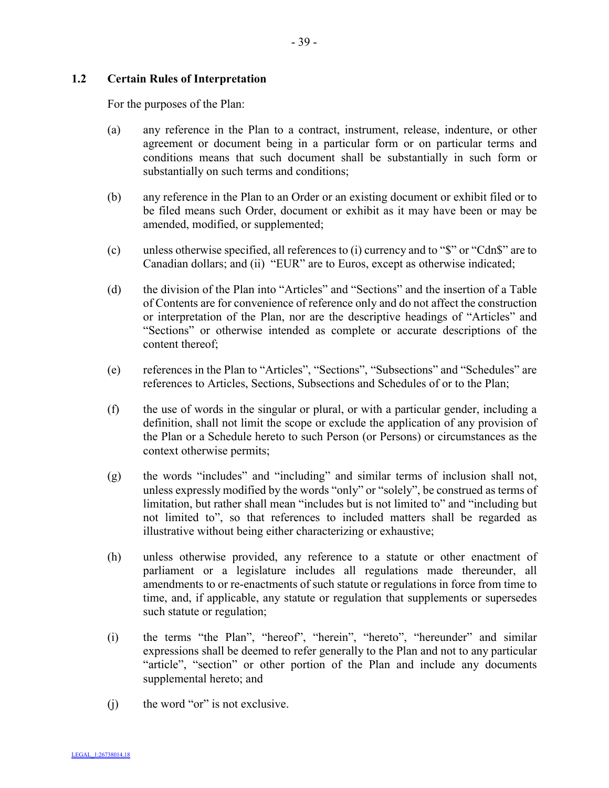# **1.2 Certain Rules of Interpretation**

For the purposes of the Plan:

- (a) any reference in the Plan to a contract, instrument, release, indenture, or other agreement or document being in a particular form or on particular terms and conditions means that such document shall be substantially in such form or substantially on such terms and conditions;
- (b) any reference in the Plan to an Order or an existing document or exhibit filed or to be filed means such Order, document or exhibit as it may have been or may be amended, modified, or supplemented;
- (c) unless otherwise specified, all references to (i) currency and to "\$" or "Cdn\$" are to Canadian dollars; and (ii) "EUR" are to Euros, except as otherwise indicated;
- (d) the division of the Plan into "Articles" and "Sections" and the insertion of a Table of Contents are for convenience of reference only and do not affect the construction or interpretation of the Plan, nor are the descriptive headings of "Articles" and "Sections" or otherwise intended as complete or accurate descriptions of the content thereof;
- (e) references in the Plan to "Articles", "Sections", "Subsections" and "Schedules" are references to Articles, Sections, Subsections and Schedules of or to the Plan;
- (f) the use of words in the singular or plural, or with a particular gender, including a definition, shall not limit the scope or exclude the application of any provision of the Plan or a Schedule hereto to such Person (or Persons) or circumstances as the context otherwise permits;
- (g) the words "includes" and "including" and similar terms of inclusion shall not, unless expressly modified by the words "only" or "solely", be construed as terms of limitation, but rather shall mean "includes but is not limited to" and "including but not limited to", so that references to included matters shall be regarded as illustrative without being either characterizing or exhaustive;
- (h) unless otherwise provided, any reference to a statute or other enactment of parliament or a legislature includes all regulations made thereunder, all amendments to or re-enactments of such statute or regulations in force from time to time, and, if applicable, any statute or regulation that supplements or supersedes such statute or regulation;
- (i) the terms "the Plan", "hereof", "herein", "hereto", "hereunder" and similar expressions shall be deemed to refer generally to the Plan and not to any particular "article", "section" or other portion of the Plan and include any documents supplemental hereto; and
- (i) the word "or" is not exclusive.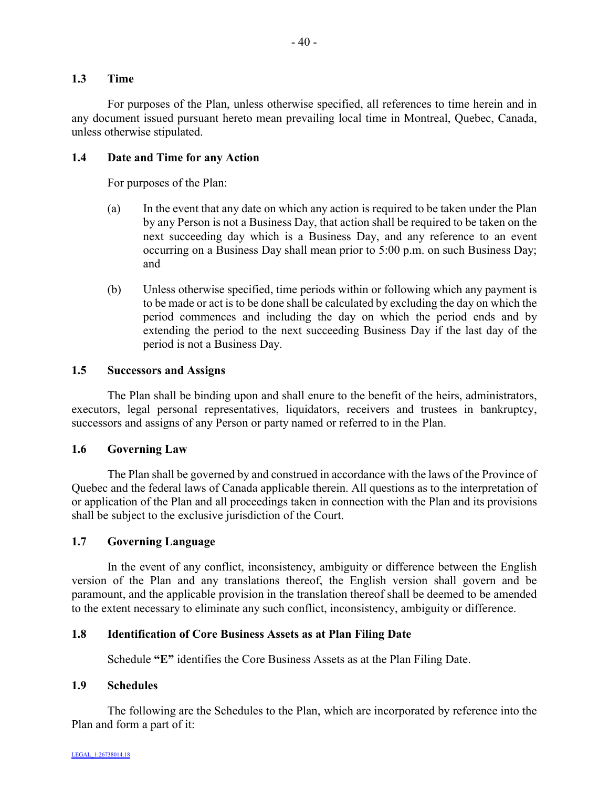#### **1.3 Time**

For purposes of the Plan, unless otherwise specified, all references to time herein and in any document issued pursuant hereto mean prevailing local time in Montreal, Quebec, Canada, unless otherwise stipulated.

#### **1.4 Date and Time for any Action**

For purposes of the Plan:

- (a) In the event that any date on which any action is required to be taken under the Plan by any Person is not a Business Day, that action shall be required to be taken on the next succeeding day which is a Business Day, and any reference to an event occurring on a Business Day shall mean prior to 5:00 p.m. on such Business Day; and
- (b) Unless otherwise specified, time periods within or following which any payment is to be made or act is to be done shall be calculated by excluding the day on which the period commences and including the day on which the period ends and by extending the period to the next succeeding Business Day if the last day of the period is not a Business Day.

#### **1.5 Successors and Assigns**

The Plan shall be binding upon and shall enure to the benefit of the heirs, administrators, executors, legal personal representatives, liquidators, receivers and trustees in bankruptcy, successors and assigns of any Person or party named or referred to in the Plan.

## **1.6 Governing Law**

The Plan shall be governed by and construed in accordance with the laws of the Province of Quebec and the federal laws of Canada applicable therein. All questions as to the interpretation of or application of the Plan and all proceedings taken in connection with the Plan and its provisions shall be subject to the exclusive jurisdiction of the Court.

# **1.7 Governing Language**

In the event of any conflict, inconsistency, ambiguity or difference between the English version of the Plan and any translations thereof, the English version shall govern and be paramount, and the applicable provision in the translation thereof shall be deemed to be amended to the extent necessary to eliminate any such conflict, inconsistency, ambiguity or difference.

## **1.8 Identification of Core Business Assets as at Plan Filing Date**

Schedule **"E"** identifies the Core Business Assets as at the Plan Filing Date.

#### **1.9 Schedules**

The following are the Schedules to the Plan, which are incorporated by reference into the Plan and form a part of it: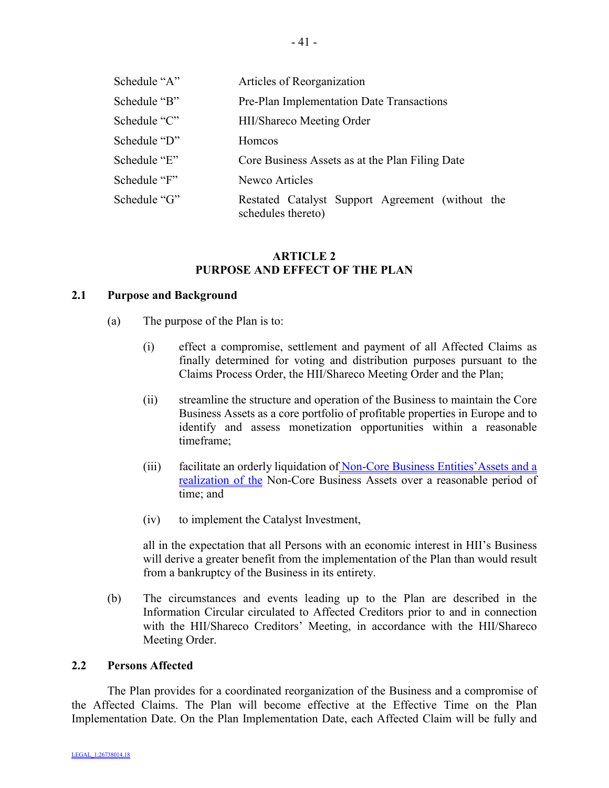| Schedule "A" | Articles of Reorganization                                             |
|--------------|------------------------------------------------------------------------|
| Schedule "B" | Pre-Plan Implementation Date Transactions                              |
| Schedule "C" | <b>HII/Shareco Meeting Order</b>                                       |
| Schedule "D" | <b>Homcos</b>                                                          |
| Schedule "E" | Core Business Assets as at the Plan Filing Date                        |
| Schedule "F" | Newco Articles                                                         |
| Schedule "G" | Restated Catalyst Support Agreement (without the<br>schedules thereto) |

#### **ARTICLE 2 PURPOSE AND EFFECT OF THE PLAN**

# **2.1 Purpose and Background**

- (a) The purpose of the Plan is to:
	- (i) effect a compromise, settlement and payment of all Affected Claims as finally determined for voting and distribution purposes pursuant to the Claims Process Order, the HII/Shareco Meeting Order and the Plan;
	- (ii) streamline the structure and operation of the Business to maintain the Core Business Assets as a core portfolio of profitable properties in Europe and to identify and assess monetization opportunities within a reasonable timeframe;
	- (iii) facilitate an orderly liquidation of Non-Core Business Entities'Assets and a realization of the Non-Core Business Assets over a reasonable period of time; and
	- (iv) to implement the Catalyst Investment,

all in the expectation that all Persons with an economic interest in HII's Business will derive a greater benefit from the implementation of the Plan than would result from a bankruptcy of the Business in its entirety.

(b) The circumstances and events leading up to the Plan are described in the Information Circular circulated to Affected Creditors prior to and in connection with the HII/Shareco Creditors' Meeting, in accordance with the HII/Shareco Meeting Order.

#### **2.2 Persons Affected**

The Plan provides for a coordinated reorganization of the Business and a compromise of the Affected Claims. The Plan will become effective at the Effective Time on the Plan Implementation Date. On the Plan Implementation Date, each Affected Claim will be fully and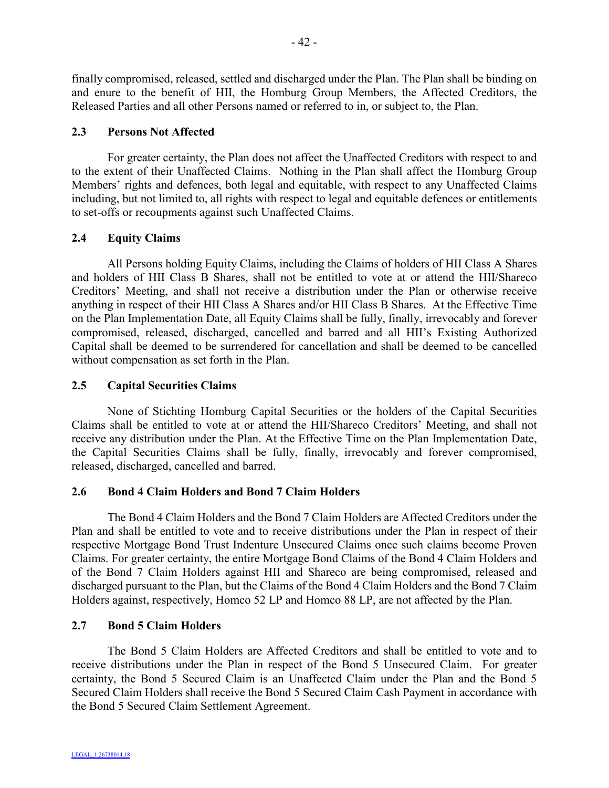finally compromised, released, settled and discharged under the Plan. The Plan shall be binding on and enure to the benefit of HII, the Homburg Group Members, the Affected Creditors, the Released Parties and all other Persons named or referred to in, or subject to, the Plan.

# **2.3 Persons Not Affected**

For greater certainty, the Plan does not affect the Unaffected Creditors with respect to and to the extent of their Unaffected Claims. Nothing in the Plan shall affect the Homburg Group Members' rights and defences, both legal and equitable, with respect to any Unaffected Claims including, but not limited to, all rights with respect to legal and equitable defences or entitlements to set-offs or recoupments against such Unaffected Claims.

## **2.4 Equity Claims**

All Persons holding Equity Claims, including the Claims of holders of HII Class A Shares and holders of HII Class B Shares, shall not be entitled to vote at or attend the HII/Shareco Creditors' Meeting, and shall not receive a distribution under the Plan or otherwise receive anything in respect of their HII Class A Shares and/or HII Class B Shares. At the Effective Time on the Plan Implementation Date, all Equity Claims shall be fully, finally, irrevocably and forever compromised, released, discharged, cancelled and barred and all HII's Existing Authorized Capital shall be deemed to be surrendered for cancellation and shall be deemed to be cancelled without compensation as set forth in the Plan.

## **2.5 Capital Securities Claims**

None of Stichting Homburg Capital Securities or the holders of the Capital Securities Claims shall be entitled to vote at or attend the HII/Shareco Creditors' Meeting, and shall not receive any distribution under the Plan. At the Effective Time on the Plan Implementation Date, the Capital Securities Claims shall be fully, finally, irrevocably and forever compromised, released, discharged, cancelled and barred.

#### **2.6 Bond 4 Claim Holders and Bond 7 Claim Holders**

The Bond 4 Claim Holders and the Bond 7 Claim Holders are Affected Creditors under the Plan and shall be entitled to vote and to receive distributions under the Plan in respect of their respective Mortgage Bond Trust Indenture Unsecured Claims once such claims become Proven Claims. For greater certainty, the entire Mortgage Bond Claims of the Bond 4 Claim Holders and of the Bond 7 Claim Holders against HII and Shareco are being compromised, released and discharged pursuant to the Plan, but the Claims of the Bond 4 Claim Holders and the Bond 7 Claim Holders against, respectively, Homco 52 LP and Homco 88 LP, are not affected by the Plan.

#### **2.7 Bond 5 Claim Holders**

The Bond 5 Claim Holders are Affected Creditors and shall be entitled to vote and to receive distributions under the Plan in respect of the Bond 5 Unsecured Claim. For greater certainty, the Bond 5 Secured Claim is an Unaffected Claim under the Plan and the Bond 5 Secured Claim Holders shall receive the Bond 5 Secured Claim Cash Payment in accordance with the Bond 5 Secured Claim Settlement Agreement.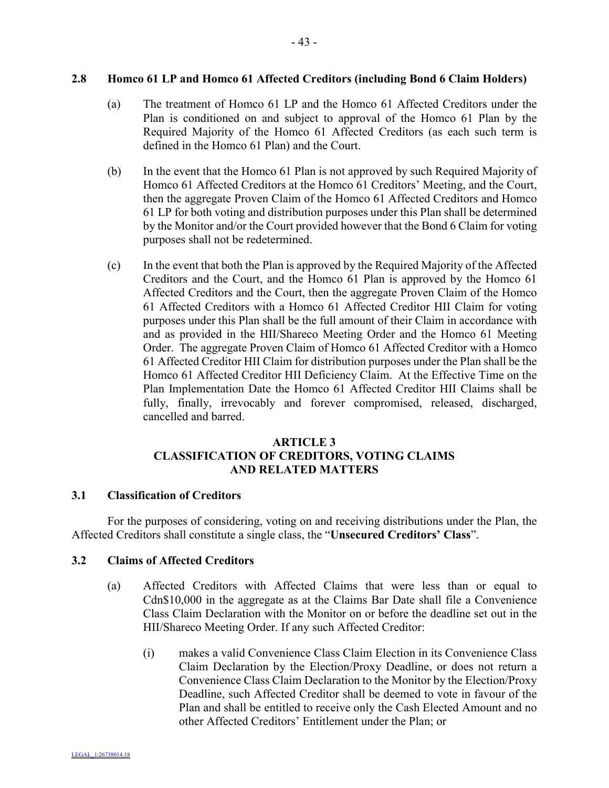#### **2.8 Homco 61 LP and Homco 61 Affected Creditors (including Bond 6 Claim Holders)**

- (a) The treatment of Homco 61 LP and the Homco 61 Affected Creditors under the Plan is conditioned on and subject to approval of the Homco 61 Plan by the Required Majority of the Homco 61 Affected Creditors (as each such term is defined in the Homco 61 Plan) and the Court.
- (b) In the event that the Homco 61 Plan is not approved by such Required Majority of Homco 61 Affected Creditors at the Homco 61 Creditors' Meeting, and the Court, then the aggregate Proven Claim of the Homco 61 Affected Creditors and Homco 61 LP for both voting and distribution purposes under this Plan shall be determined by the Monitor and/or the Court provided however that the Bond 6 Claim for voting purposes shall not be redetermined.
- (c) In the event that both the Plan is approved by the Required Majority of the Affected Creditors and the Court, and the Homco 61 Plan is approved by the Homco 61 Affected Creditors and the Court, then the aggregate Proven Claim of the Homco 61 Affected Creditors with a Homco 61 Affected Creditor HII Claim for voting purposes under this Plan shall be the full amount of their Claim in accordance with and as provided in the HII/Shareco Meeting Order and the Homco 61 Meeting Order. The aggregate Proven Claim of Homco 61 Affected Creditor with a Homco 61 Affected Creditor HII Claim for distribution purposes under the Plan shall be the Homco 61 Affected Creditor HII Deficiency Claim. At the Effective Time on the Plan Implementation Date the Homco 61 Affected Creditor HII Claims shall be fully, finally, irrevocably and forever compromised, released, discharged, cancelled and barred.

# **ARTICLE 3 CLASSIFICATION OF CREDITORS, VOTING CLAIMS AND RELATED MATTERS**

# **3.1 Classification of Creditors**

For the purposes of considering, voting on and receiving distributions under the Plan, the Affected Creditors shall constitute a single class, the "**Unsecured Creditors' Class**".

#### **3.2 Claims of Affected Creditors**

- (a) Affected Creditors with Affected Claims that were less than or equal to Cdn\$10,000 in the aggregate as at the Claims Bar Date shall file a Convenience Class Claim Declaration with the Monitor on or before the deadline set out in the HII/Shareco Meeting Order. If any such Affected Creditor:
	- (i) makes a valid Convenience Class Claim Election in its Convenience Class Claim Declaration by the Election/Proxy Deadline, or does not return a Convenience Class Claim Declaration to the Monitor by the Election/Proxy Deadline, such Affected Creditor shall be deemed to vote in favour of the Plan and shall be entitled to receive only the Cash Elected Amount and no other Affected Creditors' Entitlement under the Plan; or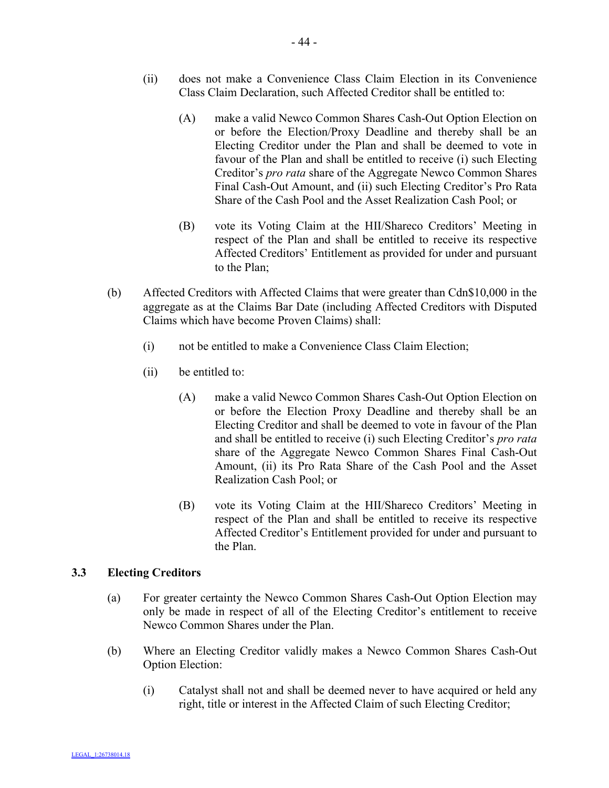- (ii) does not make a Convenience Class Claim Election in its Convenience Class Claim Declaration, such Affected Creditor shall be entitled to:
	- (A) make a valid Newco Common Shares Cash-Out Option Election on or before the Election/Proxy Deadline and thereby shall be an Electing Creditor under the Plan and shall be deemed to vote in favour of the Plan and shall be entitled to receive (i) such Electing Creditor's *pro rata* share of the Aggregate Newco Common Shares Final Cash-Out Amount, and (ii) such Electing Creditor's Pro Rata Share of the Cash Pool and the Asset Realization Cash Pool; or
	- (B) vote its Voting Claim at the HII/Shareco Creditors' Meeting in respect of the Plan and shall be entitled to receive its respective Affected Creditors' Entitlement as provided for under and pursuant to the Plan;
- (b) Affected Creditors with Affected Claims that were greater than Cdn\$10,000 in the aggregate as at the Claims Bar Date (including Affected Creditors with Disputed Claims which have become Proven Claims) shall:
	- (i) not be entitled to make a Convenience Class Claim Election;
	- (ii) be entitled to:
		- (A) make a valid Newco Common Shares Cash-Out Option Election on or before the Election Proxy Deadline and thereby shall be an Electing Creditor and shall be deemed to vote in favour of the Plan and shall be entitled to receive (i) such Electing Creditor's *pro rata* share of the Aggregate Newco Common Shares Final Cash-Out Amount, (ii) its Pro Rata Share of the Cash Pool and the Asset Realization Cash Pool; or
		- (B) vote its Voting Claim at the HII/Shareco Creditors' Meeting in respect of the Plan and shall be entitled to receive its respective Affected Creditor's Entitlement provided for under and pursuant to the Plan.

# **3.3 Electing Creditors**

- (a) For greater certainty the Newco Common Shares Cash-Out Option Election may only be made in respect of all of the Electing Creditor's entitlement to receive Newco Common Shares under the Plan.
- (b) Where an Electing Creditor validly makes a Newco Common Shares Cash-Out Option Election:
	- (i) Catalyst shall not and shall be deemed never to have acquired or held any right, title or interest in the Affected Claim of such Electing Creditor;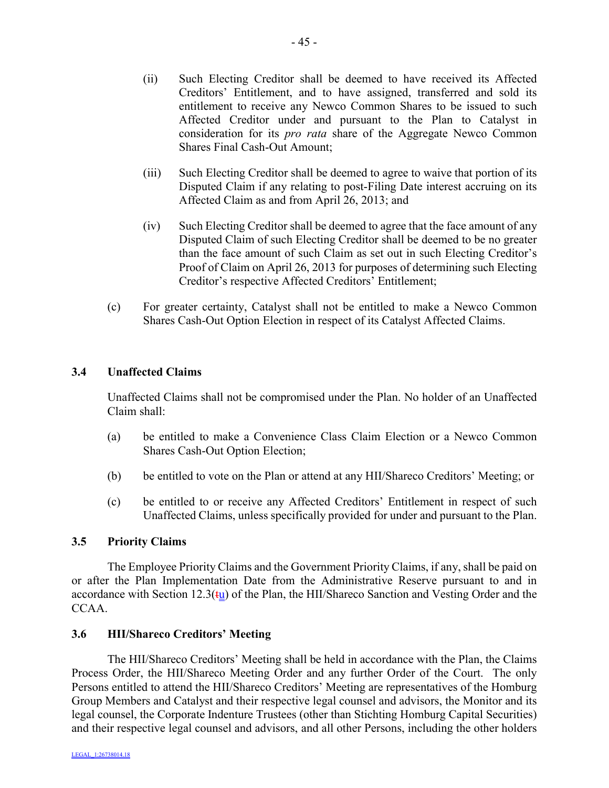- (ii) Such Electing Creditor shall be deemed to have received its Affected Creditors' Entitlement, and to have assigned, transferred and sold its entitlement to receive any Newco Common Shares to be issued to such Affected Creditor under and pursuant to the Plan to Catalyst in consideration for its *pro rata* share of the Aggregate Newco Common Shares Final Cash-Out Amount;
- (iii) Such Electing Creditor shall be deemed to agree to waive that portion of its Disputed Claim if any relating to post-Filing Date interest accruing on its Affected Claim as and from April 26, 2013; and
- (iv) Such Electing Creditor shall be deemed to agree that the face amount of any Disputed Claim of such Electing Creditor shall be deemed to be no greater than the face amount of such Claim as set out in such Electing Creditor's Proof of Claim on April 26, 2013 for purposes of determining such Electing Creditor's respective Affected Creditors' Entitlement;
- (c) For greater certainty, Catalyst shall not be entitled to make a Newco Common Shares Cash-Out Option Election in respect of its Catalyst Affected Claims.

# **3.4 Unaffected Claims**

Unaffected Claims shall not be compromised under the Plan. No holder of an Unaffected Claim shall:

- (a) be entitled to make a Convenience Class Claim Election or a Newco Common Shares Cash-Out Option Election;
- (b) be entitled to vote on the Plan or attend at any HII/Shareco Creditors' Meeting; or
- (c) be entitled to or receive any Affected Creditors' Entitlement in respect of such Unaffected Claims, unless specifically provided for under and pursuant to the Plan.

#### **3.5 Priority Claims**

The Employee Priority Claims and the Government Priority Claims, if any, shall be paid on or after the Plan Implementation Date from the Administrative Reserve pursuant to and in accordance with Section 12.3( $t_{\text{u}}$ ) of the Plan, the HII/Shareco Sanction and Vesting Order and the CCAA.

#### **3.6 HII/Shareco Creditors' Meeting**

The HII/Shareco Creditors' Meeting shall be held in accordance with the Plan, the Claims Process Order, the HII/Shareco Meeting Order and any further Order of the Court. The only Persons entitled to attend the HII/Shareco Creditors' Meeting are representatives of the Homburg Group Members and Catalyst and their respective legal counsel and advisors, the Monitor and its legal counsel, the Corporate Indenture Trustees (other than Stichting Homburg Capital Securities) and their respective legal counsel and advisors, and all other Persons, including the other holders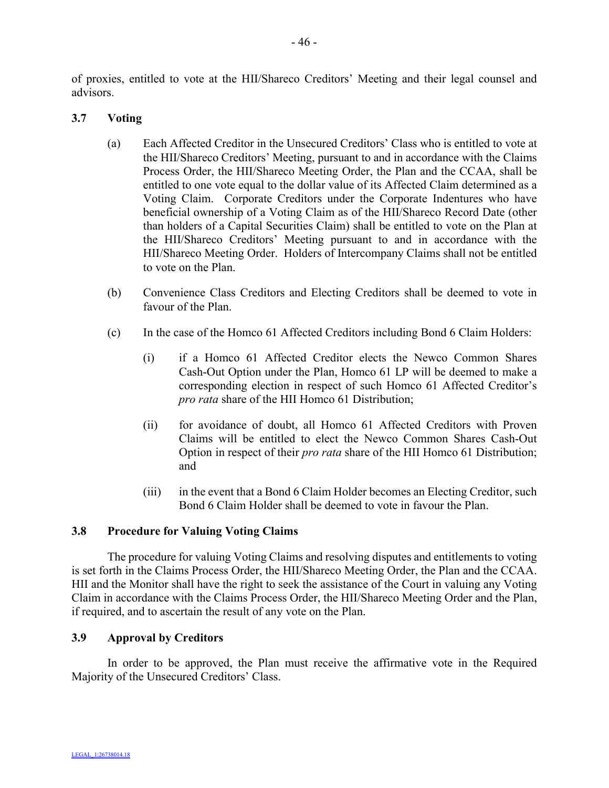of proxies, entitled to vote at the HII/Shareco Creditors' Meeting and their legal counsel and advisors.

# **3.7 Voting**

- (a) Each Affected Creditor in the Unsecured Creditors' Class who is entitled to vote at the HII/Shareco Creditors' Meeting, pursuant to and in accordance with the Claims Process Order, the HII/Shareco Meeting Order, the Plan and the CCAA, shall be entitled to one vote equal to the dollar value of its Affected Claim determined as a Voting Claim. Corporate Creditors under the Corporate Indentures who have beneficial ownership of a Voting Claim as of the HII/Shareco Record Date (other than holders of a Capital Securities Claim) shall be entitled to vote on the Plan at the HII/Shareco Creditors' Meeting pursuant to and in accordance with the HII/Shareco Meeting Order. Holders of Intercompany Claims shall not be entitled to vote on the Plan.
- (b) Convenience Class Creditors and Electing Creditors shall be deemed to vote in favour of the Plan.
- (c) In the case of the Homco 61 Affected Creditors including Bond 6 Claim Holders:
	- (i) if a Homco 61 Affected Creditor elects the Newco Common Shares Cash-Out Option under the Plan, Homco 61 LP will be deemed to make a corresponding election in respect of such Homco 61 Affected Creditor's *pro rata* share of the HII Homco 61 Distribution;
	- (ii) for avoidance of doubt, all Homco 61 Affected Creditors with Proven Claims will be entitled to elect the Newco Common Shares Cash-Out Option in respect of their *pro rata* share of the HII Homco 61 Distribution; and
	- (iii) in the event that a Bond 6 Claim Holder becomes an Electing Creditor, such Bond 6 Claim Holder shall be deemed to vote in favour the Plan.

## **3.8 Procedure for Valuing Voting Claims**

The procedure for valuing Voting Claims and resolving disputes and entitlements to voting is set forth in the Claims Process Order, the HII/Shareco Meeting Order, the Plan and the CCAA. HII and the Monitor shall have the right to seek the assistance of the Court in valuing any Voting Claim in accordance with the Claims Process Order, the HII/Shareco Meeting Order and the Plan, if required, and to ascertain the result of any vote on the Plan.

# **3.9 Approval by Creditors**

In order to be approved, the Plan must receive the affirmative vote in the Required Majority of the Unsecured Creditors' Class.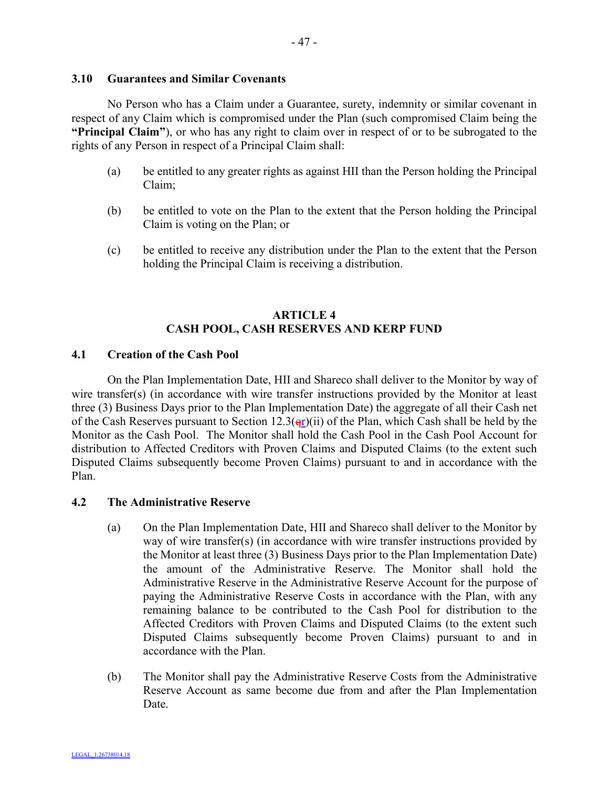#### **3.10 Guarantees and Similar Covenants**

No Person who has a Claim under a Guarantee, surety, indemnity or similar covenant in respect of any Claim which is compromised under the Plan (such compromised Claim being the **"Principal Claim"**), or who has any right to claim over in respect of or to be subrogated to the rights of any Person in respect of a Principal Claim shall:

- (a) be entitled to any greater rights as against HII than the Person holding the Principal Claim;
- (b) be entitled to vote on the Plan to the extent that the Person holding the Principal Claim is voting on the Plan; or
- (c) be entitled to receive any distribution under the Plan to the extent that the Person holding the Principal Claim is receiving a distribution.

# **ARTICLE 4 CASH POOL, CASH RESERVES AND KERP FUND**

## **4.1 Creation of the Cash Pool**

On the Plan Implementation Date, HII and Shareco shall deliver to the Monitor by way of wire transfer(s) (in accordance with wire transfer instructions provided by the Monitor at least three (3) Business Days prior to the Plan Implementation Date) the aggregate of all their Cash net of the Cash Reserves pursuant to Section 12.3( $\frac{q_1}{q_2}$ )(ii) of the Plan, which Cash shall be held by the Monitor as the Cash Pool. The Monitor shall hold the Cash Pool in the Cash Pool Account for distribution to Affected Creditors with Proven Claims and Disputed Claims (to the extent such Disputed Claims subsequently become Proven Claims) pursuant to and in accordance with the Plan.

## **4.2 The Administrative Reserve**

- (a) On the Plan Implementation Date, HII and Shareco shall deliver to the Monitor by way of wire transfer(s) (in accordance with wire transfer instructions provided by the Monitor at least three (3) Business Days prior to the Plan Implementation Date) the amount of the Administrative Reserve. The Monitor shall hold the Administrative Reserve in the Administrative Reserve Account for the purpose of paying the Administrative Reserve Costs in accordance with the Plan, with any remaining balance to be contributed to the Cash Pool for distribution to the Affected Creditors with Proven Claims and Disputed Claims (to the extent such Disputed Claims subsequently become Proven Claims) pursuant to and in accordance with the Plan.
- (b) The Monitor shall pay the Administrative Reserve Costs from the Administrative Reserve Account as same become due from and after the Plan Implementation Date.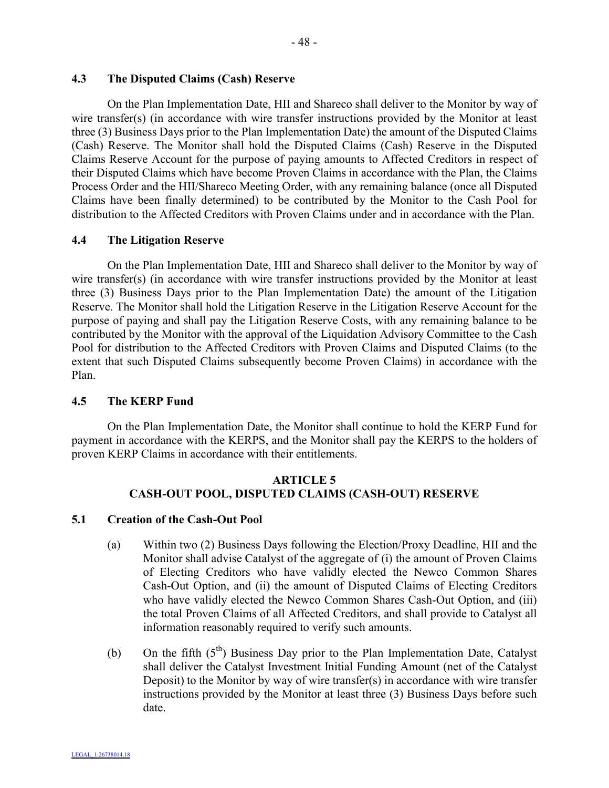# **4.3 The Disputed Claims (Cash) Reserve**

On the Plan Implementation Date, HII and Shareco shall deliver to the Monitor by way of wire transfer(s) (in accordance with wire transfer instructions provided by the Monitor at least three (3) Business Days prior to the Plan Implementation Date) the amount of the Disputed Claims (Cash) Reserve. The Monitor shall hold the Disputed Claims (Cash) Reserve in the Disputed Claims Reserve Account for the purpose of paying amounts to Affected Creditors in respect of their Disputed Claims which have become Proven Claims in accordance with the Plan, the Claims Process Order and the HII/Shareco Meeting Order, with any remaining balance (once all Disputed Claims have been finally determined) to be contributed by the Monitor to the Cash Pool for distribution to the Affected Creditors with Proven Claims under and in accordance with the Plan.

#### **4.4 The Litigation Reserve**

On the Plan Implementation Date, HII and Shareco shall deliver to the Monitor by way of wire transfer(s) (in accordance with wire transfer instructions provided by the Monitor at least three (3) Business Days prior to the Plan Implementation Date) the amount of the Litigation Reserve. The Monitor shall hold the Litigation Reserve in the Litigation Reserve Account for the purpose of paying and shall pay the Litigation Reserve Costs, with any remaining balance to be contributed by the Monitor with the approval of the Liquidation Advisory Committee to the Cash Pool for distribution to the Affected Creditors with Proven Claims and Disputed Claims (to the extent that such Disputed Claims subsequently become Proven Claims) in accordance with the Plan.

# **4.5 The KERP Fund**

On the Plan Implementation Date, the Monitor shall continue to hold the KERP Fund for payment in accordance with the KERPS, and the Monitor shall pay the KERPS to the holders of proven KERP Claims in accordance with their entitlements.

# **ARTICLE 5 CASH-OUT POOL, DISPUTED CLAIMS (CASH-OUT) RESERVE**

#### **5.1 Creation of the Cash-Out Pool**

- (a) Within two (2) Business Days following the Election/Proxy Deadline, HII and the Monitor shall advise Catalyst of the aggregate of (i) the amount of Proven Claims of Electing Creditors who have validly elected the Newco Common Shares Cash-Out Option, and (ii) the amount of Disputed Claims of Electing Creditors who have validly elected the Newco Common Shares Cash-Out Option, and (iii) the total Proven Claims of all Affected Creditors, and shall provide to Catalyst all information reasonably required to verify such amounts.
- (b) On the fifth  $(5<sup>th</sup>)$  Business Day prior to the Plan Implementation Date, Catalyst shall deliver the Catalyst Investment Initial Funding Amount (net of the Catalyst Deposit) to the Monitor by way of wire transfer(s) in accordance with wire transfer instructions provided by the Monitor at least three (3) Business Days before such date.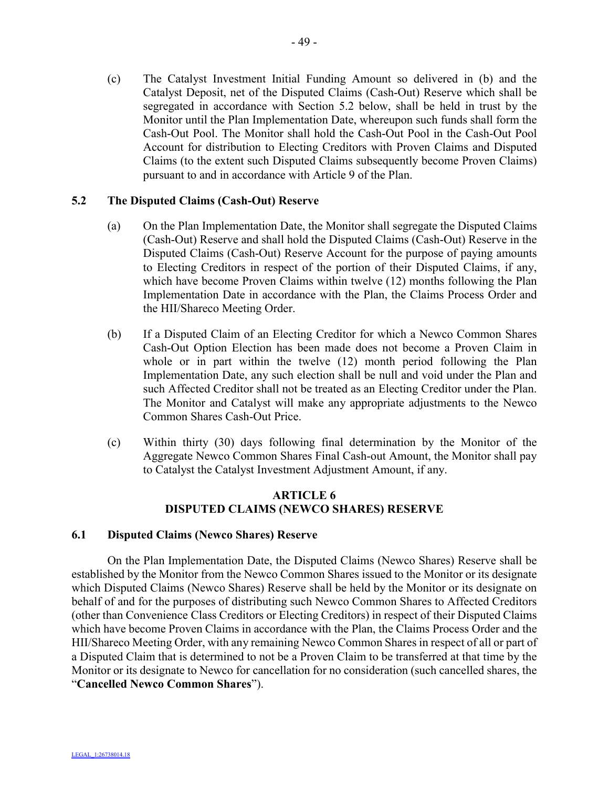(c) The Catalyst Investment Initial Funding Amount so delivered in (b) and the Catalyst Deposit, net of the Disputed Claims (Cash-Out) Reserve which shall be segregated in accordance with Section 5.2 below, shall be held in trust by the Monitor until the Plan Implementation Date, whereupon such funds shall form the Cash-Out Pool. The Monitor shall hold the Cash-Out Pool in the Cash-Out Pool Account for distribution to Electing Creditors with Proven Claims and Disputed Claims (to the extent such Disputed Claims subsequently become Proven Claims) pursuant to and in accordance with Article 9 of the Plan.

## **5.2 The Disputed Claims (Cash-Out) Reserve**

- (a) On the Plan Implementation Date, the Monitor shall segregate the Disputed Claims (Cash-Out) Reserve and shall hold the Disputed Claims (Cash-Out) Reserve in the Disputed Claims (Cash-Out) Reserve Account for the purpose of paying amounts to Electing Creditors in respect of the portion of their Disputed Claims, if any, which have become Proven Claims within twelve (12) months following the Plan Implementation Date in accordance with the Plan, the Claims Process Order and the HII/Shareco Meeting Order.
- (b) If a Disputed Claim of an Electing Creditor for which a Newco Common Shares Cash-Out Option Election has been made does not become a Proven Claim in whole or in part within the twelve (12) month period following the Plan Implementation Date, any such election shall be null and void under the Plan and such Affected Creditor shall not be treated as an Electing Creditor under the Plan. The Monitor and Catalyst will make any appropriate adjustments to the Newco Common Shares Cash-Out Price.
- (c) Within thirty (30) days following final determination by the Monitor of the Aggregate Newco Common Shares Final Cash-out Amount, the Monitor shall pay to Catalyst the Catalyst Investment Adjustment Amount, if any.

# **ARTICLE 6 DISPUTED CLAIMS (NEWCO SHARES) RESERVE**

#### **6.1 Disputed Claims (Newco Shares) Reserve**

On the Plan Implementation Date, the Disputed Claims (Newco Shares) Reserve shall be established by the Monitor from the Newco Common Shares issued to the Monitor or its designate which Disputed Claims (Newco Shares) Reserve shall be held by the Monitor or its designate on behalf of and for the purposes of distributing such Newco Common Shares to Affected Creditors (other than Convenience Class Creditors or Electing Creditors) in respect of their Disputed Claims which have become Proven Claims in accordance with the Plan, the Claims Process Order and the HII/Shareco Meeting Order, with any remaining Newco Common Shares in respect of all or part of a Disputed Claim that is determined to not be a Proven Claim to be transferred at that time by the Monitor or its designate to Newco for cancellation for no consideration (such cancelled shares, the "**Cancelled Newco Common Shares**").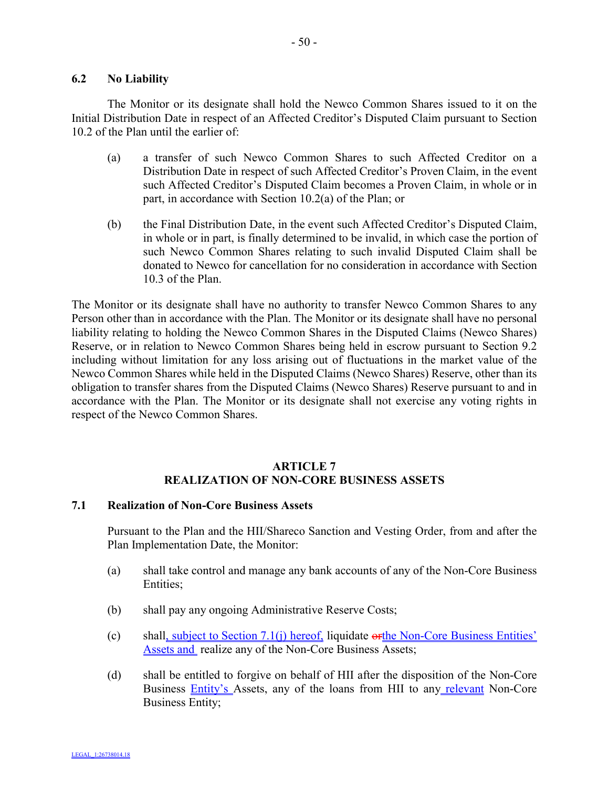## **6.2 No Liability**

The Monitor or its designate shall hold the Newco Common Shares issued to it on the Initial Distribution Date in respect of an Affected Creditor's Disputed Claim pursuant to Section 10.2 of the Plan until the earlier of:

- (a) a transfer of such Newco Common Shares to such Affected Creditor on a Distribution Date in respect of such Affected Creditor's Proven Claim, in the event such Affected Creditor's Disputed Claim becomes a Proven Claim, in whole or in part, in accordance with Section 10.2(a) of the Plan; or
- (b) the Final Distribution Date, in the event such Affected Creditor's Disputed Claim, in whole or in part, is finally determined to be invalid, in which case the portion of such Newco Common Shares relating to such invalid Disputed Claim shall be donated to Newco for cancellation for no consideration in accordance with Section 10.3 of the Plan.

The Monitor or its designate shall have no authority to transfer Newco Common Shares to any Person other than in accordance with the Plan. The Monitor or its designate shall have no personal liability relating to holding the Newco Common Shares in the Disputed Claims (Newco Shares) Reserve, or in relation to Newco Common Shares being held in escrow pursuant to Section 9.2 including without limitation for any loss arising out of fluctuations in the market value of the Newco Common Shares while held in the Disputed Claims (Newco Shares) Reserve, other than its obligation to transfer shares from the Disputed Claims (Newco Shares) Reserve pursuant to and in accordance with the Plan. The Monitor or its designate shall not exercise any voting rights in respect of the Newco Common Shares.

## **ARTICLE 7 REALIZATION OF NON-CORE BUSINESS ASSETS**

#### **7.1 Realization of Non-Core Business Assets**

Pursuant to the Plan and the HII/Shareco Sanction and Vesting Order, from and after the Plan Implementation Date, the Monitor:

- (a) shall take control and manage any bank accounts of any of the Non-Core Business Entities;
- (b) shall pay any ongoing Administrative Reserve Costs;
- (c) shall, subject to Section 7.1(j) hereof, liquidate orthe Non-Core Business Entities' Assets and realize any of the Non-Core Business Assets;
- (d) shall be entitled to forgive on behalf of HII after the disposition of the Non-Core Business **Entity's** Assets, any of the loans from HII to any relevant Non-Core Business Entity;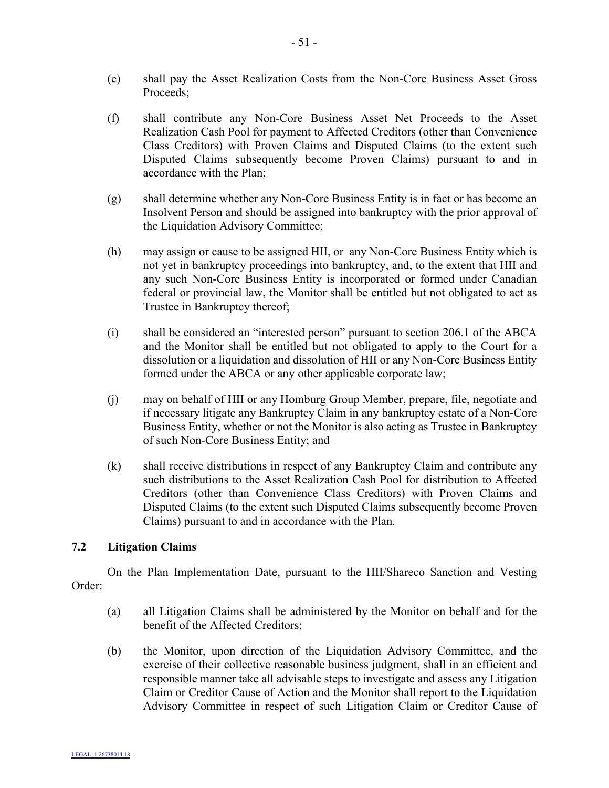- (e) shall pay the Asset Realization Costs from the Non-Core Business Asset Gross Proceeds;
- (f) shall contribute any Non-Core Business Asset Net Proceeds to the Asset Realization Cash Pool for payment to Affected Creditors (other than Convenience Class Creditors) with Proven Claims and Disputed Claims (to the extent such Disputed Claims subsequently become Proven Claims) pursuant to and in accordance with the Plan;
- (g) shall determine whether any Non-Core Business Entity is in fact or has become an Insolvent Person and should be assigned into bankruptcy with the prior approval of the Liquidation Advisory Committee;
- (h) may assign or cause to be assigned HII, or any Non-Core Business Entity which is not yet in bankruptcy proceedings into bankruptcy, and, to the extent that HII and any such Non-Core Business Entity is incorporated or formed under Canadian federal or provincial law, the Monitor shall be entitled but not obligated to act as Trustee in Bankruptcy thereof;
- (i) shall be considered an "interested person" pursuant to section 206.1 of the ABCA and the Monitor shall be entitled but not obligated to apply to the Court for a dissolution or a liquidation and dissolution of HII or any Non-Core Business Entity formed under the ABCA or any other applicable corporate law;
- (j) may on behalf of HII or any Homburg Group Member, prepare, file, negotiate and if necessary litigate any Bankruptcy Claim in any bankruptcy estate of a Non-Core Business Entity, whether or not the Monitor is also acting as Trustee in Bankruptcy of such Non-Core Business Entity; and
- (k) shall receive distributions in respect of any Bankruptcy Claim and contribute any such distributions to the Asset Realization Cash Pool for distribution to Affected Creditors (other than Convenience Class Creditors) with Proven Claims and Disputed Claims (to the extent such Disputed Claims subsequently become Proven Claims) pursuant to and in accordance with the Plan.

# **7.2 Litigation Claims**

On the Plan Implementation Date, pursuant to the HII/Shareco Sanction and Vesting Order:

- (a) all Litigation Claims shall be administered by the Monitor on behalf and for the benefit of the Affected Creditors;
- (b) the Monitor, upon direction of the Liquidation Advisory Committee, and the exercise of their collective reasonable business judgment, shall in an efficient and responsible manner take all advisable steps to investigate and assess any Litigation Claim or Creditor Cause of Action and the Monitor shall report to the Liquidation Advisory Committee in respect of such Litigation Claim or Creditor Cause of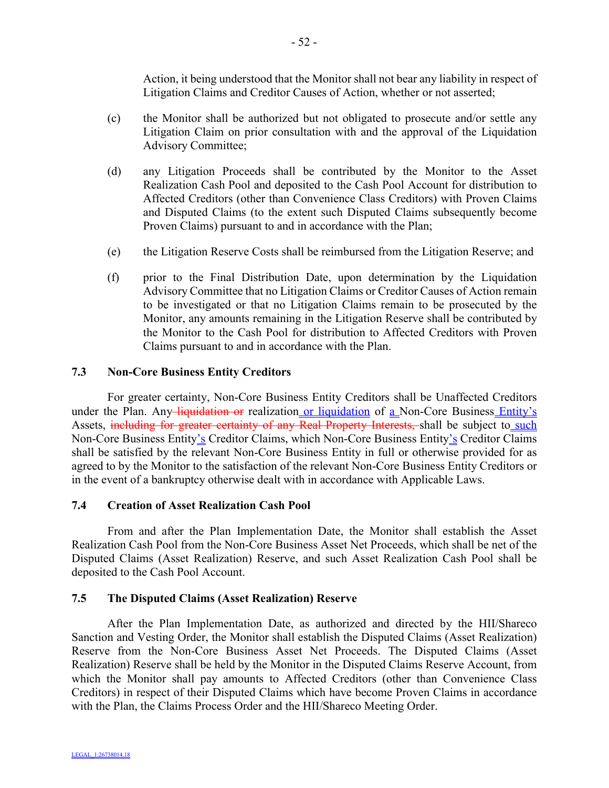Action, it being understood that the Monitor shall not bear any liability in respect of Litigation Claims and Creditor Causes of Action, whether or not asserted;

- (c) the Monitor shall be authorized but not obligated to prosecute and/or settle any Litigation Claim on prior consultation with and the approval of the Liquidation Advisory Committee;
- (d) any Litigation Proceeds shall be contributed by the Monitor to the Asset Realization Cash Pool and deposited to the Cash Pool Account for distribution to Affected Creditors (other than Convenience Class Creditors) with Proven Claims and Disputed Claims (to the extent such Disputed Claims subsequently become Proven Claims) pursuant to and in accordance with the Plan;
- (e) the Litigation Reserve Costs shall be reimbursed from the Litigation Reserve; and
- (f) prior to the Final Distribution Date, upon determination by the Liquidation Advisory Committee that no Litigation Claims or Creditor Causes of Action remain to be investigated or that no Litigation Claims remain to be prosecuted by the Monitor, any amounts remaining in the Litigation Reserve shall be contributed by the Monitor to the Cash Pool for distribution to Affected Creditors with Proven Claims pursuant to and in accordance with the Plan.

#### **7.3 Non-Core Business Entity Creditors**

For greater certainty, Non-Core Business Entity Creditors shall be Unaffected Creditors under the Plan. Any liquidation or realization or liquidation of a Non-Core Business Entity's Assets, including for greater certainty of any Real Property Interests, shall be subject to such Non-Core Business Entity's Creditor Claims, which Non-Core Business Entity's Creditor Claims shall be satisfied by the relevant Non-Core Business Entity in full or otherwise provided for as agreed to by the Monitor to the satisfaction of the relevant Non-Core Business Entity Creditors or in the event of a bankruptcy otherwise dealt with in accordance with Applicable Laws.

## **7.4 Creation of Asset Realization Cash Pool**

From and after the Plan Implementation Date, the Monitor shall establish the Asset Realization Cash Pool from the Non-Core Business Asset Net Proceeds, which shall be net of the Disputed Claims (Asset Realization) Reserve, and such Asset Realization Cash Pool shall be deposited to the Cash Pool Account.

#### **7.5 The Disputed Claims (Asset Realization) Reserve**

After the Plan Implementation Date, as authorized and directed by the HII/Shareco Sanction and Vesting Order, the Monitor shall establish the Disputed Claims (Asset Realization) Reserve from the Non-Core Business Asset Net Proceeds. The Disputed Claims (Asset Realization) Reserve shall be held by the Monitor in the Disputed Claims Reserve Account, from which the Monitor shall pay amounts to Affected Creditors (other than Convenience Class Creditors) in respect of their Disputed Claims which have become Proven Claims in accordance with the Plan, the Claims Process Order and the HII/Shareco Meeting Order.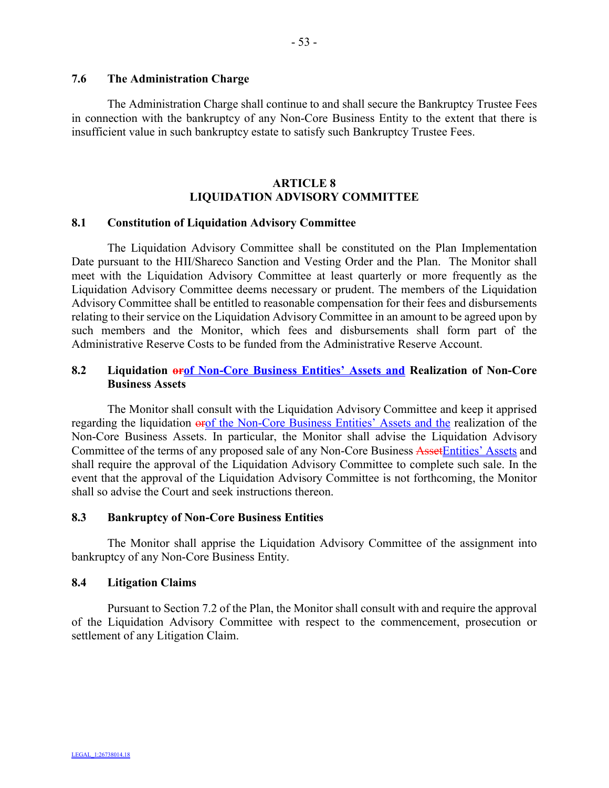The Administration Charge shall continue to and shall secure the Bankruptcy Trustee Fees in connection with the bankruptcy of any Non-Core Business Entity to the extent that there is insufficient value in such bankruptcy estate to satisfy such Bankruptcy Trustee Fees.

# **ARTICLE 8 LIQUIDATION ADVISORY COMMITTEE**

#### **8.1 Constitution of Liquidation Advisory Committee**

The Liquidation Advisory Committee shall be constituted on the Plan Implementation Date pursuant to the HII/Shareco Sanction and Vesting Order and the Plan. The Monitor shall meet with the Liquidation Advisory Committee at least quarterly or more frequently as the Liquidation Advisory Committee deems necessary or prudent. The members of the Liquidation Advisory Committee shall be entitled to reasonable compensation for their fees and disbursements relating to their service on the Liquidation Advisory Committee in an amount to be agreed upon by such members and the Monitor, which fees and disbursements shall form part of the Administrative Reserve Costs to be funded from the Administrative Reserve Account.

# **8.2 Liquidation orof Non-Core Business Entities' Assets and Realization of Non-Core Business Assets**

The Monitor shall consult with the Liquidation Advisory Committee and keep it apprised regarding the liquidation orof the Non-Core Business Entities' Assets and the realization of the Non-Core Business Assets. In particular, the Monitor shall advise the Liquidation Advisory Committee of the terms of any proposed sale of any Non-Core Business AssetEntities' Assets and shall require the approval of the Liquidation Advisory Committee to complete such sale. In the event that the approval of the Liquidation Advisory Committee is not forthcoming, the Monitor shall so advise the Court and seek instructions thereon.

#### **8.3 Bankruptcy of Non-Core Business Entities**

The Monitor shall apprise the Liquidation Advisory Committee of the assignment into bankruptcy of any Non-Core Business Entity.

## **8.4 Litigation Claims**

Pursuant to Section 7.2 of the Plan, the Monitor shall consult with and require the approval of the Liquidation Advisory Committee with respect to the commencement, prosecution or settlement of any Litigation Claim.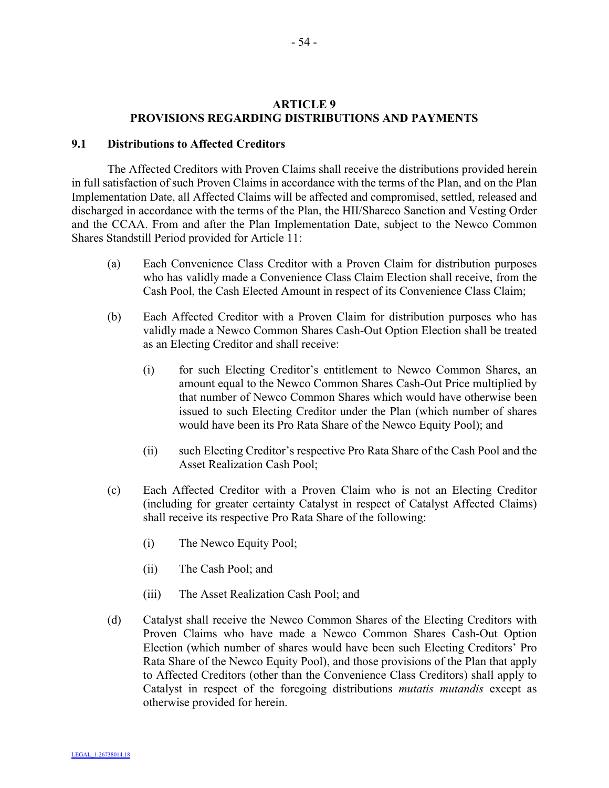#### **ARTICLE 9 PROVISIONS REGARDING DISTRIBUTIONS AND PAYMENTS**

#### **9.1 Distributions to Affected Creditors**

The Affected Creditors with Proven Claims shall receive the distributions provided herein in full satisfaction of such Proven Claims in accordance with the terms of the Plan, and on the Plan Implementation Date, all Affected Claims will be affected and compromised, settled, released and discharged in accordance with the terms of the Plan, the HII/Shareco Sanction and Vesting Order and the CCAA. From and after the Plan Implementation Date, subject to the Newco Common Shares Standstill Period provided for Article 11:

- (a) Each Convenience Class Creditor with a Proven Claim for distribution purposes who has validly made a Convenience Class Claim Election shall receive, from the Cash Pool, the Cash Elected Amount in respect of its Convenience Class Claim;
- (b) Each Affected Creditor with a Proven Claim for distribution purposes who has validly made a Newco Common Shares Cash-Out Option Election shall be treated as an Electing Creditor and shall receive:
	- (i) for such Electing Creditor's entitlement to Newco Common Shares, an amount equal to the Newco Common Shares Cash-Out Price multiplied by that number of Newco Common Shares which would have otherwise been issued to such Electing Creditor under the Plan (which number of shares would have been its Pro Rata Share of the Newco Equity Pool); and
	- (ii) such Electing Creditor's respective Pro Rata Share of the Cash Pool and the Asset Realization Cash Pool;
- (c) Each Affected Creditor with a Proven Claim who is not an Electing Creditor (including for greater certainty Catalyst in respect of Catalyst Affected Claims) shall receive its respective Pro Rata Share of the following:
	- (i) The Newco Equity Pool;
	- (ii) The Cash Pool; and
	- (iii) The Asset Realization Cash Pool; and
- (d) Catalyst shall receive the Newco Common Shares of the Electing Creditors with Proven Claims who have made a Newco Common Shares Cash-Out Option Election (which number of shares would have been such Electing Creditors' Pro Rata Share of the Newco Equity Pool), and those provisions of the Plan that apply to Affected Creditors (other than the Convenience Class Creditors) shall apply to Catalyst in respect of the foregoing distributions *mutatis mutandis* except as otherwise provided for herein.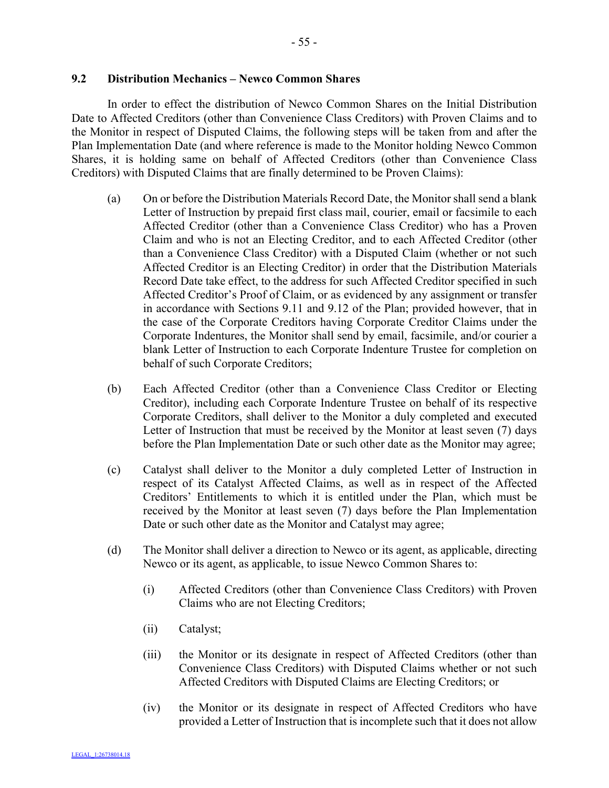In order to effect the distribution of Newco Common Shares on the Initial Distribution Date to Affected Creditors (other than Convenience Class Creditors) with Proven Claims and to the Monitor in respect of Disputed Claims, the following steps will be taken from and after the Plan Implementation Date (and where reference is made to the Monitor holding Newco Common Shares, it is holding same on behalf of Affected Creditors (other than Convenience Class Creditors) with Disputed Claims that are finally determined to be Proven Claims):

- (a) On or before the Distribution Materials Record Date, the Monitor shall send a blank Letter of Instruction by prepaid first class mail, courier, email or facsimile to each Affected Creditor (other than a Convenience Class Creditor) who has a Proven Claim and who is not an Electing Creditor, and to each Affected Creditor (other than a Convenience Class Creditor) with a Disputed Claim (whether or not such Affected Creditor is an Electing Creditor) in order that the Distribution Materials Record Date take effect, to the address for such Affected Creditor specified in such Affected Creditor's Proof of Claim, or as evidenced by any assignment or transfer in accordance with Sections 9.11 and 9.12 of the Plan; provided however, that in the case of the Corporate Creditors having Corporate Creditor Claims under the Corporate Indentures, the Monitor shall send by email, facsimile, and/or courier a blank Letter of Instruction to each Corporate Indenture Trustee for completion on behalf of such Corporate Creditors;
- (b) Each Affected Creditor (other than a Convenience Class Creditor or Electing Creditor), including each Corporate Indenture Trustee on behalf of its respective Corporate Creditors, shall deliver to the Monitor a duly completed and executed Letter of Instruction that must be received by the Monitor at least seven (7) days before the Plan Implementation Date or such other date as the Monitor may agree;
- (c) Catalyst shall deliver to the Monitor a duly completed Letter of Instruction in respect of its Catalyst Affected Claims, as well as in respect of the Affected Creditors' Entitlements to which it is entitled under the Plan, which must be received by the Monitor at least seven (7) days before the Plan Implementation Date or such other date as the Monitor and Catalyst may agree;
- (d) The Monitor shall deliver a direction to Newco or its agent, as applicable, directing Newco or its agent, as applicable, to issue Newco Common Shares to:
	- (i) Affected Creditors (other than Convenience Class Creditors) with Proven Claims who are not Electing Creditors;
	- (ii) Catalyst;
	- (iii) the Monitor or its designate in respect of Affected Creditors (other than Convenience Class Creditors) with Disputed Claims whether or not such Affected Creditors with Disputed Claims are Electing Creditors; or
	- (iv) the Monitor or its designate in respect of Affected Creditors who have provided a Letter of Instruction that is incomplete such that it does not allow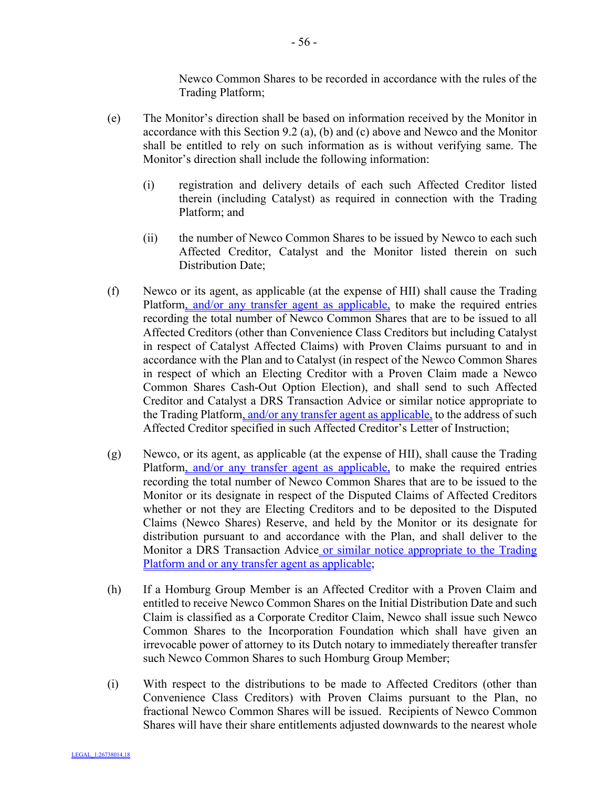Newco Common Shares to be recorded in accordance with the rules of the Trading Platform;

- (e) The Monitor's direction shall be based on information received by the Monitor in accordance with this Section 9.2 (a), (b) and (c) above and Newco and the Monitor shall be entitled to rely on such information as is without verifying same. The Monitor's direction shall include the following information:
	- (i) registration and delivery details of each such Affected Creditor listed therein (including Catalyst) as required in connection with the Trading Platform; and
	- (ii) the number of Newco Common Shares to be issued by Newco to each such Affected Creditor, Catalyst and the Monitor listed therein on such Distribution Date;
- (f) Newco or its agent, as applicable (at the expense of HII) shall cause the Trading Platform, and/or any transfer agent as applicable, to make the required entries recording the total number of Newco Common Shares that are to be issued to all Affected Creditors (other than Convenience Class Creditors but including Catalyst in respect of Catalyst Affected Claims) with Proven Claims pursuant to and in accordance with the Plan and to Catalyst (in respect of the Newco Common Shares in respect of which an Electing Creditor with a Proven Claim made a Newco Common Shares Cash-Out Option Election), and shall send to such Affected Creditor and Catalyst a DRS Transaction Advice or similar notice appropriate to the Trading Platform, and/or any transfer agent as applicable, to the address of such Affected Creditor specified in such Affected Creditor's Letter of Instruction;
- (g) Newco, or its agent, as applicable (at the expense of HII), shall cause the Trading Platform, and/or any transfer agent as applicable, to make the required entries recording the total number of Newco Common Shares that are to be issued to the Monitor or its designate in respect of the Disputed Claims of Affected Creditors whether or not they are Electing Creditors and to be deposited to the Disputed Claims (Newco Shares) Reserve, and held by the Monitor or its designate for distribution pursuant to and accordance with the Plan, and shall deliver to the Monitor a DRS Transaction Advice or similar notice appropriate to the Trading Platform and or any transfer agent as applicable;
- (h) If a Homburg Group Member is an Affected Creditor with a Proven Claim and entitled to receive Newco Common Shares on the Initial Distribution Date and such Claim is classified as a Corporate Creditor Claim, Newco shall issue such Newco Common Shares to the Incorporation Foundation which shall have given an irrevocable power of attorney to its Dutch notary to immediately thereafter transfer such Newco Common Shares to such Homburg Group Member;
- (i) With respect to the distributions to be made to Affected Creditors (other than Convenience Class Creditors) with Proven Claims pursuant to the Plan, no fractional Newco Common Shares will be issued. Recipients of Newco Common Shares will have their share entitlements adjusted downwards to the nearest whole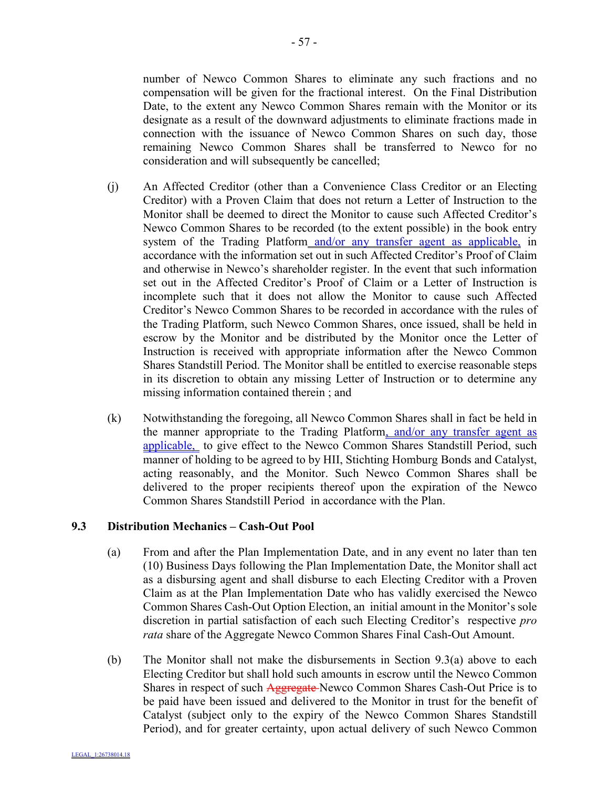number of Newco Common Shares to eliminate any such fractions and no compensation will be given for the fractional interest. On the Final Distribution Date, to the extent any Newco Common Shares remain with the Monitor or its designate as a result of the downward adjustments to eliminate fractions made in connection with the issuance of Newco Common Shares on such day, those remaining Newco Common Shares shall be transferred to Newco for no consideration and will subsequently be cancelled;

- (j) An Affected Creditor (other than a Convenience Class Creditor or an Electing Creditor) with a Proven Claim that does not return a Letter of Instruction to the Monitor shall be deemed to direct the Monitor to cause such Affected Creditor's Newco Common Shares to be recorded (to the extent possible) in the book entry system of the Trading Platform and/or any transfer agent as applicable, in accordance with the information set out in such Affected Creditor's Proof of Claim and otherwise in Newco's shareholder register. In the event that such information set out in the Affected Creditor's Proof of Claim or a Letter of Instruction is incomplete such that it does not allow the Monitor to cause such Affected Creditor's Newco Common Shares to be recorded in accordance with the rules of the Trading Platform, such Newco Common Shares, once issued, shall be held in escrow by the Monitor and be distributed by the Monitor once the Letter of Instruction is received with appropriate information after the Newco Common Shares Standstill Period. The Monitor shall be entitled to exercise reasonable steps in its discretion to obtain any missing Letter of Instruction or to determine any missing information contained therein ; and
- (k) Notwithstanding the foregoing, all Newco Common Shares shall in fact be held in the manner appropriate to the Trading Platform, and/or any transfer agent as applicable, to give effect to the Newco Common Shares Standstill Period, such manner of holding to be agreed to by HII, Stichting Homburg Bonds and Catalyst, acting reasonably, and the Monitor. Such Newco Common Shares shall be delivered to the proper recipients thereof upon the expiration of the Newco Common Shares Standstill Period in accordance with the Plan.

#### **9.3 Distribution Mechanics – Cash-Out Pool**

- (a) From and after the Plan Implementation Date, and in any event no later than ten (10) Business Days following the Plan Implementation Date, the Monitor shall act as a disbursing agent and shall disburse to each Electing Creditor with a Proven Claim as at the Plan Implementation Date who has validly exercised the Newco Common Shares Cash-Out Option Election, an initial amount in the Monitor's sole discretion in partial satisfaction of each such Electing Creditor's respective *pro rata* share of the Aggregate Newco Common Shares Final Cash-Out Amount.
- (b) The Monitor shall not make the disbursements in Section 9.3(a) above to each Electing Creditor but shall hold such amounts in escrow until the Newco Common Shares in respect of such Aggregate-Newco Common Shares Cash-Out Price is to be paid have been issued and delivered to the Monitor in trust for the benefit of Catalyst (subject only to the expiry of the Newco Common Shares Standstill Period), and for greater certainty, upon actual delivery of such Newco Common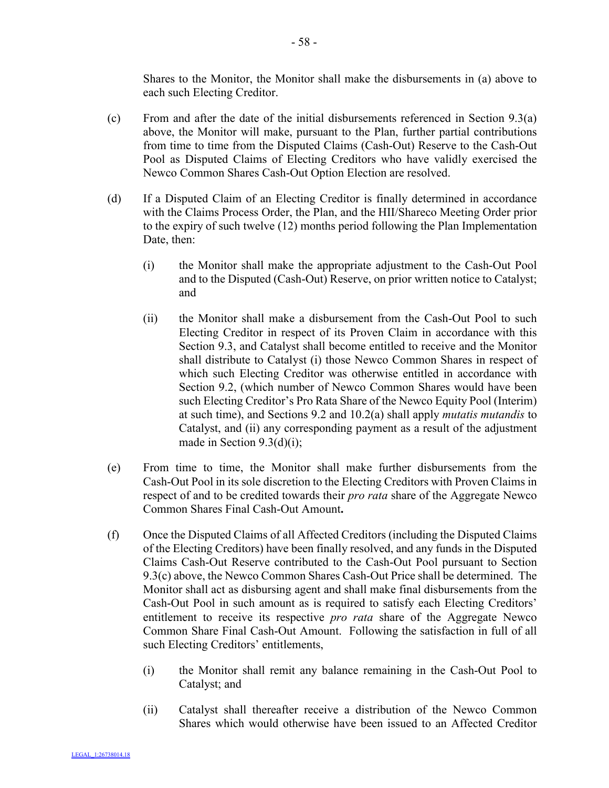Shares to the Monitor, the Monitor shall make the disbursements in (a) above to each such Electing Creditor.

- (c) From and after the date of the initial disbursements referenced in Section 9.3(a) above, the Monitor will make, pursuant to the Plan, further partial contributions from time to time from the Disputed Claims (Cash-Out) Reserve to the Cash-Out Pool as Disputed Claims of Electing Creditors who have validly exercised the Newco Common Shares Cash-Out Option Election are resolved.
- (d) If a Disputed Claim of an Electing Creditor is finally determined in accordance with the Claims Process Order, the Plan, and the HII/Shareco Meeting Order prior to the expiry of such twelve (12) months period following the Plan Implementation Date, then:
	- (i) the Monitor shall make the appropriate adjustment to the Cash-Out Pool and to the Disputed (Cash-Out) Reserve, on prior written notice to Catalyst; and
	- (ii) the Monitor shall make a disbursement from the Cash-Out Pool to such Electing Creditor in respect of its Proven Claim in accordance with this Section 9.3, and Catalyst shall become entitled to receive and the Monitor shall distribute to Catalyst (i) those Newco Common Shares in respect of which such Electing Creditor was otherwise entitled in accordance with Section 9.2, (which number of Newco Common Shares would have been such Electing Creditor's Pro Rata Share of the Newco Equity Pool (Interim) at such time), and Sections 9.2 and 10.2(a) shall apply *mutatis mutandis* to Catalyst, and (ii) any corresponding payment as a result of the adjustment made in Section 9.3(d)(i);
- (e) From time to time, the Monitor shall make further disbursements from the Cash-Out Pool in its sole discretion to the Electing Creditors with Proven Claims in respect of and to be credited towards their *pro rata* share of the Aggregate Newco Common Shares Final Cash-Out Amount**.**
- (f) Once the Disputed Claims of all Affected Creditors (including the Disputed Claims of the Electing Creditors) have been finally resolved, and any funds in the Disputed Claims Cash-Out Reserve contributed to the Cash-Out Pool pursuant to Section 9.3(c) above, the Newco Common Shares Cash-Out Price shall be determined. The Monitor shall act as disbursing agent and shall make final disbursements from the Cash-Out Pool in such amount as is required to satisfy each Electing Creditors' entitlement to receive its respective *pro rata* share of the Aggregate Newco Common Share Final Cash-Out Amount. Following the satisfaction in full of all such Electing Creditors' entitlements,
	- (i) the Monitor shall remit any balance remaining in the Cash-Out Pool to Catalyst; and
	- (ii) Catalyst shall thereafter receive a distribution of the Newco Common Shares which would otherwise have been issued to an Affected Creditor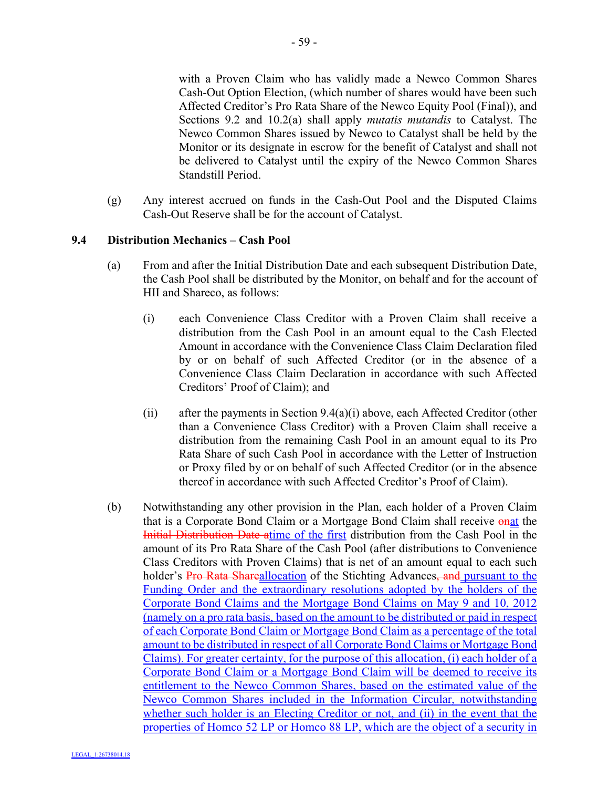with a Proven Claim who has validly made a Newco Common Shares Cash-Out Option Election, (which number of shares would have been such Affected Creditor's Pro Rata Share of the Newco Equity Pool (Final)), and Sections 9.2 and 10.2(a) shall apply *mutatis mutandis* to Catalyst. The Newco Common Shares issued by Newco to Catalyst shall be held by the Monitor or its designate in escrow for the benefit of Catalyst and shall not be delivered to Catalyst until the expiry of the Newco Common Shares Standstill Period.

(g) Any interest accrued on funds in the Cash-Out Pool and the Disputed Claims Cash-Out Reserve shall be for the account of Catalyst.

## **9.4 Distribution Mechanics – Cash Pool**

- (a) From and after the Initial Distribution Date and each subsequent Distribution Date, the Cash Pool shall be distributed by the Monitor, on behalf and for the account of HII and Shareco, as follows:
	- (i) each Convenience Class Creditor with a Proven Claim shall receive a distribution from the Cash Pool in an amount equal to the Cash Elected Amount in accordance with the Convenience Class Claim Declaration filed by or on behalf of such Affected Creditor (or in the absence of a Convenience Class Claim Declaration in accordance with such Affected Creditors' Proof of Claim); and
	- (ii) after the payments in Section  $9.4(a)(i)$  above, each Affected Creditor (other than a Convenience Class Creditor) with a Proven Claim shall receive a distribution from the remaining Cash Pool in an amount equal to its Pro Rata Share of such Cash Pool in accordance with the Letter of Instruction or Proxy filed by or on behalf of such Affected Creditor (or in the absence thereof in accordance with such Affected Creditor's Proof of Claim).
- (b) Notwithstanding any other provision in the Plan, each holder of a Proven Claim that is a Corporate Bond Claim or a Mortgage Bond Claim shall receive onat the Initial Distribution Date atime of the first distribution from the Cash Pool in the amount of its Pro Rata Share of the Cash Pool (after distributions to Convenience Class Creditors with Proven Claims) that is net of an amount equal to each such holder's Pro Rata Shareallocation of the Stichting Advances, and pursuant to the Funding Order and the extraordinary resolutions adopted by the holders of the Corporate Bond Claims and the Mortgage Bond Claims on May 9 and 10, 2012 (namely on a pro rata basis, based on the amount to be distributed or paid in respect of each Corporate Bond Claim or Mortgage Bond Claim as a percentage of the total amount to be distributed in respect of all Corporate Bond Claims or Mortgage Bond Claims). For greater certainty, for the purpose of this allocation, (i) each holder of a Corporate Bond Claim or a Mortgage Bond Claim will be deemed to receive its entitlement to the Newco Common Shares, based on the estimated value of the Newco Common Shares included in the Information Circular, notwithstanding whether such holder is an Electing Creditor or not, and (ii) in the event that the properties of Homco 52 LP or Homco 88 LP, which are the object of a security in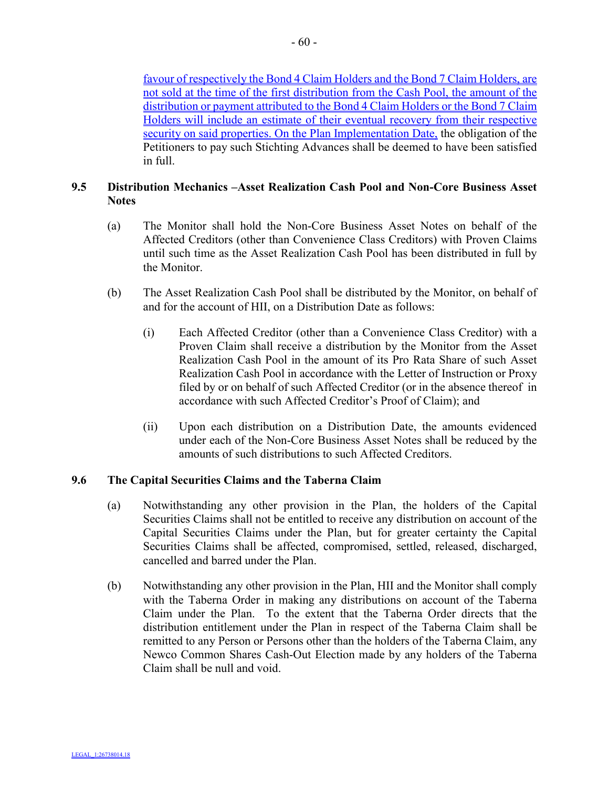favour of respectively the Bond 4 Claim Holders and the Bond 7 Claim Holders, are not sold at the time of the first distribution from the Cash Pool, the amount of the distribution or payment attributed to the Bond 4 Claim Holders or the Bond 7 Claim Holders will include an estimate of their eventual recovery from their respective security on said properties. On the Plan Implementation Date, the obligation of the Petitioners to pay such Stichting Advances shall be deemed to have been satisfied in full.

# **9.5 Distribution Mechanics –Asset Realization Cash Pool and Non-Core Business Asset Notes**

- (a) The Monitor shall hold the Non-Core Business Asset Notes on behalf of the Affected Creditors (other than Convenience Class Creditors) with Proven Claims until such time as the Asset Realization Cash Pool has been distributed in full by the Monitor.
- (b) The Asset Realization Cash Pool shall be distributed by the Monitor, on behalf of and for the account of HII, on a Distribution Date as follows:
	- (i) Each Affected Creditor (other than a Convenience Class Creditor) with a Proven Claim shall receive a distribution by the Monitor from the Asset Realization Cash Pool in the amount of its Pro Rata Share of such Asset Realization Cash Pool in accordance with the Letter of Instruction or Proxy filed by or on behalf of such Affected Creditor (or in the absence thereof in accordance with such Affected Creditor's Proof of Claim); and
	- (ii) Upon each distribution on a Distribution Date, the amounts evidenced under each of the Non-Core Business Asset Notes shall be reduced by the amounts of such distributions to such Affected Creditors.

## **9.6 The Capital Securities Claims and the Taberna Claim**

- (a) Notwithstanding any other provision in the Plan, the holders of the Capital Securities Claims shall not be entitled to receive any distribution on account of the Capital Securities Claims under the Plan, but for greater certainty the Capital Securities Claims shall be affected, compromised, settled, released, discharged, cancelled and barred under the Plan.
- (b) Notwithstanding any other provision in the Plan, HII and the Monitor shall comply with the Taberna Order in making any distributions on account of the Taberna Claim under the Plan. To the extent that the Taberna Order directs that the distribution entitlement under the Plan in respect of the Taberna Claim shall be remitted to any Person or Persons other than the holders of the Taberna Claim, any Newco Common Shares Cash-Out Election made by any holders of the Taberna Claim shall be null and void.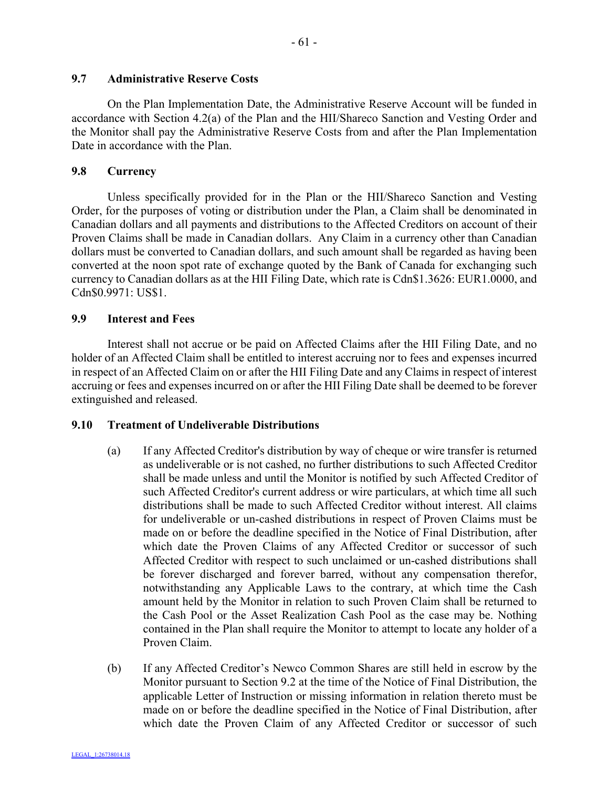#### **9.7 Administrative Reserve Costs**

On the Plan Implementation Date, the Administrative Reserve Account will be funded in accordance with Section 4.2(a) of the Plan and the HII/Shareco Sanction and Vesting Order and the Monitor shall pay the Administrative Reserve Costs from and after the Plan Implementation Date in accordance with the Plan.

#### **9.8 Currency**

Unless specifically provided for in the Plan or the HII/Shareco Sanction and Vesting Order, for the purposes of voting or distribution under the Plan, a Claim shall be denominated in Canadian dollars and all payments and distributions to the Affected Creditors on account of their Proven Claims shall be made in Canadian dollars. Any Claim in a currency other than Canadian dollars must be converted to Canadian dollars, and such amount shall be regarded as having been converted at the noon spot rate of exchange quoted by the Bank of Canada for exchanging such currency to Canadian dollars as at the HII Filing Date, which rate is Cdn\$1.3626: EUR1.0000, and Cdn\$0.9971: US\$1.

#### **9.9 Interest and Fees**

Interest shall not accrue or be paid on Affected Claims after the HII Filing Date, and no holder of an Affected Claim shall be entitled to interest accruing nor to fees and expenses incurred in respect of an Affected Claim on or after the HII Filing Date and any Claims in respect of interest accruing or fees and expenses incurred on or after the HII Filing Date shall be deemed to be forever extinguished and released.

#### **9.10 Treatment of Undeliverable Distributions**

- (a) If any Affected Creditor's distribution by way of cheque or wire transfer is returned as undeliverable or is not cashed, no further distributions to such Affected Creditor shall be made unless and until the Monitor is notified by such Affected Creditor of such Affected Creditor's current address or wire particulars, at which time all such distributions shall be made to such Affected Creditor without interest. All claims for undeliverable or un-cashed distributions in respect of Proven Claims must be made on or before the deadline specified in the Notice of Final Distribution, after which date the Proven Claims of any Affected Creditor or successor of such Affected Creditor with respect to such unclaimed or un-cashed distributions shall be forever discharged and forever barred, without any compensation therefor, notwithstanding any Applicable Laws to the contrary, at which time the Cash amount held by the Monitor in relation to such Proven Claim shall be returned to the Cash Pool or the Asset Realization Cash Pool as the case may be. Nothing contained in the Plan shall require the Monitor to attempt to locate any holder of a Proven Claim.
- (b) If any Affected Creditor's Newco Common Shares are still held in escrow by the Monitor pursuant to Section 9.2 at the time of the Notice of Final Distribution, the applicable Letter of Instruction or missing information in relation thereto must be made on or before the deadline specified in the Notice of Final Distribution, after which date the Proven Claim of any Affected Creditor or successor of such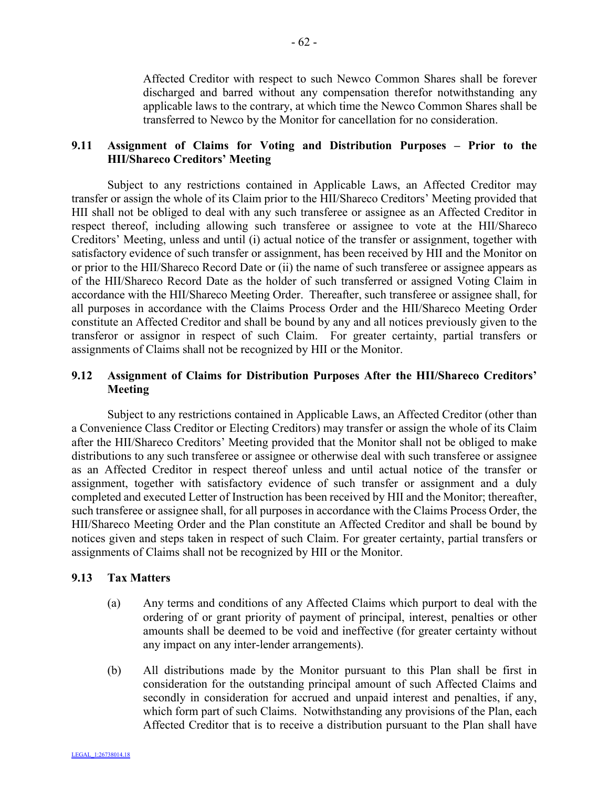Affected Creditor with respect to such Newco Common Shares shall be forever discharged and barred without any compensation therefor notwithstanding any applicable laws to the contrary, at which time the Newco Common Shares shall be transferred to Newco by the Monitor for cancellation for no consideration.

# **9.11 Assignment of Claims for Voting and Distribution Purposes – Prior to the HII/Shareco Creditors' Meeting**

Subject to any restrictions contained in Applicable Laws, an Affected Creditor may transfer or assign the whole of its Claim prior to the HII/Shareco Creditors' Meeting provided that HII shall not be obliged to deal with any such transferee or assignee as an Affected Creditor in respect thereof, including allowing such transferee or assignee to vote at the HII/Shareco Creditors' Meeting, unless and until (i) actual notice of the transfer or assignment, together with satisfactory evidence of such transfer or assignment, has been received by HII and the Monitor on or prior to the HII/Shareco Record Date or (ii) the name of such transferee or assignee appears as of the HII/Shareco Record Date as the holder of such transferred or assigned Voting Claim in accordance with the HII/Shareco Meeting Order. Thereafter, such transferee or assignee shall, for all purposes in accordance with the Claims Process Order and the HII/Shareco Meeting Order constitute an Affected Creditor and shall be bound by any and all notices previously given to the transferor or assignor in respect of such Claim. For greater certainty, partial transfers or assignments of Claims shall not be recognized by HII or the Monitor.

# **9.12 Assignment of Claims for Distribution Purposes After the HII/Shareco Creditors' Meeting**

Subject to any restrictions contained in Applicable Laws, an Affected Creditor (other than a Convenience Class Creditor or Electing Creditors) may transfer or assign the whole of its Claim after the HII/Shareco Creditors' Meeting provided that the Monitor shall not be obliged to make distributions to any such transferee or assignee or otherwise deal with such transferee or assignee as an Affected Creditor in respect thereof unless and until actual notice of the transfer or assignment, together with satisfactory evidence of such transfer or assignment and a duly completed and executed Letter of Instruction has been received by HII and the Monitor; thereafter, such transferee or assignee shall, for all purposes in accordance with the Claims Process Order, the HII/Shareco Meeting Order and the Plan constitute an Affected Creditor and shall be bound by notices given and steps taken in respect of such Claim. For greater certainty, partial transfers or assignments of Claims shall not be recognized by HII or the Monitor.

## **9.13 Tax Matters**

- (a) Any terms and conditions of any Affected Claims which purport to deal with the ordering of or grant priority of payment of principal, interest, penalties or other amounts shall be deemed to be void and ineffective (for greater certainty without any impact on any inter-lender arrangements).
- (b) All distributions made by the Monitor pursuant to this Plan shall be first in consideration for the outstanding principal amount of such Affected Claims and secondly in consideration for accrued and unpaid interest and penalties, if any, which form part of such Claims. Notwithstanding any provisions of the Plan, each Affected Creditor that is to receive a distribution pursuant to the Plan shall have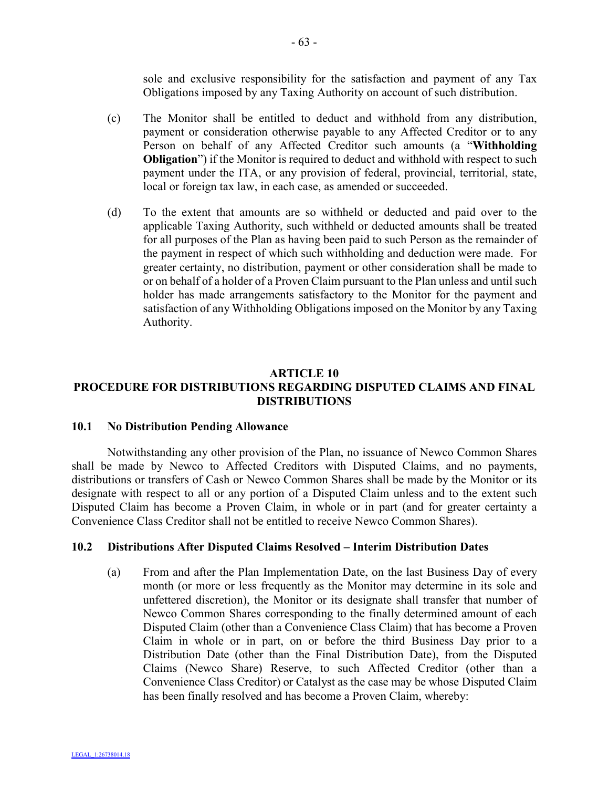sole and exclusive responsibility for the satisfaction and payment of any Tax Obligations imposed by any Taxing Authority on account of such distribution.

- (c) The Monitor shall be entitled to deduct and withhold from any distribution, payment or consideration otherwise payable to any Affected Creditor or to any Person on behalf of any Affected Creditor such amounts (a "**Withholding Obligation**") if the Monitor is required to deduct and withhold with respect to such payment under the ITA, or any provision of federal, provincial, territorial, state, local or foreign tax law, in each case, as amended or succeeded.
- (d) To the extent that amounts are so withheld or deducted and paid over to the applicable Taxing Authority, such withheld or deducted amounts shall be treated for all purposes of the Plan as having been paid to such Person as the remainder of the payment in respect of which such withholding and deduction were made. For greater certainty, no distribution, payment or other consideration shall be made to or on behalf of a holder of a Proven Claim pursuant to the Plan unless and until such holder has made arrangements satisfactory to the Monitor for the payment and satisfaction of any Withholding Obligations imposed on the Monitor by any Taxing Authority.

# **ARTICLE 10 PROCEDURE FOR DISTRIBUTIONS REGARDING DISPUTED CLAIMS AND FINAL DISTRIBUTIONS**

# **10.1 No Distribution Pending Allowance**

Notwithstanding any other provision of the Plan, no issuance of Newco Common Shares shall be made by Newco to Affected Creditors with Disputed Claims, and no payments, distributions or transfers of Cash or Newco Common Shares shall be made by the Monitor or its designate with respect to all or any portion of a Disputed Claim unless and to the extent such Disputed Claim has become a Proven Claim, in whole or in part (and for greater certainty a Convenience Class Creditor shall not be entitled to receive Newco Common Shares).

## **10.2 Distributions After Disputed Claims Resolved – Interim Distribution Dates**

(a) From and after the Plan Implementation Date, on the last Business Day of every month (or more or less frequently as the Monitor may determine in its sole and unfettered discretion), the Monitor or its designate shall transfer that number of Newco Common Shares corresponding to the finally determined amount of each Disputed Claim (other than a Convenience Class Claim) that has become a Proven Claim in whole or in part, on or before the third Business Day prior to a Distribution Date (other than the Final Distribution Date), from the Disputed Claims (Newco Share) Reserve, to such Affected Creditor (other than a Convenience Class Creditor) or Catalyst as the case may be whose Disputed Claim has been finally resolved and has become a Proven Claim, whereby: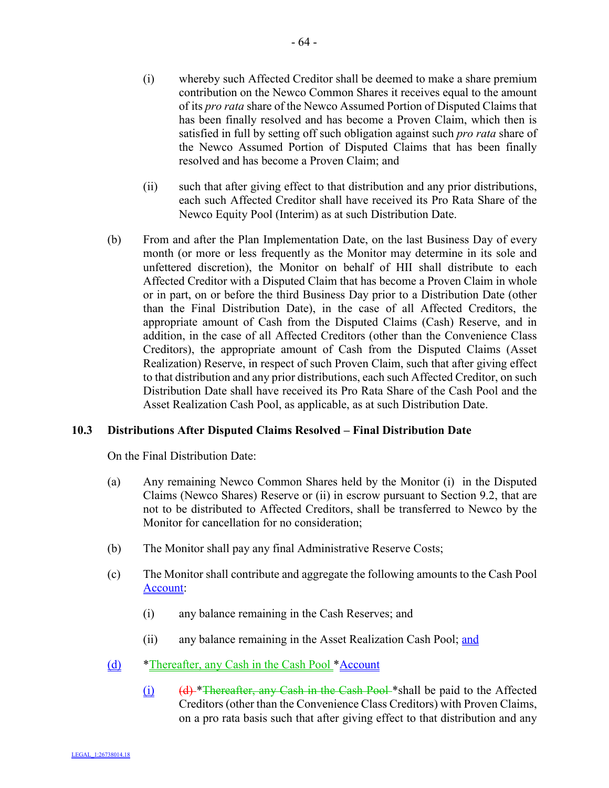- (i) whereby such Affected Creditor shall be deemed to make a share premium contribution on the Newco Common Shares it receives equal to the amount of its *pro rata* share of the Newco Assumed Portion of Disputed Claims that has been finally resolved and has become a Proven Claim, which then is satisfied in full by setting off such obligation against such *pro rata* share of the Newco Assumed Portion of Disputed Claims that has been finally resolved and has become a Proven Claim; and
- (ii) such that after giving effect to that distribution and any prior distributions, each such Affected Creditor shall have received its Pro Rata Share of the Newco Equity Pool (Interim) as at such Distribution Date.
- (b) From and after the Plan Implementation Date, on the last Business Day of every month (or more or less frequently as the Monitor may determine in its sole and unfettered discretion), the Monitor on behalf of HII shall distribute to each Affected Creditor with a Disputed Claim that has become a Proven Claim in whole or in part, on or before the third Business Day prior to a Distribution Date (other than the Final Distribution Date), in the case of all Affected Creditors, the appropriate amount of Cash from the Disputed Claims (Cash) Reserve, and in addition, in the case of all Affected Creditors (other than the Convenience Class Creditors), the appropriate amount of Cash from the Disputed Claims (Asset Realization) Reserve, in respect of such Proven Claim, such that after giving effect to that distribution and any prior distributions, each such Affected Creditor, on such Distribution Date shall have received its Pro Rata Share of the Cash Pool and the Asset Realization Cash Pool, as applicable, as at such Distribution Date.

## **10.3 Distributions After Disputed Claims Resolved – Final Distribution Date**

On the Final Distribution Date:

- (a) Any remaining Newco Common Shares held by the Monitor (i) in the Disputed Claims (Newco Shares) Reserve or (ii) in escrow pursuant to Section 9.2, that are not to be distributed to Affected Creditors, shall be transferred to Newco by the Monitor for cancellation for no consideration;
- (b) The Monitor shall pay any final Administrative Reserve Costs;
- (c) The Monitor shall contribute and aggregate the following amounts to the Cash Pool Account:
	- (i) any balance remaining in the Cash Reserves; and
	- (ii) any balance remaining in the Asset Realization Cash Pool; and
- (d) \*Thereafter, any Cash in the Cash Pool \*Account
	- (i)  $(d)$  \*Thereafter, any Cash in the Cash Pool \*shall be paid to the Affected Creditors (other than the Convenience Class Creditors) with Proven Claims, on a pro rata basis such that after giving effect to that distribution and any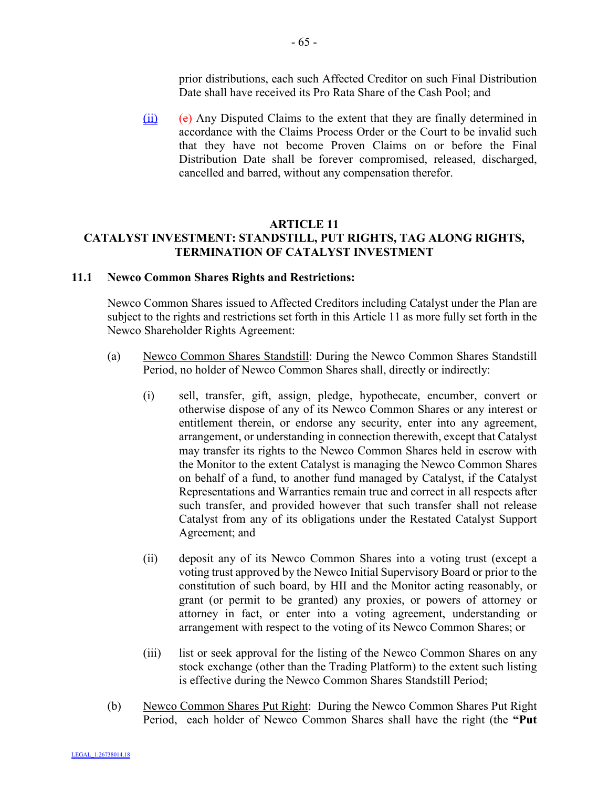prior distributions, each such Affected Creditor on such Final Distribution Date shall have received its Pro Rata Share of the Cash Pool; and

 $(iii)$  (e) Any Disputed Claims to the extent that they are finally determined in accordance with the Claims Process Order or the Court to be invalid such that they have not become Proven Claims on or before the Final Distribution Date shall be forever compromised, released, discharged, cancelled and barred, without any compensation therefor.

## **ARTICLE 11 CATALYST INVESTMENT: STANDSTILL, PUT RIGHTS, TAG ALONG RIGHTS, TERMINATION OF CATALYST INVESTMENT**

#### **11.1 Newco Common Shares Rights and Restrictions:**

Newco Common Shares issued to Affected Creditors including Catalyst under the Plan are subject to the rights and restrictions set forth in this Article 11 as more fully set forth in the Newco Shareholder Rights Agreement:

- (a) Newco Common Shares Standstill: During the Newco Common Shares Standstill Period, no holder of Newco Common Shares shall, directly or indirectly:
	- (i) sell, transfer, gift, assign, pledge, hypothecate, encumber, convert or otherwise dispose of any of its Newco Common Shares or any interest or entitlement therein, or endorse any security, enter into any agreement, arrangement, or understanding in connection therewith, except that Catalyst may transfer its rights to the Newco Common Shares held in escrow with the Monitor to the extent Catalyst is managing the Newco Common Shares on behalf of a fund, to another fund managed by Catalyst, if the Catalyst Representations and Warranties remain true and correct in all respects after such transfer, and provided however that such transfer shall not release Catalyst from any of its obligations under the Restated Catalyst Support Agreement; and
	- (ii) deposit any of its Newco Common Shares into a voting trust (except a voting trust approved by the Newco Initial Supervisory Board or prior to the constitution of such board, by HII and the Monitor acting reasonably, or grant (or permit to be granted) any proxies, or powers of attorney or attorney in fact, or enter into a voting agreement, understanding or arrangement with respect to the voting of its Newco Common Shares; or
	- (iii) list or seek approval for the listing of the Newco Common Shares on any stock exchange (other than the Trading Platform) to the extent such listing is effective during the Newco Common Shares Standstill Period;
- (b) Newco Common Shares Put Right: During the Newco Common Shares Put Right Period, each holder of Newco Common Shares shall have the right (the **"Put**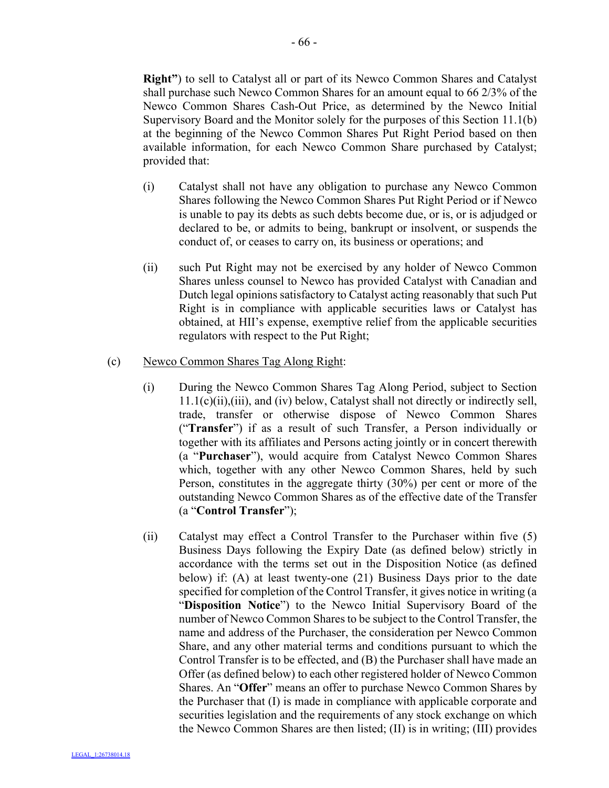**Right"**) to sell to Catalyst all or part of its Newco Common Shares and Catalyst shall purchase such Newco Common Shares for an amount equal to 66 2/3% of the Newco Common Shares Cash-Out Price, as determined by the Newco Initial Supervisory Board and the Monitor solely for the purposes of this Section 11.1(b) at the beginning of the Newco Common Shares Put Right Period based on then available information, for each Newco Common Share purchased by Catalyst; provided that:

- (i) Catalyst shall not have any obligation to purchase any Newco Common Shares following the Newco Common Shares Put Right Period or if Newco is unable to pay its debts as such debts become due, or is, or is adjudged or declared to be, or admits to being, bankrupt or insolvent, or suspends the conduct of, or ceases to carry on, its business or operations; and
- (ii) such Put Right may not be exercised by any holder of Newco Common Shares unless counsel to Newco has provided Catalyst with Canadian and Dutch legal opinions satisfactory to Catalyst acting reasonably that such Put Right is in compliance with applicable securities laws or Catalyst has obtained, at HII's expense, exemptive relief from the applicable securities regulators with respect to the Put Right;

## (c) Newco Common Shares Tag Along Right:

- (i) During the Newco Common Shares Tag Along Period, subject to Section 11.1(c)(ii),(iii), and (iv) below, Catalyst shall not directly or indirectly sell, trade, transfer or otherwise dispose of Newco Common Shares ("**Transfer**") if as a result of such Transfer, a Person individually or together with its affiliates and Persons acting jointly or in concert therewith (a "**Purchaser**"), would acquire from Catalyst Newco Common Shares which, together with any other Newco Common Shares, held by such Person, constitutes in the aggregate thirty (30%) per cent or more of the outstanding Newco Common Shares as of the effective date of the Transfer (a "**Control Transfer**");
- (ii) Catalyst may effect a Control Transfer to the Purchaser within five (5) Business Days following the Expiry Date (as defined below) strictly in accordance with the terms set out in the Disposition Notice (as defined below) if: (A) at least twenty-one (21) Business Days prior to the date specified for completion of the Control Transfer, it gives notice in writing (a "**Disposition Notice**") to the Newco Initial Supervisory Board of the number of Newco Common Shares to be subject to the Control Transfer, the name and address of the Purchaser, the consideration per Newco Common Share, and any other material terms and conditions pursuant to which the Control Transfer is to be effected, and (B) the Purchaser shall have made an Offer (as defined below) to each other registered holder of Newco Common Shares. An "**Offer**" means an offer to purchase Newco Common Shares by the Purchaser that (I) is made in compliance with applicable corporate and securities legislation and the requirements of any stock exchange on which the Newco Common Shares are then listed; (II) is in writing; (III) provides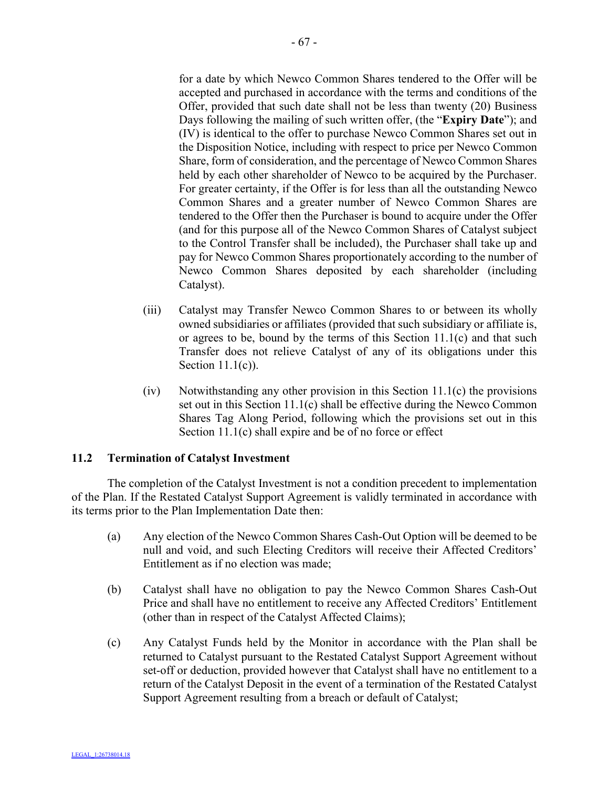for a date by which Newco Common Shares tendered to the Offer will be accepted and purchased in accordance with the terms and conditions of the Offer, provided that such date shall not be less than twenty (20) Business Days following the mailing of such written offer, (the "**Expiry Date**"); and (IV) is identical to the offer to purchase Newco Common Shares set out in the Disposition Notice, including with respect to price per Newco Common Share, form of consideration, and the percentage of Newco Common Shares held by each other shareholder of Newco to be acquired by the Purchaser. For greater certainty, if the Offer is for less than all the outstanding Newco Common Shares and a greater number of Newco Common Shares are tendered to the Offer then the Purchaser is bound to acquire under the Offer (and for this purpose all of the Newco Common Shares of Catalyst subject to the Control Transfer shall be included), the Purchaser shall take up and pay for Newco Common Shares proportionately according to the number of Newco Common Shares deposited by each shareholder (including Catalyst).

- (iii) Catalyst may Transfer Newco Common Shares to or between its wholly owned subsidiaries or affiliates (provided that such subsidiary or affiliate is, or agrees to be, bound by the terms of this Section  $11.1(c)$  and that such Transfer does not relieve Catalyst of any of its obligations under this Section 11.1(c)).
- (iv) Notwithstanding any other provision in this Section 11.1(c) the provisions set out in this Section 11.1(c) shall be effective during the Newco Common Shares Tag Along Period, following which the provisions set out in this Section 11.1(c) shall expire and be of no force or effect

## **11.2 Termination of Catalyst Investment**

The completion of the Catalyst Investment is not a condition precedent to implementation of the Plan. If the Restated Catalyst Support Agreement is validly terminated in accordance with its terms prior to the Plan Implementation Date then:

- (a) Any election of the Newco Common Shares Cash-Out Option will be deemed to be null and void, and such Electing Creditors will receive their Affected Creditors' Entitlement as if no election was made;
- (b) Catalyst shall have no obligation to pay the Newco Common Shares Cash-Out Price and shall have no entitlement to receive any Affected Creditors' Entitlement (other than in respect of the Catalyst Affected Claims);
- (c) Any Catalyst Funds held by the Monitor in accordance with the Plan shall be returned to Catalyst pursuant to the Restated Catalyst Support Agreement without set-off or deduction, provided however that Catalyst shall have no entitlement to a return of the Catalyst Deposit in the event of a termination of the Restated Catalyst Support Agreement resulting from a breach or default of Catalyst;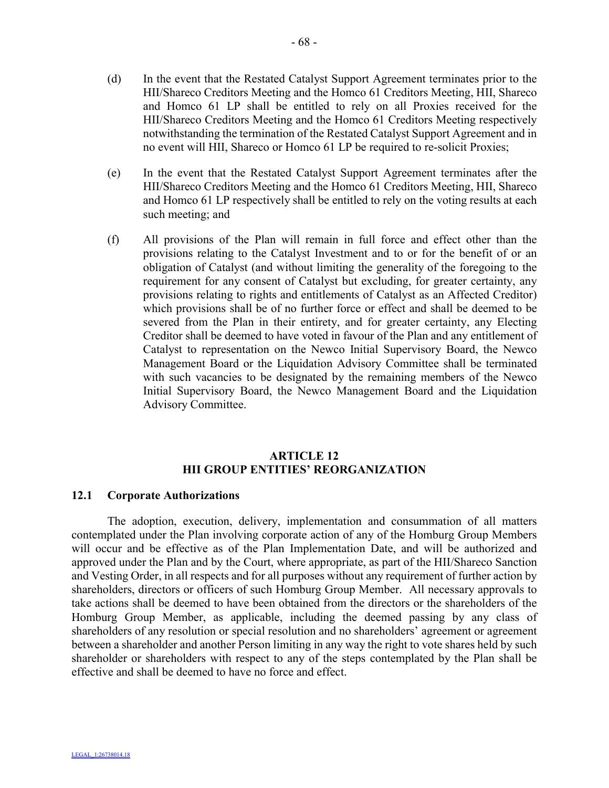- (d) In the event that the Restated Catalyst Support Agreement terminates prior to the HII/Shareco Creditors Meeting and the Homco 61 Creditors Meeting, HII, Shareco and Homco 61 LP shall be entitled to rely on all Proxies received for the HII/Shareco Creditors Meeting and the Homco 61 Creditors Meeting respectively notwithstanding the termination of the Restated Catalyst Support Agreement and in no event will HII, Shareco or Homco 61 LP be required to re-solicit Proxies;
- (e) In the event that the Restated Catalyst Support Agreement terminates after the HII/Shareco Creditors Meeting and the Homco 61 Creditors Meeting, HII, Shareco and Homco 61 LP respectively shall be entitled to rely on the voting results at each such meeting; and
- (f) All provisions of the Plan will remain in full force and effect other than the provisions relating to the Catalyst Investment and to or for the benefit of or an obligation of Catalyst (and without limiting the generality of the foregoing to the requirement for any consent of Catalyst but excluding, for greater certainty, any provisions relating to rights and entitlements of Catalyst as an Affected Creditor) which provisions shall be of no further force or effect and shall be deemed to be severed from the Plan in their entirety, and for greater certainty, any Electing Creditor shall be deemed to have voted in favour of the Plan and any entitlement of Catalyst to representation on the Newco Initial Supervisory Board, the Newco Management Board or the Liquidation Advisory Committee shall be terminated with such vacancies to be designated by the remaining members of the Newco Initial Supervisory Board, the Newco Management Board and the Liquidation Advisory Committee.

# **ARTICLE 12 HII GROUP ENTITIES' REORGANIZATION**

#### **12.1 Corporate Authorizations**

The adoption, execution, delivery, implementation and consummation of all matters contemplated under the Plan involving corporate action of any of the Homburg Group Members will occur and be effective as of the Plan Implementation Date, and will be authorized and approved under the Plan and by the Court, where appropriate, as part of the HII/Shareco Sanction and Vesting Order, in all respects and for all purposes without any requirement of further action by shareholders, directors or officers of such Homburg Group Member. All necessary approvals to take actions shall be deemed to have been obtained from the directors or the shareholders of the Homburg Group Member, as applicable, including the deemed passing by any class of shareholders of any resolution or special resolution and no shareholders' agreement or agreement between a shareholder and another Person limiting in any way the right to vote shares held by such shareholder or shareholders with respect to any of the steps contemplated by the Plan shall be effective and shall be deemed to have no force and effect.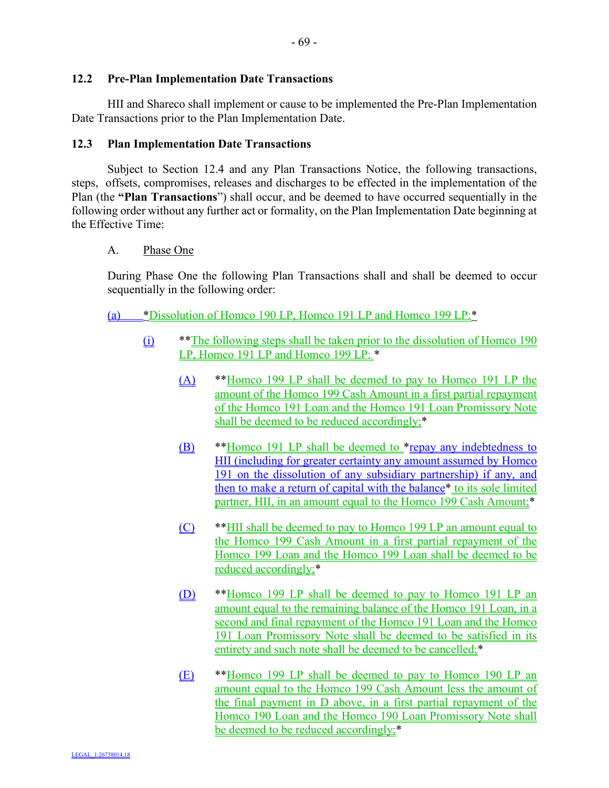#### **12.2 Pre-Plan Implementation Date Transactions**

HII and Shareco shall implement or cause to be implemented the Pre-Plan Implementation Date Transactions prior to the Plan Implementation Date.

### **12.3 Plan Implementation Date Transactions**

Subject to Section 12.4 and any Plan Transactions Notice, the following transactions, steps, offsets, compromises, releases and discharges to be effected in the implementation of the Plan (the **"Plan Transactions**") shall occur, and be deemed to have occurred sequentially in the following order without any further act or formality, on the Plan Implementation Date beginning at the Effective Time:

### A. Phase One

During Phase One the following Plan Transactions shall and shall be deemed to occur sequentially in the following order:

(a) \*Dissolution of Homco 190 LP, Homco 191 LP and Homco 199 LP:\*

- (i) \*\*The following steps shall be taken prior to the dissolution of Homco 190 LP, Homco 191 LP and Homco 199 LP: \*
	- (A) \*\*Homco 199 LP shall be deemed to pay to Homco 191 LP the amount of the Homco 199 Cash Amount in a first partial repayment of the Homco 191 Loan and the Homco 191 Loan Promissory Note shall be deemed to be reduced accordingly;\*
	- (B) \*\*Homco 191 LP shall be deemed to \*repay any indebtedness to HII (including for greater certainty any amount assumed by Homco 191 on the dissolution of any subsidiary partnership) if any, and then to make a return of capital with the balance\* to its sole limited partner, HII, in an amount equal to the Homco 199 Cash Amount:<sup>\*</sup>
	- (C) \*\*HII shall be deemed to pay to Homco 199 LP an amount equal to the Homco 199 Cash Amount in a first partial repayment of the Homco 199 Loan and the Homco 199 Loan shall be deemed to be reduced accordingly;\*
	- (D) \*\*Homco 199 LP shall be deemed to pay to Homco 191 LP an amount equal to the remaining balance of the Homco 191 Loan, in a second and final repayment of the Homco 191 Loan and the Homco 191 Loan Promissory Note shall be deemed to be satisfied in its entirety and such note shall be deemed to be cancelled;\*
	- (E) \*\*Homco 199 LP shall be deemed to pay to Homco 190 LP an amount equal to the Homco 199 Cash Amount less the amount of the final payment in D above, in a first partial repayment of the Homco 190 Loan and the Homco 190 Loan Promissory Note shall be deemed to be reduced accordingly;\*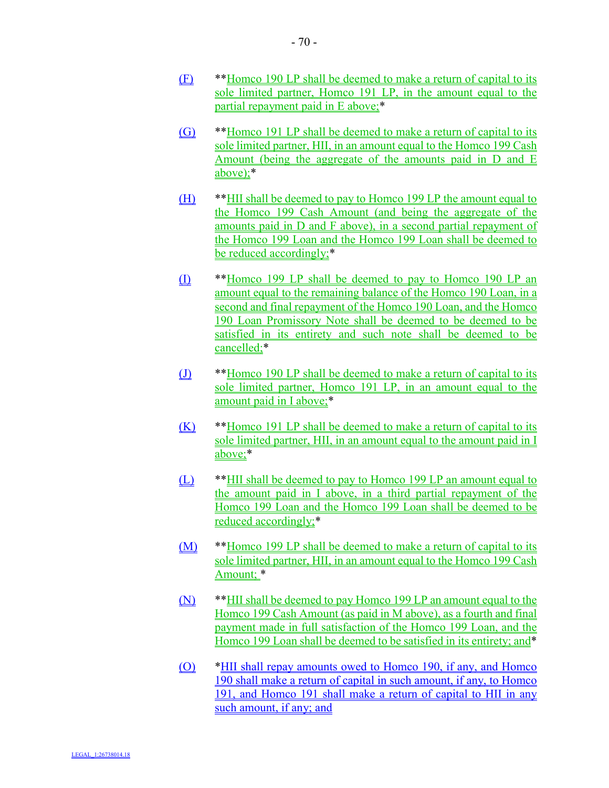- (F) \*\*Homco 190 LP shall be deemed to make a return of capital to its sole limited partner, Homco 191 LP, in the amount equal to the partial repayment paid in E above;\*
- (G) \*\*Homco 191 LP shall be deemed to make a return of capital to its sole limited partner, HII, in an amount equal to the Homco 199 Cash Amount (being the aggregate of the amounts paid in D and E above);\*
- (H) \*\*HII shall be deemed to pay to Homco 199 LP the amount equal to the Homco 199 Cash Amount (and being the aggregate of the amounts paid in D and F above), in a second partial repayment of the Homco 199 Loan and the Homco 199 Loan shall be deemed to be reduced accordingly;\*
- (I) \*\*Homco 199 LP shall be deemed to pay to Homco 190 LP an amount equal to the remaining balance of the Homco 190 Loan, in a second and final repayment of the Homco 190 Loan, and the Homco 190 Loan Promissory Note shall be deemed to be deemed to be satisfied in its entirety and such note shall be deemed to be cancelled;\*
- (J) \*\*Homco 190 LP shall be deemed to make a return of capital to its sole limited partner, Homco 191 LP, in an amount equal to the amount paid in I above;\*
- (K) \*\*Homco 191 LP shall be deemed to make a return of capital to its sole limited partner. HII, in an amount equal to the amount paid in I above;\*
- (L) \*\*HII shall be deemed to pay to Homco 199 LP an amount equal to the amount paid in I above, in a third partial repayment of the Homco 199 Loan and the Homco 199 Loan shall be deemed to be reduced accordingly;\*
- (M) \*\*Homco 199 LP shall be deemed to make a return of capital to its sole limited partner, HII, in an amount equal to the Homco 199 Cash Amount; \*
- (N) \*\*HII shall be deemed to pay Homco 199 LP an amount equal to the Homco 199 Cash Amount (as paid in M above), as a fourth and final payment made in full satisfaction of the Homco 199 Loan, and the Homco 199 Loan shall be deemed to be satisfied in its entirety; and\*
- (O) \*HII shall repay amounts owed to Homco 190, if any, and Homco 190 shall make a return of capital in such amount, if any, to Homco 191, and Homco 191 shall make a return of capital to HII in any such amount, if any; and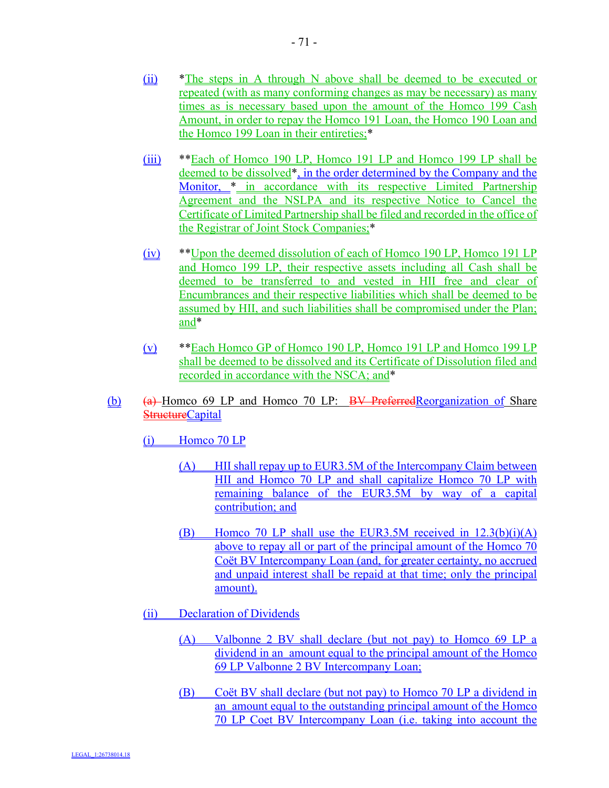- (ii) \*The steps in A through N above shall be deemed to be executed or repeated (with as many conforming changes as may be necessary) as many times as is necessary based upon the amount of the Homco 199 Cash Amount, in order to repay the Homco 191 Loan, the Homco 190 Loan and the Homco 199 Loan in their entireties;\*
- (iii) \*\*Each of Homco 190 LP, Homco 191 LP and Homco 199 LP shall be deemed to be dissolved\*, in the order determined by the Company and the Monitor, \* in accordance with its respective Limited Partnership Agreement and the NSLPA and its respective Notice to Cancel the Certificate of Limited Partnership shall be filed and recorded in the office of the Registrar of Joint Stock Companies;\*
- (iv) \*\*Upon the deemed dissolution of each of Homco 190 LP, Homco 191 LP and Homco 199 LP, their respective assets including all Cash shall be deemed to be transferred to and vested in HII free and clear of Encumbrances and their respective liabilities which shall be deemed to be assumed by HII, and such liabilities shall be compromised under the Plan; and\*
- (v) \*\*Each Homco GP of Homco 190 LP, Homco 191 LP and Homco 199 LP shall be deemed to be dissolved and its Certificate of Dissolution filed and recorded in accordance with the NSCA; and\*
- (b) (a) Homco 69 LP and Homco 70 LP: BV PreferredReorganization of Share **StructureCapital** 
	- (i) Homco 70 LP
		- (A) HII shall repay up to EUR3.5M of the Intercompany Claim between HII and Homco 70 LP and shall capitalize Homco 70 LP with remaining balance of the EUR3.5M by way of a capital contribution; and
		- (B) Homco 70 LP shall use the EUR3.5M received in 12.3(b)(i)(A) above to repay all or part of the principal amount of the Homco 70 Coët BV Intercompany Loan (and, for greater certainty, no accrued and unpaid interest shall be repaid at that time; only the principal amount).
	- (ii) Declaration of Dividends
		- (A) Valbonne 2 BV shall declare (but not pay) to Homco 69 LP a dividend in an amount equal to the principal amount of the Homco 69 LP Valbonne 2 BV Intercompany Loan;
		- (B) Coët BV shall declare (but not pay) to Homco 70 LP a dividend in an amount equal to the outstanding principal amount of the Homco 70 LP Coet BV Intercompany Loan (i.e. taking into account the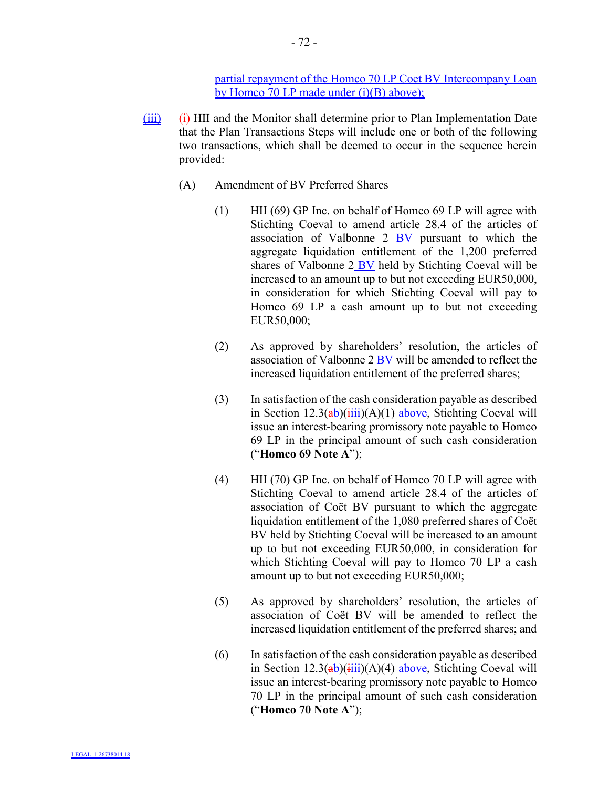partial repayment of the Homco 70 LP Coet BV Intercompany Loan by Homco 70 LP made under (i)(B) above);

- $(iii)$   $(i)$   $(i)$  HII and the Monitor shall determine prior to Plan Implementation Date that the Plan Transactions Steps will include one or both of the following two transactions, which shall be deemed to occur in the sequence herein provided:
	- (A) Amendment of BV Preferred Shares
		- (1) HII (69) GP Inc. on behalf of Homco 69 LP will agree with Stichting Coeval to amend article 28.4 of the articles of association of Valbonne 2 BV pursuant to which the aggregate liquidation entitlement of the 1,200 preferred shares of Valbonne 2 BV held by Stichting Coeval will be increased to an amount up to but not exceeding EUR50,000, in consideration for which Stichting Coeval will pay to Homco 69 LP a cash amount up to but not exceeding EUR50,000;
		- (2) As approved by shareholders' resolution, the articles of association of Valbonne 2 BV will be amended to reflect the increased liquidation entitlement of the preferred shares;
		- (3) In satisfaction of the cash consideration payable as described in Section  $12.3(a b)(iii)(A)(1)$  above, Stichting Coeval will issue an interest-bearing promissory note payable to Homco 69 LP in the principal amount of such cash consideration ("**Homco 69 Note A**");
		- (4) HII (70) GP Inc. on behalf of Homco 70 LP will agree with Stichting Coeval to amend article 28.4 of the articles of association of Coët BV pursuant to which the aggregate liquidation entitlement of the 1,080 preferred shares of Coët BV held by Stichting Coeval will be increased to an amount up to but not exceeding EUR50,000, in consideration for which Stichting Coeval will pay to Homco 70 LP a cash amount up to but not exceeding EUR50,000;
		- (5) As approved by shareholders' resolution, the articles of association of Coët BV will be amended to reflect the increased liquidation entitlement of the preferred shares; and
		- (6) In satisfaction of the cash consideration payable as described in Section  $12.3$ (ab)(iiii)(A)(4) above, Stichting Coeval will issue an interest-bearing promissory note payable to Homco 70 LP in the principal amount of such cash consideration ("**Homco 70 Note A**");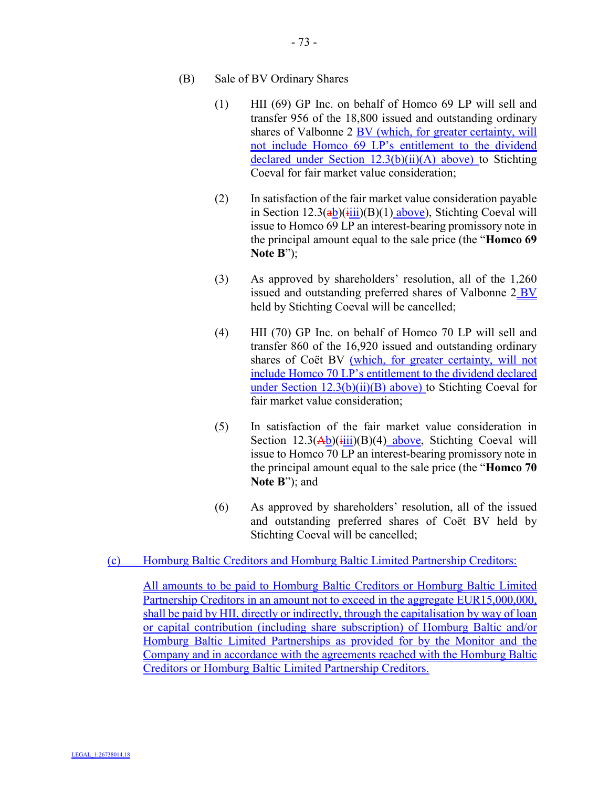## (B) Sale of BV Ordinary Shares

- (1) HII (69) GP Inc. on behalf of Homco 69 LP will sell and transfer 956 of the 18,800 issued and outstanding ordinary shares of Valbonne 2 BV (which, for greater certainty, will not include Homco 69 LP's entitlement to the dividend declared under Section 12.3(b)(ii)(A) above) to Stichting Coeval for fair market value consideration;
- (2) In satisfaction of the fair market value consideration payable in Section  $12.3(a)$  $\frac{(iii)}{(B)}$  $(1)$  above), Stichting Coeval will issue to Homco 69 LP an interest-bearing promissory note in the principal amount equal to the sale price (the "**Homco 69 Note B**");
- (3) As approved by shareholders' resolution, all of the 1,260 issued and outstanding preferred shares of Valbonne 2 BV held by Stichting Coeval will be cancelled;
- (4) HII (70) GP Inc. on behalf of Homco 70 LP will sell and transfer 860 of the 16,920 issued and outstanding ordinary shares of Coët BV (which, for greater certainty, will not include Homco 70 LP's entitlement to the dividend declared under Section 12.3(b)(ii)(B) above) to Stichting Coeval for fair market value consideration;
- (5) In satisfaction of the fair market value consideration in Section  $12.3(\overrightarrow{Ab})(\overrightarrow{fill})(B)(4)$  above, Stichting Coeval will issue to Homco 70 LP an interest-bearing promissory note in the principal amount equal to the sale price (the "**Homco 70 Note B**"); and
- (6) As approved by shareholders' resolution, all of the issued and outstanding preferred shares of Coët BV held by Stichting Coeval will be cancelled;

## (c) Homburg Baltic Creditors and Homburg Baltic Limited Partnership Creditors:

All amounts to be paid to Homburg Baltic Creditors or Homburg Baltic Limited Partnership Creditors in an amount not to exceed in the aggregate EUR15,000,000, shall be paid by HII, directly or indirectly, through the capitalisation by way of loan or capital contribution (including share subscription) of Homburg Baltic and/or Homburg Baltic Limited Partnerships as provided for by the Monitor and the Company and in accordance with the agreements reached with the Homburg Baltic Creditors or Homburg Baltic Limited Partnership Creditors.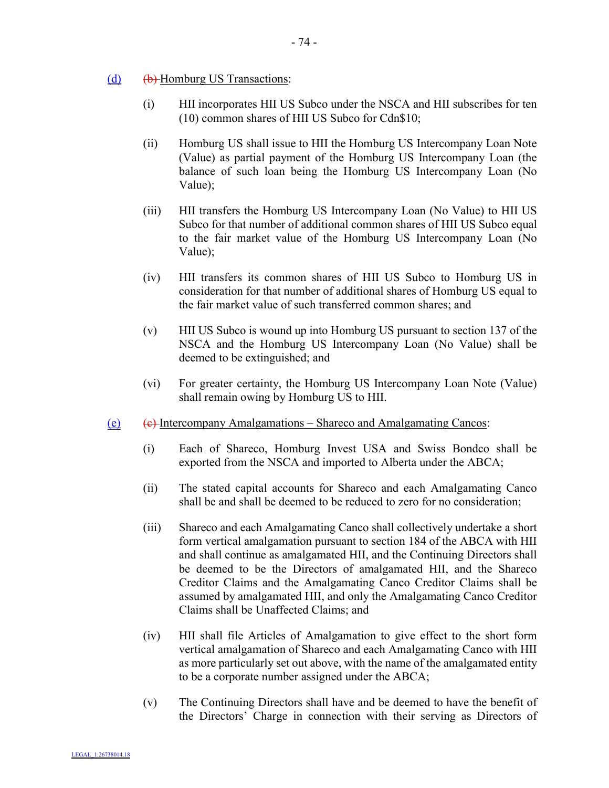- $(d)$   $(b)$  Homburg US Transactions:
	- (i) HII incorporates HII US Subco under the NSCA and HII subscribes for ten (10) common shares of HII US Subco for Cdn\$10;
	- (ii) Homburg US shall issue to HII the Homburg US Intercompany Loan Note (Value) as partial payment of the Homburg US Intercompany Loan (the balance of such loan being the Homburg US Intercompany Loan (No Value);
	- (iii) HII transfers the Homburg US Intercompany Loan (No Value) to HII US Subco for that number of additional common shares of HII US Subco equal to the fair market value of the Homburg US Intercompany Loan (No Value);
	- (iv) HII transfers its common shares of HII US Subco to Homburg US in consideration for that number of additional shares of Homburg US equal to the fair market value of such transferred common shares; and
	- (v) HII US Subco is wound up into Homburg US pursuant to section 137 of the NSCA and the Homburg US Intercompany Loan (No Value) shall be deemed to be extinguished; and
	- (vi) For greater certainty, the Homburg US Intercompany Loan Note (Value) shall remain owing by Homburg US to HII.
- (e)  $(e)$  (e) Intercompany Amalgamations Shareco and Amalgamating Cancos:
	- (i) Each of Shareco, Homburg Invest USA and Swiss Bondco shall be exported from the NSCA and imported to Alberta under the ABCA;
	- (ii) The stated capital accounts for Shareco and each Amalgamating Canco shall be and shall be deemed to be reduced to zero for no consideration;
	- (iii) Shareco and each Amalgamating Canco shall collectively undertake a short form vertical amalgamation pursuant to section 184 of the ABCA with HII and shall continue as amalgamated HII, and the Continuing Directors shall be deemed to be the Directors of amalgamated HII, and the Shareco Creditor Claims and the Amalgamating Canco Creditor Claims shall be assumed by amalgamated HII, and only the Amalgamating Canco Creditor Claims shall be Unaffected Claims; and
	- (iv) HII shall file Articles of Amalgamation to give effect to the short form vertical amalgamation of Shareco and each Amalgamating Canco with HII as more particularly set out above, with the name of the amalgamated entity to be a corporate number assigned under the ABCA;
	- (v) The Continuing Directors shall have and be deemed to have the benefit of the Directors' Charge in connection with their serving as Directors of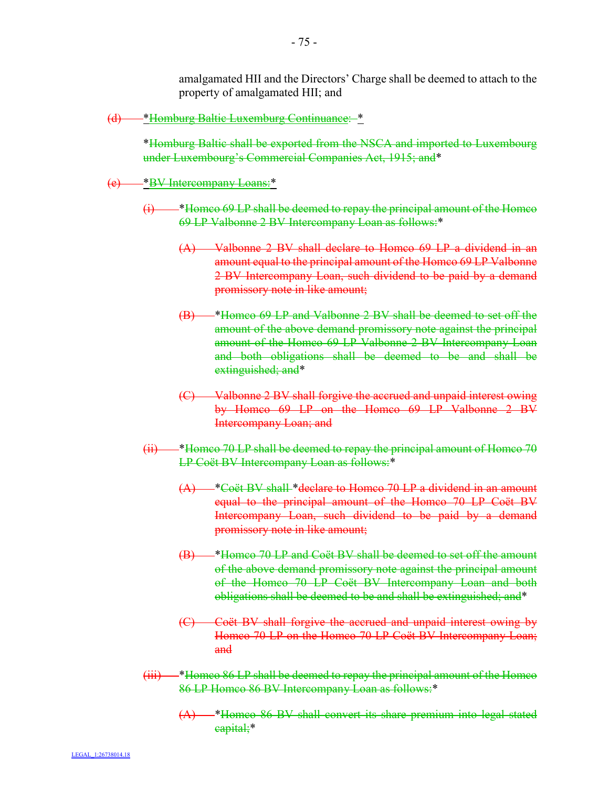amalgamated HII and the Directors' Charge shall be deemed to attach to the property of amalgamated HII; and

(d) \*Homburg Baltic Luxemburg Continuance: \*

\*Homburg Baltic shall be exported from the NSCA and imported to Luxembourg under Luxembourg's Commercial Companies Act, 1915; and\*

(e) <sup>\*</sup>BV Intercompany Loans:\*

- $(i)$  \*Homco 69 LP shall be deemed to repay the principal amount of the Homco 69 LP Valbonne 2 BV Intercompany Loan as follows:\*
	- (A) Valbonne 2 BV shall declare to Homco 69 LP a dividend in an amount equal to the principal amount of the Homco 69 LP Valbonne 2 BV Intercompany Loan, such dividend to be paid by a demand promissory note in like amount;
	- (B) \*Homco 69 LP and Valbonne 2 BV shall be deemed to set off the amount of the above demand promissory note against the principal amount of the Homco 69 LP Valbonne 2 BV Intercompany Loan and both obligations shall be deemed to be and shall be extinguished; and<sup>\*</sup>
	- (C) Valbonne 2 BV shall forgive the accrued and unpaid interest owing by Homco 69 LP on the Homco 69 LP Valbonne 2 BV Intercompany Loan; and
- $(i)$   $*$  Homco 70 LP shall be deemed to repay the principal amount of Homco 70 LP Coët BV Intercompany Loan as follows:\*
	- <sup>\*</sup>Coët BV shall \*declare to Homco 70 LP a dividend in an amount equal to the principal amount of the Homco 70 LP Coët BV Intercompany Loan, such dividend to be paid by a demand promissory note in like amount;
	- (B) \*Homco 70 LP and Coët BV shall be deemed to set off the amount of the above demand promissory note against the principal amount of the Homco 70 LP Coët BV Intercompany Loan and both obligations shall be deemed to be and shall be extinguished; and\*
	- (C) Coët BV shall forgive the accrued and unpaid interest owing by Homco 70 LP on the Homco 70 LP Coët BV Intercompany Loan; and
- (iii) \*Homco 86 LP shall be deemed to repay the principal amount of the Homco 86 LP Homco 86 BV Intercompany Loan as follows:\*
	- (A) \*Homco 86 BV shall convert its share premium into legal stated capital;\*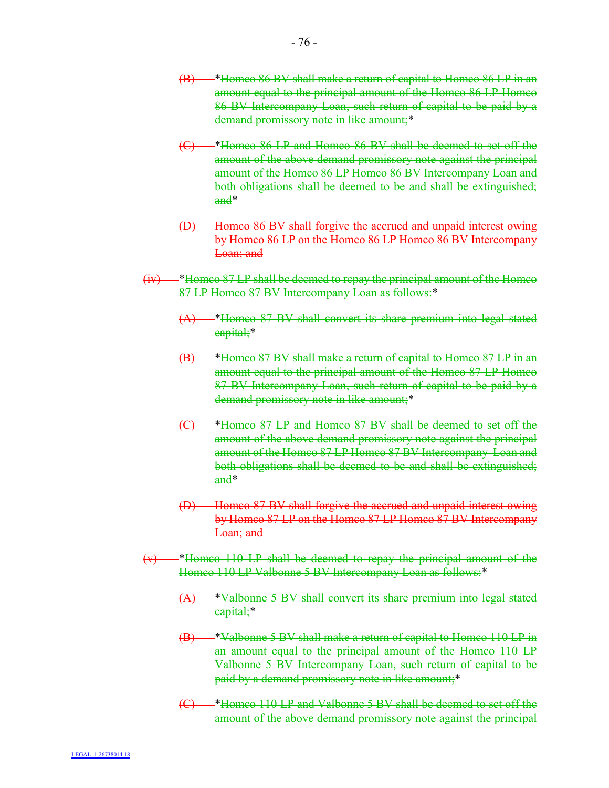- (B) \*Homco 86 BV shall make a return of capital to Homco 86 LP in an amount equal to the principal amount of the Homco 86 LP Homco 86 BV Intercompany Loan, such return of capital to be paid by a demand promissory note in like amount;\*
- (C) \*Homco 86 LP and Homco 86 BV shall be deemed to set off the amount of the above demand promissory note against the principal amount of the Homco 86 LP Homco 86 BV Intercompany Loan and both obligations shall be deemed to be and shall be extinguished; and\*
- (D) Homco 86 BV shall forgive the accrued and unpaid interest owing by Homco 86 LP on the Homco 86 LP Homco 86 BV Intercompany Loan; and
- (iv) \*Homco 87 LP shall be deemed to repay the principal amount of the Homco 87 LP Homco 87 BV Intercompany Loan as follows:\*
	- (A) \*Homco 87 BV shall convert its share premium into legal stated capital;\*
	- (B) \*Homco 87 BV shall make a return of capital to Homco 87 LP in an amount equal to the principal amount of the Homco 87 LP Homco 87 BV Intercompany Loan, such return of capital to be paid by a demand promissory note in like amount;\*
	- (C) \*Homco 87 LP and Homco 87 BV shall be deemed to set off the amount of the above demand promissory note against the principal amount of the Homco 87 LP Homco 87 BV Intercompany Loan and both obligations shall be deemed to be and shall be extinguished; and\*
	- (D) Homco 87 BV shall forgive the accrued and unpaid interest owing by Homco 87 LP on the Homco 87 LP Homco 87 BV Intercompany Loan; and
- $(v)$  \*Homco 110 LP shall be deemed to repay the principal amount of the Homco 110 LP Valbonne 5 BV Intercompany Loan as follows:\*
	- (A) \*Valbonne 5 BV shall convert its share premium into legal stated capital;\*
	- (B) \*Valbonne 5 BV shall make a return of capital to Homco 110 LP in an amount equal to the principal amount of the Homco 110 LP Valbonne 5 BV Intercompany Loan, such return of capital to be paid by a demand promissory note in like amount;\*
	- (C) \*Homco 110 LP and Valbonne 5 BV shall be deemed to set off the amount of the above demand promissory note against the principal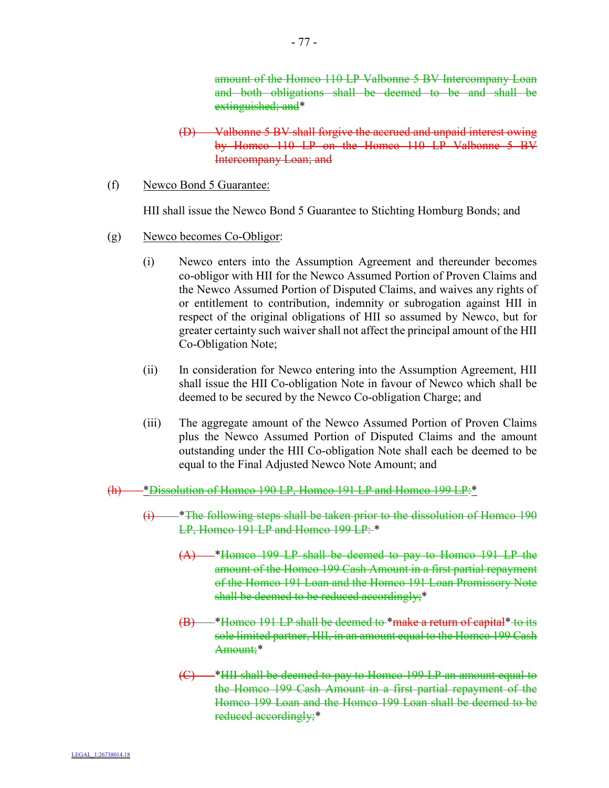amount of the Homco 110 LP Valbonne 5 BV Intercompany Loan and both obligations shall be deemed to be and shall be extinguished; and\*

- (D) Valbonne 5 BV shall forgive the accrued and unpaid interest owing by Homco 110 LP on the Homco 110 LP Valbonne 5 BV Intercompany Loan; and
- (f) Newco Bond 5 Guarantee:

HII shall issue the Newco Bond 5 Guarantee to Stichting Homburg Bonds; and

- (g) Newco becomes Co-Obligor:
	- (i) Newco enters into the Assumption Agreement and thereunder becomes co-obligor with HII for the Newco Assumed Portion of Proven Claims and the Newco Assumed Portion of Disputed Claims, and waives any rights of or entitlement to contribution, indemnity or subrogation against HII in respect of the original obligations of HII so assumed by Newco, but for greater certainty such waiver shall not affect the principal amount of the HII Co-Obligation Note;
	- (ii) In consideration for Newco entering into the Assumption Agreement, HII shall issue the HII Co-obligation Note in favour of Newco which shall be deemed to be secured by the Newco Co-obligation Charge; and
	- (iii) The aggregate amount of the Newco Assumed Portion of Proven Claims plus the Newco Assumed Portion of Disputed Claims and the amount outstanding under the HII Co-obligation Note shall each be deemed to be equal to the Final Adjusted Newco Note Amount; and
- (h) \*Dissolution of Homco 190 LP, Homco 191 LP and Homco 199 LP:\*
	- $(i)$  \*The following steps shall be taken prior to the dissolution of Homeo 190 LP, Homco 191 LP and Homco 199 LP: \*
		- (A) \*Homco 199 LP shall be deemed to pay to Homco 191 LP the amount of the Homco 199 Cash Amount in a first partial repayment of the Homco 191 Loan and the Homco 191 Loan Promissory Note shall be deemed to be reduced accordingly;\*
		- (B) \*Homco 191 LP shall be deemed to \*make a return of capital\* to its sole limited partner, HII, in an amount equal to the Homco 199 Cash Amount;\*
		- (C) \*HII shall be deemed to pay to Homco 199 LP an amount equal to the Homco 199 Cash Amount in a first partial repayment of the Homco 199 Loan and the Homco 199 Loan shall be deemed to be reduced accordingly;\*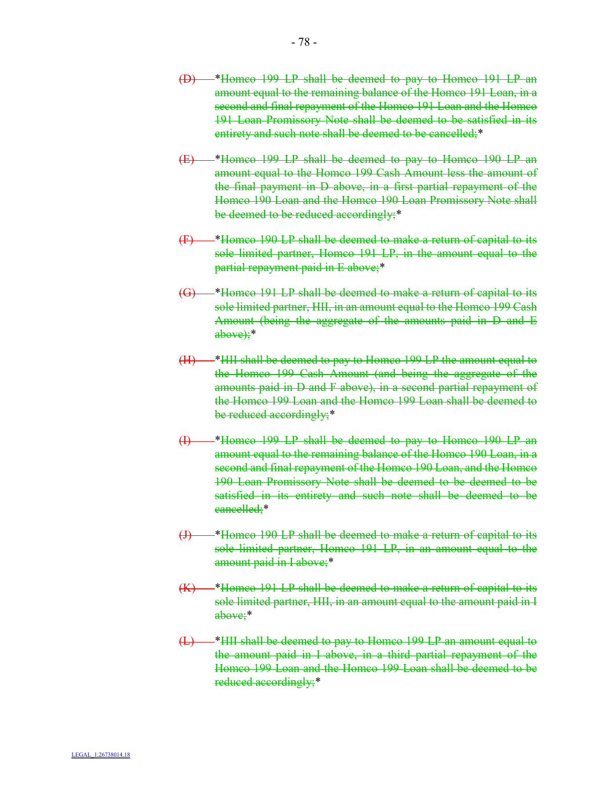- (D) \*Homco 199 LP shall be deemed to pay to Homco 191 LP an amount equal to the remaining balance of the Homco 191 Loan, in a second and final repayment of the Homco 191 Loan and the Homco 191 Loan Promissory Note shall be deemed to be satisfied in its entirety and such note shall be deemed to be cancelled;\*
- (E) \*Homco 199 LP shall be deemed to pay to Homco 190 LP an amount equal to the Homco 199 Cash Amount less the amount of the final payment in D above, in a first partial repayment of the Homco 190 Loan and the Homco 190 Loan Promissory Note shall be deemed to be reduced accordingly;\*
- (F) \*Homco 190 LP shall be deemed to make a return of capital to its sole limited partner, Homco 191 LP, in the amount equal to the partial repayment paid in E above;\*
- (G) \*Homco 191 LP shall be deemed to make a return of capital to its sole limited partner, HII, in an amount equal to the Homco 199 Cash Amount (being the aggregate of the amounts paid in D and E  $above$ ;\*
- (H) \*HII shall be deemed to pay to Homco 199 LP the amount equal to the Homco 199 Cash Amount (and being the aggregate of the amounts paid in D and F above), in a second partial repayment of the Homco 199 Loan and the Homco 199 Loan shall be deemed to be reduced accordingly;\*
- (I) \*Homco 199 LP shall be deemed to pay to Homco 190 LP an amount equal to the remaining balance of the Homco 190 Loan, in a second and final repayment of the Homco 190 Loan, and the Homco 190 Loan Promissory Note shall be deemed to be deemed to be satisfied in its entirety and such note shall be deemed to be cancelled;\*
- (J) \*Homco 190 LP shall be deemed to make a return of capital to its sole limited partner, Homco 191 LP, in an amount equal to the amount paid in I above;\*
- (K) \*Homco 191 LP shall be deemed to make a return of capital to its sole limited partner, HII, in an amount equal to the amount paid in I above;\*
- (L) \*HII shall be deemed to pay to Homco 199 LP an amount equal to the amount paid in I above, in a third partial repayment of the Homco 199 Loan and the Homco 199 Loan shall be deemed to be reduced accordingly;\*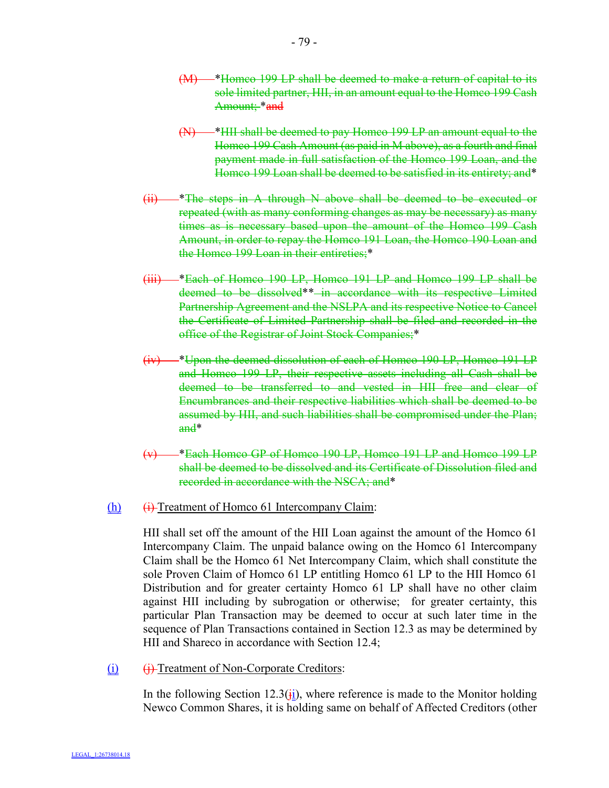- (M) \*Homco 199 LP shall be deemed to make a return of capital to its sole limited partner, HII, in an amount equal to the Homco 199 Cash Amount; \*and
- (N) \*HII shall be deemed to pay Homco 199 LP an amount equal to the Homco 199 Cash Amount (as paid in M above), as a fourth and final payment made in full satisfaction of the Homco 199 Loan, and the Homco 199 Loan shall be deemed to be satisfied in its entirety; and\*
- (ii) \*The steps in A through N above shall be deemed to be executed or repeated (with as many conforming changes as may be necessary) as many times as is necessary based upon the amount of the Homco 199 Cash Amount, in order to repay the Homco 191 Loan, the Homco 190 Loan and the Homco 199 Loan in their entireties;\*
- (iii) \*Each of Homco 190 LP, Homco 191 LP and Homco 199 LP shall be deemed to be dissolved\*\* in accordance with its respective Limited Partnership Agreement and the NSLPA and its respective Notice to Cancel the Certificate of Limited Partnership shall be filed and recorded in the office of the Registrar of Joint Stock Companies;\*
- (iv) \*Upon the deemed dissolution of each of Homco 190 LP, Homco 191 LP and Homco 199 LP, their respective assets including all Cash shall be deemed to be transferred to and vested in HII free and clear of Encumbrances and their respective liabilities which shall be deemed to be assumed by HII, and such liabilities shall be compromised under the Plan; and\*
- (v) \*Each Homco GP of Homco 190 LP, Homco 191 LP and Homco 199 LP shall be deemed to be dissolved and its Certificate of Dissolution filed and recorded in accordance with the NSCA; and\*

#### $(h)$  (i) Treatment of Homco 61 Intercompany Claim:

HII shall set off the amount of the HII Loan against the amount of the Homco 61 Intercompany Claim. The unpaid balance owing on the Homco 61 Intercompany Claim shall be the Homco 61 Net Intercompany Claim, which shall constitute the sole Proven Claim of Homco 61 LP entitling Homco 61 LP to the HII Homco 61 Distribution and for greater certainty Homco 61 LP shall have no other claim against HII including by subrogation or otherwise; for greater certainty, this particular Plan Transaction may be deemed to occur at such later time in the sequence of Plan Transactions contained in Section 12.3 as may be determined by HII and Shareco in accordance with Section 12.4;

(i) (i) Treatment of Non-Corporate Creditors:

In the following Section 12.3( $\overline{\textbf{i}}$ ), where reference is made to the Monitor holding Newco Common Shares, it is holding same on behalf of Affected Creditors (other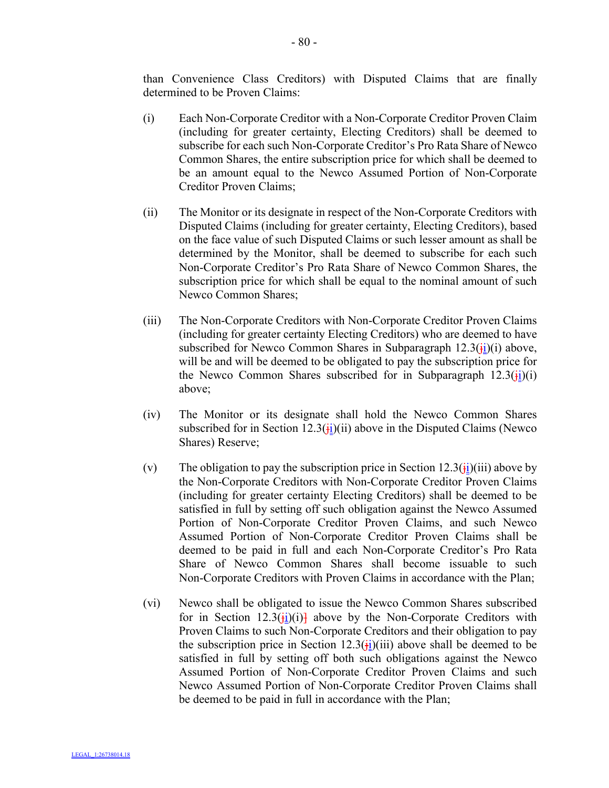than Convenience Class Creditors) with Disputed Claims that are finally determined to be Proven Claims:

- (i) Each Non-Corporate Creditor with a Non-Corporate Creditor Proven Claim (including for greater certainty, Electing Creditors) shall be deemed to subscribe for each such Non-Corporate Creditor's Pro Rata Share of Newco Common Shares, the entire subscription price for which shall be deemed to be an amount equal to the Newco Assumed Portion of Non-Corporate Creditor Proven Claims;
- (ii) The Monitor or its designate in respect of the Non-Corporate Creditors with Disputed Claims (including for greater certainty, Electing Creditors), based on the face value of such Disputed Claims or such lesser amount as shall be determined by the Monitor, shall be deemed to subscribe for each such Non-Corporate Creditor's Pro Rata Share of Newco Common Shares, the subscription price for which shall be equal to the nominal amount of such Newco Common Shares;
- (iii) The Non-Corporate Creditors with Non-Corporate Creditor Proven Claims (including for greater certainty Electing Creditors) who are deemed to have subscribed for Newco Common Shares in Subparagraph  $12.3(\frac{1}{11})(i)$  above, will be and will be deemed to be obligated to pay the subscription price for the Newco Common Shares subscribed for in Subparagraph  $12.3(\frac{1}{11})(i)$ above;
- (iv) The Monitor or its designate shall hold the Newco Common Shares subscribed for in Section  $12.3(\frac{1}{11})(i)$  above in the Disputed Claims (Newco Shares) Reserve;
- (v) The obligation to pay the subscription price in Section  $12.3(i)$  (iii) above by the Non-Corporate Creditors with Non-Corporate Creditor Proven Claims (including for greater certainty Electing Creditors) shall be deemed to be satisfied in full by setting off such obligation against the Newco Assumed Portion of Non-Corporate Creditor Proven Claims, and such Newco Assumed Portion of Non-Corporate Creditor Proven Claims shall be deemed to be paid in full and each Non-Corporate Creditor's Pro Rata Share of Newco Common Shares shall become issuable to such Non-Corporate Creditors with Proven Claims in accordance with the Plan;
- (vi) Newco shall be obligated to issue the Newco Common Shares subscribed for in Section 12.3( $\frac{1}{2}$ )(i)<sup>1</sup> above by the Non-Corporate Creditors with Proven Claims to such Non-Corporate Creditors and their obligation to pay the subscription price in Section 12.3( $\frac{1}{12}$ )(iii) above shall be deemed to be satisfied in full by setting off both such obligations against the Newco Assumed Portion of Non-Corporate Creditor Proven Claims and such Newco Assumed Portion of Non-Corporate Creditor Proven Claims shall be deemed to be paid in full in accordance with the Plan;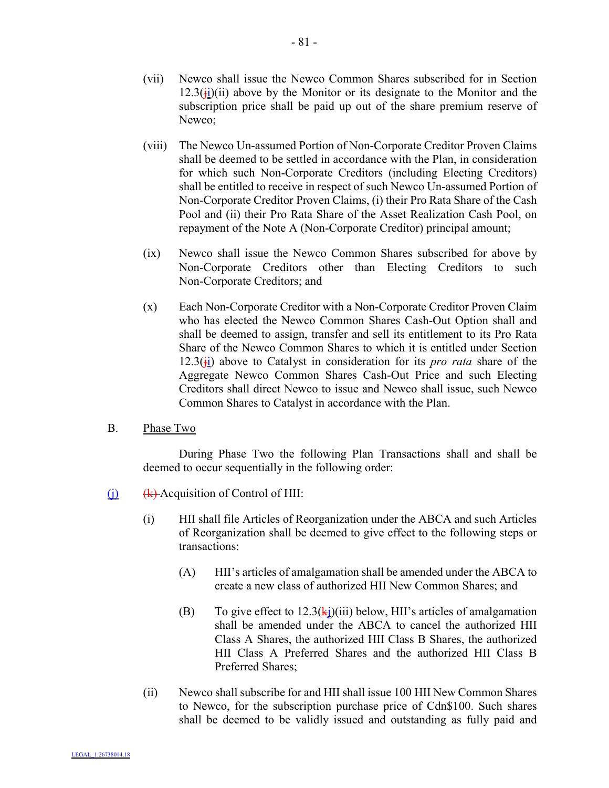- (vii) Newco shall issue the Newco Common Shares subscribed for in Section  $12.3(\frac{1}{11})(ii)$  above by the Monitor or its designate to the Monitor and the subscription price shall be paid up out of the share premium reserve of Newco;
- (viii) The Newco Un-assumed Portion of Non-Corporate Creditor Proven Claims shall be deemed to be settled in accordance with the Plan, in consideration for which such Non-Corporate Creditors (including Electing Creditors) shall be entitled to receive in respect of such Newco Un-assumed Portion of Non-Corporate Creditor Proven Claims, (i) their Pro Rata Share of the Cash Pool and (ii) their Pro Rata Share of the Asset Realization Cash Pool, on repayment of the Note A (Non-Corporate Creditor) principal amount;
- (ix) Newco shall issue the Newco Common Shares subscribed for above by Non-Corporate Creditors other than Electing Creditors to such Non-Corporate Creditors; and
- (x) Each Non-Corporate Creditor with a Non-Corporate Creditor Proven Claim who has elected the Newco Common Shares Cash-Out Option shall and shall be deemed to assign, transfer and sell its entitlement to its Pro Rata Share of the Newco Common Shares to which it is entitled under Section  $12.3(\frac{1}{11})$  above to Catalyst in consideration for its *pro rata* share of the Aggregate Newco Common Shares Cash-Out Price and such Electing Creditors shall direct Newco to issue and Newco shall issue, such Newco Common Shares to Catalyst in accordance with the Plan.
- B. Phase Two

During Phase Two the following Plan Transactions shall and shall be deemed to occur sequentially in the following order:

- $(i)$  (k) Acquisition of Control of HII:
	- (i) HII shall file Articles of Reorganization under the ABCA and such Articles of Reorganization shall be deemed to give effect to the following steps or transactions:
		- (A) HII's articles of amalgamation shall be amended under the ABCA to create a new class of authorized HII New Common Shares; and
		- (B) To give effect to  $12.3(k<sub>i</sub>)(iii)$  below, HII's articles of amalgamation shall be amended under the ABCA to cancel the authorized HII Class A Shares, the authorized HII Class B Shares, the authorized HII Class A Preferred Shares and the authorized HII Class B Preferred Shares;
	- (ii) Newco shall subscribe for and HII shall issue 100 HII New Common Shares to Newco, for the subscription purchase price of Cdn\$100. Such shares shall be deemed to be validly issued and outstanding as fully paid and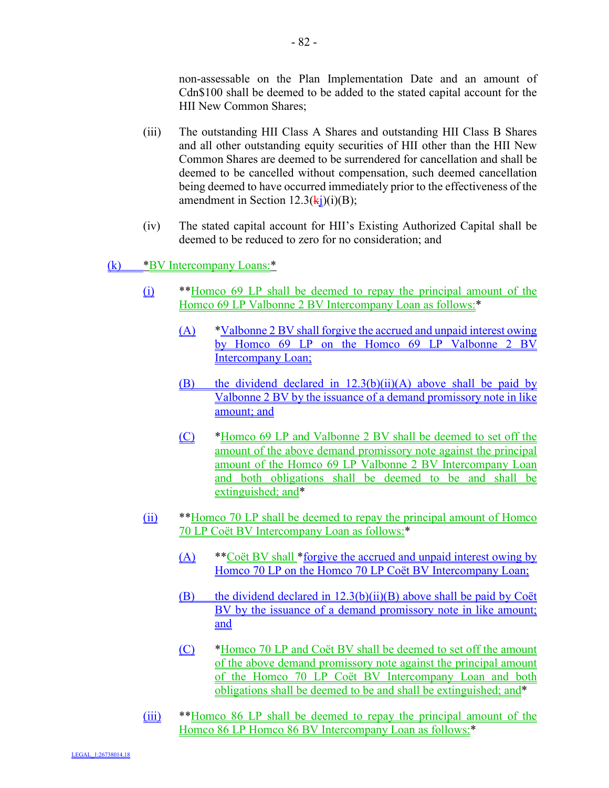non-assessable on the Plan Implementation Date and an amount of Cdn\$100 shall be deemed to be added to the stated capital account for the HII New Common Shares;

- (iii) The outstanding HII Class A Shares and outstanding HII Class B Shares and all other outstanding equity securities of HII other than the HII New Common Shares are deemed to be surrendered for cancellation and shall be deemed to be cancelled without compensation, such deemed cancellation being deemed to have occurred immediately prior to the effectiveness of the amendment in Section  $12.3(ki)(i)(B)$ ;
- (iv) The stated capital account for HII's Existing Authorized Capital shall be deemed to be reduced to zero for no consideration; and

(k) \*BV Intercompany Loans:\*

- (i) \*\*Homco 69 LP shall be deemed to repay the principal amount of the Homco 69 LP Valbonne 2 BV Intercompany Loan as follows:\*
	- (A) \*Valbonne 2 BV shall forgive the accrued and unpaid interest owing by Homco 69 LP on the Homco 69 LP Valbonne 2 BV Intercompany Loan;
	- (B) the dividend declared in 12.3(b)(ii)(A) above shall be paid by Valbonne 2 BV by the issuance of a demand promissory note in like amount; and
	- (C) \*Homco 69 LP and Valbonne 2 BV shall be deemed to set off the amount of the above demand promissory note against the principal amount of the Homco 69 LP Valbonne 2 BV Intercompany Loan and both obligations shall be deemed to be and shall be extinguished; and\*
- (ii) \*\*Homco 70 LP shall be deemed to repay the principal amount of Homco 70 LP Coët BV Intercompany Loan as follows:\*
	- (A) \*\* Coët BV shall \*forgive the accrued and unpaid interest owing by Homco 70 LP on the Homco 70 LP Coët BV Intercompany Loan;
	- (B) the dividend declared in  $12.3(b)(ii)(B)$  above shall be paid by Coët BV by the issuance of a demand promissory note in like amount; and
	- (C) \*Homco 70 LP and Coët BV shall be deemed to set off the amount of the above demand promissory note against the principal amount of the Homco 70 LP Coët BV Intercompany Loan and both obligations shall be deemed to be and shall be extinguished; and\*
- (iii) \*\*Homco 86 LP shall be deemed to repay the principal amount of the Homco 86 LP Homco 86 BV Intercompany Loan as follows:\*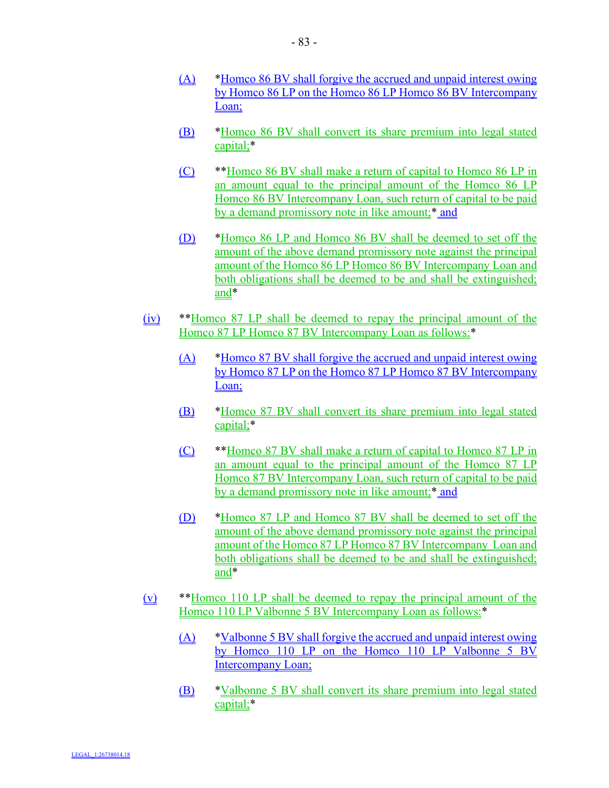- (A) \*Homco 86 BV shall forgive the accrued and unpaid interest owing by Homco 86 LP on the Homco 86 LP Homco 86 BV Intercompany Loan;
- (B) \*Homco 86 BV shall convert its share premium into legal stated capital;\*
- (C) \*\*Homco 86 BV shall make a return of capital to Homco 86 LP in an amount equal to the principal amount of the Homco 86 LP Homco 86 BV Intercompany Loan, such return of capital to be paid by a demand promissory note in like amount;<sup>\*</sup> and
- (D) \*Homco 86 LP and Homco 86 BV shall be deemed to set off the amount of the above demand promissory note against the principal amount of the Homco 86 LP Homco 86 BV Intercompany Loan and both obligations shall be deemed to be and shall be extinguished; and\*
- (iv) \*\*Homco 87 LP shall be deemed to repay the principal amount of the Homco 87 LP Homco 87 BV Intercompany Loan as follows:<sup>\*</sup>
	- (A) \*Homco 87 BV shall forgive the accrued and unpaid interest owing by Homco 87 LP on the Homco 87 LP Homco 87 BV Intercompany Loan;
	- (B) \*Homco 87 BV shall convert its share premium into legal stated capital;\*
	- (C) \*\*Homco 87 BV shall make a return of capital to Homco 87 LP in an amount equal to the principal amount of the Homco 87 LP Homco 87 BV Intercompany Loan, such return of capital to be paid by a demand promissory note in like amount;\* and
	- (D) \*Homco 87 LP and Homco 87 BV shall be deemed to set off the amount of the above demand promissory note against the principal amount of the Homco 87 LP Homco 87 BV Intercompany Loan and both obligations shall be deemed to be and shall be extinguished; and\*
- (v) \*\*Homco 110 LP shall be deemed to repay the principal amount of the Homco 110 LP Valbonne 5 BV Intercompany Loan as follows:\*
	- (A) \*Valbonne 5 BV shall forgive the accrued and unpaid interest owing by Homco 110 LP on the Homco 110 LP Valbonne 5 BV Intercompany Loan;
	- (B) \*Valbonne 5 BV shall convert its share premium into legal stated capital;\*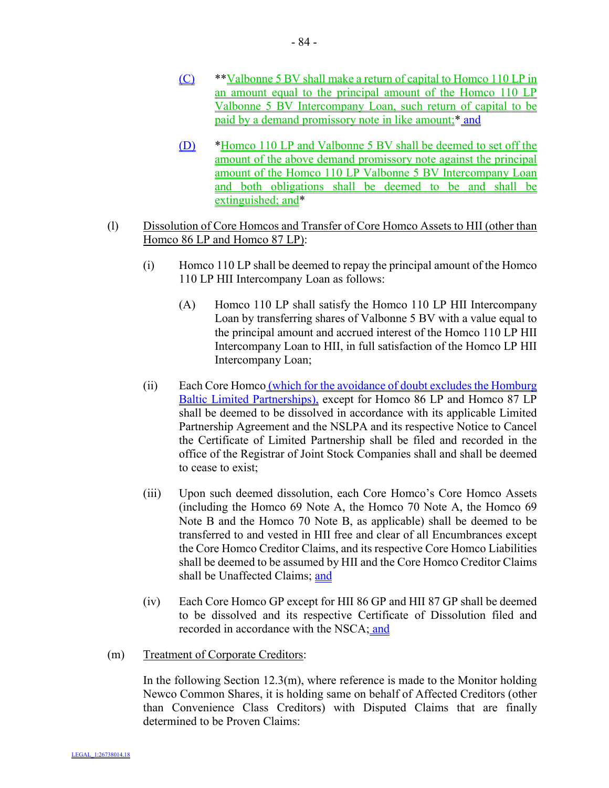- (C) \*\*Valbonne 5 BV shall make a return of capital to Homco 110 LP in an amount equal to the principal amount of the Homco 110 LP Valbonne 5 BV Intercompany Loan, such return of capital to be paid by a demand promissory note in like amount;\* and
- (D) \*Homco 110 LP and Valbonne 5 BV shall be deemed to set off the amount of the above demand promissory note against the principal amount of the Homco 110 LP Valbonne 5 BV Intercompany Loan and both obligations shall be deemed to be and shall be extinguished; and\*
- (l) Dissolution of Core Homcos and Transfer of Core Homco Assets to HII (other than Homco 86 LP and Homco 87 LP):
	- (i) Homco 110 LP shall be deemed to repay the principal amount of the Homco 110 LP HII Intercompany Loan as follows:
		- (A) Homco 110 LP shall satisfy the Homco 110 LP HII Intercompany Loan by transferring shares of Valbonne 5 BV with a value equal to the principal amount and accrued interest of the Homco 110 LP HII Intercompany Loan to HII, in full satisfaction of the Homco LP HII Intercompany Loan;
	- (ii) Each Core Homco (which for the avoidance of doubt excludes the Homburg Baltic Limited Partnerships), except for Homco 86 LP and Homco 87 LP shall be deemed to be dissolved in accordance with its applicable Limited Partnership Agreement and the NSLPA and its respective Notice to Cancel the Certificate of Limited Partnership shall be filed and recorded in the office of the Registrar of Joint Stock Companies shall and shall be deemed to cease to exist;
	- (iii) Upon such deemed dissolution, each Core Homco's Core Homco Assets (including the Homco 69 Note A, the Homco 70 Note A, the Homco 69 Note B and the Homco 70 Note B, as applicable) shall be deemed to be transferred to and vested in HII free and clear of all Encumbrances except the Core Homco Creditor Claims, and its respective Core Homco Liabilities shall be deemed to be assumed by HII and the Core Homco Creditor Claims shall be Unaffected Claims; and
	- (iv) Each Core Homco GP except for HII 86 GP and HII 87 GP shall be deemed to be dissolved and its respective Certificate of Dissolution filed and recorded in accordance with the NSCA; and
- (m) Treatment of Corporate Creditors:

In the following Section  $12.3(m)$ , where reference is made to the Monitor holding Newco Common Shares, it is holding same on behalf of Affected Creditors (other than Convenience Class Creditors) with Disputed Claims that are finally determined to be Proven Claims: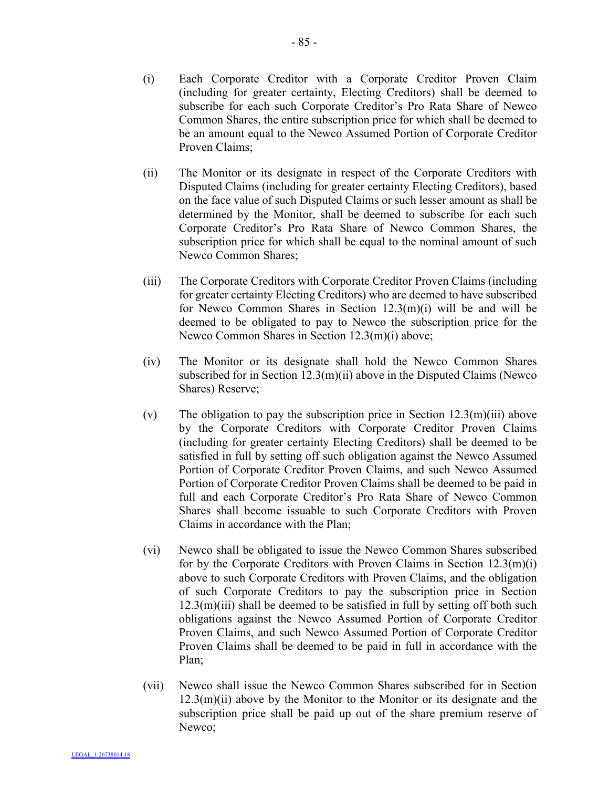- (i) Each Corporate Creditor with a Corporate Creditor Proven Claim (including for greater certainty, Electing Creditors) shall be deemed to subscribe for each such Corporate Creditor's Pro Rata Share of Newco Common Shares, the entire subscription price for which shall be deemed to be an amount equal to the Newco Assumed Portion of Corporate Creditor Proven Claims;
- (ii) The Monitor or its designate in respect of the Corporate Creditors with Disputed Claims (including for greater certainty Electing Creditors), based on the face value of such Disputed Claims or such lesser amount as shall be determined by the Monitor, shall be deemed to subscribe for each such Corporate Creditor's Pro Rata Share of Newco Common Shares, the subscription price for which shall be equal to the nominal amount of such Newco Common Shares;
- (iii) The Corporate Creditors with Corporate Creditor Proven Claims (including for greater certainty Electing Creditors) who are deemed to have subscribed for Newco Common Shares in Section 12.3(m)(i) will be and will be deemed to be obligated to pay to Newco the subscription price for the Newco Common Shares in Section 12.3(m)(i) above;
- (iv) The Monitor or its designate shall hold the Newco Common Shares subscribed for in Section 12.3(m)(ii) above in the Disputed Claims (Newco) Shares) Reserve;
- (v) The obligation to pay the subscription price in Section  $12.3(m)(iii)$  above by the Corporate Creditors with Corporate Creditor Proven Claims (including for greater certainty Electing Creditors) shall be deemed to be satisfied in full by setting off such obligation against the Newco Assumed Portion of Corporate Creditor Proven Claims, and such Newco Assumed Portion of Corporate Creditor Proven Claims shall be deemed to be paid in full and each Corporate Creditor's Pro Rata Share of Newco Common Shares shall become issuable to such Corporate Creditors with Proven Claims in accordance with the Plan;
- (vi) Newco shall be obligated to issue the Newco Common Shares subscribed for by the Corporate Creditors with Proven Claims in Section 12.3(m)(i) above to such Corporate Creditors with Proven Claims, and the obligation of such Corporate Creditors to pay the subscription price in Section  $12.3(m)(iii)$  shall be deemed to be satisfied in full by setting off both such obligations against the Newco Assumed Portion of Corporate Creditor Proven Claims, and such Newco Assumed Portion of Corporate Creditor Proven Claims shall be deemed to be paid in full in accordance with the Plan;
- (vii) Newco shall issue the Newco Common Shares subscribed for in Section  $12.3(m)(ii)$  above by the Monitor to the Monitor or its designate and the subscription price shall be paid up out of the share premium reserve of Newco;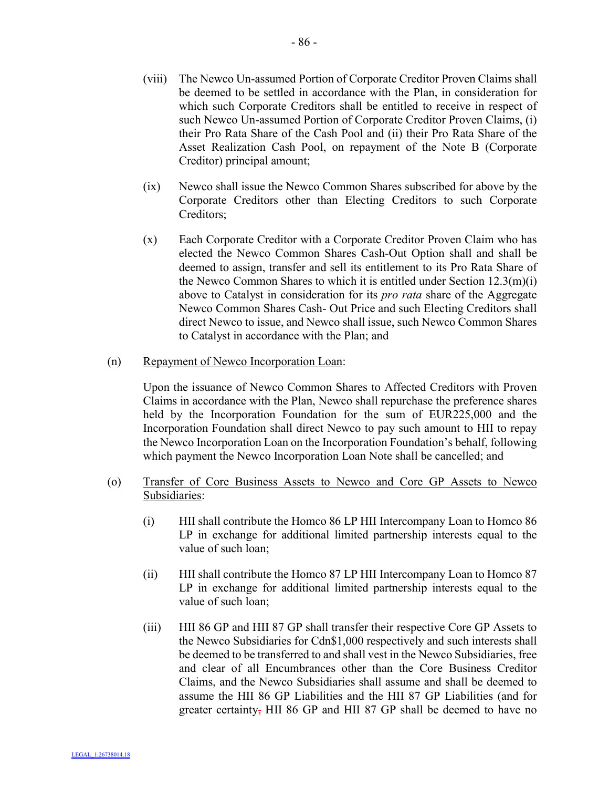- (viii) The Newco Un-assumed Portion of Corporate Creditor Proven Claims shall be deemed to be settled in accordance with the Plan, in consideration for which such Corporate Creditors shall be entitled to receive in respect of such Newco Un-assumed Portion of Corporate Creditor Proven Claims, (i) their Pro Rata Share of the Cash Pool and (ii) their Pro Rata Share of the Asset Realization Cash Pool, on repayment of the Note B (Corporate Creditor) principal amount;
- (ix) Newco shall issue the Newco Common Shares subscribed for above by the Corporate Creditors other than Electing Creditors to such Corporate Creditors;
- (x) Each Corporate Creditor with a Corporate Creditor Proven Claim who has elected the Newco Common Shares Cash-Out Option shall and shall be deemed to assign, transfer and sell its entitlement to its Pro Rata Share of the Newco Common Shares to which it is entitled under Section 12.3(m)(i) above to Catalyst in consideration for its *pro rata* share of the Aggregate Newco Common Shares Cash- Out Price and such Electing Creditors shall direct Newco to issue, and Newco shall issue, such Newco Common Shares to Catalyst in accordance with the Plan; and
- (n) Repayment of Newco Incorporation Loan:

Upon the issuance of Newco Common Shares to Affected Creditors with Proven Claims in accordance with the Plan, Newco shall repurchase the preference shares held by the Incorporation Foundation for the sum of EUR225,000 and the Incorporation Foundation shall direct Newco to pay such amount to HII to repay the Newco Incorporation Loan on the Incorporation Foundation's behalf, following which payment the Newco Incorporation Loan Note shall be cancelled; and

- (o) Transfer of Core Business Assets to Newco and Core GP Assets to Newco Subsidiaries:
	- (i) HII shall contribute the Homco 86 LP HII Intercompany Loan to Homco 86 LP in exchange for additional limited partnership interests equal to the value of such loan;
	- (ii) HII shall contribute the Homco 87 LP HII Intercompany Loan to Homco 87 LP in exchange for additional limited partnership interests equal to the value of such loan;
	- (iii) HII 86 GP and HII 87 GP shall transfer their respective Core GP Assets to the Newco Subsidiaries for Cdn\$1,000 respectively and such interests shall be deemed to be transferred to and shall vest in the Newco Subsidiaries, free and clear of all Encumbrances other than the Core Business Creditor Claims, and the Newco Subsidiaries shall assume and shall be deemed to assume the HII 86 GP Liabilities and the HII 87 GP Liabilities (and for greater certainty, HII 86 GP and HII 87 GP shall be deemed to have no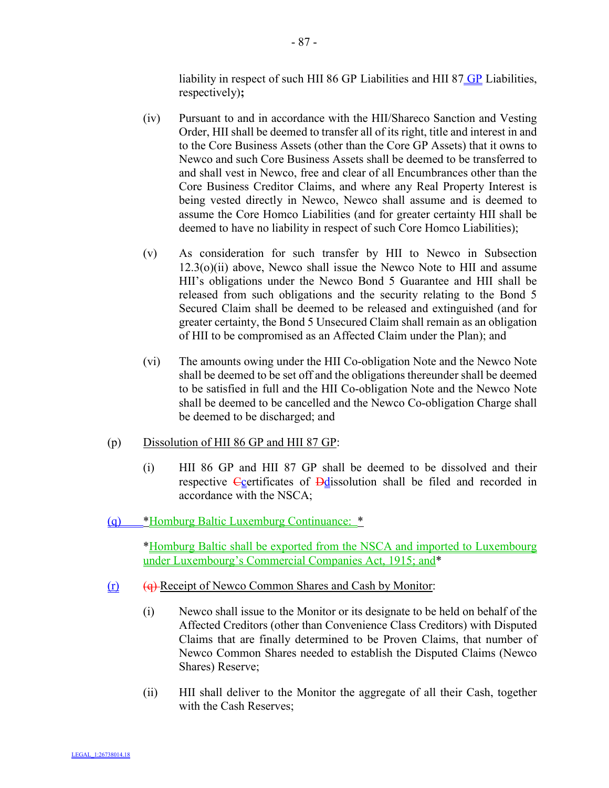liability in respect of such HII 86 GP Liabilities and HII 87  $\underline{GP}$  Liabilities, respectively)**;**

- (iv) Pursuant to and in accordance with the HII/Shareco Sanction and Vesting Order, HII shall be deemed to transfer all of its right, title and interest in and to the Core Business Assets (other than the Core GP Assets) that it owns to Newco and such Core Business Assets shall be deemed to be transferred to and shall vest in Newco, free and clear of all Encumbrances other than the Core Business Creditor Claims, and where any Real Property Interest is being vested directly in Newco, Newco shall assume and is deemed to assume the Core Homco Liabilities (and for greater certainty HII shall be deemed to have no liability in respect of such Core Homco Liabilities);
- (v) As consideration for such transfer by HII to Newco in Subsection  $12.3<sub>(o)</sub>(ii)$  above, Newco shall issue the Newco Note to HII and assume HII's obligations under the Newco Bond 5 Guarantee and HII shall be released from such obligations and the security relating to the Bond 5 Secured Claim shall be deemed to be released and extinguished (and for greater certainty, the Bond 5 Unsecured Claim shall remain as an obligation of HII to be compromised as an Affected Claim under the Plan); and
- (vi) The amounts owing under the HII Co-obligation Note and the Newco Note shall be deemed to be set off and the obligations thereunder shall be deemed to be satisfied in full and the HII Co-obligation Note and the Newco Note shall be deemed to be cancelled and the Newco Co-obligation Charge shall be deemed to be discharged; and
- (p) Dissolution of HII 86 GP and HII 87 GP:
	- (i) HII 86 GP and HII 87 GP shall be deemed to be dissolved and their respective Coertificates of Ddissolution shall be filed and recorded in accordance with the NSCA;
- (q) \*Homburg Baltic Luxemburg Continuance: \*

\*Homburg Baltic shall be exported from the NSCA and imported to Luxembourg under Luxembourg's Commercial Companies Act, 1915; and\*

- (r) (q) Receipt of Newco Common Shares and Cash by Monitor:
	- (i) Newco shall issue to the Monitor or its designate to be held on behalf of the Affected Creditors (other than Convenience Class Creditors) with Disputed Claims that are finally determined to be Proven Claims, that number of Newco Common Shares needed to establish the Disputed Claims (Newco Shares) Reserve;
	- (ii) HII shall deliver to the Monitor the aggregate of all their Cash, together with the Cash Reserves;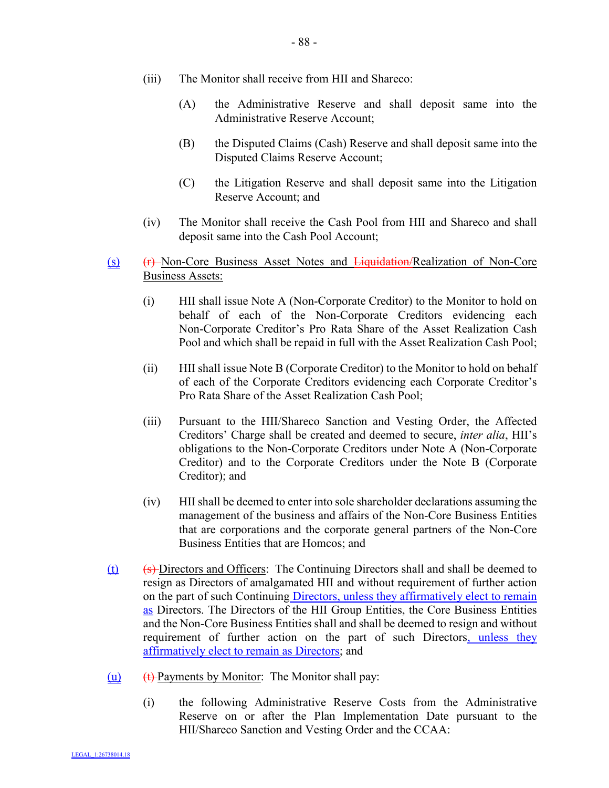- (iii) The Monitor shall receive from HII and Shareco:
	- (A) the Administrative Reserve and shall deposit same into the Administrative Reserve Account;
	- (B) the Disputed Claims (Cash) Reserve and shall deposit same into the Disputed Claims Reserve Account;
	- (C) the Litigation Reserve and shall deposit same into the Litigation Reserve Account; and
- (iv) The Monitor shall receive the Cash Pool from HII and Shareco and shall deposit same into the Cash Pool Account;
- (s) (F) Non-Core Business Asset Notes and Liquidation/Realization of Non-Core Business Assets:
	- (i) HII shall issue Note A (Non-Corporate Creditor) to the Monitor to hold on behalf of each of the Non-Corporate Creditors evidencing each Non-Corporate Creditor's Pro Rata Share of the Asset Realization Cash Pool and which shall be repaid in full with the Asset Realization Cash Pool;
	- (ii) HII shall issue Note B (Corporate Creditor) to the Monitor to hold on behalf of each of the Corporate Creditors evidencing each Corporate Creditor's Pro Rata Share of the Asset Realization Cash Pool;
	- (iii) Pursuant to the HII/Shareco Sanction and Vesting Order, the Affected Creditors' Charge shall be created and deemed to secure, *inter alia*, HII's obligations to the Non-Corporate Creditors under Note A (Non-Corporate Creditor) and to the Corporate Creditors under the Note B (Corporate Creditor); and
	- (iv) HII shall be deemed to enter into sole shareholder declarations assuming the management of the business and affairs of the Non-Core Business Entities that are corporations and the corporate general partners of the Non-Core Business Entities that are Homcos; and
- $(t)$  (s) Directors and Officers: The Continuing Directors shall and shall be deemed to resign as Directors of amalgamated HII and without requirement of further action on the part of such Continuing Directors, unless they affirmatively elect to remain as Directors. The Directors of the HII Group Entities, the Core Business Entities and the Non-Core Business Entities shall and shall be deemed to resign and without requirement of further action on the part of such Directors, unless they affirmatively elect to remain as Directors; and
- $(u)$  (t) Payments by Monitor: The Monitor shall pay:
	- (i) the following Administrative Reserve Costs from the Administrative Reserve on or after the Plan Implementation Date pursuant to the HII/Shareco Sanction and Vesting Order and the CCAA: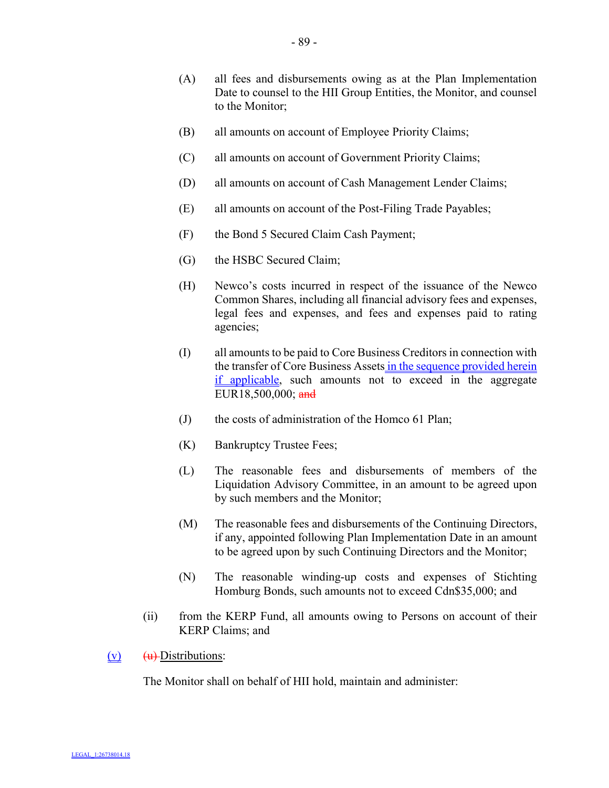- (A) all fees and disbursements owing as at the Plan Implementation Date to counsel to the HII Group Entities, the Monitor, and counsel to the Monitor;
- (B) all amounts on account of Employee Priority Claims;
- (C) all amounts on account of Government Priority Claims;
- (D) all amounts on account of Cash Management Lender Claims;
- (E) all amounts on account of the Post-Filing Trade Payables;
- (F) the Bond 5 Secured Claim Cash Payment;
- (G) the HSBC Secured Claim;
- (H) Newco's costs incurred in respect of the issuance of the Newco Common Shares, including all financial advisory fees and expenses, legal fees and expenses, and fees and expenses paid to rating agencies;
- (I) all amounts to be paid to Core Business Creditors in connection with the transfer of Core Business Assets in the sequence provided herein if applicable, such amounts not to exceed in the aggregate EUR18,500,000; and
- (J) the costs of administration of the Homco 61 Plan;
- (K) Bankruptcy Trustee Fees;
- (L) The reasonable fees and disbursements of members of the Liquidation Advisory Committee, in an amount to be agreed upon by such members and the Monitor;
- (M) The reasonable fees and disbursements of the Continuing Directors, if any, appointed following Plan Implementation Date in an amount to be agreed upon by such Continuing Directors and the Monitor;
- (N) The reasonable winding-up costs and expenses of Stichting Homburg Bonds, such amounts not to exceed Cdn\$35,000; and
- (ii) from the KERP Fund, all amounts owing to Persons on account of their KERP Claims; and
- $(v)$   $(u)$  Distributions:

The Monitor shall on behalf of HII hold, maintain and administer: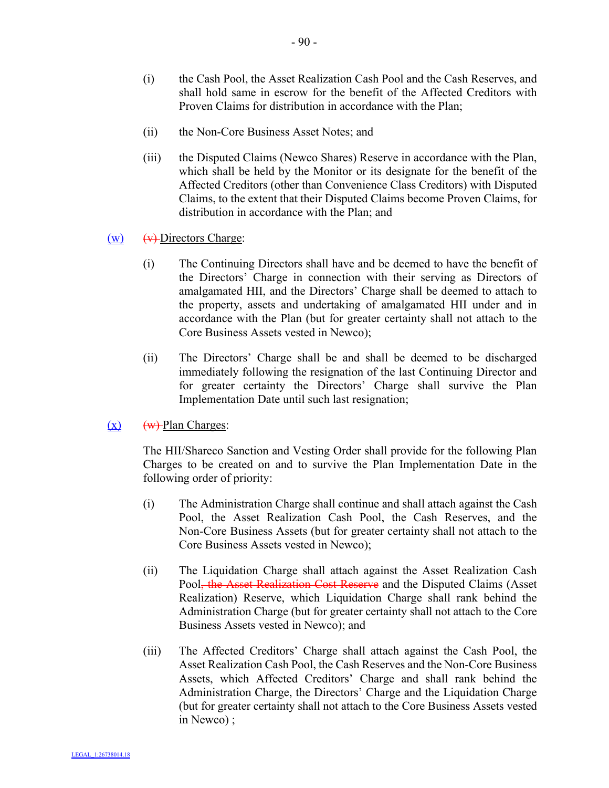- (i) the Cash Pool, the Asset Realization Cash Pool and the Cash Reserves, and shall hold same in escrow for the benefit of the Affected Creditors with Proven Claims for distribution in accordance with the Plan;
- (ii) the Non-Core Business Asset Notes; and
- (iii) the Disputed Claims (Newco Shares) Reserve in accordance with the Plan, which shall be held by the Monitor or its designate for the benefit of the Affected Creditors (other than Convenience Class Creditors) with Disputed Claims, to the extent that their Disputed Claims become Proven Claims, for distribution in accordance with the Plan; and

### $(w)$   $(w)$ -Directors Charge:

- (i) The Continuing Directors shall have and be deemed to have the benefit of the Directors' Charge in connection with their serving as Directors of amalgamated HII, and the Directors' Charge shall be deemed to attach to the property, assets and undertaking of amalgamated HII under and in accordance with the Plan (but for greater certainty shall not attach to the Core Business Assets vested in Newco);
- (ii) The Directors' Charge shall be and shall be deemed to be discharged immediately following the resignation of the last Continuing Director and for greater certainty the Directors' Charge shall survive the Plan Implementation Date until such last resignation;

## $(x)$  (w) Plan Charges:

The HII/Shareco Sanction and Vesting Order shall provide for the following Plan Charges to be created on and to survive the Plan Implementation Date in the following order of priority:

- (i) The Administration Charge shall continue and shall attach against the Cash Pool, the Asset Realization Cash Pool, the Cash Reserves, and the Non-Core Business Assets (but for greater certainty shall not attach to the Core Business Assets vested in Newco);
- (ii) The Liquidation Charge shall attach against the Asset Realization Cash Pool, the Asset Realization Cost Reserve and the Disputed Claims (Asset Realization) Reserve, which Liquidation Charge shall rank behind the Administration Charge (but for greater certainty shall not attach to the Core Business Assets vested in Newco); and
- (iii) The Affected Creditors' Charge shall attach against the Cash Pool, the Asset Realization Cash Pool, the Cash Reserves and the Non-Core Business Assets, which Affected Creditors' Charge and shall rank behind the Administration Charge, the Directors' Charge and the Liquidation Charge (but for greater certainty shall not attach to the Core Business Assets vested in Newco) ;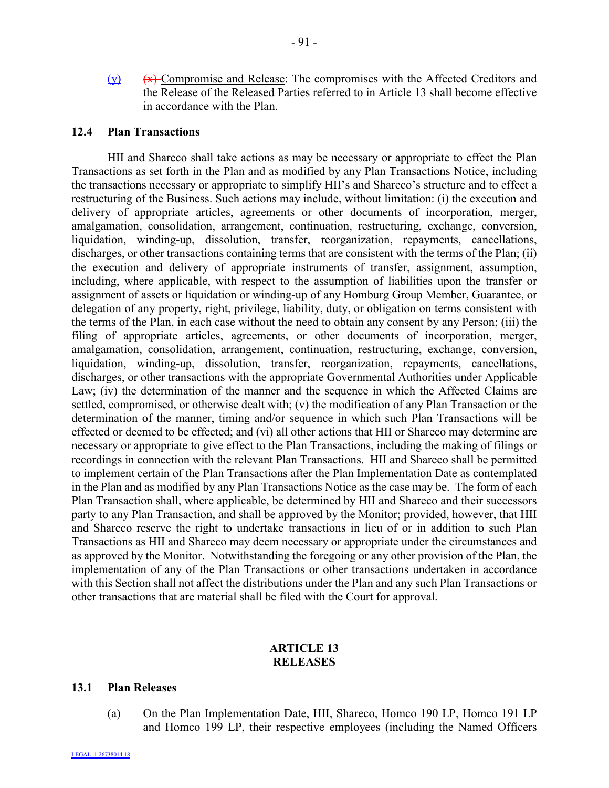(y) (x) Compromise and Release: The compromises with the Affected Creditors and the Release of the Released Parties referred to in Article 13 shall become effective in accordance with the Plan.

#### **12.4 Plan Transactions**

HII and Shareco shall take actions as may be necessary or appropriate to effect the Plan Transactions as set forth in the Plan and as modified by any Plan Transactions Notice, including the transactions necessary or appropriate to simplify HII's and Shareco's structure and to effect a restructuring of the Business. Such actions may include, without limitation: (i) the execution and delivery of appropriate articles, agreements or other documents of incorporation, merger, amalgamation, consolidation, arrangement, continuation, restructuring, exchange, conversion, liquidation, winding-up, dissolution, transfer, reorganization, repayments, cancellations, discharges, or other transactions containing terms that are consistent with the terms of the Plan; (ii) the execution and delivery of appropriate instruments of transfer, assignment, assumption, including, where applicable, with respect to the assumption of liabilities upon the transfer or assignment of assets or liquidation or winding-up of any Homburg Group Member, Guarantee, or delegation of any property, right, privilege, liability, duty, or obligation on terms consistent with the terms of the Plan, in each case without the need to obtain any consent by any Person; (iii) the filing of appropriate articles, agreements, or other documents of incorporation, merger, amalgamation, consolidation, arrangement, continuation, restructuring, exchange, conversion, liquidation, winding-up, dissolution, transfer, reorganization, repayments, cancellations, discharges, or other transactions with the appropriate Governmental Authorities under Applicable Law; (iv) the determination of the manner and the sequence in which the Affected Claims are settled, compromised, or otherwise dealt with; (v) the modification of any Plan Transaction or the determination of the manner, timing and/or sequence in which such Plan Transactions will be effected or deemed to be effected; and (vi) all other actions that HII or Shareco may determine are necessary or appropriate to give effect to the Plan Transactions, including the making of filings or recordings in connection with the relevant Plan Transactions. HII and Shareco shall be permitted to implement certain of the Plan Transactions after the Plan Implementation Date as contemplated in the Plan and as modified by any Plan Transactions Notice as the case may be. The form of each Plan Transaction shall, where applicable, be determined by HII and Shareco and their successors party to any Plan Transaction, and shall be approved by the Monitor; provided, however, that HII and Shareco reserve the right to undertake transactions in lieu of or in addition to such Plan Transactions as HII and Shareco may deem necessary or appropriate under the circumstances and as approved by the Monitor. Notwithstanding the foregoing or any other provision of the Plan, the implementation of any of the Plan Transactions or other transactions undertaken in accordance with this Section shall not affect the distributions under the Plan and any such Plan Transactions or other transactions that are material shall be filed with the Court for approval.

## **ARTICLE 13 RELEASES**

#### **13.1 Plan Releases**

(a) On the Plan Implementation Date, HII, Shareco, Homco 190 LP, Homco 191 LP and Homco 199 LP, their respective employees (including the Named Officers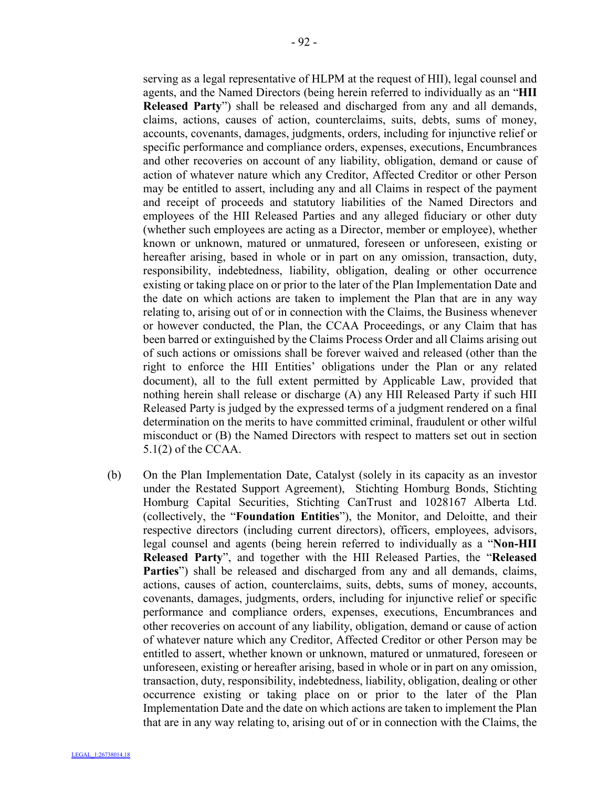serving as a legal representative of HLPM at the request of HII), legal counsel and agents, and the Named Directors (being herein referred to individually as an "**HII Released Party**") shall be released and discharged from any and all demands, claims, actions, causes of action, counterclaims, suits, debts, sums of money, accounts, covenants, damages, judgments, orders, including for injunctive relief or specific performance and compliance orders, expenses, executions, Encumbrances and other recoveries on account of any liability, obligation, demand or cause of action of whatever nature which any Creditor, Affected Creditor or other Person may be entitled to assert, including any and all Claims in respect of the payment and receipt of proceeds and statutory liabilities of the Named Directors and employees of the HII Released Parties and any alleged fiduciary or other duty (whether such employees are acting as a Director, member or employee), whether known or unknown, matured or unmatured, foreseen or unforeseen, existing or hereafter arising, based in whole or in part on any omission, transaction, duty, responsibility, indebtedness, liability, obligation, dealing or other occurrence existing or taking place on or prior to the later of the Plan Implementation Date and the date on which actions are taken to implement the Plan that are in any way relating to, arising out of or in connection with the Claims, the Business whenever or however conducted, the Plan, the CCAA Proceedings, or any Claim that has been barred or extinguished by the Claims Process Order and all Claims arising out of such actions or omissions shall be forever waived and released (other than the right to enforce the HII Entities' obligations under the Plan or any related document), all to the full extent permitted by Applicable Law, provided that nothing herein shall release or discharge (A) any HII Released Party if such HII Released Party is judged by the expressed terms of a judgment rendered on a final determination on the merits to have committed criminal, fraudulent or other wilful misconduct or (B) the Named Directors with respect to matters set out in section 5.1(2) of the CCAA.

(b) On the Plan Implementation Date, Catalyst (solely in its capacity as an investor under the Restated Support Agreement), Stichting Homburg Bonds, Stichting Homburg Capital Securities, Stichting CanTrust and 1028167 Alberta Ltd. (collectively, the "**Foundation Entities**"), the Monitor, and Deloitte, and their respective directors (including current directors), officers, employees, advisors, legal counsel and agents (being herein referred to individually as a "**Non-HII Released Party**", and together with the HII Released Parties, the "**Released Parties**") shall be released and discharged from any and all demands, claims, actions, causes of action, counterclaims, suits, debts, sums of money, accounts, covenants, damages, judgments, orders, including for injunctive relief or specific performance and compliance orders, expenses, executions, Encumbrances and other recoveries on account of any liability, obligation, demand or cause of action of whatever nature which any Creditor, Affected Creditor or other Person may be entitled to assert, whether known or unknown, matured or unmatured, foreseen or unforeseen, existing or hereafter arising, based in whole or in part on any omission, transaction, duty, responsibility, indebtedness, liability, obligation, dealing or other occurrence existing or taking place on or prior to the later of the Plan Implementation Date and the date on which actions are taken to implement the Plan that are in any way relating to, arising out of or in connection with the Claims, the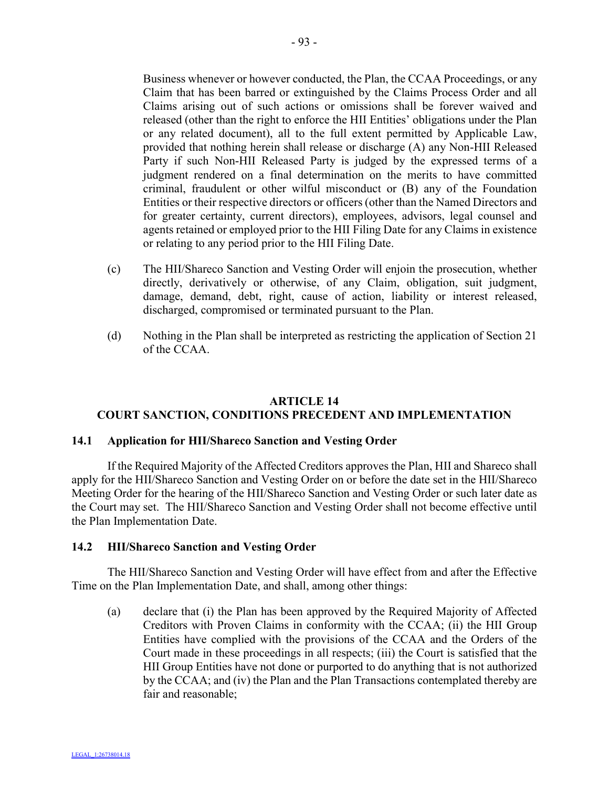Business whenever or however conducted, the Plan, the CCAA Proceedings, or any Claim that has been barred or extinguished by the Claims Process Order and all Claims arising out of such actions or omissions shall be forever waived and released (other than the right to enforce the HII Entities' obligations under the Plan or any related document), all to the full extent permitted by Applicable Law, provided that nothing herein shall release or discharge (A) any Non-HII Released Party if such Non-HII Released Party is judged by the expressed terms of a judgment rendered on a final determination on the merits to have committed

criminal, fraudulent or other wilful misconduct or (B) any of the Foundation Entities or their respective directors or officers (other than the Named Directors and for greater certainty, current directors), employees, advisors, legal counsel and agents retained or employed prior to the HII Filing Date for any Claims in existence or relating to any period prior to the HII Filing Date.

- (c) The HII/Shareco Sanction and Vesting Order will enjoin the prosecution, whether directly, derivatively or otherwise, of any Claim, obligation, suit judgment, damage, demand, debt, right, cause of action, liability or interest released, discharged, compromised or terminated pursuant to the Plan.
- (d) Nothing in the Plan shall be interpreted as restricting the application of Section 21 of the CCAA.

# **ARTICLE 14 COURT SANCTION, CONDITIONS PRECEDENT AND IMPLEMENTATION**

## **14.1 Application for HII/Shareco Sanction and Vesting Order**

If the Required Majority of the Affected Creditors approves the Plan, HII and Shareco shall apply for the HII/Shareco Sanction and Vesting Order on or before the date set in the HII/Shareco Meeting Order for the hearing of the HII/Shareco Sanction and Vesting Order or such later date as the Court may set. The HII/Shareco Sanction and Vesting Order shall not become effective until the Plan Implementation Date.

## **14.2 HII/Shareco Sanction and Vesting Order**

The HII/Shareco Sanction and Vesting Order will have effect from and after the Effective Time on the Plan Implementation Date, and shall, among other things:

(a) declare that (i) the Plan has been approved by the Required Majority of Affected Creditors with Proven Claims in conformity with the CCAA; (ii) the HII Group Entities have complied with the provisions of the CCAA and the Orders of the Court made in these proceedings in all respects; (iii) the Court is satisfied that the HII Group Entities have not done or purported to do anything that is not authorized by the CCAA; and (iv) the Plan and the Plan Transactions contemplated thereby are fair and reasonable;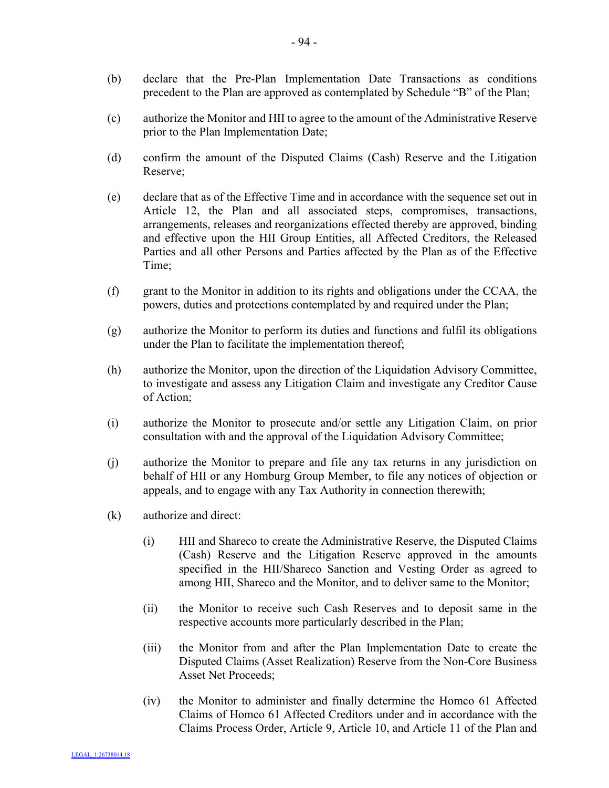- (b) declare that the Pre-Plan Implementation Date Transactions as conditions precedent to the Plan are approved as contemplated by Schedule "B" of the Plan;
- (c) authorize the Monitor and HII to agree to the amount of the Administrative Reserve prior to the Plan Implementation Date;
- (d) confirm the amount of the Disputed Claims (Cash) Reserve and the Litigation Reserve;
- (e) declare that as of the Effective Time and in accordance with the sequence set out in Article 12, the Plan and all associated steps, compromises, transactions, arrangements, releases and reorganizations effected thereby are approved, binding and effective upon the HII Group Entities, all Affected Creditors, the Released Parties and all other Persons and Parties affected by the Plan as of the Effective Time;
- (f) grant to the Monitor in addition to its rights and obligations under the CCAA, the powers, duties and protections contemplated by and required under the Plan;
- (g) authorize the Monitor to perform its duties and functions and fulfil its obligations under the Plan to facilitate the implementation thereof;
- (h) authorize the Monitor, upon the direction of the Liquidation Advisory Committee, to investigate and assess any Litigation Claim and investigate any Creditor Cause of Action;
- (i) authorize the Monitor to prosecute and/or settle any Litigation Claim, on prior consultation with and the approval of the Liquidation Advisory Committee;
- (j) authorize the Monitor to prepare and file any tax returns in any jurisdiction on behalf of HII or any Homburg Group Member, to file any notices of objection or appeals, and to engage with any Tax Authority in connection therewith;
- (k) authorize and direct:
	- (i) HII and Shareco to create the Administrative Reserve, the Disputed Claims (Cash) Reserve and the Litigation Reserve approved in the amounts specified in the HII/Shareco Sanction and Vesting Order as agreed to among HII, Shareco and the Monitor, and to deliver same to the Monitor;
	- (ii) the Monitor to receive such Cash Reserves and to deposit same in the respective accounts more particularly described in the Plan;
	- (iii) the Monitor from and after the Plan Implementation Date to create the Disputed Claims (Asset Realization) Reserve from the Non-Core Business Asset Net Proceeds;
	- (iv) the Monitor to administer and finally determine the Homco 61 Affected Claims of Homco 61 Affected Creditors under and in accordance with the Claims Process Order, Article 9, Article 10, and Article 11 of the Plan and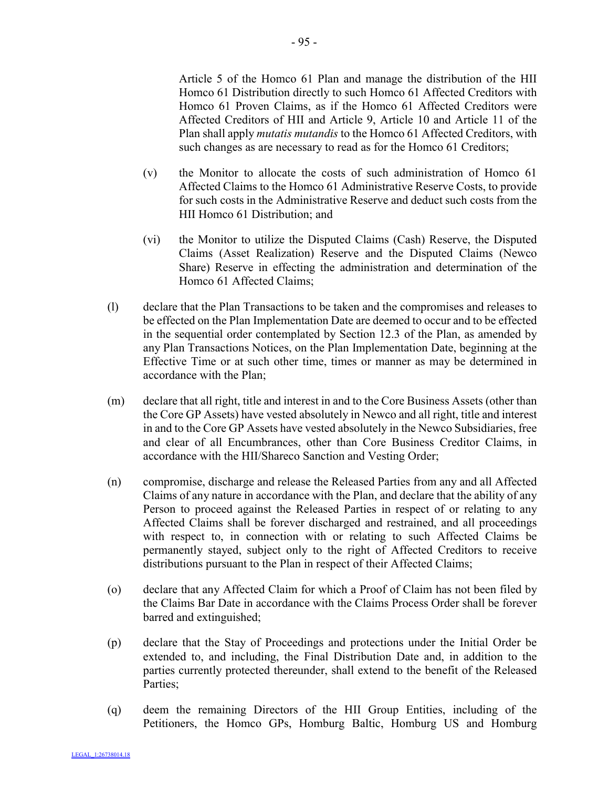Article 5 of the Homco 61 Plan and manage the distribution of the HII Homco 61 Distribution directly to such Homco 61 Affected Creditors with Homco 61 Proven Claims, as if the Homco 61 Affected Creditors were Affected Creditors of HII and Article 9, Article 10 and Article 11 of the Plan shall apply *mutatis mutandis* to the Homco 61 Affected Creditors, with such changes as are necessary to read as for the Homco 61 Creditors;

- (v) the Monitor to allocate the costs of such administration of Homco 61 Affected Claims to the Homco 61 Administrative Reserve Costs, to provide for such costs in the Administrative Reserve and deduct such costs from the HII Homco 61 Distribution; and
- (vi) the Monitor to utilize the Disputed Claims (Cash) Reserve, the Disputed Claims (Asset Realization) Reserve and the Disputed Claims (Newco Share) Reserve in effecting the administration and determination of the Homco 61 Affected Claims;
- (l) declare that the Plan Transactions to be taken and the compromises and releases to be effected on the Plan Implementation Date are deemed to occur and to be effected in the sequential order contemplated by Section 12.3 of the Plan, as amended by any Plan Transactions Notices, on the Plan Implementation Date, beginning at the Effective Time or at such other time, times or manner as may be determined in accordance with the Plan;
- (m) declare that all right, title and interest in and to the Core Business Assets (other than the Core GP Assets) have vested absolutely in Newco and all right, title and interest in and to the Core GP Assets have vested absolutely in the Newco Subsidiaries, free and clear of all Encumbrances, other than Core Business Creditor Claims, in accordance with the HII/Shareco Sanction and Vesting Order;
- (n) compromise, discharge and release the Released Parties from any and all Affected Claims of any nature in accordance with the Plan, and declare that the ability of any Person to proceed against the Released Parties in respect of or relating to any Affected Claims shall be forever discharged and restrained, and all proceedings with respect to, in connection with or relating to such Affected Claims be permanently stayed, subject only to the right of Affected Creditors to receive distributions pursuant to the Plan in respect of their Affected Claims;
- (o) declare that any Affected Claim for which a Proof of Claim has not been filed by the Claims Bar Date in accordance with the Claims Process Order shall be forever barred and extinguished;
- (p) declare that the Stay of Proceedings and protections under the Initial Order be extended to, and including, the Final Distribution Date and, in addition to the parties currently protected thereunder, shall extend to the benefit of the Released Parties;
- (q) deem the remaining Directors of the HII Group Entities, including of the Petitioners, the Homco GPs, Homburg Baltic, Homburg US and Homburg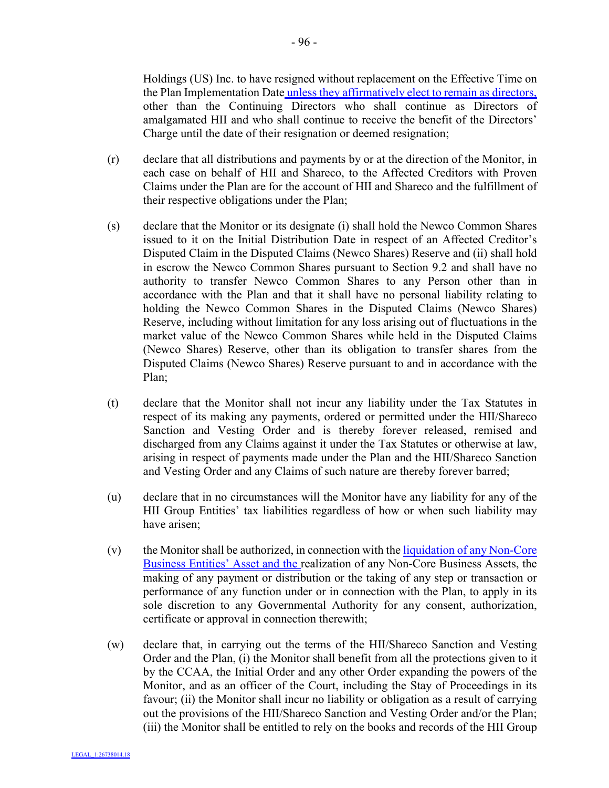Holdings (US) Inc. to have resigned without replacement on the Effective Time on the Plan Implementation Date unless they affirmatively elect to remain as directors, other than the Continuing Directors who shall continue as Directors of amalgamated HII and who shall continue to receive the benefit of the Directors' Charge until the date of their resignation or deemed resignation;

- (r) declare that all distributions and payments by or at the direction of the Monitor, in each case on behalf of HII and Shareco, to the Affected Creditors with Proven Claims under the Plan are for the account of HII and Shareco and the fulfillment of their respective obligations under the Plan;
- (s) declare that the Monitor or its designate (i) shall hold the Newco Common Shares issued to it on the Initial Distribution Date in respect of an Affected Creditor's Disputed Claim in the Disputed Claims (Newco Shares) Reserve and (ii) shall hold in escrow the Newco Common Shares pursuant to Section 9.2 and shall have no authority to transfer Newco Common Shares to any Person other than in accordance with the Plan and that it shall have no personal liability relating to holding the Newco Common Shares in the Disputed Claims (Newco Shares) Reserve, including without limitation for any loss arising out of fluctuations in the market value of the Newco Common Shares while held in the Disputed Claims (Newco Shares) Reserve, other than its obligation to transfer shares from the Disputed Claims (Newco Shares) Reserve pursuant to and in accordance with the Plan;
- (t) declare that the Monitor shall not incur any liability under the Tax Statutes in respect of its making any payments, ordered or permitted under the HII/Shareco Sanction and Vesting Order and is thereby forever released, remised and discharged from any Claims against it under the Tax Statutes or otherwise at law, arising in respect of payments made under the Plan and the HII/Shareco Sanction and Vesting Order and any Claims of such nature are thereby forever barred;
- (u) declare that in no circumstances will the Monitor have any liability for any of the HII Group Entities' tax liabilities regardless of how or when such liability may have arisen;
- $(v)$  the Monitor shall be authorized, in connection with the liquidation of any Non-Core Business Entities' Asset and the realization of any Non-Core Business Assets, the making of any payment or distribution or the taking of any step or transaction or performance of any function under or in connection with the Plan, to apply in its sole discretion to any Governmental Authority for any consent, authorization, certificate or approval in connection therewith;
- (w) declare that, in carrying out the terms of the HII/Shareco Sanction and Vesting Order and the Plan, (i) the Monitor shall benefit from all the protections given to it by the CCAA, the Initial Order and any other Order expanding the powers of the Monitor, and as an officer of the Court, including the Stay of Proceedings in its favour; (ii) the Monitor shall incur no liability or obligation as a result of carrying out the provisions of the HII/Shareco Sanction and Vesting Order and/or the Plan; (iii) the Monitor shall be entitled to rely on the books and records of the HII Group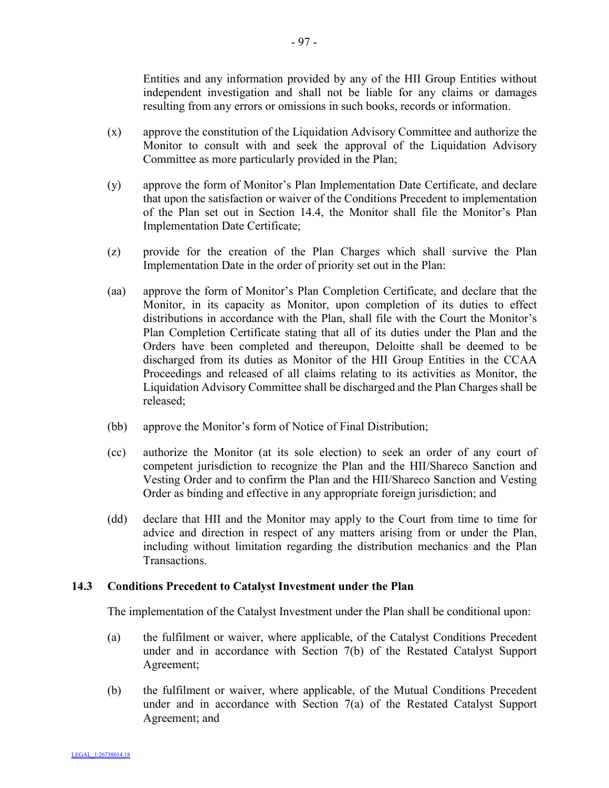Entities and any information provided by any of the HII Group Entities without independent investigation and shall not be liable for any claims or damages resulting from any errors or omissions in such books, records or information.

- (x) approve the constitution of the Liquidation Advisory Committee and authorize the Monitor to consult with and seek the approval of the Liquidation Advisory Committee as more particularly provided in the Plan;
- (y) approve the form of Monitor's Plan Implementation Date Certificate, and declare that upon the satisfaction or waiver of the Conditions Precedent to implementation of the Plan set out in Section 14.4, the Monitor shall file the Monitor's Plan Implementation Date Certificate;
- (z) provide for the creation of the Plan Charges which shall survive the Plan Implementation Date in the order of priority set out in the Plan:
- (aa) approve the form of Monitor's Plan Completion Certificate, and declare that the Monitor, in its capacity as Monitor, upon completion of its duties to effect distributions in accordance with the Plan, shall file with the Court the Monitor's Plan Completion Certificate stating that all of its duties under the Plan and the Orders have been completed and thereupon, Deloitte shall be deemed to be discharged from its duties as Monitor of the HII Group Entities in the CCAA Proceedings and released of all claims relating to its activities as Monitor, the Liquidation Advisory Committee shall be discharged and the Plan Charges shall be released;
- (bb) approve the Monitor's form of Notice of Final Distribution;
- (cc) authorize the Monitor (at its sole election) to seek an order of any court of competent jurisdiction to recognize the Plan and the HII/Shareco Sanction and Vesting Order and to confirm the Plan and the HII/Shareco Sanction and Vesting Order as binding and effective in any appropriate foreign jurisdiction; and
- (dd) declare that HII and the Monitor may apply to the Court from time to time for advice and direction in respect of any matters arising from or under the Plan, including without limitation regarding the distribution mechanics and the Plan **Transactions**

# **14.3 Conditions Precedent to Catalyst Investment under the Plan**

The implementation of the Catalyst Investment under the Plan shall be conditional upon:

- (a) the fulfilment or waiver, where applicable, of the Catalyst Conditions Precedent under and in accordance with Section 7(b) of the Restated Catalyst Support Agreement;
- (b) the fulfilment or waiver, where applicable, of the Mutual Conditions Precedent under and in accordance with Section 7(a) of the Restated Catalyst Support Agreement; and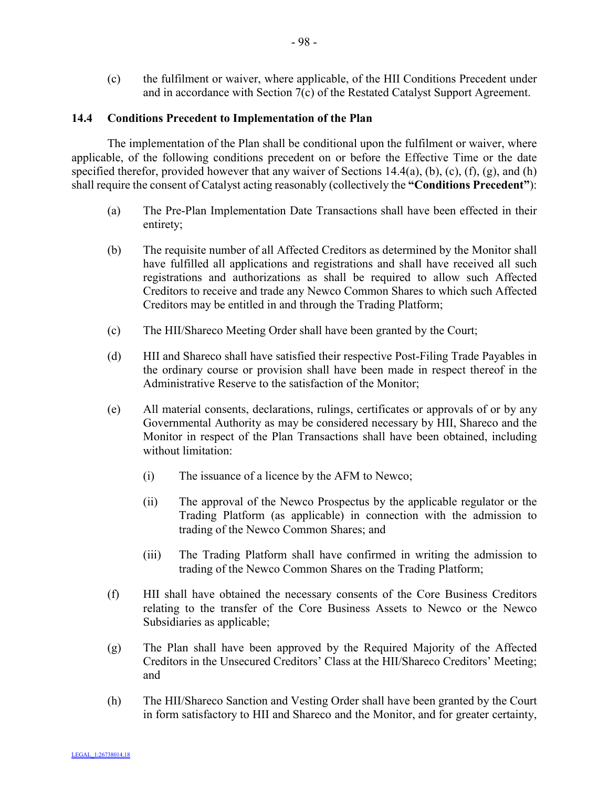(c) the fulfilment or waiver, where applicable, of the HII Conditions Precedent under and in accordance with Section 7(c) of the Restated Catalyst Support Agreement.

### **14.4 Conditions Precedent to Implementation of the Plan**

The implementation of the Plan shall be conditional upon the fulfilment or waiver, where applicable, of the following conditions precedent on or before the Effective Time or the date specified therefor, provided however that any waiver of Sections  $14.4(a)$ , (b), (c), (f), (g), and (h) shall require the consent of Catalyst acting reasonably (collectively the **"Conditions Precedent"**):

- (a) The Pre-Plan Implementation Date Transactions shall have been effected in their entirety;
- (b) The requisite number of all Affected Creditors as determined by the Monitor shall have fulfilled all applications and registrations and shall have received all such registrations and authorizations as shall be required to allow such Affected Creditors to receive and trade any Newco Common Shares to which such Affected Creditors may be entitled in and through the Trading Platform;
- (c) The HII/Shareco Meeting Order shall have been granted by the Court;
- (d) HII and Shareco shall have satisfied their respective Post-Filing Trade Payables in the ordinary course or provision shall have been made in respect thereof in the Administrative Reserve to the satisfaction of the Monitor;
- (e) All material consents, declarations, rulings, certificates or approvals of or by any Governmental Authority as may be considered necessary by HII, Shareco and the Monitor in respect of the Plan Transactions shall have been obtained, including without limitation:
	- (i) The issuance of a licence by the AFM to Newco;
	- (ii) The approval of the Newco Prospectus by the applicable regulator or the Trading Platform (as applicable) in connection with the admission to trading of the Newco Common Shares; and
	- (iii) The Trading Platform shall have confirmed in writing the admission to trading of the Newco Common Shares on the Trading Platform;
- (f) HII shall have obtained the necessary consents of the Core Business Creditors relating to the transfer of the Core Business Assets to Newco or the Newco Subsidiaries as applicable;
- (g) The Plan shall have been approved by the Required Majority of the Affected Creditors in the Unsecured Creditors' Class at the HII/Shareco Creditors' Meeting; and
- (h) The HII/Shareco Sanction and Vesting Order shall have been granted by the Court in form satisfactory to HII and Shareco and the Monitor, and for greater certainty,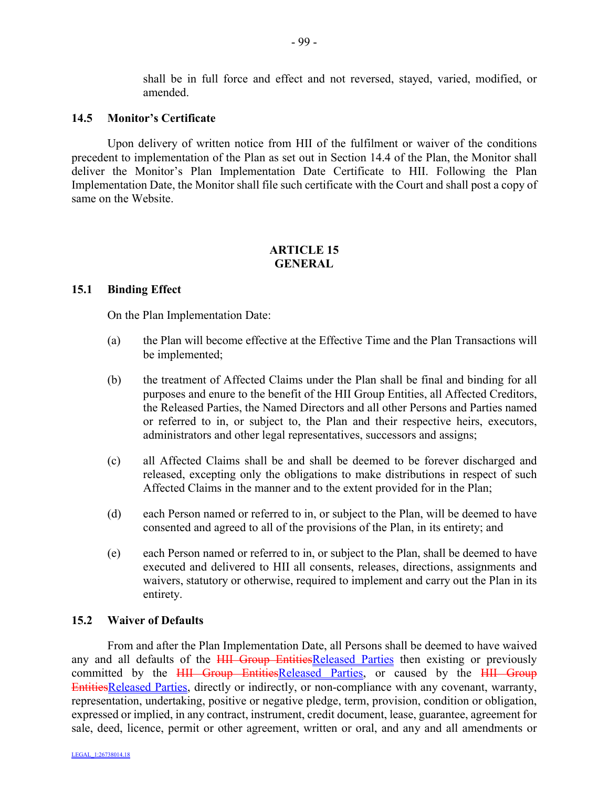shall be in full force and effect and not reversed, stayed, varied, modified, or amended.

#### **14.5 Monitor's Certificate**

Upon delivery of written notice from HII of the fulfilment or waiver of the conditions precedent to implementation of the Plan as set out in Section 14.4 of the Plan, the Monitor shall deliver the Monitor's Plan Implementation Date Certificate to HII. Following the Plan Implementation Date, the Monitor shall file such certificate with the Court and shall post a copy of same on the Website.

# **ARTICLE 15 GENERAL**

### **15.1 Binding Effect**

On the Plan Implementation Date:

- (a) the Plan will become effective at the Effective Time and the Plan Transactions will be implemented;
- (b) the treatment of Affected Claims under the Plan shall be final and binding for all purposes and enure to the benefit of the HII Group Entities, all Affected Creditors, the Released Parties, the Named Directors and all other Persons and Parties named or referred to in, or subject to, the Plan and their respective heirs, executors, administrators and other legal representatives, successors and assigns;
- (c) all Affected Claims shall be and shall be deemed to be forever discharged and released, excepting only the obligations to make distributions in respect of such Affected Claims in the manner and to the extent provided for in the Plan;
- (d) each Person named or referred to in, or subject to the Plan, will be deemed to have consented and agreed to all of the provisions of the Plan, in its entirety; and
- (e) each Person named or referred to in, or subject to the Plan, shall be deemed to have executed and delivered to HII all consents, releases, directions, assignments and waivers, statutory or otherwise, required to implement and carry out the Plan in its entirety.

### **15.2 Waiver of Defaults**

From and after the Plan Implementation Date, all Persons shall be deemed to have waived any and all defaults of the **HII Group EntitiesReleased Parties then existing or previously** committed by the HII Group EntitiesReleased Parties, or caused by the HII Group EntitiesReleased Parties, directly or indirectly, or non-compliance with any covenant, warranty, representation, undertaking, positive or negative pledge, term, provision, condition or obligation, expressed or implied, in any contract, instrument, credit document, lease, guarantee, agreement for sale, deed, licence, permit or other agreement, written or oral, and any and all amendments or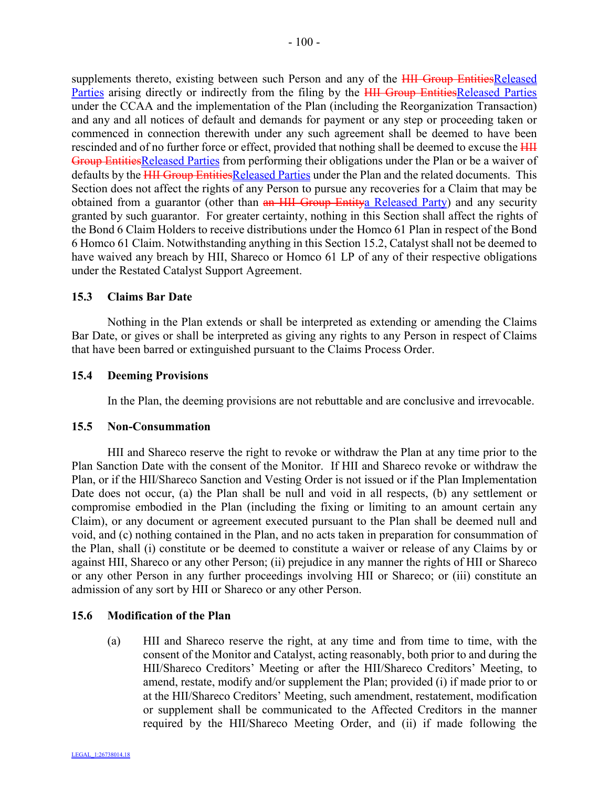supplements thereto, existing between such Person and any of the <del>HII Group EntitiesReleased</del> Parties arising directly or indirectly from the filing by the HII Group EntitiesReleased Parties under the CCAA and the implementation of the Plan (including the Reorganization Transaction) and any and all notices of default and demands for payment or any step or proceeding taken or commenced in connection therewith under any such agreement shall be deemed to have been rescinded and of no further force or effect, provided that nothing shall be deemed to excuse the  $\overline{HH}$ Group EntitiesReleased Parties from performing their obligations under the Plan or be a waiver of defaults by the **HII Group EntitiesReleased Parties under the Plan and the related documents.** This Section does not affect the rights of any Person to pursue any recoveries for a Claim that may be obtained from a guarantor (other than an HII Group Entitya Released Party) and any security granted by such guarantor. For greater certainty, nothing in this Section shall affect the rights of the Bond 6 Claim Holders to receive distributions under the Homco 61 Plan in respect of the Bond 6 Homco 61 Claim. Notwithstanding anything in this Section 15.2, Catalyst shall not be deemed to have waived any breach by HII, Shareco or Homco 61 LP of any of their respective obligations under the Restated Catalyst Support Agreement.

## **15.3 Claims Bar Date**

Nothing in the Plan extends or shall be interpreted as extending or amending the Claims Bar Date, or gives or shall be interpreted as giving any rights to any Person in respect of Claims that have been barred or extinguished pursuant to the Claims Process Order.

### **15.4 Deeming Provisions**

In the Plan, the deeming provisions are not rebuttable and are conclusive and irrevocable.

### **15.5 Non-Consummation**

HII and Shareco reserve the right to revoke or withdraw the Plan at any time prior to the Plan Sanction Date with the consent of the Monitor. If HII and Shareco revoke or withdraw the Plan, or if the HII/Shareco Sanction and Vesting Order is not issued or if the Plan Implementation Date does not occur, (a) the Plan shall be null and void in all respects, (b) any settlement or compromise embodied in the Plan (including the fixing or limiting to an amount certain any Claim), or any document or agreement executed pursuant to the Plan shall be deemed null and void, and (c) nothing contained in the Plan, and no acts taken in preparation for consummation of the Plan, shall (i) constitute or be deemed to constitute a waiver or release of any Claims by or against HII, Shareco or any other Person; (ii) prejudice in any manner the rights of HII or Shareco or any other Person in any further proceedings involving HII or Shareco; or (iii) constitute an admission of any sort by HII or Shareco or any other Person.

## **15.6 Modification of the Plan**

(a) HII and Shareco reserve the right, at any time and from time to time, with the consent of the Monitor and Catalyst, acting reasonably, both prior to and during the HII/Shareco Creditors' Meeting or after the HII/Shareco Creditors' Meeting, to amend, restate, modify and/or supplement the Plan; provided (i) if made prior to or at the HII/Shareco Creditors' Meeting, such amendment, restatement, modification or supplement shall be communicated to the Affected Creditors in the manner required by the HII/Shareco Meeting Order, and (ii) if made following the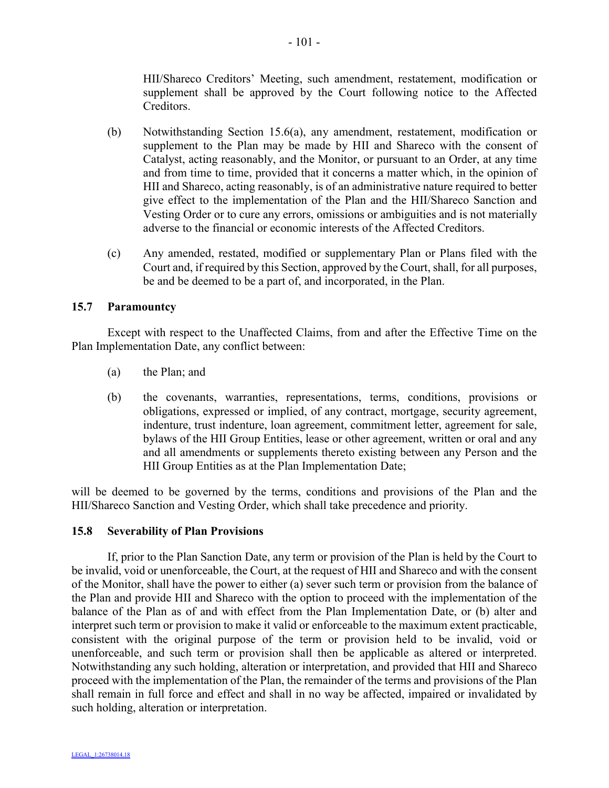HII/Shareco Creditors' Meeting, such amendment, restatement, modification or supplement shall be approved by the Court following notice to the Affected **Creditors** 

- (b) Notwithstanding Section 15.6(a), any amendment, restatement, modification or supplement to the Plan may be made by HII and Shareco with the consent of Catalyst, acting reasonably, and the Monitor, or pursuant to an Order, at any time and from time to time, provided that it concerns a matter which, in the opinion of HII and Shareco, acting reasonably, is of an administrative nature required to better give effect to the implementation of the Plan and the HII/Shareco Sanction and Vesting Order or to cure any errors, omissions or ambiguities and is not materially adverse to the financial or economic interests of the Affected Creditors.
- (c) Any amended, restated, modified or supplementary Plan or Plans filed with the Court and, if required by this Section, approved by the Court, shall, for all purposes, be and be deemed to be a part of, and incorporated, in the Plan.

# **15.7 Paramountcy**

Except with respect to the Unaffected Claims, from and after the Effective Time on the Plan Implementation Date, any conflict between:

- (a) the Plan; and
- (b) the covenants, warranties, representations, terms, conditions, provisions or obligations, expressed or implied, of any contract, mortgage, security agreement, indenture, trust indenture, loan agreement, commitment letter, agreement for sale, bylaws of the HII Group Entities, lease or other agreement, written or oral and any and all amendments or supplements thereto existing between any Person and the HII Group Entities as at the Plan Implementation Date;

will be deemed to be governed by the terms, conditions and provisions of the Plan and the HII/Shareco Sanction and Vesting Order, which shall take precedence and priority.

## **15.8 Severability of Plan Provisions**

If, prior to the Plan Sanction Date, any term or provision of the Plan is held by the Court to be invalid, void or unenforceable, the Court, at the request of HII and Shareco and with the consent of the Monitor, shall have the power to either (a) sever such term or provision from the balance of the Plan and provide HII and Shareco with the option to proceed with the implementation of the balance of the Plan as of and with effect from the Plan Implementation Date, or (b) alter and interpret such term or provision to make it valid or enforceable to the maximum extent practicable, consistent with the original purpose of the term or provision held to be invalid, void or unenforceable, and such term or provision shall then be applicable as altered or interpreted. Notwithstanding any such holding, alteration or interpretation, and provided that HII and Shareco proceed with the implementation of the Plan, the remainder of the terms and provisions of the Plan shall remain in full force and effect and shall in no way be affected, impaired or invalidated by such holding, alteration or interpretation.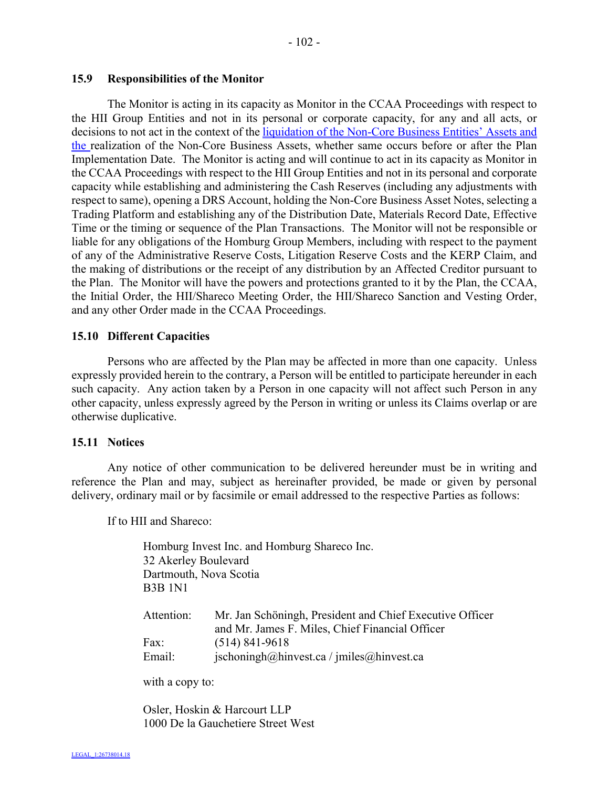### **15.9 Responsibilities of the Monitor**

The Monitor is acting in its capacity as Monitor in the CCAA Proceedings with respect to the HII Group Entities and not in its personal or corporate capacity, for any and all acts, or decisions to not act in the context of the liquidation of the Non-Core Business Entities' Assets and the realization of the Non-Core Business Assets, whether same occurs before or after the Plan Implementation Date. The Monitor is acting and will continue to act in its capacity as Monitor in the CCAA Proceedings with respect to the HII Group Entities and not in its personal and corporate capacity while establishing and administering the Cash Reserves (including any adjustments with respect to same), opening a DRS Account, holding the Non-Core Business Asset Notes, selecting a Trading Platform and establishing any of the Distribution Date, Materials Record Date, Effective Time or the timing or sequence of the Plan Transactions. The Monitor will not be responsible or liable for any obligations of the Homburg Group Members, including with respect to the payment of any of the Administrative Reserve Costs, Litigation Reserve Costs and the KERP Claim, and the making of distributions or the receipt of any distribution by an Affected Creditor pursuant to the Plan. The Monitor will have the powers and protections granted to it by the Plan, the CCAA, the Initial Order, the HII/Shareco Meeting Order, the HII/Shareco Sanction and Vesting Order, and any other Order made in the CCAA Proceedings.

## **15.10 Different Capacities**

Persons who are affected by the Plan may be affected in more than one capacity. Unless expressly provided herein to the contrary, a Person will be entitled to participate hereunder in each such capacity. Any action taken by a Person in one capacity will not affect such Person in any other capacity, unless expressly agreed by the Person in writing or unless its Claims overlap or are otherwise duplicative.

#### **15.11 Notices**

Any notice of other communication to be delivered hereunder must be in writing and reference the Plan and may, subject as hereinafter provided, be made or given by personal delivery, ordinary mail or by facsimile or email addressed to the respective Parties as follows:

If to HII and Shareco:

Homburg Invest Inc. and Homburg Shareco Inc. 32 Akerley Boulevard Dartmouth, Nova Scotia B3B 1N1

| Attention: | Mr. Jan Schöningh, President and Chief Executive Officer       |
|------------|----------------------------------------------------------------|
|            | and Mr. James F. Miles, Chief Financial Officer                |
| Fax:       | $(514) 841 - 9618$                                             |
| Email:     | $ischoningh(\omega)$ hinvest.ca / jmiles $(\omega)$ hinvest.ca |

with a copy to:

Osler, Hoskin & Harcourt LLP 1000 De la Gauchetiere Street West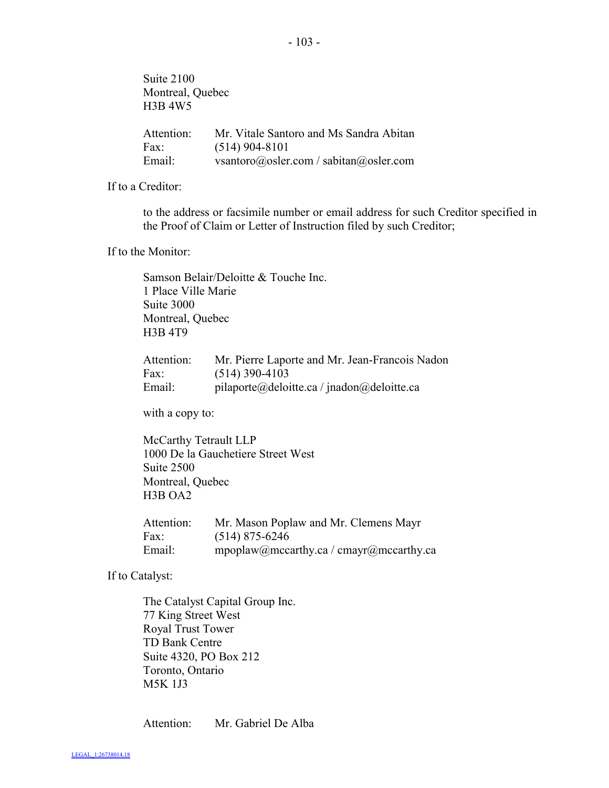Suite 2100 Montreal, Quebec H3B 4W5 Attention: Mr. Vitale Santoro and Ms Sandra Abitan Fax: (514) 904-8101 Email: vsantoro@osler.com / sabitan@osler.com

If to a Creditor:

to the address or facsimile number or email address for such Creditor specified in the Proof of Claim or Letter of Instruction filed by such Creditor;

If to the Monitor:

Samson Belair/Deloitte & Touche Inc. 1 Place Ville Marie Suite 3000 Montreal, Quebec H3B 4T9

| Attention: | Mr. Pierre Laporte and Mr. Jean-Francois Nadon |
|------------|------------------------------------------------|
| Fax:       | $(514)$ 390-4103                               |
| Email:     | pilaporte@deloitte.ca / jnadon@deloitte.ca     |

with a copy to:

McCarthy Tetrault LLP 1000 De la Gauchetiere Street West Suite 2500 Montreal, Quebec H3B OA2

| Attention: | Mr. Mason Poplaw and Mr. Clemens Mayr   |
|------------|-----------------------------------------|
| Fax:       | $(514)$ 875-6246                        |
| Email:     | mpoplaw@mccarthy.ca / cmayr@mccarthy.ca |

If to Catalyst:

The Catalyst Capital Group Inc. 77 King Street West Royal Trust Tower TD Bank Centre Suite 4320, PO Box 212 Toronto, Ontario M5K 1J3

Attention: Mr. Gabriel De Alba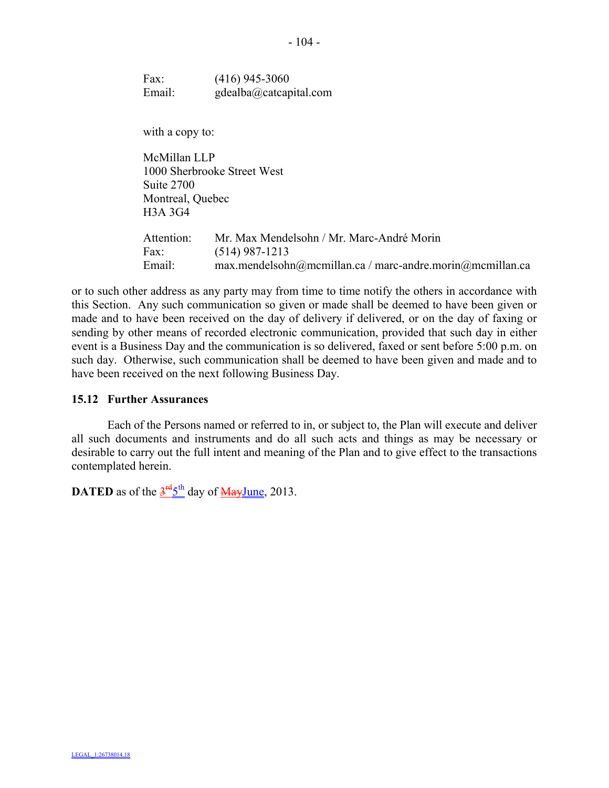Fax: (416) 945-3060 Email: gdealba@catcapital.com

with a copy to:

McMillan LLP 1000 Sherbrooke Street West Suite 2700 Montreal, Quebec H3A 3G4

Attention: Mr. Max Mendelsohn / Mr. Marc-André Morin Fax: (514) 987-1213 Email: max.mendelsohn@mcmillan.ca / marc-andre.morin@mcmillan.ca

or to such other address as any party may from time to time notify the others in accordance with this Section. Any such communication so given or made shall be deemed to have been given or made and to have been received on the day of delivery if delivered, or on the day of faxing or sending by other means of recorded electronic communication, provided that such day in either event is a Business Day and the communication is so delivered, faxed or sent before 5:00 p.m. on such day. Otherwise, such communication shall be deemed to have been given and made and to have been received on the next following Business Day.

#### **15.12 Further Assurances**

Each of the Persons named or referred to in, or subject to, the Plan will execute and deliver all such documents and instruments and do all such acts and things as may be necessary or desirable to carry out the full intent and meaning of the Plan and to give effect to the transactions contemplated herein.

**DATED** as of the  $3<sup>rd</sup>5<sup>th</sup>$  day of  $\frac{\text{MayJune}}{\text{MayJune}}$ , 2013.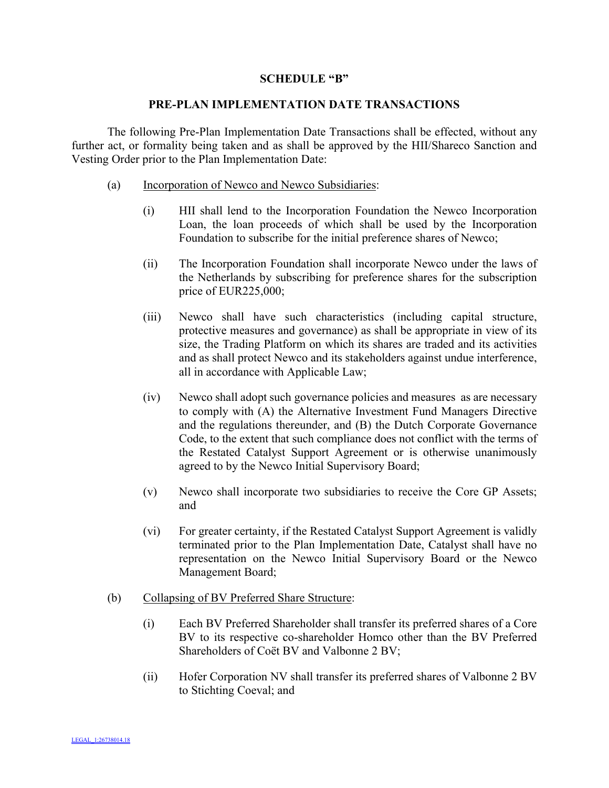#### **SCHEDULE "B"**

#### **PRE-PLAN IMPLEMENTATION DATE TRANSACTIONS**

The following Pre-Plan Implementation Date Transactions shall be effected, without any further act, or formality being taken and as shall be approved by the HII/Shareco Sanction and Vesting Order prior to the Plan Implementation Date:

- (a) Incorporation of Newco and Newco Subsidiaries:
	- (i) HII shall lend to the Incorporation Foundation the Newco Incorporation Loan, the loan proceeds of which shall be used by the Incorporation Foundation to subscribe for the initial preference shares of Newco;
	- (ii) The Incorporation Foundation shall incorporate Newco under the laws of the Netherlands by subscribing for preference shares for the subscription price of EUR225,000;
	- (iii) Newco shall have such characteristics (including capital structure, protective measures and governance) as shall be appropriate in view of its size, the Trading Platform on which its shares are traded and its activities and as shall protect Newco and its stakeholders against undue interference, all in accordance with Applicable Law;
	- (iv) Newco shall adopt such governance policies and measures as are necessary to comply with (A) the Alternative Investment Fund Managers Directive and the regulations thereunder, and (B) the Dutch Corporate Governance Code, to the extent that such compliance does not conflict with the terms of the Restated Catalyst Support Agreement or is otherwise unanimously agreed to by the Newco Initial Supervisory Board;
	- (v) Newco shall incorporate two subsidiaries to receive the Core GP Assets; and
	- (vi) For greater certainty, if the Restated Catalyst Support Agreement is validly terminated prior to the Plan Implementation Date, Catalyst shall have no representation on the Newco Initial Supervisory Board or the Newco Management Board;

### (b) Collapsing of BV Preferred Share Structure:

- (i) Each BV Preferred Shareholder shall transfer its preferred shares of a Core BV to its respective co-shareholder Homco other than the BV Preferred Shareholders of Coët BV and Valbonne 2 BV;
- (ii) Hofer Corporation NV shall transfer its preferred shares of Valbonne 2 BV to Stichting Coeval; and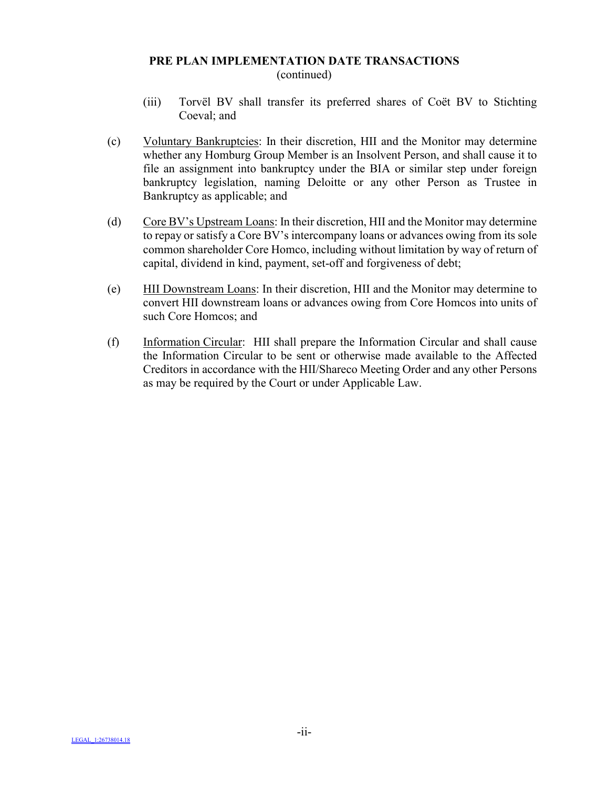#### **PRE PLAN IMPLEMENTATION DATE TRANSACTIONS** (continued)

- (iii) Torvël BV shall transfer its preferred shares of Coët BV to Stichting Coeval; and
- (c) Voluntary Bankruptcies: In their discretion, HII and the Monitor may determine whether any Homburg Group Member is an Insolvent Person, and shall cause it to file an assignment into bankruptcy under the BIA or similar step under foreign bankruptcy legislation, naming Deloitte or any other Person as Trustee in Bankruptcy as applicable; and
- (d) Core BV's Upstream Loans: In their discretion, HII and the Monitor may determine to repay or satisfy a Core BV's intercompany loans or advances owing from its sole common shareholder Core Homco, including without limitation by way of return of capital, dividend in kind, payment, set-off and forgiveness of debt;
- (e) HII Downstream Loans: In their discretion, HII and the Monitor may determine to convert HII downstream loans or advances owing from Core Homcos into units of such Core Homcos; and
- (f) Information Circular: HII shall prepare the Information Circular and shall cause the Information Circular to be sent or otherwise made available to the Affected Creditors in accordance with the HII/Shareco Meeting Order and any other Persons as may be required by the Court or under Applicable Law.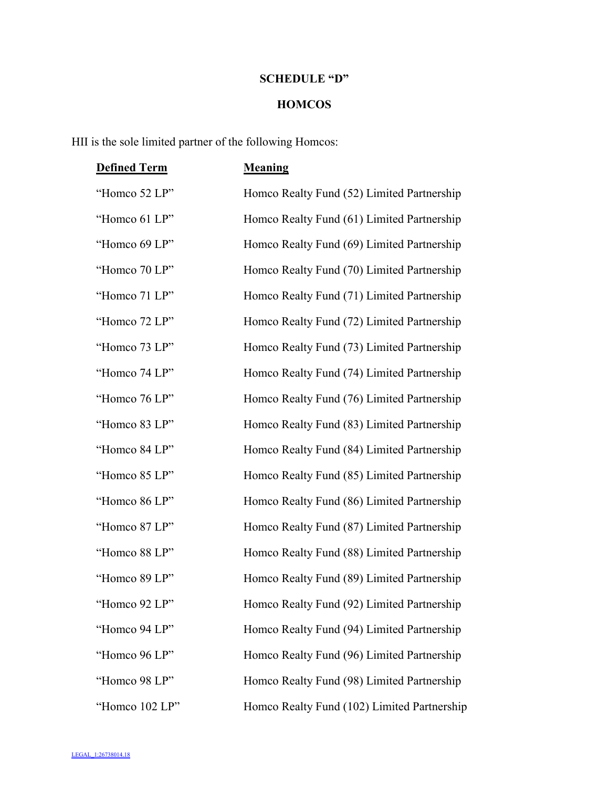# **SCHEDULE "D"**

## **HOMCOS**

HII is the sole limited partner of the following Homcos:

| <b>Defined Term</b> | <b>Meaning</b>                              |
|---------------------|---------------------------------------------|
| "Homco 52 LP"       | Homco Realty Fund (52) Limited Partnership  |
| "Homco 61 LP"       | Homco Realty Fund (61) Limited Partnership  |
| "Homco 69 LP"       | Homco Realty Fund (69) Limited Partnership  |
| "Homco 70 LP"       | Homco Realty Fund (70) Limited Partnership  |
| "Homco 71 LP"       | Homco Realty Fund (71) Limited Partnership  |
| "Homco 72 LP"       | Homco Realty Fund (72) Limited Partnership  |
| "Homco 73 LP"       | Homco Realty Fund (73) Limited Partnership  |
| "Homco 74 LP"       | Homco Realty Fund (74) Limited Partnership  |
| "Homco 76 LP"       | Homco Realty Fund (76) Limited Partnership  |
| "Homco 83 LP"       | Homco Realty Fund (83) Limited Partnership  |
| "Homco 84 LP"       | Homco Realty Fund (84) Limited Partnership  |
| "Homco 85 LP"       | Homco Realty Fund (85) Limited Partnership  |
| "Homco 86 LP"       | Homco Realty Fund (86) Limited Partnership  |
| "Homco 87 LP"       | Homco Realty Fund (87) Limited Partnership  |
| "Homco 88 LP"       | Homco Realty Fund (88) Limited Partnership  |
| "Homco 89 LP"       | Homco Realty Fund (89) Limited Partnership  |
| "Homco 92 LP"       | Homco Realty Fund (92) Limited Partnership  |
| "Homco 94 LP"       | Homco Realty Fund (94) Limited Partnership  |
| "Homco 96 LP"       | Homco Realty Fund (96) Limited Partnership  |
| "Homco 98 LP"       | Homco Realty Fund (98) Limited Partnership  |
| "Homco 102 LP"      | Homco Realty Fund (102) Limited Partnership |